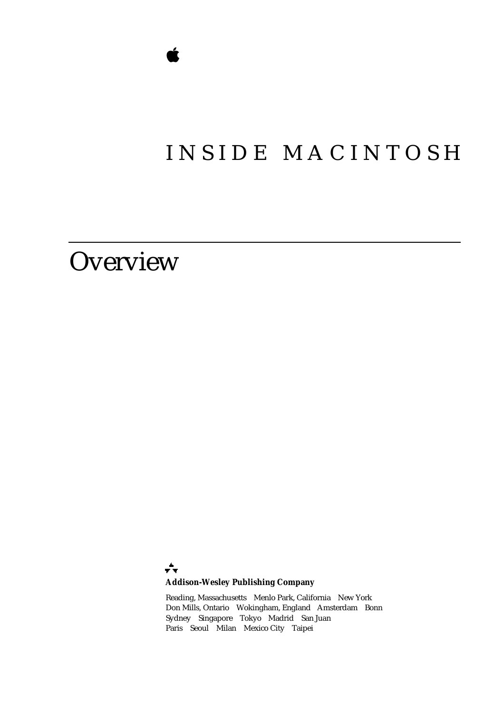## INSIDE MACINTOSH

## **Overview**

÷ **Addison-Wesley Publishing Company**

Reading, Massachusetts Menlo Park, California New York Don Mills, Ontario Wokingham, England Amsterdam Bonn Sydney Singapore Tokyo Madrid San Juan Paris Seoul Milan Mexico City Taipei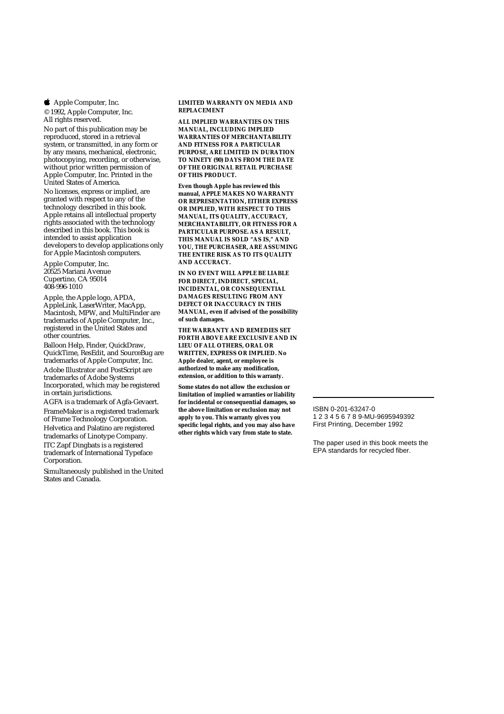**4** Apple Computer, Inc.

© 1992, Apple Computer, Inc. All rights reserved.

No part of this publication may be reproduced, stored in a retrieval system, or transmitted, in any form or by any means, mechanical, electronic, photocopying, recording, or otherwise, without prior written permission of Apple Computer, Inc. Printed in the United States of America. No licenses, express or implied, are granted with respect to any of the technology described in this book. Apple retains all intellectual property rights associated with the technology described in this book. This book is intended to assist application developers to develop applications only for Apple Macintosh computers.

Apple Computer, Inc. 20525 Mariani Avenue Cupertino, CA 95014 408-996-1010

Apple, the Apple logo, APDA, AppleLink, LaserWriter, MacApp, Macintosh, MPW, and MultiFinder are trademarks of Apple Computer, Inc., registered in the United States and other countries.

Balloon Help, Finder, QuickDraw, QuickTime, ResEdit, and SourceBug are trademarks of Apple Computer, Inc. Adobe Illustrator and PostScript are trademarks of Adobe Systems Incorporated, which may be registered in certain jurisdictions.

AGFA is a trademark of Agfa-Gevaert. FrameMaker is a registered trademark of Frame Technology Corporation. Helvetica and Palatino are registered trademarks of Linotype Company. ITC Zapf Dingbats is a registered trademark of International Typeface Corporation.

Simultaneously published in the United States and Canada.

**LIMITED WARRANTY ON MEDIA AND REPLACEMENT**

**ALL IMPLIED WARRANTIES ON THIS MANUAL, INCLUDING IMPLIED WARRANTIES OF MERCHANTABILITY AND FITNESS FOR A PARTICULAR PURPOSE, ARE LIMITED IN DURATION TO NINETY (90) DAYS FROM THE DATE OF THE ORIGINAL RETAIL PURCHASE OF THIS PRODUCT.**

**Even though Apple has reviewed this manual, APPLE MAKES NO WARRANTY OR REPRESENTATION, EITHER EXPRESS OR IMPLIED, WITH RESPECT TO THIS MANUAL, ITS QUALITY, ACCURACY, MERCHANTABILITY, OR FITNESS FOR A PARTICULAR PURPOSE. AS A RESULT, THIS MANUAL IS SOLD "AS IS," AND YOU, THE PURCHASER, ARE ASSUMING THE ENTIRE RISK AS TO ITS QUALITY AND ACCURACY.**

**IN NO EVENT WILL APPLE BE LIABLE FOR DIRECT, INDIRECT, SPECIAL, INCIDENTAL, OR CONSEQUENTIAL DAMAGES RESULTING FROM ANY DEFECT OR INACCURACY IN THIS MANUAL, even if advised of the possibility of such damages.**

**THE WARRANTY AND REMEDIES SET FORTH ABOVE ARE EXCLUSIVE AND IN LIEU OF ALL OTHERS, ORAL OR WRITTEN, EXPRESS OR IMPLIED. No Apple dealer, agent, or employee is authorized to make any modification, extension, or addition to this warranty.**

**Some states do not allow the exclusion or limitation of implied warranties or liability for incidental or consequential damages, so the above limitation or exclusion may not apply to you. This warranty gives you specific legal rights, and you may also have other rights which vary from state to state.**

ISBN 0-201-63247-0 1 2 3 4 5 6 7 8 9-MU-9695949392 First Printing, December 1992

The paper used in this book meets the EPA standards for recycled fiber.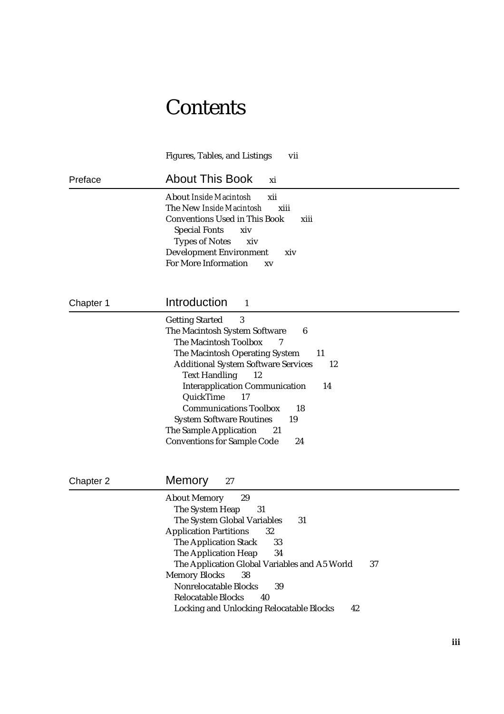## **Contents**

|           | <b>Figures, Tables, and Listings</b><br>vii                                                                                                                                                                                                                                                                                                                                                                                                                       |
|-----------|-------------------------------------------------------------------------------------------------------------------------------------------------------------------------------------------------------------------------------------------------------------------------------------------------------------------------------------------------------------------------------------------------------------------------------------------------------------------|
| Preface   | <b>About This Book</b><br>xi                                                                                                                                                                                                                                                                                                                                                                                                                                      |
|           | <b>About Inside Macintosh</b><br>xii<br>The New Inside Macintosh<br>xiii<br><b>Conventions Used in This Book</b><br>xiii<br><b>Special Fonts</b><br>xiv<br><b>Types of Notes</b><br>xiv<br><b>Development Environment</b><br>xiv<br><b>For More Information</b><br>XV                                                                                                                                                                                             |
| Chapter 1 | Introduction<br>1                                                                                                                                                                                                                                                                                                                                                                                                                                                 |
|           | $\boldsymbol{3}$<br><b>Getting Started</b><br>The Macintosh System Software<br>6<br>The Macintosh Toolbox<br>The Macintosh Operating System<br>11<br><b>Additional System Software Services</b><br>12<br><b>Text Handling</b><br>12<br><b>Interapplication Communication</b><br>14<br>QuickTime<br>17<br><b>Communications Toolbox</b><br>18<br><b>System Software Routines</b><br>19<br>The Sample Application<br>21<br><b>Conventions for Sample Code</b><br>24 |
| Chapter 2 | Memory<br>27                                                                                                                                                                                                                                                                                                                                                                                                                                                      |
|           | <b>About Memory</b><br>29<br>The System Heap<br>31<br>The System Global Variables<br>31<br>32<br><b>Application Partitions</b><br><b>The Application Stack</b><br>33<br>The Application Heap<br>34<br>The Application Global Variables and A5 World<br>37<br><b>Memory Blocks</b><br>38<br><b>Nonrelocatable Blocks</b><br>39<br><b>Relocatable Blocks</b><br>40<br><b>Locking and Unlocking Relocatable Blocks</b><br>42                                         |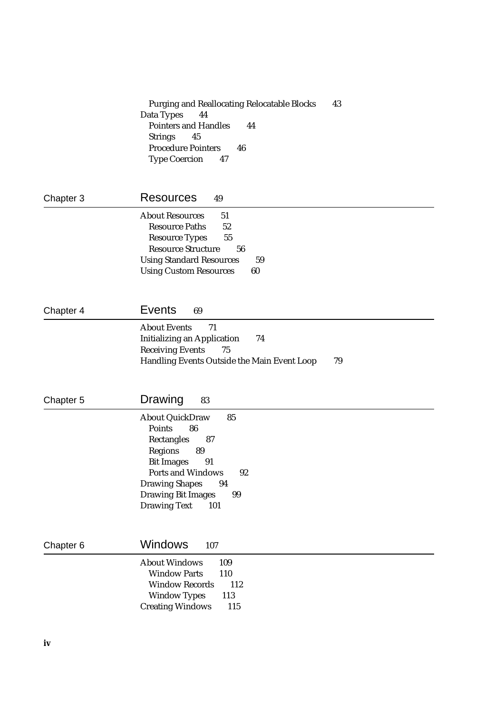|           | 43<br><b>Purging and Reallocating Relocatable Blocks</b><br>Data Types<br>44<br><b>Pointers and Handles</b><br>44<br><b>Strings</b><br>45<br><b>Procedure Pointers</b><br>46<br><b>Type Coercion</b><br>47                              |
|-----------|-----------------------------------------------------------------------------------------------------------------------------------------------------------------------------------------------------------------------------------------|
| Chapter 3 | <b>Resources</b><br>49                                                                                                                                                                                                                  |
|           | <b>About Resources</b><br>51<br><b>Resource Paths</b><br>52<br>55<br><b>Resource Types</b><br><b>Resource Structure</b><br>56<br><b>Using Standard Resources</b><br>59<br><b>Using Custom Resources</b><br>60                           |
| Chapter 4 | <b>Events</b><br>69                                                                                                                                                                                                                     |
|           | <b>About Events</b><br>71<br><b>Initializing an Application</b><br>74<br><b>Receiving Events</b><br>75<br>79<br>Handling Events Outside the Main Event Loop                                                                             |
| Chapter 5 | Drawing<br>83                                                                                                                                                                                                                           |
|           | <b>About QuickDraw</b><br>85<br>Points<br>86<br>Rectangles<br>87<br>Regions<br>89<br><b>Bit Images</b><br>91<br>Ports and Windows<br>92<br><b>Drawing Shapes</b><br>94<br><b>Drawing Bit Images</b><br>99<br><b>Drawing Text</b><br>101 |
| Chapter 6 | Windows<br>107                                                                                                                                                                                                                          |
|           | <b>About Windows</b><br>109                                                                                                                                                                                                             |

 $112$ 

 $115$ 

| <b>Window Parts</b>     | 110 |
|-------------------------|-----|
| <b>Window Records</b>   | 11  |
| <b>Window Types</b>     | 113 |
| <b>Creating Windows</b> | 11  |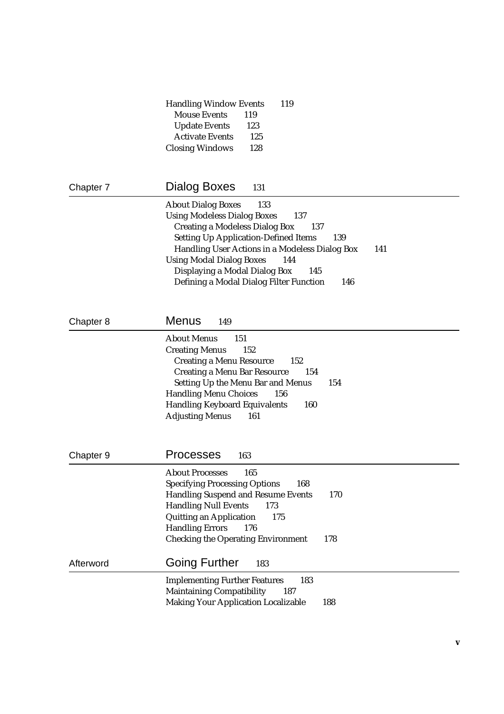|           | <b>Handling Window Events</b><br>119                                                                                                                                                                                                                                                                                           |
|-----------|--------------------------------------------------------------------------------------------------------------------------------------------------------------------------------------------------------------------------------------------------------------------------------------------------------------------------------|
|           | <b>Mouse Events</b><br>119<br><b>Update Events</b><br>123                                                                                                                                                                                                                                                                      |
|           | <b>Activate Events</b><br>125                                                                                                                                                                                                                                                                                                  |
|           | 128<br><b>Closing Windows</b>                                                                                                                                                                                                                                                                                                  |
|           |                                                                                                                                                                                                                                                                                                                                |
| Chapter 7 | Dialog Boxes<br>131                                                                                                                                                                                                                                                                                                            |
|           | <b>About Dialog Boxes</b><br>133<br><b>Using Modeless Dialog Boxes</b><br>137<br><b>Creating a Modeless Dialog Box</b><br>137<br><b>Setting Up Application-Defined Items</b><br>139<br>Handling User Actions in a Modeless Dialog Box<br>141<br><b>Using Modal Dialog Boxes</b><br>144<br>Displaying a Modal Dialog Box<br>145 |
|           | Defining a Modal Dialog Filter Function<br>146                                                                                                                                                                                                                                                                                 |
| Chapter 8 | <b>Menus</b><br>149                                                                                                                                                                                                                                                                                                            |
|           | <b>About Menus</b><br>151<br><b>Creating Menus</b><br>152<br><b>Creating a Menu Resource</b><br>152<br><b>Creating a Menu Bar Resource</b><br>154<br><b>Setting Up the Menu Bar and Menus</b><br>154<br><b>Handling Menu Choices</b><br>156<br>160<br><b>Handling Keyboard Equivalents</b><br><b>Adjusting Menus</b><br>161    |
| Chapter 9 | <b>Processes</b><br>163                                                                                                                                                                                                                                                                                                        |
|           | <b>About Processes</b><br>165<br><b>Specifying Processing Options</b><br>168<br><b>Handling Suspend and Resume Events</b><br>170<br><b>Handling Null Events</b><br>173<br><b>Quitting an Application</b><br>175<br><b>Handling Errors</b><br>176<br><b>Checking the Operating Environment</b><br>178                           |
| Afterword | <b>Going Further</b><br>183                                                                                                                                                                                                                                                                                                    |
|           | <b>Implementing Further Features</b><br>183<br><b>Maintaining Compatibility</b><br>187<br><b>Making Your Application Localizable</b><br>188                                                                                                                                                                                    |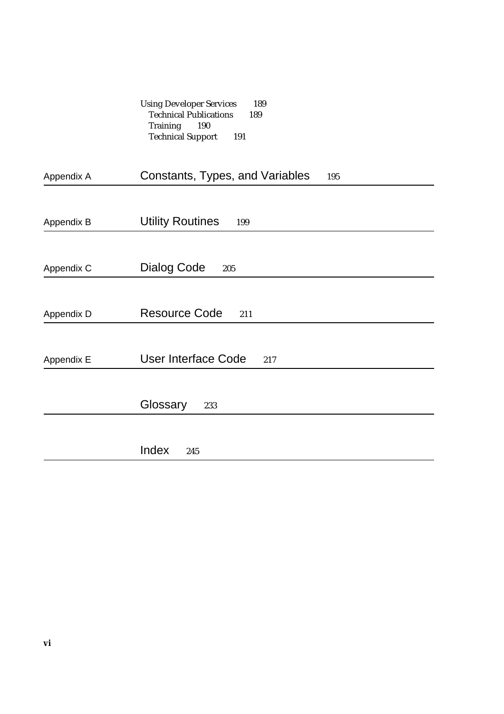| <b>Using Developer Services</b> | 189 |
|---------------------------------|-----|
| <b>Technical Publications</b>   | 189 |
| Training<br>-190                |     |
| <b>Technical Support</b><br>191 |     |

| Appendix A | Constants, Types, and Variables<br>195 |
|------------|----------------------------------------|
|            |                                        |
| Appendix B | <b>Utility Routines</b><br>199         |
|            |                                        |
| Appendix C | <b>Dialog Code</b><br>205              |
|            |                                        |
| Appendix D | <b>Resource Code</b><br>211            |
|            |                                        |
| Appendix E | <b>User Interface Code</b><br>217      |
|            |                                        |
|            | Glossary<br>233                        |
|            |                                        |
|            | Index<br>245                           |
|            |                                        |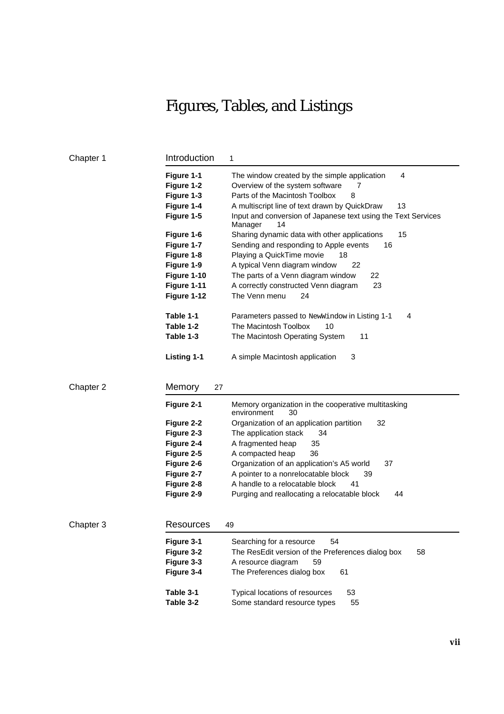## Figures, Tables, and Listings

| Chapter 1 | Introduction             | 1                                                                                         |
|-----------|--------------------------|-------------------------------------------------------------------------------------------|
|           | Figure 1-1<br>Figure 1-2 | 4<br>The window created by the simple application<br>Overview of the system software<br>7 |
|           | Figure 1-3               | Parts of the Macintosh Toolbox<br>8                                                       |
|           | Figure 1-4               | 13<br>A multiscript line of text drawn by QuickDraw                                       |
|           | Figure 1-5               | Input and conversion of Japanese text using the Text Services<br>Manager<br>14            |
|           | Figure 1-6               | 15<br>Sharing dynamic data with other applications                                        |
|           | Figure 1-7               | Sending and responding to Apple events<br>16                                              |
|           | Figure 1-8               | Playing a QuickTime movie<br>18                                                           |
|           | Figure 1-9               | A typical Venn diagram window<br>22                                                       |
|           | Figure 1-10              | The parts of a Venn diagram window<br>22                                                  |
|           | Figure 1-11              | A correctly constructed Venn diagram<br>23                                                |
|           | Figure 1-12              | The Venn menu<br>24                                                                       |
|           | Table 1-1                | Parameters passed to NewWindow in Listing 1-1<br>4                                        |
|           | Table 1-2                | The Macintosh Toolbox<br>10                                                               |
|           | Table 1-3                | The Macintosh Operating System<br>11                                                      |
|           | <b>Listing 1-1</b>       | A simple Macintosh application<br>3                                                       |
| Chapter 2 | Memory<br>27             |                                                                                           |
|           | Figure 2-1               | Memory organization in the cooperative multitasking<br>environment<br>30                  |
|           | Figure 2-2               | Organization of an application partition<br>32                                            |
|           | Figure 2-3               | The application stack<br>34                                                               |
|           | Figure 2-4               | A fragmented heap<br>35                                                                   |
|           | Figure 2-5               | 36<br>A compacted heap                                                                    |
|           | Figure 2-6               | Organization of an application's A5 world<br>37                                           |
|           | Figure 2-7               | A pointer to a nonrelocatable block<br>39                                                 |
|           | Figure 2-8               | A handle to a relocatable block<br>41                                                     |
|           | Figure 2-9               | Purging and reallocating a relocatable block<br>44                                        |
|           |                          |                                                                                           |
| Chapter 3 | Resources                | 49                                                                                        |
|           | Figure 3-1               | 54<br>Searching for a resource                                                            |
|           | Figure 3-2               | The ResEdit version of the Preferences dialog box<br>58                                   |
|           | Figure 3-3               | A resource diagram<br>59                                                                  |
|           | Figure 3-4               | The Preferences dialog box<br>61                                                          |
|           | Table 3-1                | Typical locations of resources<br>53                                                      |
|           | Table 3-2                | Some standard resource types<br>55                                                        |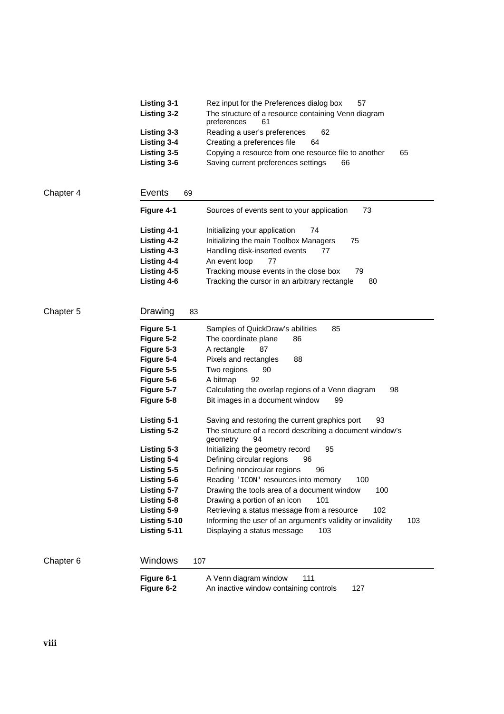| <b>Listing 3-1</b> | Rez input for the Preferences dialog box<br>57                           |    |
|--------------------|--------------------------------------------------------------------------|----|
| Listing 3-2        | The structure of a resource containing Venn diagram<br>preferences<br>61 |    |
| Listing 3-3        | Reading a user's preferences<br>62                                       |    |
| Listing 3-4        | Creating a preferences file<br>64                                        |    |
| Listing 3-5        | Copying a resource from one resource file to another                     | 65 |
| Listing 3-6        | Saving current preferences settings<br>66                                |    |

| Chapter 4 | Events<br>69       |                                                     |
|-----------|--------------------|-----------------------------------------------------|
|           | Figure 4-1         | 73<br>Sources of events sent to your application    |
|           | Listing 4-1        | Initializing your application<br>74                 |
|           | Listing 4-2        | Initializing the main Toolbox Managers<br>75        |
|           | Listing 4-3        | Handling disk-inserted events<br>77                 |
|           | <b>Listing 4-4</b> | An event loop<br>77                                 |
|           | Listing 4-5        | Tracking mouse events in the close box<br>79        |
|           | Listing 4-6        | Tracking the cursor in an arbitrary rectangle<br>80 |
|           |                    |                                                     |

|           | Figure 6-1<br>Figure 6-2 | 111<br>A Venn diagram window<br>An inactive window containing controls<br>127 |
|-----------|--------------------------|-------------------------------------------------------------------------------|
| Chapter 6 | Windows                  | 107                                                                           |
|           | Listing 5-11             | Displaying a status message<br>103                                            |
|           | Listing 5-10             | Informing the user of an argument's validity or invalidity<br>103             |
|           | Listing 5-9              | 102<br>Retrieving a status message from a resource                            |
|           | Listing 5-8              | Drawing a portion of an icon<br>101                                           |
|           | <b>Listing 5-7</b>       | Drawing the tools area of a document window<br>100                            |
|           | Listing 5-6              | Reading 'ICON' resources into memory<br>100                                   |
|           | Listing 5-5              | Defining noncircular regions<br>96                                            |
|           | Listing 5-4              | Defining circular regions<br>96                                               |
|           | Listing 5-3              | geometry<br>94<br>Initializing the geometry record<br>95                      |
|           | Listing 5-2              | The structure of a record describing a document window's                      |
|           | <b>Listing 5-1</b>       | Saving and restoring the current graphics port<br>93                          |
|           | Figure 5-8               | Bit images in a document window<br>99                                         |
|           | Figure 5-7               | 98<br>Calculating the overlap regions of a Venn diagram                       |
|           | Figure 5-6               | A bitmap<br>92                                                                |
|           | Figure 5-5               | Two regions<br>90                                                             |
|           | Figure 5-4               | Pixels and rectangles<br>88                                                   |
|           | Figure 5-3               | A rectangle<br>87                                                             |
|           | Figure 5-1<br>Figure 5-2 | Samples of QuickDraw's abilities<br>85<br>The coordinate plane<br>86          |
|           |                          |                                                                               |
| Chapter 5 | Drawing                  | 83                                                                            |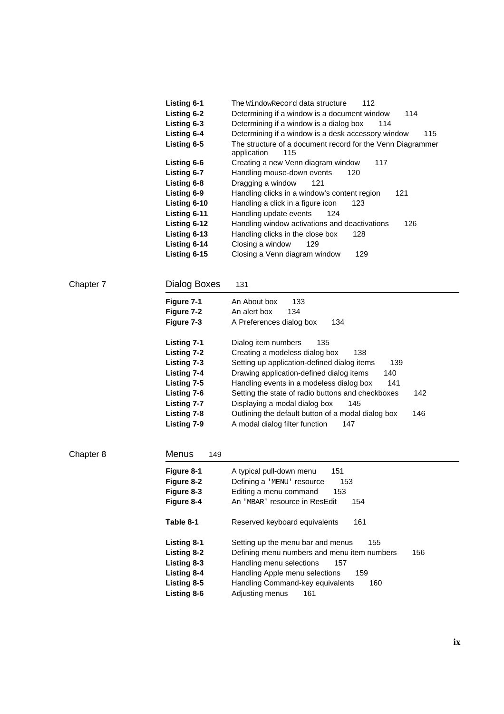| <b>Listing 6-1</b>  | The WindowRecord data structure<br>112                                           |
|---------------------|----------------------------------------------------------------------------------|
| Listing 6-2         | Determining if a window is a document window<br>114                              |
| <b>Listing 6-3</b>  | Determining if a window is a dialog box<br>114                                   |
| Listing 6-4         | Determining if a window is a desk accessory window<br>115                        |
| Listing 6-5         | The structure of a document record for the Venn Diagrammer<br>application<br>115 |
| Listing 6-6         | Creating a new Venn diagram window<br>117                                        |
| Listing 6-7         | Handling mouse-down events<br>120                                                |
| Listing 6-8         | Dragging a window<br>121                                                         |
| Listing 6-9         | Handling clicks in a window's content region<br>121                              |
| Listing 6-10        | Handling a click in a figure icon<br>123.                                        |
| <b>Listing 6-11</b> | Handling update events<br>124                                                    |
| <b>Listing 6-12</b> | Handling window activations and deactivations<br>126                             |
| <b>Listing 6-13</b> | Handling clicks in the close box<br>128                                          |
| Listing 6-14        | Closing a window<br>129                                                          |
| Listing 6-15        | Closing a Venn diagram window<br>129                                             |

| Chapter 7 |
|-----------|
|-----------|

## Dialog Boxes 131

| Figure 7-1<br>Figure 7-2<br>Figure 7-3 | An About box<br>133<br>An alert box<br>134<br>A Preferences dialog box<br>134 |  |
|----------------------------------------|-------------------------------------------------------------------------------|--|
| Listing 7-1                            | Dialog item numbers<br>135                                                    |  |
| Listing 7-2                            | Creating a modeless dialog box<br>138                                         |  |
| Listing 7-3                            | Setting up application-defined dialog items<br>139                            |  |
| Listing 7-4                            | Drawing application-defined dialog items<br>140                               |  |
| Listing 7-5                            | Handling events in a modeless dialog box<br>141                               |  |
| Listing 7-6                            | Setting the state of radio buttons and checkboxes<br>142                      |  |
| Listing 7-7                            | Displaying a modal dialog box<br>145                                          |  |
| Listing 7-8                            | Outlining the default button of a modal dialog box<br>146                     |  |
| Listina 7-9                            | A modal dialog filter function<br>147                                         |  |

Chapter 8 Menus 149

| Figure 8-1<br>Figure 8-2 | A typical pull-down menu<br>151<br>Defining a 'MENU' resource<br>153 |
|--------------------------|----------------------------------------------------------------------|
| Figure 8-3               | Editing a menu command<br>153                                        |
| Figure 8-4               | An 'MBAR' resource in ResEdit<br>154                                 |
| Table 8-1                | Reserved keyboard equivalents<br>161                                 |
| <b>Listing 8-1</b>       | Setting up the menu bar and menus<br>155                             |
| Listing 8-2              | Defining menu numbers and menu item numbers<br>156                   |
| Listing 8-3              | Handling menu selections<br>157                                      |
| <b>Listing 8-4</b>       | Handling Apple menu selections<br>159                                |
| Listing 8-5              | Handling Command-key equivalents<br>160                              |
| Listing 8-6              | Adjusting menus<br>161                                               |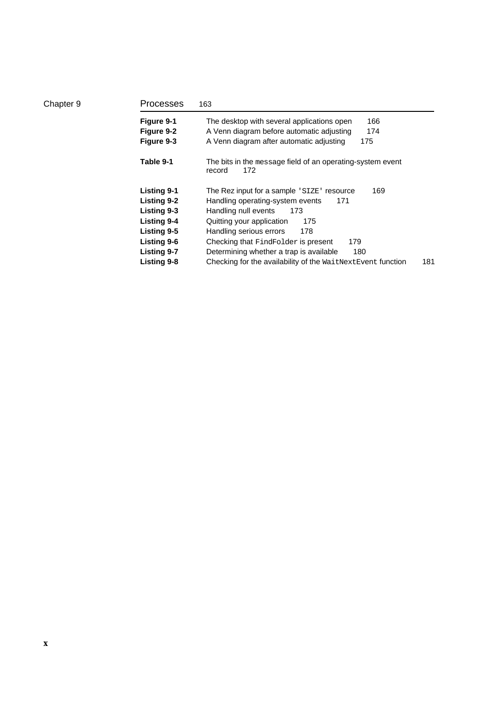| Processes          | 163                                                                         |
|--------------------|-----------------------------------------------------------------------------|
| Figure 9-1         | The desktop with several applications open<br>166                           |
| Figure 9-2         | A Venn diagram before automatic adjusting<br>174                            |
| Figure 9-3         | A Venn diagram after automatic adjusting<br>175                             |
| Table 9-1          | The bits in the message field of an operating-system event<br>record<br>172 |
| <b>Listing 9-1</b> | The Rez input for a sample 'SIZE' resource<br>169                           |
| Listing 9-2        | Handling operating-system events<br>171                                     |
| Listing 9-3        | Handling null events<br>173                                                 |
| <b>Listing 9-4</b> | Quitting your application<br>175                                            |
| Listing 9-5        | Handling serious errors<br>178                                              |
| <b>Listing 9-6</b> | Checking that FindFolder is present<br>179                                  |
| <b>Listing 9-7</b> | Determining whether a trap is available<br>180                              |
| Listing 9-8        | Checking for the availability of the WaitNextEvent function<br>181          |

Chapter 9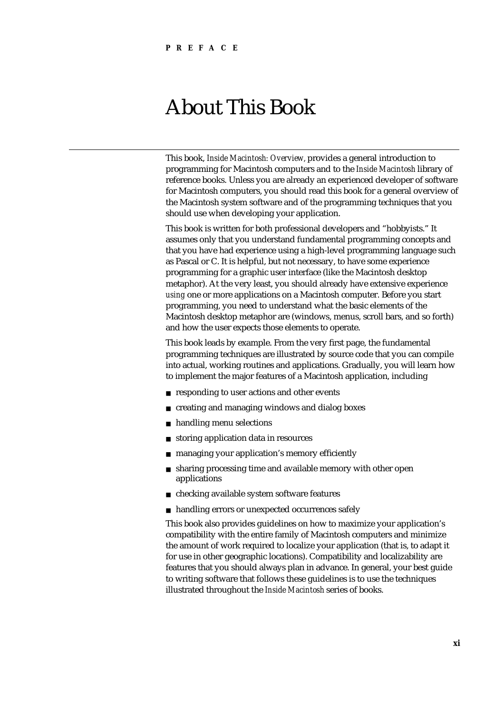## About This Book

This book, *Inside Macintosh: Overview,* provides a general introduction to programming for Macintosh computers and to the *Inside Macintosh* library of reference books. Unless you are already an experienced developer of software for Macintosh computers, you should read this book for a general overview of the Macintosh system software and of the programming techniques that you should use when developing your application.

This book is written for both professional developers and "hobbyists." It assumes only that you understand fundamental programming concepts and that you have had experience using a high-level programming language such as Pascal or C. It is helpful, but not necessary, to have some experience programming for a graphic user interface (like the Macintosh desktop metaphor). At the very least, you should already have extensive experience *using* one or more applications on a Macintosh computer. Before you start programming, you need to understand what the basic elements of the Macintosh desktop metaphor are (windows, menus, scroll bars, and so forth) and how the user expects those elements to operate.

This book leads by example. From the very first page, the fundamental programming techniques are illustrated by source code that you can compile into actual, working routines and applications. Gradually, you will learn how to implement the major features of a Macintosh application, including

- n responding to user actions and other events
- creating and managing windows and dialog boxes  $\mathsf{n}$
- handling menu selections  $\overline{p}$
- storing application data in resources  $\overline{p}$
- managing your application's memory efficiently  $\overline{p}$
- sharing processing time and available memory with other open  $\mathsf{n}$ applications
- checking available system software features  $n$
- n handling errors or unexpected occurrences safely

This book also provides guidelines on how to maximize your application's compatibility with the entire family of Macintosh computers and minimize the amount of work required to localize your application (that is, to adapt it for use in other geographic locations). Compatibility and localizability are features that you should always plan in advance. In general, your best guide to writing software that follows these guidelines is to use the techniques illustrated throughout the *Inside Macintosh* series of books.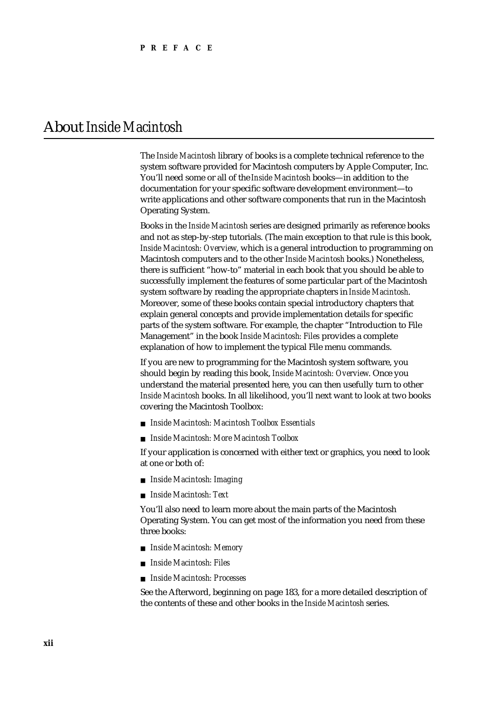## About *Inside Macintosh*

The *Inside Macintosh* library of books is a complete technical reference to the system software provided for Macintosh computers by Apple Computer, Inc. You'll need some or all of the *Inside Macintosh* books—in addition to the documentation for your specific software development environment—to write applications and other software components that run in the Macintosh Operating System.

Books in the *Inside Macintosh* series are designed primarily as reference books and not as step-by-step tutorials. (The main exception to that rule is this book, *Inside Macintosh: Overview*, which is a general introduction to programming on Macintosh computers and to the other *Inside Macintosh* books.) Nonetheless, there is sufficient "how-to" material in each book that you should be able to successfully implement the features of some particular part of the Macintosh system software by reading the appropriate chapters in *Inside Macintosh*. Moreover, some of these books contain special introductory chapters that explain general concepts and provide implementation details for specific parts of the system software. For example, the chapter "Introduction to File Management" in the book *Inside Macintosh: Files* provides a complete explanation of how to implement the typical File menu commands.

If you are new to programming for the Macintosh system software, you should begin by reading this book, *Inside Macintosh: Overview*. Once you understand the material presented here, you can then usefully turn to other *Inside Macintosh* books. In all likelihood, you'll next want to look at two books covering the Macintosh Toolbox:

- *Inside Macintosh: Macintosh Toolbox Essentials*
- *Inside Macintosh: More Macintosh Toolbox*

If your application is concerned with either text or graphics, you need to look at one or both of:

- *Inside Macintosh: Imaging*
- *Inside Macintosh: Text*

You'll also need to learn more about the main parts of the Macintosh Operating System. You can get most of the information you need from these three books:

- *Inside Macintosh: Memory*
- *Inside Macintosh: Files*
- *Inside Macintosh: Processes*

See the Afterword, beginning on page 183, for a more detailed description of the contents of these and other books in the *Inside Macintosh* series.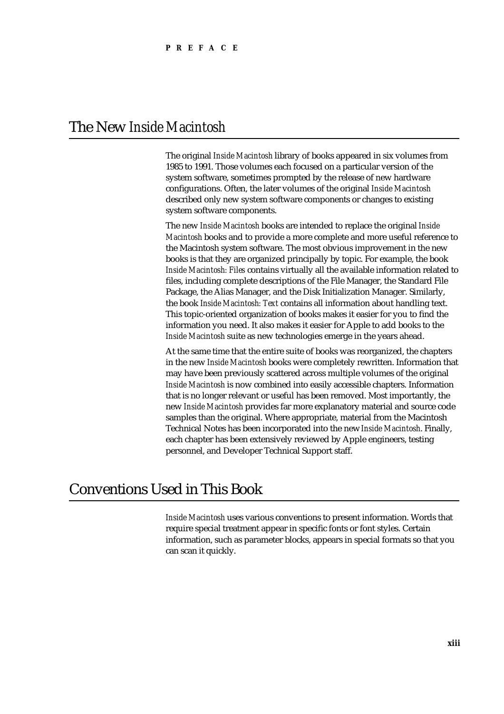## The New *Inside Macintosh*

The original *Inside Macintosh* library of books appeared in six volumes from 1985 to 1991. Those volumes each focused on a particular version of the system software, sometimes prompted by the release of new hardware configurations. Often, the later volumes of the original *Inside Macintosh* described only new system software components or changes to existing system software components.

The new *Inside Macintosh* books are intended to replace the original *Inside Macintosh* books and to provide a more complete and more useful reference to the Macintosh system software. The most obvious improvement in the new books is that they are organized principally by topic. For example, the book *Inside Macintosh: Files* contains virtually all the available information related to files, including complete descriptions of the File Manager, the Standard File Package, the Alias Manager, and the Disk Initialization Manager. Similarly, the book *Inside Macintosh: Text* contains all information about handling text. This topic-oriented organization of books makes it easier for you to find the information you need. It also makes it easier for Apple to add books to the *Inside Macintosh* suite as new technologies emerge in the years ahead.

At the same time that the entire suite of books was reorganized, the chapters in the new *Inside Macintosh* books were completely rewritten. Information that may have been previously scattered across multiple volumes of the original *Inside Macintosh* is now combined into easily accessible chapters. Information that is no longer relevant or useful has been removed. Most importantly, the new *Inside Macintosh* provides far more explanatory material and source code samples than the original. Where appropriate, material from the Macintosh Technical Notes has been incorporated into the new *Inside Macintosh*. Finally, each chapter has been extensively reviewed by Apple engineers, testing personnel, and Developer Technical Support staff.

## Conventions Used in This Book

*Inside Macintosh* uses various conventions to present information. Words that require special treatment appear in specific fonts or font styles. Certain information, such as parameter blocks, appears in special formats so that you can scan it quickly.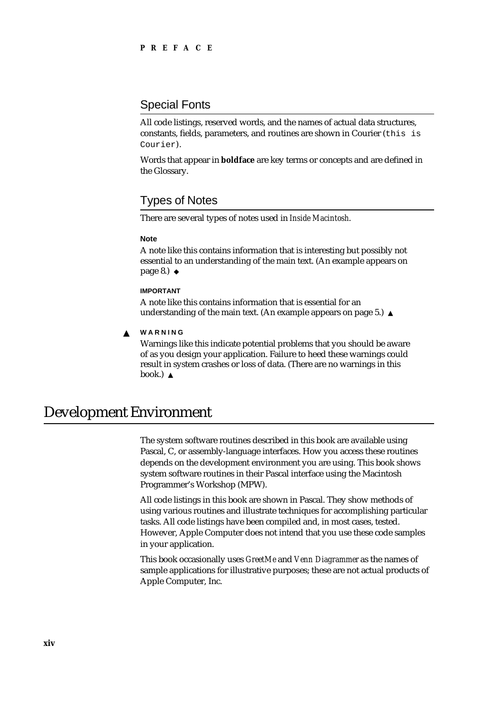### Special Fonts

All code listings, reserved words, and the names of actual data structures, constants, fields, parameters, and routines are shown in Courier (this is Courier).

Words that appear in **boldface** are key terms or concepts and are defined in the Glossary.

### Types of Notes

There are several types of notes used in *Inside Macintosh*.

#### **Note**

A note like this contains information that is interesting but possibly not essential to an understanding of the main text. (An example appears on page 8.) u

#### **IMPORTANT**

A note like this contains information that is essential for an understanding of the main text. (An example appears on page 5.)

#### **WARNING**  $\mathbf{s}$

Warnings like this indicate potential problems that you should be aware of as you design your application. Failure to heed these warnings could result in system crashes or loss of data. (There are no warnings in this book.)

## Development Environment

The system software routines described in this book are available using Pascal, C, or assembly-language interfaces. How you access these routines depends on the development environment you are using. This book shows system software routines in their Pascal interface using the Macintosh Programmer's Workshop (MPW).

All code listings in this book are shown in Pascal. They show methods of using various routines and illustrate techniques for accomplishing particular tasks. All code listings have been compiled and, in most cases, tested. However, Apple Computer does not intend that you use these code samples in your application.

This book occasionally uses *GreetMe* and *Venn Diagrammer* as the names of sample applications for illustrative purposes; these are not actual products of Apple Computer, Inc.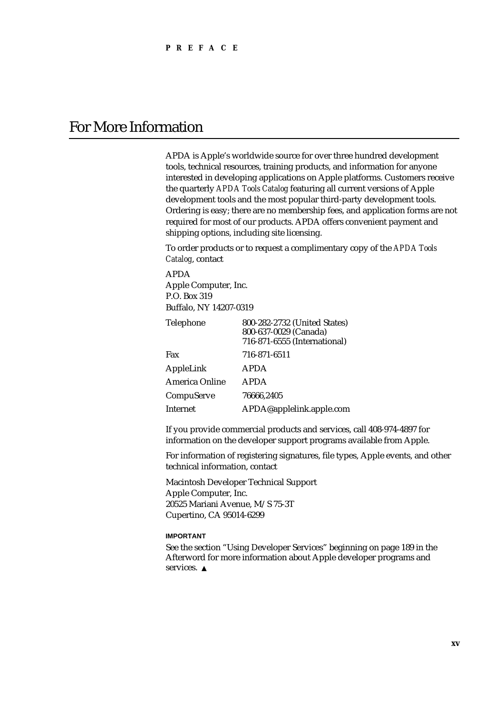## For More Information

APDA is Apple's worldwide source for over three hundred development tools, technical resources, training products, and information for anyone interested in developing applications on Apple platforms. Customers receive the quarterly *APDA Tools Catalog* featuring all current versions of Apple development tools and the most popular third-party development tools. Ordering is easy; there are no membership fees, and application forms are not required for most of our products. APDA offers convenient payment and shipping options, including site licensing.

To order products or to request a complimentary copy of the *APDA Tools Catalog*, contact

APDA Apple Computer, Inc. P.O. Box 319 Buffalo, NY 14207-0319

| <b>Telephone</b>      | 800-282-2732 (United States)<br>800-637-0029 (Canada)<br>716-871-6555 (International) |
|-----------------------|---------------------------------------------------------------------------------------|
| Fax                   | 716-871-6511                                                                          |
| AppleLink             | <b>APDA</b>                                                                           |
| <b>America Online</b> | <b>APDA</b>                                                                           |
| CompuServe            | 76666.2405                                                                            |
| Internet              | APDA@applelink.apple.com                                                              |

If you provide commercial products and services, call 408-974-4897 for information on the developer support programs available from Apple.

For information of registering signatures, file types, Apple events, and other technical information, contact

Macintosh Developer Technical Support Apple Computer, Inc. 20525 Mariani Avenue, M/S 75-3T Cupertino, CA 95014-6299

#### **IMPORTANT**

See the section "Using Developer Services" beginning on page 189 in the Afterword for more information about Apple developer programs and services. s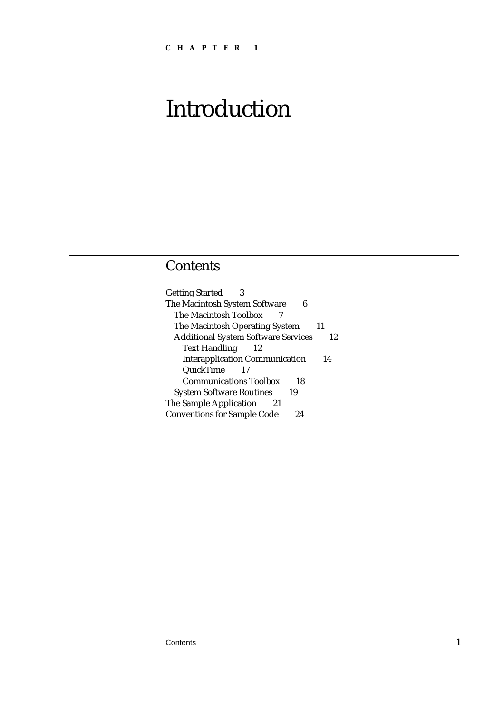## **Contents**

Getting Started 3 The Macintosh System Software 6 The Macintosh Toolbox 7 The Macintosh Operating System 11 Additional System Software Services 12 Text Handling 12 Interapplication Communication 14 QuickTime 17 Communications Toolbox 18 System Software Routines 19 The Sample Application 21 Conventions for Sample Code 24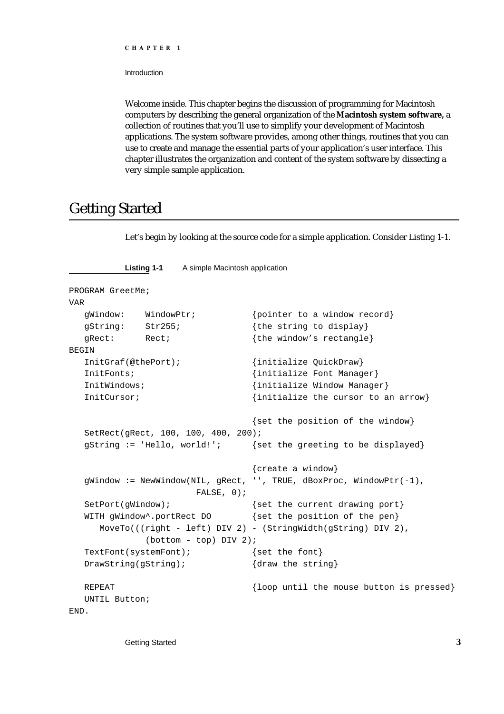Introduction

Welcome inside. This chapter begins the discussion of programming for Macintosh computers by describing the general organization of the **Macintosh system software,** a collection of routines that you'll use to simplify your development of Macintosh applications. The system software provides, among other things, routines that you can use to create and manage the essential parts of your application's user interface. This chapter illustrates the organization and content of the system software by dissecting a very simple sample application.

## Getting Started

Let's begin by looking at the source code for a simple application. Consider Listing 1-1.

```
Listing 1-1 A simple Macintosh application
PROGRAM GreetMe;
VAR
  gWindow: WindowPtr; {pointer to a window record}
  gString: Str255; {the string to display}
  gRect: Rect; \{the window's rectangle\}BEGIN
  InitGraf(@thePort); {initialize QuickDraw}
  InitFonts; \{initialize Font Manager\}InitWindows; {initialize Window Manager}
  InitCursor; \{initialize the cursor to an arrow}
                               {set the position of the window}
  SetRect(gRect, 100, 100, 400, 200);
  gString := 'Hello, world!'; {set the greeting to be displayed}
                               {create a window}
  gWindow := NewWindow(NIL, gRect, '', TRUE, dBoxProc, WindowPLr(-1), FALSE, 0);
  SetPort(gWindow); \{ set the current drawing port \}WITH gWindow<sup>*</sup>.portRect DO {set the position of the pen}
     MoveTo(((right - left) DIV 2) - (StringWidth(gString) DIV 2),
             (bottom - top) DIV 2);
  TextFont(systemFont); {set the font}
  DrawString(gString); \{draw the string\}REPEAT {loop unit1} the mouse button is pressed}
  UNTIL Button;
END.
```
Getting Started **3 3**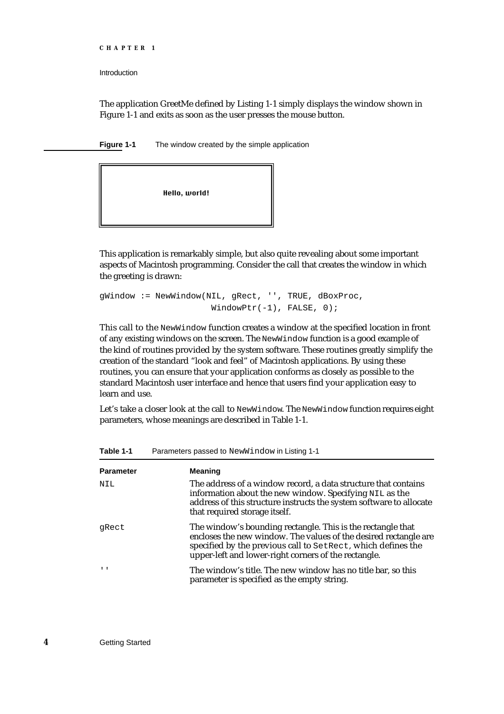```
CHAPTER 1
```
The application GreetMe defined by Listing 1-1 simply displays the window shown in Figure 1-1 and exits as soon as the user presses the mouse button.

**Figure 1-1** The window created by the simple application



This application is remarkably simple, but also quite revealing about some important aspects of Macintosh programming. Consider the call that creates the window in which the greeting is drawn:

```
gWindow := NewWindow(NIL, gRect, '', TRUE, dBoxProc,
                      WindowPtr(-1), FALSE, 0);
```
This call to the NewWindow function creates a window at the specified location in front of any existing windows on the screen. The NewWindow function is a good example of the kind of routines provided by the system software. These routines greatly simplify the creation of the standard "look and feel" of Macintosh applications. By using these routines, you can ensure that your application conforms as closely as possible to the standard Macintosh user interface and hence that users find your application easy to learn and use.

Let's take a closer look at the call to NewWindow. The NewWindow function requires eight parameters, whose meanings are described in Table 1-1.

| <b>Parameter</b> | <b>Meaning</b>                                                                                                                                                                                                                                          |
|------------------|---------------------------------------------------------------------------------------------------------------------------------------------------------------------------------------------------------------------------------------------------------|
| NIL              | The address of a window record, a data structure that contains<br>information about the new window. Specifying NIL as the<br>address of this structure instructs the system software to allocate<br>that required storage itself.                       |
| qRect            | The window's bounding rectangle. This is the rectangle that<br>encloses the new window. The values of the desired rectangle are<br>specified by the previous call to SetRect, which defines the<br>upper-left and lower-right corners of the rectangle. |
| $\mathbf{I}$     | The window's title. The new window has no title bar, so this<br>parameter is specified as the empty string.                                                                                                                                             |

**Table 1-1** Parameters passed to NewWindow in Listing 1-1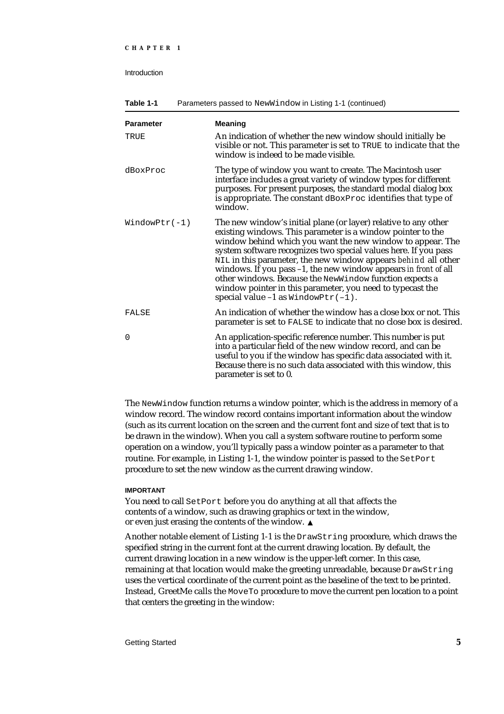| Table 1-1<br>Parameters passed to NewWindow in Listing 1-1 (continued) |                                                                                                                                                                                                                                                                                                                                                                                                                                                                                                                                                                              |
|------------------------------------------------------------------------|------------------------------------------------------------------------------------------------------------------------------------------------------------------------------------------------------------------------------------------------------------------------------------------------------------------------------------------------------------------------------------------------------------------------------------------------------------------------------------------------------------------------------------------------------------------------------|
| <b>Parameter</b>                                                       | <b>Meaning</b>                                                                                                                                                                                                                                                                                                                                                                                                                                                                                                                                                               |
| TRUE                                                                   | An indication of whether the new window should initially be<br>visible or not. This parameter is set to TRUE to indicate that the<br>window is indeed to be made visible.                                                                                                                                                                                                                                                                                                                                                                                                    |
| dBoxProc                                                               | The type of window you want to create. The Macintosh user<br>interface includes a great variety of window types for different<br>purposes. For present purposes, the standard modal dialog box<br>is appropriate. The constant dBoxProc identifies that type of<br>window.                                                                                                                                                                                                                                                                                                   |
| $WindowPtr(-1)$                                                        | The new window's initial plane (or layer) relative to any other<br>existing windows. This parameter is a window pointer to the<br>window behind which you want the new window to appear. The<br>system software recognizes two special values here. If you pass<br>NIL in this parameter, the new window appears behind all other<br>windows. If you pass $-1$ , the new window appears in front of all<br>other windows. Because the NewWindow function expects a<br>window pointer in this parameter, you need to typecast the<br>special value $-1$ as WindowPtr( $-1$ ). |
| FALSE                                                                  | An indication of whether the window has a close box or not. This<br>parameter is set to FALSE to indicate that no close box is desired.                                                                                                                                                                                                                                                                                                                                                                                                                                      |
| $\Omega$                                                               | An application-specific reference number. This number is put<br>into a particular field of the new window record, and can be<br>useful to you if the window has specific data associated with it.<br>Because there is no such data associated with this window, this<br>parameter is set to 0.                                                                                                                                                                                                                                                                               |

The NewWindow function returns a window pointer, which is the address in memory of a window record. The window record contains important information about the window (such as its current location on the screen and the current font and size of text that is to be drawn in the window). When you call a system software routine to perform some operation on a window, you'll typically pass a window pointer as a parameter to that routine. For example, in Listing 1-1, the window pointer is passed to the SetPort procedure to set the new window as the current drawing window.

#### **IMPORTANT**

You need to call SetPort before you do anything at all that affects the contents of a window, such as drawing graphics or text in the window, or even just erasing the contents of the window.

Another notable element of Listing 1-1 is the DrawString procedure, which draws the specified string in the current font at the current drawing location. By default, the current drawing location in a new window is the upper-left corner. In this case, remaining at that location would make the greeting unreadable, because DrawString uses the vertical coordinate of the current point as the baseline of the text to be printed. Instead, GreetMe calls the MoveTo procedure to move the current pen location to a point that centers the greeting in the window: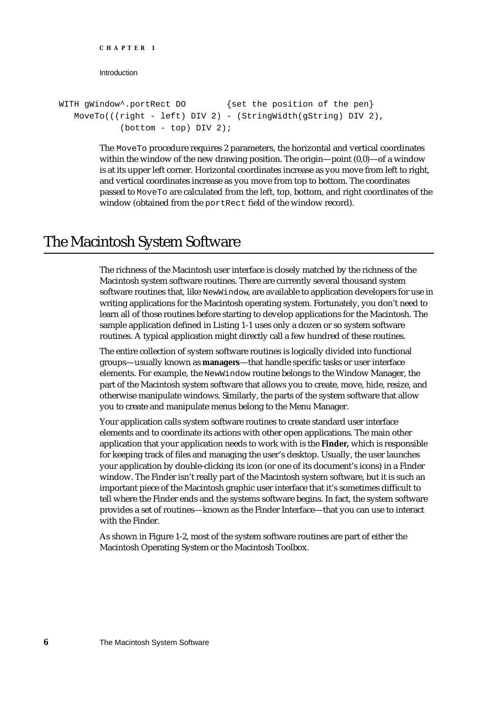```
Introduction
WITH gWindow<sup>*</sup>.portRect DO {set the position of the pen}
   MoveTo(((right - left) DIV 2) - (StringWidth(gString) DIV 2),
             (bottom - top) DIV 2);
```
The MoveTo procedure requires 2 parameters, the horizontal and vertical coordinates within the window of the new drawing position. The origin—point (0,0)—of a window is at its upper left corner. Horizontal coordinates increase as you move from left to right, and vertical coordinates increase as you move from top to bottom. The coordinates passed to MoveTo are calculated from the left, top, bottom, and right coordinates of the window (obtained from the portRect field of the window record).

## The Macintosh System Software

**CHAPTER 1**

The richness of the Macintosh user interface is closely matched by the richness of the Macintosh system software routines. There are currently several thousand system software routines that, like NewWindow, are available to application developers for use in writing applications for the Macintosh operating system. Fortunately, you don't need to learn all of those routines before starting to develop applications for the Macintosh. The sample application defined in Listing 1-1 uses only a dozen or so system software routines. A typical application might directly call a few hundred of these routines.

The entire collection of system software routines is logically divided into functional groups—usually known as **managers**—that handle specific tasks or user interface elements. For example, the NewWindow routine belongs to the Window Manager, the part of the Macintosh system software that allows you to create, move, hide, resize, and otherwise manipulate windows. Similarly, the parts of the system software that allow you to create and manipulate menus belong to the Menu Manager.

Your application calls system software routines to create standard user interface elements and to coordinate its actions with other open applications. The main other application that your application needs to work with is the **Finder,** which is responsible for keeping track of files and managing the user's desktop. Usually, the user launches your application by double-clicking its icon (or one of its document's icons) in a Finder window. The Finder isn't really part of the Macintosh system software, but it is such an important piece of the Macintosh graphic user interface that it's sometimes difficult to tell where the Finder ends and the systems software begins. In fact, the system software provides a set of routines—known as the Finder Interface—that you can use to interact with the Finder.

As shown in Figure 1-2, most of the system software routines are part of either the Macintosh Operating System or the Macintosh Toolbox.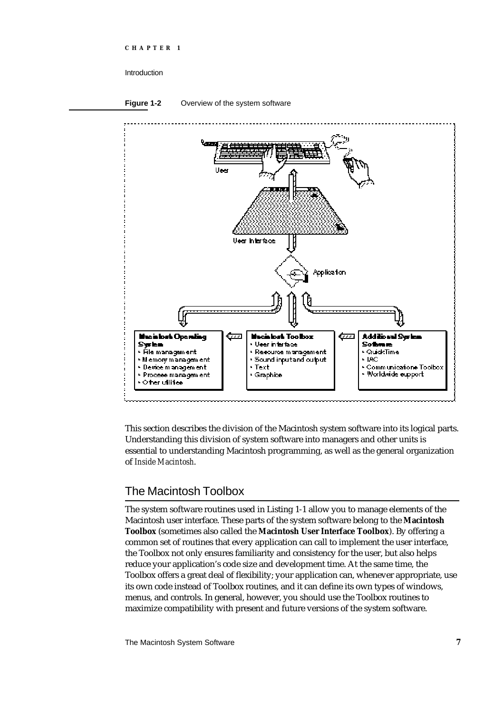



This section describes the division of the Macintosh system software into its logical parts. Understanding this division of system software into managers and other units is essential to understanding Macintosh programming, as well as the general organization of *Inside Macintosh*.

## The Macintosh Toolbox

The system software routines used in Listing 1-1 allow you to manage elements of the Macintosh user interface. These parts of the system software belong to the **Macintosh Toolbox** (sometimes also called the **Macintosh User Interface Toolbox**). By offering a common set of routines that every application can call to implement the user interface, the Toolbox not only ensures familiarity and consistency for the user, but also helps reduce your application's code size and development time. At the same time, the Toolbox offers a great deal of flexibility; your application can, whenever appropriate, use its own code instead of Toolbox routines, and it can define its own types of windows, menus, and controls. In general, however, you should use the Toolbox routines to maximize compatibility with present and future versions of the system software.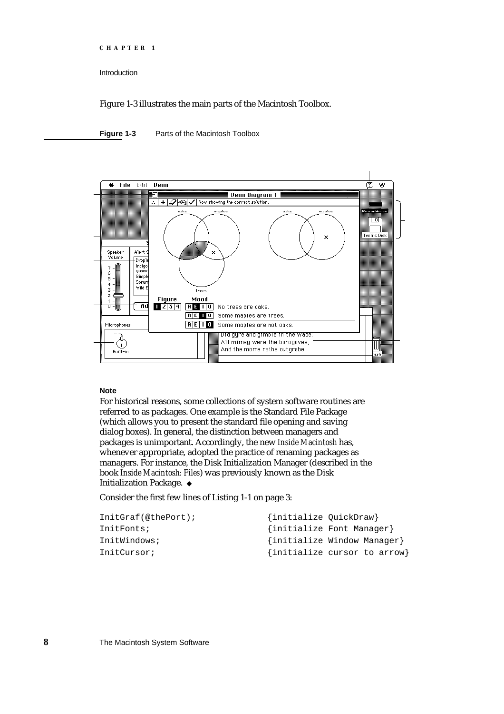```
CHAPTER 1
```
Figure 1-3 illustrates the main parts of the Macintosh Toolbox.

**Figure 1-3** Parts of the Macintosh Toolbox



#### **Note**

For historical reasons, some collections of system software routines are referred to as packages. One example is the Standard File Package (which allows you to present the standard file opening and saving dialog boxes). In general, the distinction between managers and packages is unimportant. Accordingly, the new *Inside Macintosh* has, whenever appropriate, adopted the practice of renaming packages as managers. For instance, the Disk Initialization Manager (described in the book *Inside Macintosh: Files*) was previously known as the Disk Initialization Package.

Consider the first few lines of Listing 1-1 on page 3:

| InitGrad(@thePort); | {initialize QuickDraw} |                              |
|---------------------|------------------------|------------------------------|
| InitFonts;          |                        | {initialize Font Manager}    |
| InitWindows;        |                        | {initialize Window Manager}  |
| InitCursor;         |                        | {initialize cursor to arrow} |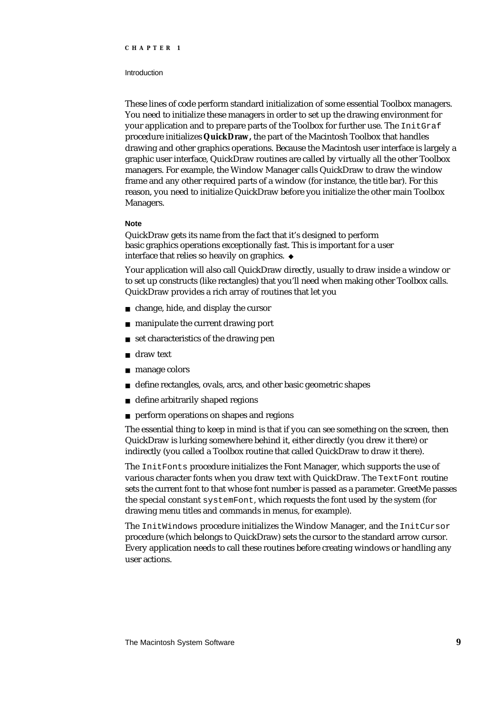#### **Introduction**

These lines of code perform standard initialization of some essential Toolbox managers. You need to initialize these managers in order to set up the drawing environment for your application and to prepare parts of the Toolbox for further use. The InitGraf procedure initializes **QuickDraw,** the part of the Macintosh Toolbox that handles drawing and other graphics operations. Because the Macintosh user interface is largely a graphic user interface, QuickDraw routines are called by virtually all the other Toolbox managers. For example, the Window Manager calls QuickDraw to draw the window frame and any other required parts of a window (for instance, the title bar). For this reason, you need to initialize QuickDraw before you initialize the other main Toolbox Managers.

#### **Note**

QuickDraw gets its name from the fact that it's designed to perform basic graphics operations exceptionally fast. This is important for a user interface that relies so heavily on graphics.

Your application will also call QuickDraw directly, usually to draw inside a window or to set up constructs (like rectangles) that you'll need when making other Toolbox calls. QuickDraw provides a rich array of routines that let you

- change, hide, and display the cursor
- manipulate the current drawing port  $\overline{a}$
- set characteristics of the drawing pen
- draw text n.
- manage colors  $\sf n$
- define rectangles, ovals, arcs, and other basic geometric shapes  $\overline{D}$
- define arbitrarily shaped regions  $\mathsf{n}$
- perform operations on shapes and regions

The essential thing to keep in mind is that if you can see something on the screen, then QuickDraw is lurking somewhere behind it, either directly (you drew it there) or indirectly (you called a Toolbox routine that called QuickDraw to draw it there).

The InitFonts procedure initializes the Font Manager, which supports the use of various character fonts when you draw text with QuickDraw. The TextFont routine sets the current font to that whose font number is passed as a parameter. GreetMe passes the special constant systemFont, which requests the font used by the system (for drawing menu titles and commands in menus, for example).

The InitWindows procedure initializes the Window Manager, and the InitCursor procedure (which belongs to QuickDraw) sets the cursor to the standard arrow cursor. Every application needs to call these routines before creating windows or handling any user actions.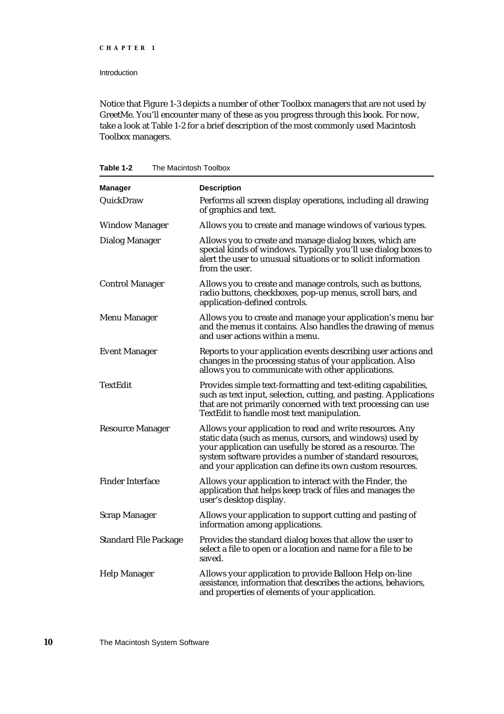Introduction

Notice that Figure 1-3 depicts a number of other Toolbox managers that are not used by GreetMe. You'll encounter many of these as you progress through this book. For now, take a look at Table 1-2 for a brief description of the most commonly used Macintosh Toolbox managers.

|  | Table 1-2 | The Macintosh Toolbox |  |
|--|-----------|-----------------------|--|
|--|-----------|-----------------------|--|

| <b>Manager</b>               | <b>Description</b>                                                                                                                                                                                                                                                                                           |
|------------------------------|--------------------------------------------------------------------------------------------------------------------------------------------------------------------------------------------------------------------------------------------------------------------------------------------------------------|
| QuickDraw                    | Performs all screen display operations, including all drawing<br>of graphics and text.                                                                                                                                                                                                                       |
| <b>Window Manager</b>        | Allows you to create and manage windows of various types.                                                                                                                                                                                                                                                    |
| <b>Dialog Manager</b>        | Allows you to create and manage dialog boxes, which are<br>special kinds of windows. Typically you'll use dialog boxes to<br>alert the user to unusual situations or to solicit information<br>from the user.                                                                                                |
| <b>Control Manager</b>       | Allows you to create and manage controls, such as buttons,<br>radio buttons, checkboxes, pop-up menus, scroll bars, and<br>application-defined controls.                                                                                                                                                     |
| <b>Menu Manager</b>          | Allows you to create and manage your application's menu bar<br>and the menus it contains. Also handles the drawing of menus<br>and user actions within a menu.                                                                                                                                               |
| <b>Event Manager</b>         | Reports to your application events describing user actions and<br>changes in the processing status of your application. Also<br>allows you to communicate with other applications.                                                                                                                           |
| <b>TextEdit</b>              | Provides simple text-formatting and text-editing capabilities,<br>such as text input, selection, cutting, and pasting. Applications<br>that are not primarily concerned with text processing can use<br>TextEdit to handle most text manipulation.                                                           |
| <b>Resource Manager</b>      | Allows your application to read and write resources. Any<br>static data (such as menus, cursors, and windows) used by<br>your application can usefully be stored as a resource. The<br>system software provides a number of standard resources,<br>and your application can define its own custom resources. |
| <b>Finder Interface</b>      | Allows your application to interact with the Finder, the<br>application that helps keep track of files and manages the<br>user's desktop display.                                                                                                                                                            |
| <b>Scrap Manager</b>         | Allows your application to support cutting and pasting of<br>information among applications.                                                                                                                                                                                                                 |
| <b>Standard File Package</b> | Provides the standard dialog boxes that allow the user to<br>select a file to open or a location and name for a file to be<br>saved.                                                                                                                                                                         |
| <b>Help Manager</b>          | Allows your application to provide Balloon Help on-line<br>assistance, information that describes the actions, behaviors,<br>and properties of elements of your application.                                                                                                                                 |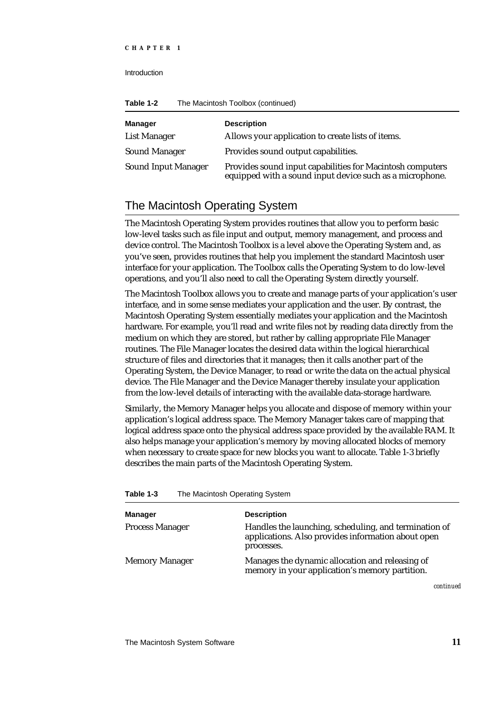Introduction

| Table 1-2 | The Macintosh Toolbox (continued) |  |
|-----------|-----------------------------------|--|
|-----------|-----------------------------------|--|

| <b>Manager</b>             | <b>Description</b>                                                                                                    |
|----------------------------|-----------------------------------------------------------------------------------------------------------------------|
| <b>List Manager</b>        | Allows your application to create lists of items.                                                                     |
| <b>Sound Manager</b>       | Provides sound output capabilities.                                                                                   |
| <b>Sound Input Manager</b> | Provides sound input capabilities for Macintosh computers<br>equipped with a sound input device such as a microphone. |

## The Macintosh Operating System

The Macintosh Operating System provides routines that allow you to perform basic low-level tasks such as file input and output, memory management, and process and device control. The Macintosh Toolbox is a level above the Operating System and, as you've seen, provides routines that help you implement the standard Macintosh user interface for your application. The Toolbox calls the Operating System to do low-level operations, and you'll also need to call the Operating System directly yourself.

The Macintosh Toolbox allows you to create and manage parts of your application's user interface, and in some sense mediates your application and the user. By contrast, the Macintosh Operating System essentially mediates your application and the Macintosh hardware. For example, you'll read and write files not by reading data directly from the medium on which they are stored, but rather by calling appropriate File Manager routines. The File Manager locates the desired data within the logical hierarchical structure of files and directories that it manages; then it calls another part of the Operating System, the Device Manager, to read or write the data on the actual physical device. The File Manager and the Device Manager thereby insulate your application from the low-level details of interacting with the available data-storage hardware.

Similarly, the Memory Manager helps you allocate and dispose of memory within your application's logical address space. The Memory Manager takes care of mapping that logical address space onto the physical address space provided by the available RAM. It also helps manage your application's memory by moving allocated blocks of memory when necessary to create space for new blocks you want to allocate. Table 1-3 briefly describes the main parts of the Macintosh Operating System.

| <b>Description</b>                                                                                                        |
|---------------------------------------------------------------------------------------------------------------------------|
| Handles the launching, scheduling, and termination of<br>applications. Also provides information about open<br>processes. |
| Manages the dynamic allocation and releasing of<br>memory in your application's memory partition.                         |
|                                                                                                                           |

*continued*

**Table 1-3** The Macintosh Operating System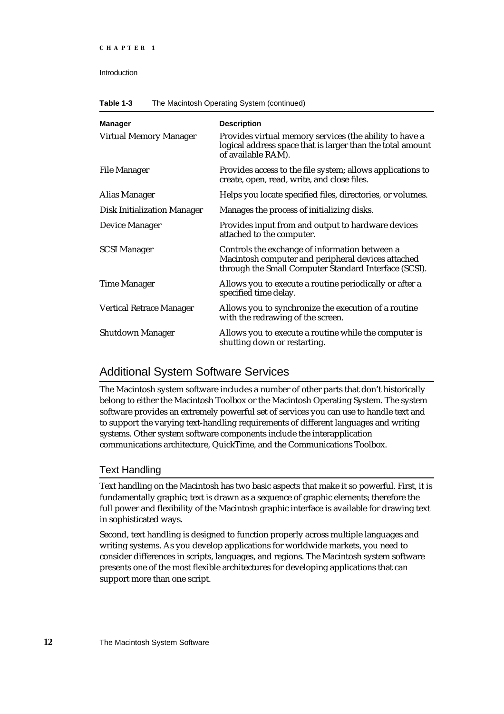| <b>Manager</b>                     | <b>Description</b>                                                                                                                                            |
|------------------------------------|---------------------------------------------------------------------------------------------------------------------------------------------------------------|
| <b>Virtual Memory Manager</b>      | Provides virtual memory services (the ability to have a<br>logical address space that is larger than the total amount<br>of available RAM).                   |
| <b>File Manager</b>                | Provides access to the file system; allows applications to<br>create, open, read, write, and close files.                                                     |
| Alias Manager                      | Helps you locate specified files, directories, or volumes.                                                                                                    |
| <b>Disk Initialization Manager</b> | Manages the process of initializing disks.                                                                                                                    |
| <b>Device Manager</b>              | Provides input from and output to hardware devices<br>attached to the computer.                                                                               |
| <b>SCSI Manager</b>                | Controls the exchange of information between a<br>Macintosh computer and peripheral devices attached<br>through the Small Computer Standard Interface (SCSI). |
| <b>Time Manager</b>                | Allows you to execute a routine periodically or after a<br>specified time delay.                                                                              |
| <b>Vertical Retrace Manager</b>    | Allows you to synchronize the execution of a routine<br>with the redrawing of the screen.                                                                     |
| <b>Shutdown Manager</b>            | Allows you to execute a routine while the computer is<br>shutting down or restarting.                                                                         |

## Additional System Software Services

The Macintosh system software includes a number of other parts that don't historically belong to either the Macintosh Toolbox or the Macintosh Operating System. The system software provides an extremely powerful set of services you can use to handle text and to support the varying text-handling requirements of different languages and writing systems. Other system software components include the interapplication communications architecture, QuickTime, and the Communications Toolbox.

### Text Handling

Text handling on the Macintosh has two basic aspects that make it so powerful. First, it is fundamentally graphic; text is drawn as a sequence of graphic elements; therefore the full power and flexibility of the Macintosh graphic interface is available for drawing text in sophisticated ways.

Second, text handling is designed to function properly across multiple languages and writing systems. As you develop applications for worldwide markets, you need to consider differences in scripts, languages, and regions. The Macintosh system software presents one of the most flexible architectures for developing applications that can support more than one script.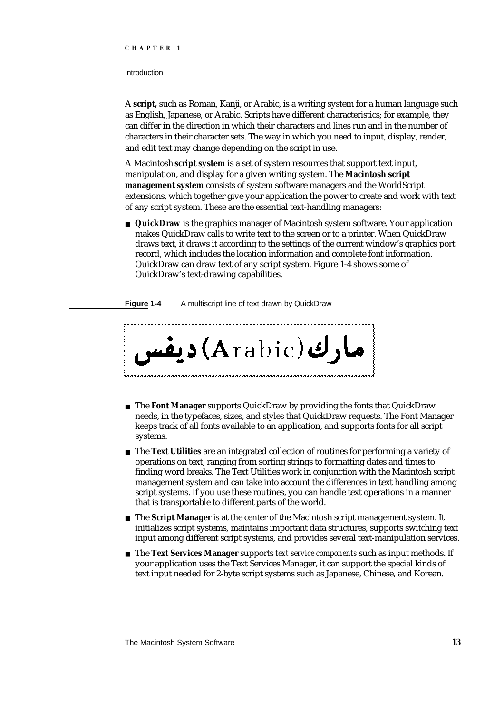#### Introduction

A **script,** such as Roman, Kanji, or Arabic, is a writing system for a human language such as English, Japanese, or Arabic. Scripts have different characteristics; for example, they can differ in the direction in which their characters and lines run and in the number of characters in their character sets. The way in which you need to input, display, render, and edit text may change depending on the script in use.

A Macintosh **script system** is a set of system resources that support text input, manipulation, and display for a given writing system. The **Macintosh script management system** consists of system software managers and the WorldScript extensions, which together give your application the power to create and work with text of any script system. These are the essential text-handling managers:

**QuickDraw** is the graphics manager of Macintosh system software. Your application makes QuickDraw calls to write text to the screen or to a printer. When QuickDraw draws text, it draws it according to the settings of the current window's graphics port record, which includes the location information and complete font information. QuickDraw can draw text of any script system. Figure 1-4 shows some of QuickDraw's text-drawing capabilities.

**Figure 1-4** A multiscript line of text drawn by QuickDraw



- The **Font Manager** supports QuickDraw by providing the fonts that QuickDraw needs, in the typefaces, sizes, and styles that QuickDraw requests. The Font Manager keeps track of all fonts available to an application, and supports fonts for all script systems.
- The **Text Utilities** are an integrated collection of routines for performing a variety of operations on text, ranging from sorting strings to formatting dates and times to finding word breaks. The Text Utilities work in conjunction with the Macintosh script management system and can take into account the differences in text handling among script systems. If you use these routines, you can handle text operations in a manner that is transportable to different parts of the world.
- The **Script Manager** is at the center of the Macintosh script management system. It initializes script systems, maintains important data structures, supports switching text input among different script systems, and provides several text-manipulation services.
- The **Text Services Manager** supports *text service components* such as input methods. If your application uses the Text Services Manager, it can support the special kinds of text input needed for 2-byte script systems such as Japanese, Chinese, and Korean.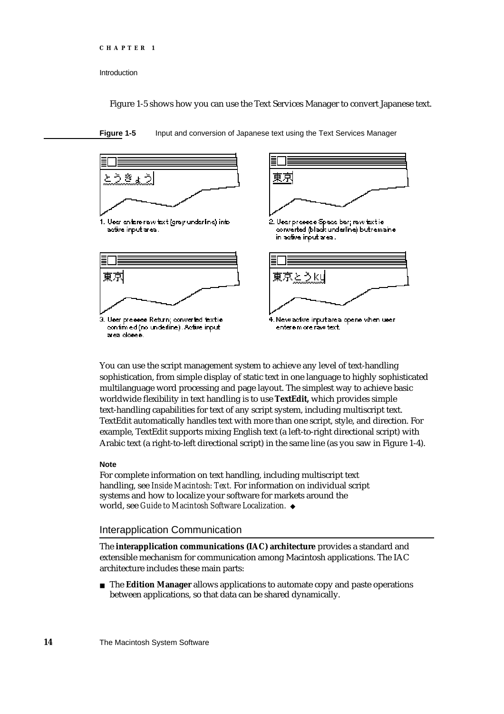```
CHAPTER 1
```
Figure 1-5 shows how you can use the Text Services Manager to convert Japanese text.





You can use the script management system to achieve any level of text-handling sophistication, from simple display of static text in one language to highly sophisticated multilanguage word processing and page layout. The simplest way to achieve basic worldwide flexibility in text handling is to use **TextEdit,** which provides simple text-handling capabilities for text of any script system, including multiscript text. TextEdit automatically handles text with more than one script, style, and direction. For example, TextEdit supports mixing English text (a left-to-right directional script) with Arabic text (a right-to-left directional script) in the same line (as you saw in Figure 1-4).

#### **Note**

For complete information on text handling, including multiscript text handling, see *Inside Macintosh: Text.* For information on individual script systems and how to localize your software for markets around the world, see *Guide to Macintosh Software Localization.*

### Interapplication Communication

The **interapplication communications (IAC) architecture** provides a standard and extensible mechanism for communication among Macintosh applications. The IAC architecture includes these main parts:

The **Edition Manager** allows applications to automate copy and paste operations between applications, so that data can be shared dynamically.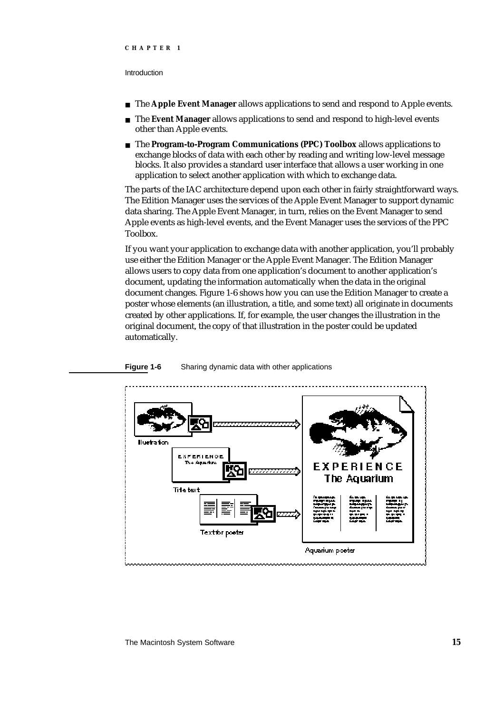#### Introduction

- The **Apple Event Manager** allows applications to send and respond to Apple events.  $\overline{a}$
- The **Event Manager** allows applications to send and respond to high-level events  $\overline{a}$ other than Apple events.
- The **Program-to-Program Communications (PPC) Toolbox** allows applications to exchange blocks of data with each other by reading and writing low-level message blocks. It also provides a standard user interface that allows a user working in one application to select another application with which to exchange data.

The parts of the IAC architecture depend upon each other in fairly straightforward ways. The Edition Manager uses the services of the Apple Event Manager to support dynamic data sharing. The Apple Event Manager, in turn, relies on the Event Manager to send Apple events as high-level events, and the Event Manager uses the services of the PPC Toolbox.

If you want your application to exchange data with another application, you'll probably use either the Edition Manager or the Apple Event Manager. The Edition Manager allows users to copy data from one application's document to another application's document, updating the information automatically when the data in the original document changes. Figure 1-6 shows how you can use the Edition Manager to create a poster whose elements (an illustration, a title, and some text) all originate in documents created by other applications. If, for example, the user changes the illustration in the original document, the copy of that illustration in the poster could be updated automatically.



#### **Figure 1-6** Sharing dynamic data with other applications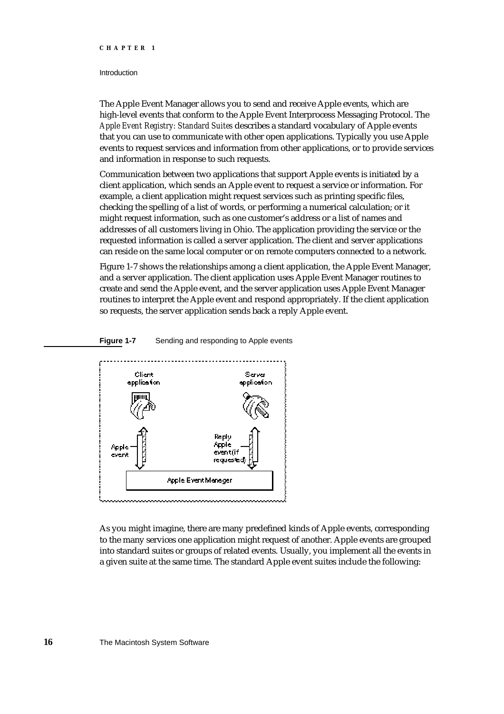#### Introduction

The Apple Event Manager allows you to send and receive Apple events, which are high-level events that conform to the Apple Event Interprocess Messaging Protocol. The *Apple Event Registry: Standard Suites* describes a standard vocabulary of Apple events that you can use to communicate with other open applications. Typically you use Apple events to request services and information from other applications, or to provide services and information in response to such requests.

Communication between two applications that support Apple events is initiated by a client application, which sends an Apple event to request a service or information. For example, a client application might request services such as printing specific files, checking the spelling of a list of words, or performing a numerical calculation; or it might request information, such as one customer's address or a list of names and addresses of all customers living in Ohio. The application providing the service or the requested information is called a server application. The client and server applications can reside on the same local computer or on remote computers connected to a network.

Figure 1-7 shows the relationships among a client application, the Apple Event Manager, and a server application. The client application uses Apple Event Manager routines to create and send the Apple event, and the server application uses Apple Event Manager routines to interpret the Apple event and respond appropriately. If the client application so requests, the server application sends back a reply Apple event.

#### **Figure 1-7** Sending and responding to Apple events



As you might imagine, there are many predefined kinds of Apple events, corresponding to the many services one application might request of another. Apple events are grouped into standard suites or groups of related events. Usually, you implement all the events in a given suite at the same time. The standard Apple event suites include the following: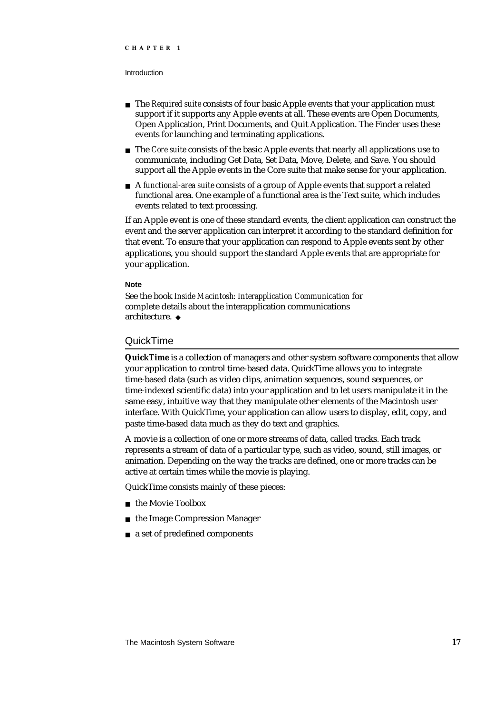- The *Required suite* consists of four basic Apple events that your application must support if it supports any Apple events at all. These events are Open Documents, Open Application, Print Documents, and Quit Application. The Finder uses these events for launching and terminating applications.
- The *Core suite* consists of the basic Apple events that nearly all applications use to communicate, including Get Data, Set Data, Move, Delete, and Save. You should support all the Apple events in the Core suite that make sense for your application.
- A *functional-area suite* consists of a group of Apple events that support a related functional area. One example of a functional area is the Text suite, which includes events related to text processing.

If an Apple event is one of these standard events, the client application can construct the event and the server application can interpret it according to the standard definition for that event. To ensure that your application can respond to Apple events sent by other applications, you should support the standard Apple events that are appropriate for your application.

#### **Note**

See the book *Inside Macintosh: Interapplication Communication* for complete details about the interapplication communications architecture.

#### QuickTime

**QuickTime** is a collection of managers and other system software components that allow your application to control time-based data. QuickTime allows you to integrate time-based data (such as video clips, animation sequences, sound sequences, or time-indexed scientific data) into your application and to let users manipulate it in the same easy, intuitive way that they manipulate other elements of the Macintosh user interface. With QuickTime, your application can allow users to display, edit, copy, and paste time-based data much as they do text and graphics.

A movie is a collection of one or more streams of data, called tracks. Each track represents a stream of data of a particular type, such as video, sound, still images, or animation. Depending on the way the tracks are defined, one or more tracks can be active at certain times while the movie is playing.

QuickTime consists mainly of these pieces:

- n the Movie Toolbox
- n the Image Compression Manager
- a set of predefined components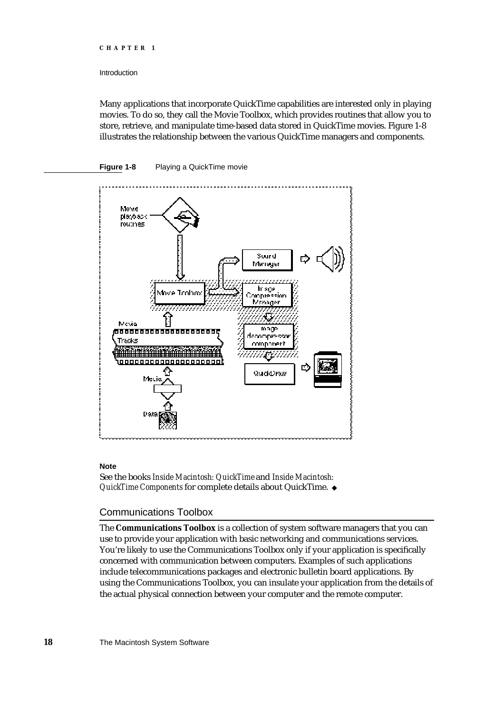#### Introduction

Many applications that incorporate QuickTime capabilities are interested only in playing movies. To do so, they call the Movie Toolbox, which provides routines that allow you to store, retrieve, and manipulate time-based data stored in QuickTime movies. Figure 1-8 illustrates the relationship between the various QuickTime managers and components.





#### **Note**

See the books *Inside Macintosh: QuickTime* and *Inside Macintosh: QuickTime Components* for complete details about QuickTime.

#### Communications Toolbox

The **Communications Toolbox** is a collection of system software managers that you can use to provide your application with basic networking and communications services. You're likely to use the Communications Toolbox only if your application is specifically concerned with communication between computers. Examples of such applications include telecommunications packages and electronic bulletin board applications. By using the Communications Toolbox, you can insulate your application from the details of the actual physical connection between your computer and the remote computer.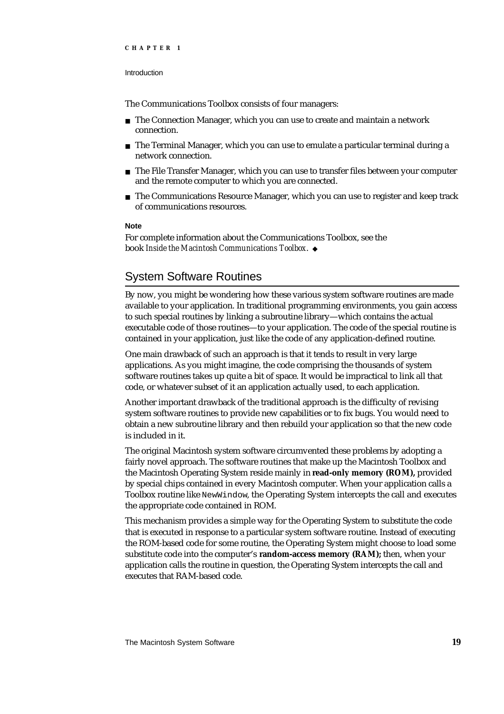The Communications Toolbox consists of four managers:

- n The Connection Manager, which you can use to create and maintain a network connection.
- $n$  The Terminal Manager, which you can use to emulate a particular terminal during a network connection.
- $n$  The File Transfer Manager, which you can use to transfer files between your computer and the remote computer to which you are connected.
- $n$  The Communications Resource Manager, which you can use to register and keep track of communications resources.

#### **Note**

For complete information about the Communications Toolbox, see the book *Inside the Macintosh Communications Toolbox*.

### System Software Routines

By now, you might be wondering how these various system software routines are made available to your application. In traditional programming environments, you gain access to such special routines by linking a subroutine library—which contains the actual executable code of those routines—to your application. The code of the special routine is contained in your application, just like the code of any application-defined routine.

One main drawback of such an approach is that it tends to result in very large applications. As you might imagine, the code comprising the thousands of system software routines takes up quite a bit of space. It would be impractical to link all that code, or whatever subset of it an application actually used, to each application.

Another important drawback of the traditional approach is the difficulty of revising system software routines to provide new capabilities or to fix bugs. You would need to obtain a new subroutine library and then rebuild your application so that the new code is included in it.

The original Macintosh system software circumvented these problems by adopting a fairly novel approach. The software routines that make up the Macintosh Toolbox and the Macintosh Operating System reside mainly in **read-only memory (ROM),** provided by special chips contained in every Macintosh computer. When your application calls a Toolbox routine like NewWindow, the Operating System intercepts the call and executes the appropriate code contained in ROM.

This mechanism provides a simple way for the Operating System to substitute the code that is executed in response to a particular system software routine. Instead of executing the ROM-based code for some routine, the Operating System might choose to load some substitute code into the computer's **random-access memory (RAM);** then, when your application calls the routine in question, the Operating System intercepts the call and executes that RAM-based code.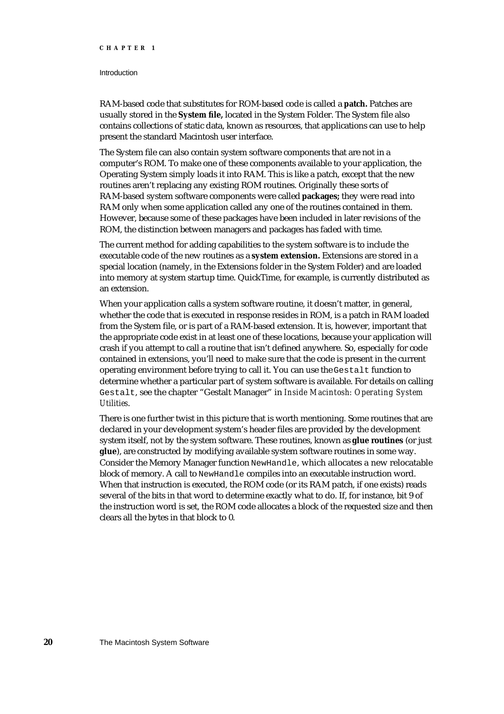#### **Introduction**

RAM-based code that substitutes for ROM-based code is called a **patch.** Patches are usually stored in the **System file,** located in the System Folder. The System file also contains collections of static data, known as resources, that applications can use to help present the standard Macintosh user interface.

The System file can also contain system software components that are not in a computer's ROM. To make one of these components available to your application, the Operating System simply loads it into RAM. This is like a patch, except that the new routines aren't replacing any existing ROM routines. Originally these sorts of RAM-based system software components were called **packages;** they were read into RAM only when some application called any one of the routines contained in them. However, because some of these packages have been included in later revisions of the ROM, the distinction between managers and packages has faded with time.

The current method for adding capabilities to the system software is to include the executable code of the new routines as a **system extension.** Extensions are stored in a special location (namely, in the Extensions folder in the System Folder) and are loaded into memory at system startup time. QuickTime, for example, is currently distributed as an extension.

When your application calls a system software routine, it doesn't matter, in general, whether the code that is executed in response resides in ROM, is a patch in RAM loaded from the System file, or is part of a RAM-based extension. It is, however, important that the appropriate code exist in at least one of these locations, because your application will crash if you attempt to call a routine that isn't defined anywhere. So, especially for code contained in extensions, you'll need to make sure that the code is present in the current operating environment before trying to call it. You can use the Gestalt function to determine whether a particular part of system software is available. For details on calling Gestalt, see the chapter "Gestalt Manager" in *Inside Macintosh: Operating System Utilities*.

There is one further twist in this picture that is worth mentioning. Some routines that are declared in your development system's header files are provided by the development system itself, not by the system software. These routines, known as **glue routines** (or just **glue**), are constructed by modifying available system software routines in some way. Consider the Memory Manager function NewHandle, which allocates a new relocatable block of memory. A call to NewHandle compiles into an executable instruction word. When that instruction is executed, the ROM code (or its RAM patch, if one exists) reads several of the bits in that word to determine exactly what to do. If, for instance, bit 9 of the instruction word is set, the ROM code allocates a block of the requested size and then clears all the bytes in that block to 0.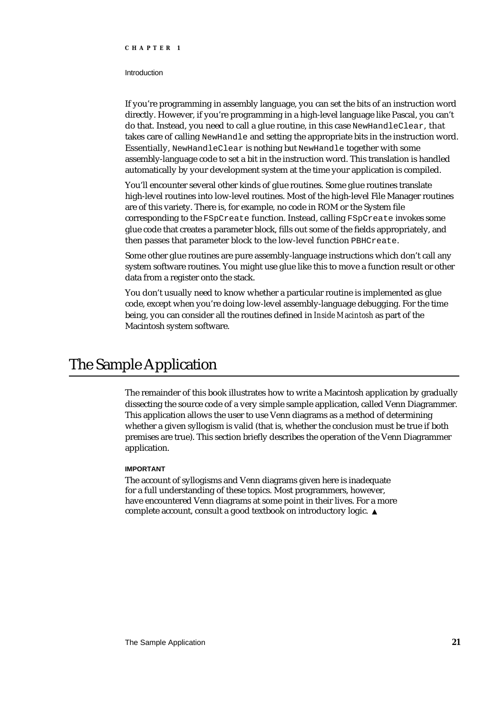#### Introduction

If you're programming in assembly language, you can set the bits of an instruction word directly. However, if you're programming in a high-level language like Pascal, you can't do that. Instead, you need to call a glue routine, in this case NewHandleClear, that takes care of calling NewHandle and setting the appropriate bits in the instruction word. Essentially, NewHandleClear is nothing but NewHandle together with some assembly-language code to set a bit in the instruction word. This translation is handled automatically by your development system at the time your application is compiled.

You'll encounter several other kinds of glue routines. Some glue routines translate high-level routines into low-level routines. Most of the high-level File Manager routines are of this variety. There is, for example, no code in ROM or the System file corresponding to the FSpCreate function. Instead, calling FSpCreate invokes some glue code that creates a parameter block, fills out some of the fields appropriately, and then passes that parameter block to the low-level function PBHCreate.

Some other glue routines are pure assembly-language instructions which don't call any system software routines. You might use glue like this to move a function result or other data from a register onto the stack.

You don't usually need to know whether a particular routine is implemented as glue code, except when you're doing low-level assembly-language debugging. For the time being, you can consider all the routines defined in *Inside Macintosh* as part of the Macintosh system software.

## The Sample Application

The remainder of this book illustrates how to write a Macintosh application by gradually dissecting the source code of a very simple sample application, called Venn Diagrammer. This application allows the user to use Venn diagrams as a method of determining whether a given syllogism is valid (that is, whether the conclusion must be true if both premises are true). This section briefly describes the operation of the Venn Diagrammer application.

### **IMPORTANT**

The account of syllogisms and Venn diagrams given here is inadequate for a full understanding of these topics. Most programmers, however, have encountered Venn diagrams at some point in their lives. For a more complete account, consult a good textbook on introductory logic.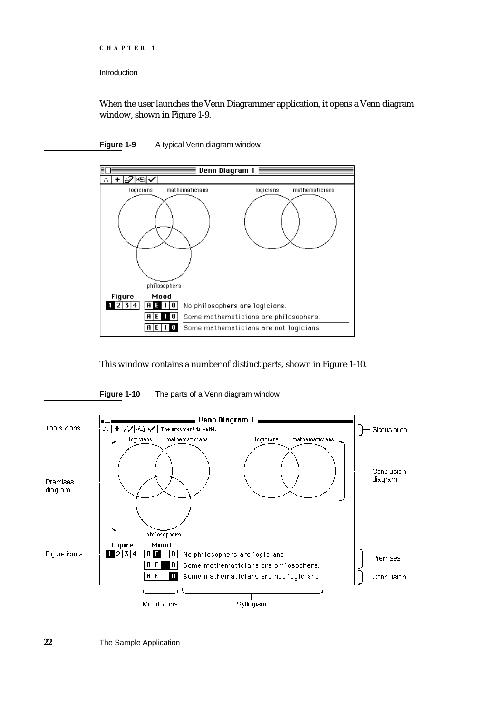```
CHAPTER 1
```
Introduction

When the user launches the Venn Diagrammer application, it opens a Venn diagram window, shown in Figure 1-9.

### **Figure 1-9** A typical Venn diagram window



This window contains a number of distinct parts, shown in Figure 1-10.



**Figure 1-10** The parts of a Venn diagram window

**22** The Sample Application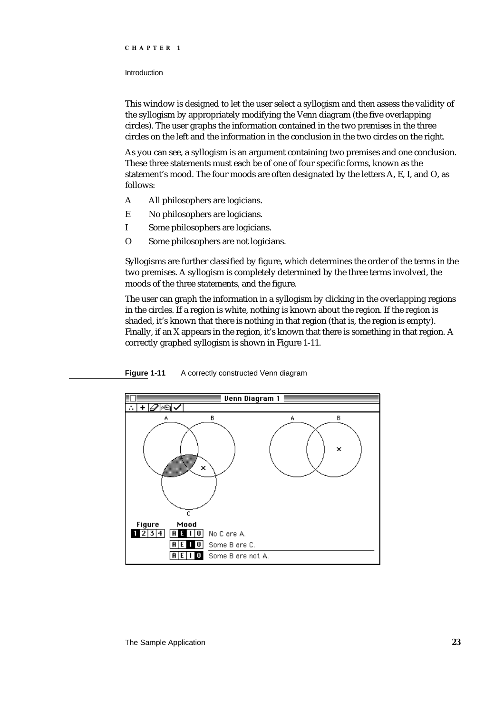### Introduction

This window is designed to let the user select a syllogism and then assess the validity of the syllogism by appropriately modifying the Venn diagram (the five overlapping circles). The user graphs the information contained in the two premises in the three circles on the left and the information in the conclusion in the two circles on the right.

As you can see, a syllogism is an argument containing two premises and one conclusion. These three statements must each be of one of four specific forms, known as the statement's mood. The four moods are often designated by the letters A, E, I, and O, as follows:

- A All philosophers are logicians.
- E No philosophers are logicians.
- I Some philosophers are logicians.
- O Some philosophers are not logicians.

Syllogisms are further classified by figure, which determines the order of the terms in the two premises. A syllogism is completely determined by the three terms involved, the moods of the three statements, and the figure.

The user can graph the information in a syllogism by clicking in the overlapping regions in the circles. If a region is white, nothing is known about the region. If the region is shaded, it's known that there is nothing in that region (that is, the region is empty). Finally, if an X appears in the region, it's known that there is something in that region. A correctly graphed syllogism is shown in Figure 1-11.



**Figure 1-11** A correctly constructed Venn diagram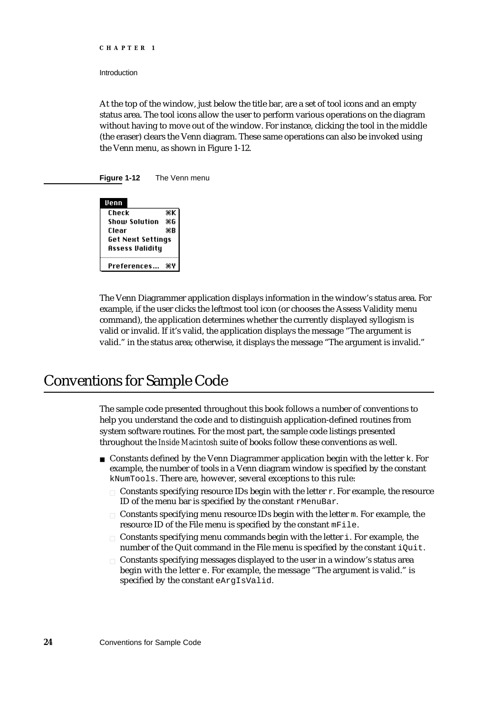Introduction

At the top of the window, just below the title bar, are a set of tool icons and an empty status area. The tool icons allow the user to perform various operations on the diagram without having to move out of the window. For instance, clicking the tool in the middle (the eraser) clears the Venn diagram. These same operations can also be invoked using the Venn menu, as shown in Figure 1-12.

**Figure 1-12** The Venn menu

| Venn                     |    |  |
|--------------------------|----|--|
| Check                    | жK |  |
| Show Solution            | ЖG |  |
| Clear                    | ЖB |  |
| <b>Get Next Settings</b> |    |  |
| Assess Validity          |    |  |
| Preferences              |    |  |

The Venn Diagrammer application displays information in the window's status area. For example, if the user clicks the leftmost tool icon (or chooses the Assess Validity menu command), the application determines whether the currently displayed syllogism is valid or invalid. If it's valid, the application displays the message "The argument is valid." in the status area; otherwise, it displays the message "The argument is invalid."

### Conventions for Sample Code

The sample code presented throughout this book follows a number of conventions to help you understand the code and to distinguish application-defined routines from system software routines. For the most part, the sample code listings presented throughout the *Inside Macintosh* suite of books follow these conventions as well.

- $n$  Constants defined by the Venn Diagrammer application begin with the letter k. For example, the number of tools in a Venn diagram window is specified by the constant kNumTools. There are, however, several exceptions to this rule:
	- $n$  Constants specifying resource IDs begin with the letter  $r$ . For example, the resource ID of the menu bar is specified by the constant rMenuBar.
	- n Constants specifying menu resource IDs begin with the letter m. For example, the resource ID of the File menu is specified by the constant mFile.
	- $n$  Constants specifying menu commands begin with the letter i. For example, the number of the Quit command in the File menu is specified by the constant iQuit.
	- Constants specifying messages displayed to the user in a window's status area begin with the letter e. For example, the message "The argument is valid." is specified by the constant eArgIsValid.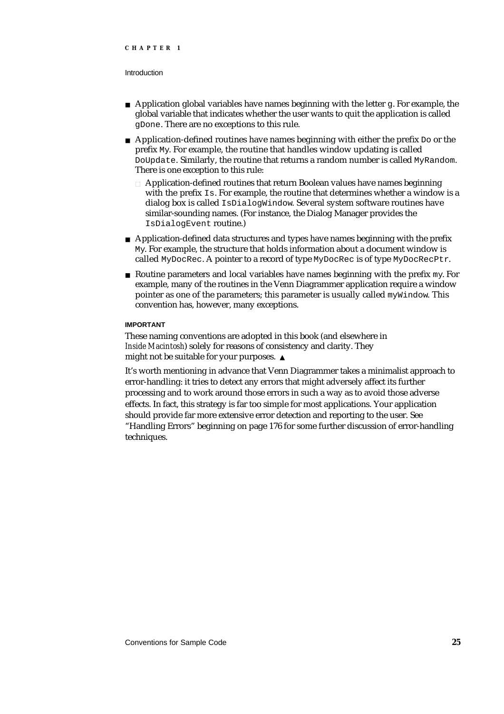#### Introduction

- $n$  Application global variables have names beginning with the letter g. For example, the global variable that indicates whether the user wants to quit the application is called gDone. There are no exceptions to this rule.
- $\overline{A}$  Application-defined routines have names beginning with either the prefix  $D\overline{O}$  or the prefix My. For example, the routine that handles window updating is called DoUpdate. Similarly, the routine that returns a random number is called MyRandom. There is one exception to this rule:
	- $n$  Application-defined routines that return Boolean values have names beginning with the prefix Is. For example, the routine that determines whether a window is a dialog box is called IsDialogWindow. Several system software routines have similar-sounding names. (For instance, the Dialog Manager provides the IsDialogEvent routine.)
- $n_A$  Application-defined data structures and types have names beginning with the prefix My. For example, the structure that holds information about a document window is called MyDocRec. A pointer to a record of type MyDocRec is of type MyDocRecPtr.
- $n$  Routine parameters and local variables have names beginning with the prefix  $m_{\rm V}$ . For example, many of the routines in the Venn Diagrammer application require a window pointer as one of the parameters; this parameter is usually called  $m\gamma W$  indow. This convention has, however, many exceptions.

### **IMPORTANT**

These naming conventions are adopted in this book (and elsewhere in *Inside Macintosh*) solely for reasons of consistency and clarity. They might not be suitable for your purposes.

It's worth mentioning in advance that Venn Diagrammer takes a minimalist approach to error-handling: it tries to detect any errors that might adversely affect its further processing and to work around those errors in such a way as to avoid those adverse effects. In fact, this strategy is far too simple for most applications. Your application should provide far more extensive error detection and reporting to the user. See "Handling Errors" beginning on page 176 for some further discussion of error-handling techniques.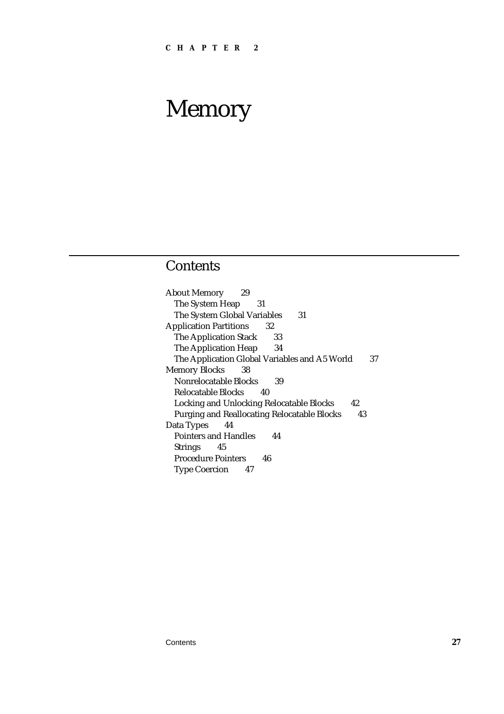### **Contents**

About Memory 29 The System Heap 31 The System Global Variables 31 Application Partitions 32 The Application Stack 33 The Application Heap 34 The Application Global Variables and A5 World 37 Memory Blocks 38 Nonrelocatable Blocks 39 Relocatable Blocks 40 Locking and Unlocking Relocatable Blocks 42 Purging and Reallocating Relocatable Blocks 43 Data Types 44 Pointers and Handles 44 Strings 45 Procedure Pointers 46 Type Coercion 47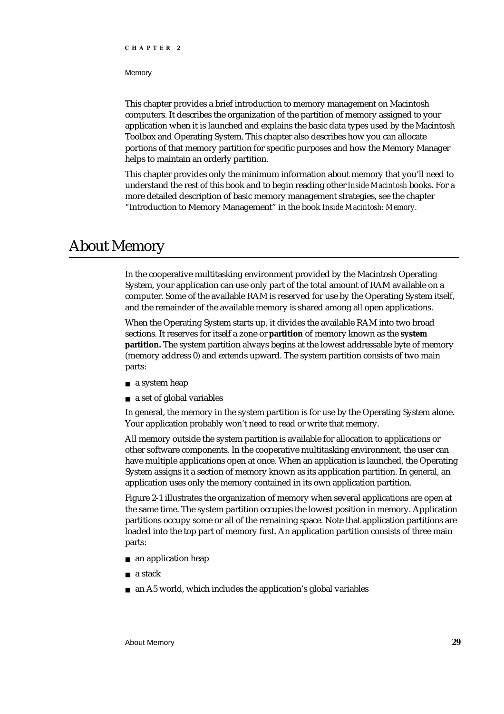#### **Memory**

This chapter provides a brief introduction to memory management on Macintosh computers. It describes the organization of the partition of memory assigned to your application when it is launched and explains the basic data types used by the Macintosh Toolbox and Operating System. This chapter also describes how you can allocate portions of that memory partition for specific purposes and how the Memory Manager helps to maintain an orderly partition.

This chapter provides only the minimum information about memory that you'll need to understand the rest of this book and to begin reading other *Inside Macintosh* books. For a more detailed description of basic memory management strategies, see the chapter "Introduction to Memory Management" in the book *Inside Macintosh: Memory.*

### About Memory

In the cooperative multitasking environment provided by the Macintosh Operating System, your application can use only part of the total amount of RAM available on a computer. Some of the available RAM is reserved for use by the Operating System itself, and the remainder of the available memory is shared among all open applications.

When the Operating System starts up, it divides the available RAM into two broad sections. It reserves for itself a zone or **partition** of memory known as the **system partition.** The system partition always begins at the lowest addressable byte of memory (memory address 0) and extends upward. The system partition consists of two main parts:

- a system heap
- a set of global variables

In general, the memory in the system partition is for use by the Operating System alone. Your application probably won't need to read or write that memory.

All memory outside the system partition is available for allocation to applications or other software components. In the cooperative multitasking environment, the user can have multiple applications open at once. When an application is launched, the Operating System assigns it a section of memory known as its application partition. In general, an application uses only the memory contained in its own application partition.

Figure 2-1 illustrates the organization of memory when several applications are open at the same time. The system partition occupies the lowest position in memory. Application partitions occupy some or all of the remaining space. Note that application partitions are loaded into the top part of memory first. An application partition consists of three main parts:

- an application heap
- a stack
- an A5 world, which includes the application's global variables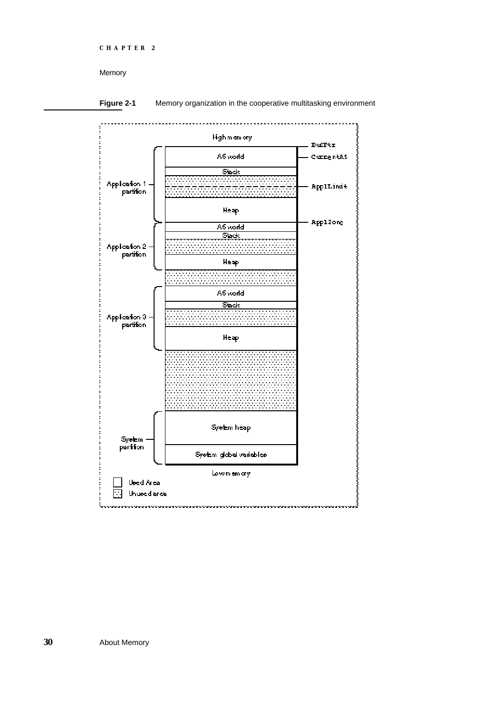```
CHAPTER 2
```


**Figure 2-1** Memory organization in the cooperative multitasking environment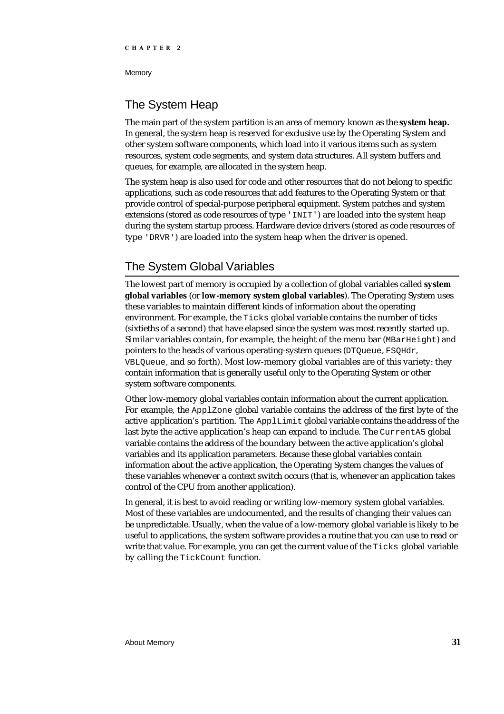### The System Heap

The main part of the system partition is an area of memory known as the **system heap.** In general, the system heap is reserved for exclusive use by the Operating System and other system software components, which load into it various items such as system resources, system code segments, and system data structures. All system buffers and queues, for example, are allocated in the system heap.

The system heap is also used for code and other resources that do not belong to specific applications, such as code resources that add features to the Operating System or that provide control of special-purpose peripheral equipment. System patches and system extensions (stored as code resources of type 'INIT') are loaded into the system heap during the system startup process. Hardware device drivers (stored as code resources of type 'DRVR') are loaded into the system heap when the driver is opened.

### The System Global Variables

The lowest part of memory is occupied by a collection of global variables called **system global variables** (or **low-memory system global variables**). The Operating System uses these variables to maintain different kinds of information about the operating environment. For example, the Ticks global variable contains the number of ticks (sixtieths of a second) that have elapsed since the system was most recently started up. Similar variables contain, for example, the height of the menu bar ( $MBarHeight$ ) and pointers to the heads of various operating-system queues (DTQueue, FSQHdr, VBLQueue, and so forth). Most low-memory global variables are of this variety: they contain information that is generally useful only to the Operating System or other system software components.

Other low-memory global variables contain information about the current application. For example, the ApplZone global variable contains the address of the first byte of the active application's partition. The ApplLimit global variable contains the address of the last byte the active application's heap can expand to include. The CurrentA5 global variable contains the address of the boundary between the active application's global variables and its application parameters. Because these global variables contain information about the active application, the Operating System changes the values of these variables whenever a context switch occurs (that is, whenever an application takes control of the CPU from another application).

In general, it is best to avoid reading or writing low-memory system global variables. Most of these variables are undocumented, and the results of changing their values can be unpredictable. Usually, when the value of a low-memory global variable is likely to be useful to applications, the system software provides a routine that you can use to read or write that value. For example, you can get the current value of the Ticks global variable by calling the TickCount function.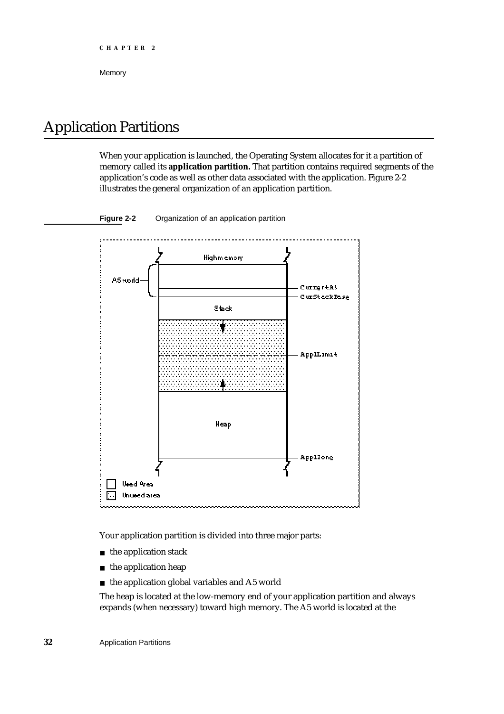### Application Partitions

When your application is launched, the Operating System allocates for it a partition of memory called its **application partition.** That partition contains required segments of the application's code as well as other data associated with the application. Figure 2-2 illustrates the general organization of an application partition.



### **Figure 2-2** Organization of an application partition

Your application partition is divided into three major parts:

- n the application stack
- $n$  the application heap
- n the application global variables and A5 world

The heap is located at the low-memory end of your application partition and always expands (when necessary) toward high memory. The A5 world is located at the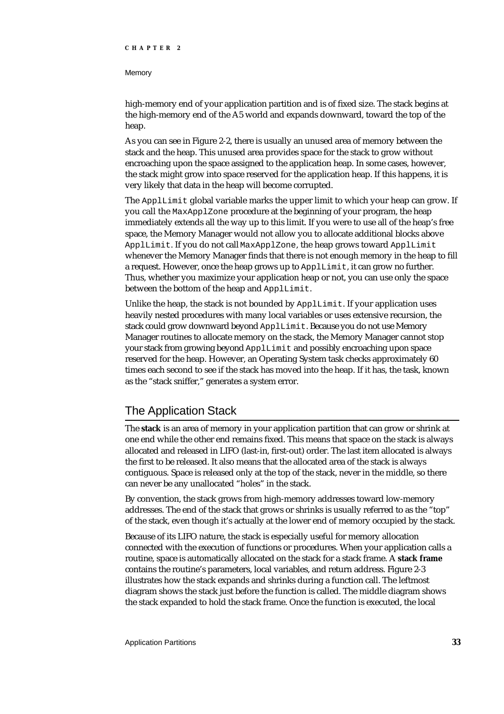### **Memory**

high-memory end of your application partition and is of fixed size. The stack begins at the high-memory end of the A5 world and expands downward, toward the top of the heap.

As you can see in Figure 2-2, there is usually an unused area of memory between the stack and the heap. This unused area provides space for the stack to grow without encroaching upon the space assigned to the application heap. In some cases, however, the stack might grow into space reserved for the application heap. If this happens, it is very likely that data in the heap will become corrupted.

The ApplLimit global variable marks the upper limit to which your heap can grow. If you call the MaxApplZone procedure at the beginning of your program, the heap immediately extends all the way up to this limit. If you were to use all of the heap's free space, the Memory Manager would not allow you to allocate additional blocks above ApplLimit. If you do not call MaxApplZone, the heap grows toward ApplLimit whenever the Memory Manager finds that there is not enough memory in the heap to fill a request. However, once the heap grows up to ApplLimit, it can grow no further. Thus, whether you maximize your application heap or not, you can use only the space between the bottom of the heap and ApplLimit.

Unlike the heap, the stack is not bounded by ApplLimit. If your application uses heavily nested procedures with many local variables or uses extensive recursion, the stack could grow downward beyond ApplLimit. Because you do not use Memory Manager routines to allocate memory on the stack, the Memory Manager cannot stop your stack from growing beyond ApplLimit and possibly encroaching upon space reserved for the heap. However, an Operating System task checks approximately 60 times each second to see if the stack has moved into the heap. If it has, the task, known as the "stack sniffer," generates a system error.

### The Application Stack

The **stack** is an area of memory in your application partition that can grow or shrink at one end while the other end remains fixed. This means that space on the stack is always allocated and released in LIFO (last-in, first-out) order. The last item allocated is always the first to be released. It also means that the allocated area of the stack is always contiguous. Space is released only at the top of the stack, never in the middle, so there can never be any unallocated "holes" in the stack.

By convention, the stack grows from high-memory addresses toward low-memory addresses. The end of the stack that grows or shrinks is usually referred to as the "top" of the stack, even though it's actually at the lower end of memory occupied by the stack.

Because of its LIFO nature, the stack is especially useful for memory allocation connected with the execution of functions or procedures. When your application calls a routine, space is automatically allocated on the stack for a stack frame. A **stack frame** contains the routine's parameters, local variables, and return address. Figure 2-3 illustrates how the stack expands and shrinks during a function call. The leftmost diagram shows the stack just before the function is called. The middle diagram shows the stack expanded to hold the stack frame. Once the function is executed, the local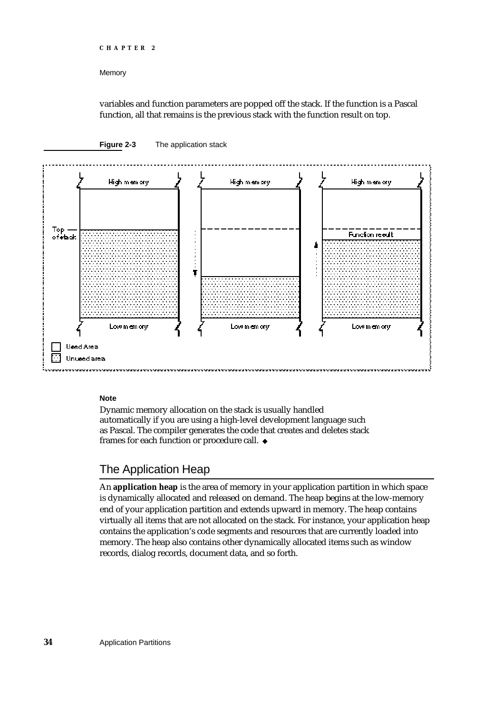```
CHAPTER 2
```
variables and function parameters are popped off the stack. If the function is a Pascal function, all that remains is the previous stack with the function result on top.

### **Figure 2-3** The application stack



### **Note**

Dynamic memory allocation on the stack is usually handled automatically if you are using a high-level development language such as Pascal. The compiler generates the code that creates and deletes stack frames for each function or procedure call.

### The Application Heap

An **application heap** is the area of memory in your application partition in which space is dynamically allocated and released on demand. The heap begins at the low-memory end of your application partition and extends upward in memory. The heap contains virtually all items that are not allocated on the stack. For instance, your application heap contains the application's code segments and resources that are currently loaded into memory. The heap also contains other dynamically allocated items such as window records, dialog records, document data, and so forth.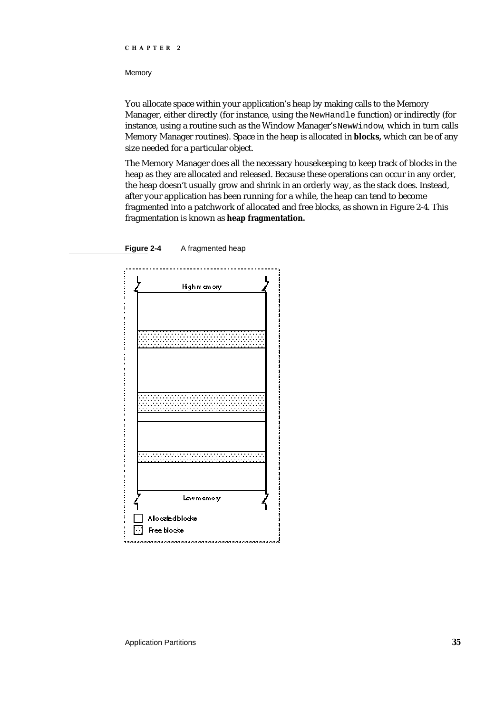#### **Memory**

You allocate space within your application's heap by making calls to the Memory Manager, either directly (for instance, using the NewHandle function) or indirectly (for instance, using a routine such as the Window Manager's NewWindow, which in turn calls Memory Manager routines). Space in the heap is allocated in **blocks,** which can be of any size needed for a particular object.

The Memory Manager does all the necessary housekeeping to keep track of blocks in the heap as they are allocated and released. Because these operations can occur in any order, the heap doesn't usually grow and shrink in an orderly way, as the stack does. Instead, after your application has been running for a while, the heap can tend to become fragmented into a patchwork of allocated and free blocks, as shown in Figure 2-4. This fragmentation is known as **heap fragmentation.**



**Figure 2-4** A fragmented heap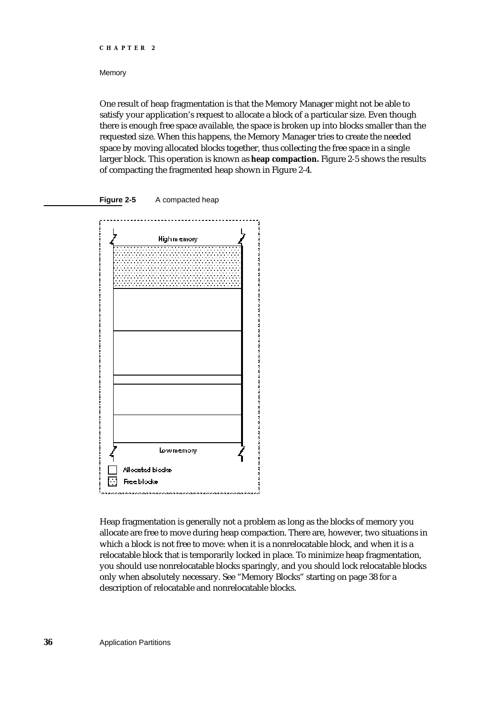**Memory** 

One result of heap fragmentation is that the Memory Manager might not be able to satisfy your application's request to allocate a block of a particular size. Even though there is enough free space available, the space is broken up into blocks smaller than the requested size. When this happens, the Memory Manager tries to create the needed space by moving allocated blocks together, thus collecting the free space in a single larger block. This operation is known as **heap compaction.** Figure 2-5 shows the results of compacting the fragmented heap shown in Figure 2-4.





Heap fragmentation is generally not a problem as long as the blocks of memory you allocate are free to move during heap compaction. There are, however, two situations in which a block is not free to move: when it is a nonrelocatable block, and when it is a relocatable block that is temporarily locked in place. To minimize heap fragmentation, you should use nonrelocatable blocks sparingly, and you should lock relocatable blocks only when absolutely necessary. See "Memory Blocks" starting on page 38 for a description of relocatable and nonrelocatable blocks.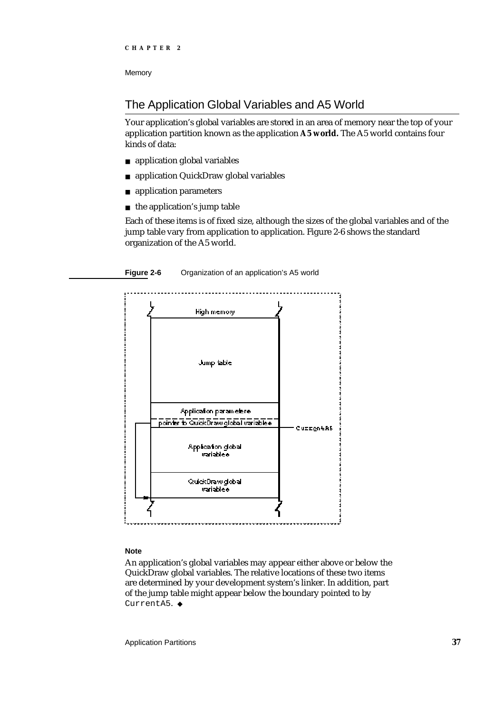### The Application Global Variables and A5 World

Your application's global variables are stored in an area of memory near the top of your application partition known as the application **A5 world.** The A5 world contains four kinds of data:

- application global variables
- application QuickDraw global variables
- application parameters  $\overline{p}$
- $n$  the application's jump table

Each of these items is of fixed size, although the sizes of the global variables and of the jump table vary from application to application. Figure 2-6 shows the standard organization of the A5 world.



### **Note**

An application's global variables may appear either above or below the QuickDraw global variables. The relative locations of these two items are determined by your development system's linker. In addition, part of the jump table might appear below the boundary pointed to by CurrentA5. u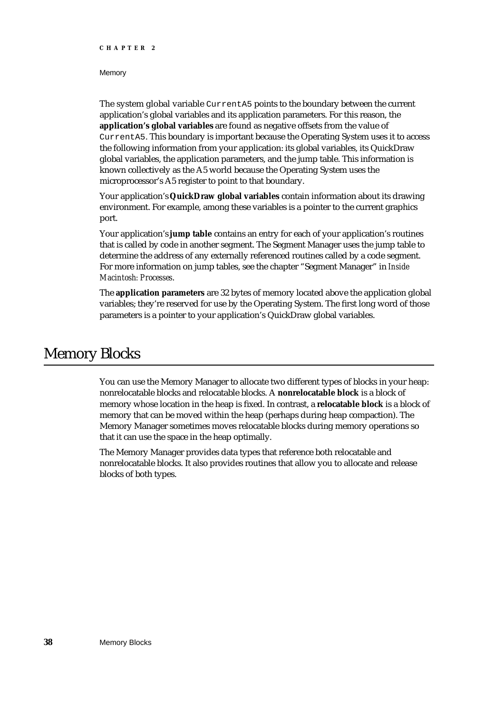### **Memory**

The system global variable CurrentA5 points to the boundary between the current application's global variables and its application parameters. For this reason, the **application's global variables** are found as negative offsets from the value of CurrentA5. This boundary is important because the Operating System uses it to access the following information from your application: its global variables, its QuickDraw global variables, the application parameters, and the jump table. This information is known collectively as the A5 world because the Operating System uses the microprocessor's A5 register to point to that boundary.

Your application's **QuickDraw global variables** contain information about its drawing environment. For example, among these variables is a pointer to the current graphics port.

Your application's **jump table** contains an entry for each of your application's routines that is called by code in another segment. The Segment Manager uses the jump table to determine the address of any externally referenced routines called by a code segment. For more information on jump tables, see the chapter "Segment Manager" in *Inside Macintosh: Processes*.

The **application parameters** are 32 bytes of memory located above the application global variables; they're reserved for use by the Operating System. The first long word of those parameters is a pointer to your application's QuickDraw global variables.

### Memory Blocks

You can use the Memory Manager to allocate two different types of blocks in your heap: nonrelocatable blocks and relocatable blocks. A **nonrelocatable block** is a block of memory whose location in the heap is fixed. In contrast, a **relocatable block** is a block of memory that can be moved within the heap (perhaps during heap compaction). The Memory Manager sometimes moves relocatable blocks during memory operations so that it can use the space in the heap optimally.

The Memory Manager provides data types that reference both relocatable and nonrelocatable blocks. It also provides routines that allow you to allocate and release blocks of both types.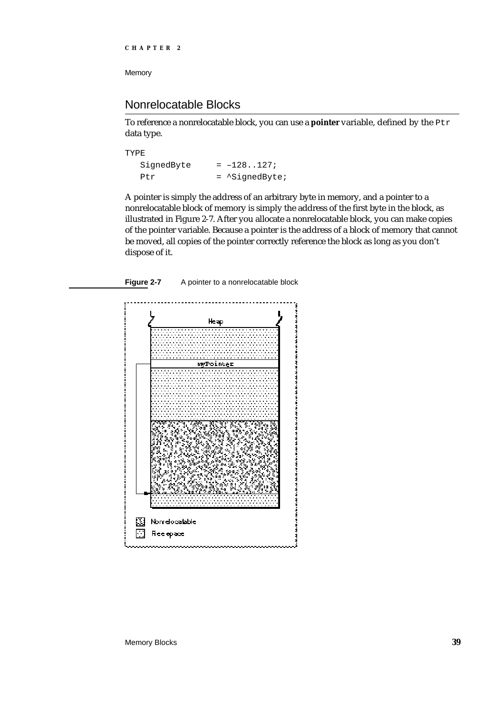### Nonrelocatable Blocks

To reference a nonrelocatable block, you can use a **pointer** variable, defined by the Ptr data type.

| TYPE.      |                          |
|------------|--------------------------|
| SignedByte | $= -128127;$             |
| Ptr        | $=$ $\Delta$ SiqnedByte; |

A pointer is simply the address of an arbitrary byte in memory, and a pointer to a nonrelocatable block of memory is simply the address of the first byte in the block, as illustrated in Figure 2-7. After you allocate a nonrelocatable block, you can make copies of the pointer variable. Because a pointer is the address of a block of memory that cannot be moved, all copies of the pointer correctly reference the block as long as you don't dispose of it.



Figure 2-7 A pointer to a nonrelocatable block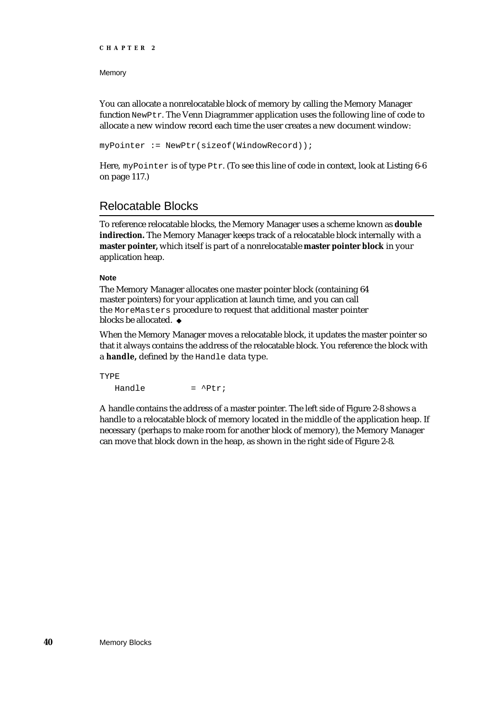### Memory

You can allocate a nonrelocatable block of memory by calling the Memory Manager function NewPtr. The Venn Diagrammer application uses the following line of code to allocate a new window record each time the user creates a new document window:

myPointer := NewPtr(sizeof(WindowRecord));

Here, myPointer is of type Ptr. (To see this line of code in context, look at Listing 6-6 on page 117.)

### Relocatable Blocks

To reference relocatable blocks, the Memory Manager uses a scheme known as **double indirection.** The Memory Manager keeps track of a relocatable block internally with a **master pointer,** which itself is part of a nonrelocatable **master pointer block** in your application heap.

### **Note**

The Memory Manager allocates one master pointer block (containing 64 master pointers) for your application at launch time, and you can call the MoreMasters procedure to request that additional master pointer blocks be allocated. u

When the Memory Manager moves a relocatable block, it updates the master pointer so that it always contains the address of the relocatable block. You reference the block with a **handle,** defined by the Handle data type.

TYPE Handle  $=$   $\Delta P$ tr;

A handle contains the address of a master pointer. The left side of Figure 2-8 shows a handle to a relocatable block of memory located in the middle of the application heap. If necessary (perhaps to make room for another block of memory), the Memory Manager can move that block down in the heap, as shown in the right side of Figure 2-8.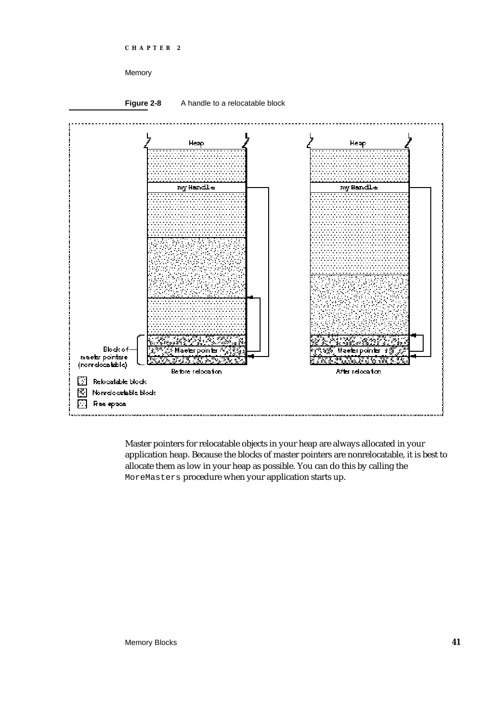



Master pointers for relocatable objects in your heap are always allocated in your application heap. Because the blocks of master pointers are nonrelocatable, it is best to allocate them as low in your heap as possible. You can do this by calling the MoreMasters procedure when your application starts up.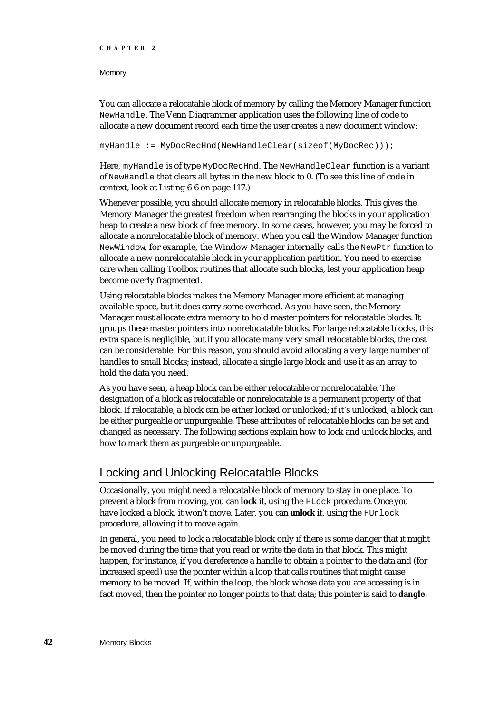### **Memory**

You can allocate a relocatable block of memory by calling the Memory Manager function NewHandle. The Venn Diagrammer application uses the following line of code to allocate a new document record each time the user creates a new document window:

myHandle := MyDocRecHnd(NewHandleClear(sizeof(MyDocRec)));

Here, myHandle is of type MyDocRecHnd. The NewHandleClear function is a variant of NewHandle that clears all bytes in the new block to 0. (To see this line of code in context, look at Listing 6-6 on page 117.)

Whenever possible, you should allocate memory in relocatable blocks. This gives the Memory Manager the greatest freedom when rearranging the blocks in your application heap to create a new block of free memory. In some cases, however, you may be forced to allocate a nonrelocatable block of memory. When you call the Window Manager function NewWindow, for example, the Window Manager internally calls the NewPtr function to allocate a new nonrelocatable block in your application partition. You need to exercise care when calling Toolbox routines that allocate such blocks, lest your application heap become overly fragmented.

Using relocatable blocks makes the Memory Manager more efficient at managing available space, but it does carry some overhead. As you have seen, the Memory Manager must allocate extra memory to hold master pointers for relocatable blocks. It groups these master pointers into nonrelocatable blocks. For large relocatable blocks, this extra space is negligible, but if you allocate many very small relocatable blocks, the cost can be considerable. For this reason, you should avoid allocating a very large number of handles to small blocks; instead, allocate a single large block and use it as an array to hold the data you need.

As you have seen, a heap block can be either relocatable or nonrelocatable. The designation of a block as relocatable or nonrelocatable is a permanent property of that block. If relocatable, a block can be either locked or unlocked; if it's unlocked, a block can be either purgeable or unpurgeable. These attributes of relocatable blocks can be set and changed as necessary. The following sections explain how to lock and unlock blocks, and how to mark them as purgeable or unpurgeable.

### Locking and Unlocking Relocatable Blocks

Occasionally, you might need a relocatable block of memory to stay in one place. To prevent a block from moving, you can **lock** it, using the HLock procedure. Once you have locked a block, it won't move. Later, you can **unlock** it, using the HUnlock procedure, allowing it to move again.

In general, you need to lock a relocatable block only if there is some danger that it might be moved during the time that you read or write the data in that block. This might happen, for instance, if you dereference a handle to obtain a pointer to the data and (for increased speed) use the pointer within a loop that calls routines that might cause memory to be moved. If, within the loop, the block whose data you are accessing is in fact moved, then the pointer no longer points to that data; this pointer is said to **dangle.**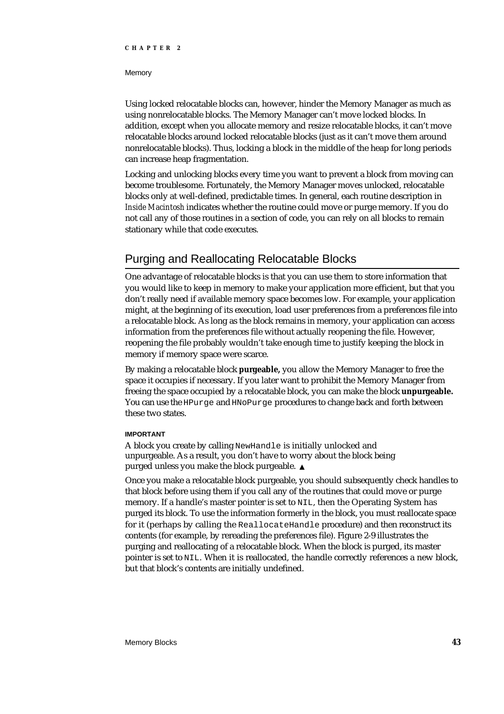#### **Memory**

Using locked relocatable blocks can, however, hinder the Memory Manager as much as using nonrelocatable blocks. The Memory Manager can't move locked blocks. In addition, except when you allocate memory and resize relocatable blocks, it can't move relocatable blocks around locked relocatable blocks (just as it can't move them around nonrelocatable blocks). Thus, locking a block in the middle of the heap for long periods can increase heap fragmentation.

Locking and unlocking blocks every time you want to prevent a block from moving can become troublesome. Fortunately, the Memory Manager moves unlocked, relocatable blocks only at well-defined, predictable times. In general, each routine description in *Inside Macintosh* indicates whether the routine could move or purge memory. If you do not call any of those routines in a section of code, you can rely on all blocks to remain stationary while that code executes.

### Purging and Reallocating Relocatable Blocks

One advantage of relocatable blocks is that you can use them to store information that you would like to keep in memory to make your application more efficient, but that you don't really need if available memory space becomes low. For example, your application might, at the beginning of its execution, load user preferences from a preferences file into a relocatable block. As long as the block remains in memory, your application can access information from the preferences file without actually reopening the file. However, reopening the file probably wouldn't take enough time to justify keeping the block in memory if memory space were scarce.

By making a relocatable block **purgeable,** you allow the Memory Manager to free the space it occupies if necessary. If you later want to prohibit the Memory Manager from freeing the space occupied by a relocatable block, you can make the block **unpurgeable.** You can use the HPurge and HNoPurge procedures to change back and forth between these two states.

### **IMPORTANT**

A block you create by calling NewHandle is initially unlocked and unpurgeable. As a result, you don't have to worry about the block being purged unless you make the block purgeable.

Once you make a relocatable block purgeable, you should subsequently check handles to that block before using them if you call any of the routines that could move or purge memory. If a handle's master pointer is set to NIL, then the Operating System has purged its block. To use the information formerly in the block, you must reallocate space for it (perhaps by calling the ReallocateHandle procedure) and then reconstruct its contents (for example, by rereading the preferences file). Figure 2-9 illustrates the purging and reallocating of a relocatable block. When the block is purged, its master pointer is set to NIL. When it is reallocated, the handle correctly references a new block, but that block's contents are initially undefined.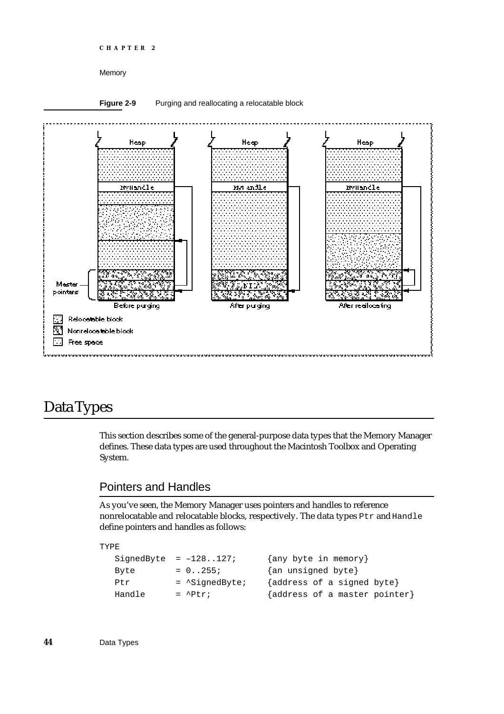```
CHAPTER 2
```
### Figure 2-9 Purging and reallocating a relocatable block



### Data Types

This section describes some of the general-purpose data types that the Memory Manager defines. These data types are used throughout the Macintosh Toolbox and Operating System.

### Pointers and Handles

As you've seen, the Memory Manager uses pointers and handles to reference nonrelocatable and relocatable blocks, respectively. The data types Ptr and Handle define pointers and handles as follows:

TYPE

```
SignedByte = -128..127; {any byte in memory}
Byte = 0.255; \{an\ unsigned\ byte\}Ptr = \text{SignedByte}; {address of a signed byte}
Handle = \left\{ address \text{ of a master pointer} \right\}
```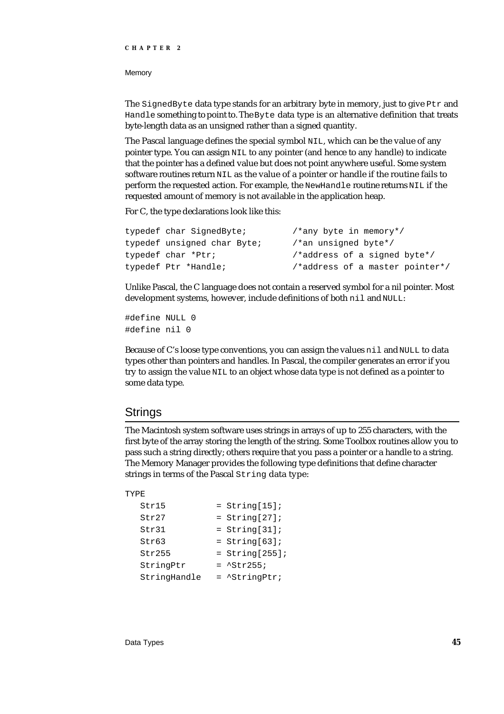**Memory** 

The SignedByte data type stands for an arbitrary byte in memory, just to give Ptr and Handle something to point to. The Byte data type is an alternative definition that treats byte-length data as an unsigned rather than a signed quantity.

The Pascal language defines the special symbol NIL, which can be the value of any pointer type. You can assign NIL to any pointer (and hence to any handle) to indicate that the pointer has a defined value but does not point anywhere useful. Some system software routines return NIL as the value of a pointer or handle if the routine fails to perform the requested action. For example, the NewHandle routine returns NIL if the requested amount of memory is not available in the application heap.

For C, the type declarations look like this:

| typedef char SignedByte;    | /*any byte in memory*/          |
|-----------------------------|---------------------------------|
| typedef unsigned char Byte; | /*an unsigned byte*/            |
| typedef char *Ptr;          | /*address of a signed byte*/    |
| typedef Ptr *Handle;        | /*address of a master pointer*/ |

Unlike Pascal, the C language does not contain a reserved symbol for a nil pointer. Most development systems, however, include definitions of both nil and NULL:

#define NULL 0 #define nil 0

Because of C's loose type conventions, you can assign the values nil and NULL to data types other than pointers and handles. In Pascal, the compiler generates an error if you try to assign the value NIL to an object whose data type is not defined as a pointer to some data type.

### **Strings**

The Macintosh system software uses strings in arrays of up to 255 characters, with the first byte of the array storing the length of the string. Some Toolbox routines allow you to pass such a string directly; others require that you pass a pointer or a handle to a string. The Memory Manager provides the following type definitions that define character strings in terms of the Pascal String data type:

### TYPE

| Str15        | $=$ String[15];         |
|--------------|-------------------------|
| Str27        | $= String[27];$         |
| Str31        | $= String[31];$         |
| Str63        | $= String[63];$         |
| Str255       | $=$ String[255];        |
| StringPtr    | $=$ $^{\sim}$ Str255;   |
| StringHandle | $=$ $\Delta$ StringPtr; |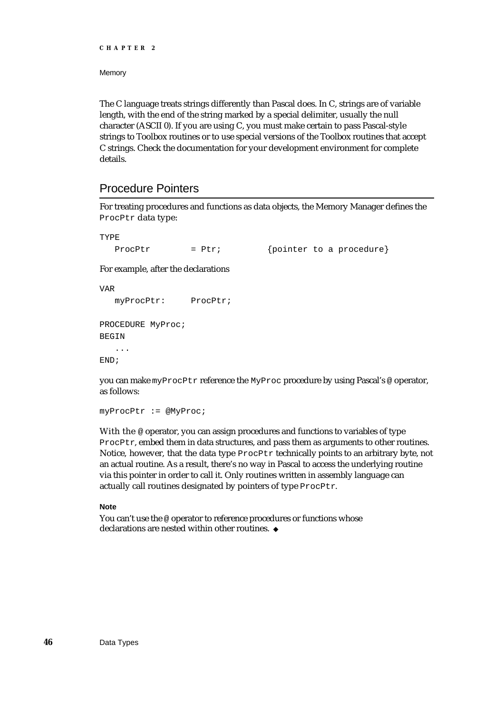**Memory** 

The C language treats strings differently than Pascal does. In C, strings are of variable length, with the end of the string marked by a special delimiter, usually the null character (ASCII 0). If you are using C, you must make certain to pass Pascal-style strings to Toolbox routines or to use special versions of the Toolbox routines that accept C strings. Check the documentation for your development environment for complete details.

### Procedure Pointers

For treating procedures and functions as data objects, the Memory Manager defines the ProcPtr data type:

TYPE

ProcPtr  $= Ptr$ ; {pointer to a procedure}

For example, after the declarations

```
VAR
  myProcPtr: ProcPtr;
PROCEDURE MyProc;
BEGIN
   ...
END;
```
you can make myProcPtr reference the MyProc procedure by using Pascal's @ operator, as follows:

myProcPtr := @MyProc;

With the @ operator, you can assign procedures and functions to variables of type ProcPtr, embed them in data structures, and pass them as arguments to other routines. Notice, however, that the data type ProcPtr technically points to an arbitrary byte, not an actual routine. As a result, there's no way in Pascal to access the underlying routine via this pointer in order to call it. Only routines written in assembly language can actually call routines designated by pointers of type ProcPtr.

### **Note**

You can't use the @ operator to reference procedures or functions whose declarations are nested within other routines.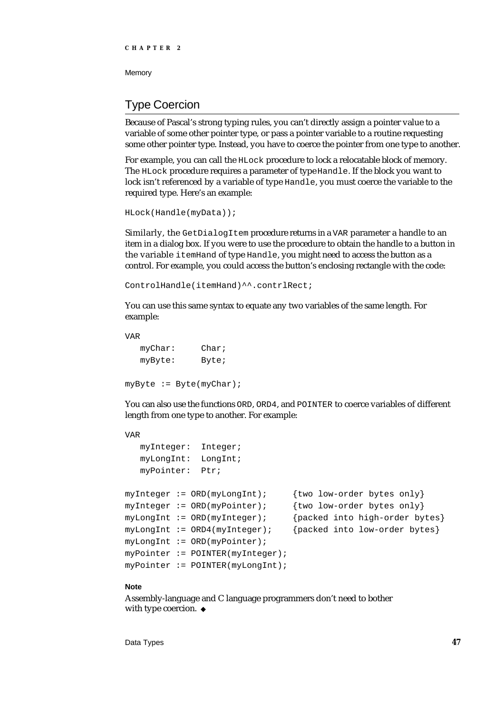### Type Coercion

Because of Pascal's strong typing rules, you can't directly assign a pointer value to a variable of some other pointer type, or pass a pointer variable to a routine requesting some other pointer type. Instead, you have to coerce the pointer from one type to another.

For example, you can call the HLock procedure to lock a relocatable block of memory. The HLock procedure requires a parameter of type Handle. If the block you want to lock isn't referenced by a variable of type Handle, you must coerce the variable to the required type. Here's an example:

```
HLock(Handle(myData));
```
Similarly, the GetDialogItem procedure returns in a VAR parameter a handle to an item in a dialog box. If you were to use the procedure to obtain the handle to a button in the variable itemHand of type Handle, you might need to access the button as a control. For example, you could access the button's enclosing rectangle with the code:

ControlHandle(itemHand)^^.contrlRect;

You can use this same syntax to equate any two variables of the same length. For example:

VAR myChar: Char; myByte: Byte; myByte := Byte(myChar);

You can also use the functions ORD, ORD4, and POINTER to coerce variables of different length from one type to another. For example:

```
VAR
  myInteger: Integer;
  myLongInt: LongInt;
  myPointer: Ptr;
myInteger := ORD(myLongInt); {two low-order bytes only}
myInteger := ORD(myPointer); {two low-order bytes only}
myLongInt := ORD(myInteger); {packed into high-order bytes}
myLongInt := ORD4(myInteger); {packed into low-order bytes}
myLongInt := ORD(myPointer);
myPointer := POINTER(myInteger);
myPointer := POINTER(myLongInt);
```
### **Note**

Assembly-language and C language programmers don't need to bother with type coercion. u

Data Types **47**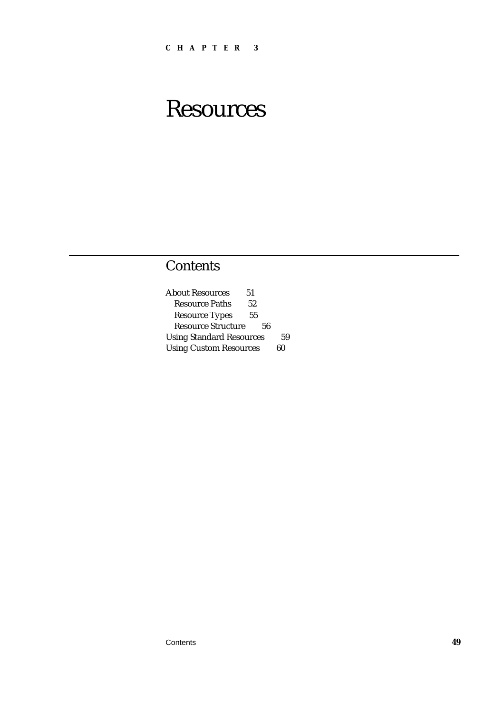# **Resources**

### **Contents**

About Resources 51 Resource Paths 52 Resource Types 55 Resource Structure 56 Using Standard Resources 59 Using Custom Resources 60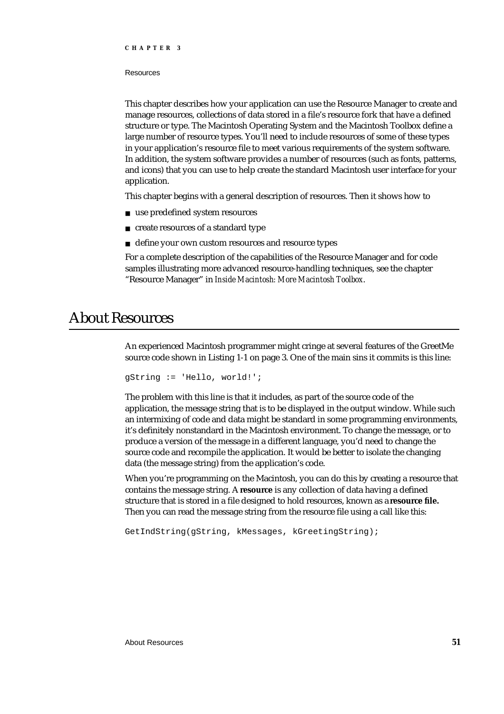#### Resources

This chapter describes how your application can use the Resource Manager to create and manage resources, collections of data stored in a file's resource fork that have a defined structure or type. The Macintosh Operating System and the Macintosh Toolbox define a large number of resource types. You'll need to include resources of some of these types in your application's resource file to meet various requirements of the system software. In addition, the system software provides a number of resources (such as fonts, patterns, and icons) that you can use to help create the standard Macintosh user interface for your application.

This chapter begins with a general description of resources. Then it shows how to

- use predefined system resources
- n create resources of a standard type
- n define your own custom resources and resource types

For a complete description of the capabilities of the Resource Manager and for code samples illustrating more advanced resource-handling techniques, see the chapter "Resource Manager" in *Inside Macintosh: More Macintosh Toolbox*.

### About Resources

An experienced Macintosh programmer might cringe at several features of the GreetMe source code shown in Listing 1-1 on page 3. One of the main sins it commits is this line:

```
gString := 'Hello, world!';
```
The problem with this line is that it includes, as part of the source code of the application, the message string that is to be displayed in the output window. While such an intermixing of code and data might be standard in some programming environments, it's definitely nonstandard in the Macintosh environment. To change the message, or to produce a version of the message in a different language, you'd need to change the source code and recompile the application. It would be better to isolate the changing data (the message string) from the application's code.

When you're programming on the Macintosh, you can do this by creating a resource that contains the message string. A **resource** is any collection of data having a defined structure that is stored in a file designed to hold resources, known as a **resource file.** Then you can read the message string from the resource file using a call like this:

GetIndString(gString, kMessages, kGreetingString);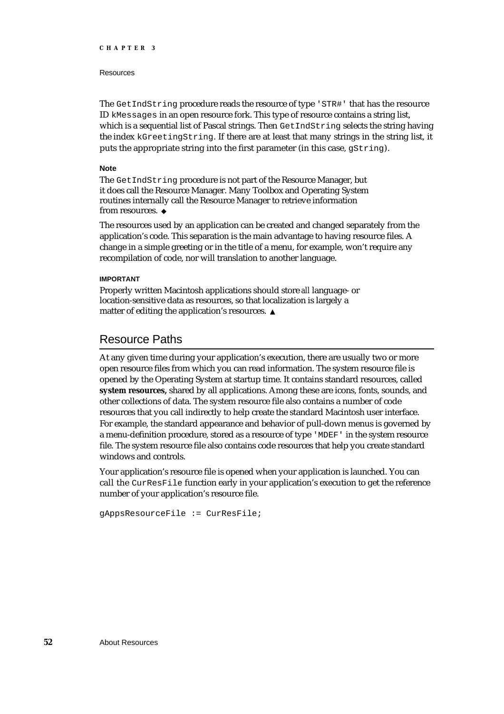### Resources

The GetIndString procedure reads the resource of type 'STR#' that has the resource ID kMessages in an open resource fork. This type of resource contains a string list, which is a sequential list of Pascal strings. Then Get IndString selects the string having the index kGreetingString. If there are at least that many strings in the string list, it puts the appropriate string into the first parameter (in this case,  $qString$ ).

### **Note**

The GetIndString procedure is not part of the Resource Manager, but it does call the Resource Manager. Many Toolbox and Operating System routines internally call the Resource Manager to retrieve information from resources.

The resources used by an application can be created and changed separately from the application's code. This separation is the main advantage to having resource files. A change in a simple greeting or in the title of a menu, for example, won't require any recompilation of code, nor will translation to another language.

### **IMPORTANT**

Properly written Macintosh applications should store *all* language- or location-sensitive data as resources, so that localization is largely a matter of editing the application's resources.

### Resource Paths

At any given time during your application's execution, there are usually two or more open resource files from which you can read information. The system resource file is opened by the Operating System at startup time. It contains standard resources, called **system resources,** shared by all applications. Among these are icons, fonts, sounds, and other collections of data. The system resource file also contains a number of code resources that you call indirectly to help create the standard Macintosh user interface. For example, the standard appearance and behavior of pull-down menus is governed by a menu-definition procedure, stored as a resource of type 'MDEF' in the system resource file. The system resource file also contains code resources that help you create standard windows and controls.

Your application's resource file is opened when your application is launched. You can call the CurResFile function early in your application's execution to get the reference number of your application's resource file.

gAppsResourceFile := CurResFile;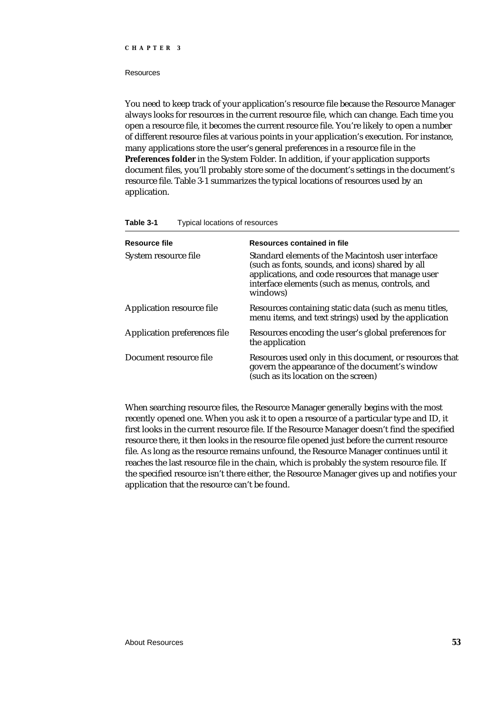#### Resources

You need to keep track of your application's resource file because the Resource Manager always looks for resources in the current resource file, which can change. Each time you open a resource file, it becomes the current resource file. You're likely to open a number of different resource files at various points in your application's execution. For instance, many applications store the user's general preferences in a resource file in the **Preferences folder** in the System Folder. In addition, if your application supports document files, you'll probably store some of the document's settings in the document's resource file. Table 3-1 summarizes the typical locations of resources used by an application.

| Table 3-1 | Typical locations of resources |
|-----------|--------------------------------|
|-----------|--------------------------------|

| Resource file                       | Resources contained in file                                                                                                                                                                                                |
|-------------------------------------|----------------------------------------------------------------------------------------------------------------------------------------------------------------------------------------------------------------------------|
| System resource file                | Standard elements of the Macintosh user interface<br>(such as fonts, sounds, and icons) shared by all<br>applications, and code resources that manage user<br>interface elements (such as menus, controls, and<br>windows) |
| <b>Application resource file</b>    | Resources containing static data (such as menu titles,<br>menu items, and text strings) used by the application                                                                                                            |
| <b>Application preferences file</b> | Resources encoding the user's global preferences for<br>the application                                                                                                                                                    |
| Document resource file              | Resources used only in this document, or resources that<br>govern the appearance of the document's window<br>(such as its location on the screen)                                                                          |

When searching resource files, the Resource Manager generally begins with the most recently opened one. When you ask it to open a resource of a particular type and ID, it first looks in the current resource file. If the Resource Manager doesn't find the specified resource there, it then looks in the resource file opened just before the current resource file. As long as the resource remains unfound, the Resource Manager continues until it reaches the last resource file in the chain, which is probably the system resource file. If the specified resource isn't there either, the Resource Manager gives up and notifies your application that the resource can't be found.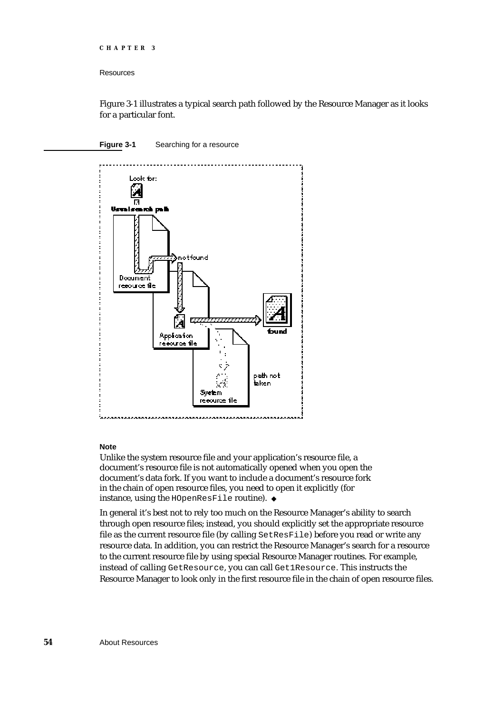#### **Resources**

Figure 3-1 illustrates a typical search path followed by the Resource Manager as it looks for a particular font.

### **Figure 3-1** Searching for a resource



### **Note**

Unlike the system resource file and your application's resource file, a document's resource file is not automatically opened when you open the document's data fork. If you want to include a document's resource fork in the chain of open resource files, you need to open it explicitly (for instance, using the HOpenResFile routine).

In general it's best not to rely too much on the Resource Manager's ability to search through open resource files; instead, you should explicitly set the appropriate resource file as the current resource file (by calling SetResFile) before you read or write any resource data. In addition, you can restrict the Resource Manager's search for a resource to the current resource file by using special Resource Manager routines. For example, instead of calling GetResource, you can call Get1Resource. This instructs the Resource Manager to look only in the first resource file in the chain of open resource files.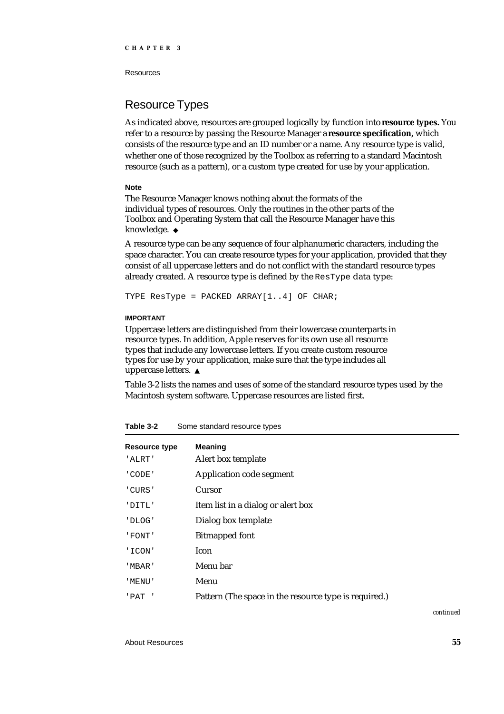Resources

### Resource Types

As indicated above, resources are grouped logically by function into **resource types.** You refer to a resource by passing the Resource Manager a **resource specification,** which consists of the resource type and an ID number or a name. Any resource type is valid, whether one of those recognized by the Toolbox as referring to a standard Macintosh resource (such as a pattern), or a custom type created for use by your application.

### **Note**

The Resource Manager knows nothing about the formats of the individual types of resources. Only the routines in the other parts of the Toolbox and Operating System that call the Resource Manager have this knowledge. u

A resource type can be any sequence of four alphanumeric characters, including the space character. You can create resource types for your application, provided that they consist of all uppercase letters and do not conflict with the standard resource types already created. A resource type is defined by the ResType data type:

TYPE ResType = PACKED ARRAY[1..4] OF CHAR;

### **IMPORTANT**

Uppercase letters are distinguished from their lowercase counterparts in resource types. In addition, Apple reserves for its own use all resource types that include any lowercase letters. If you create custom resource types for use by your application, make sure that the type includes all uppercase letters.

Table 3-2 lists the names and uses of some of the standard resource types used by the Macintosh system software. Uppercase resources are listed first.

| <b>Resource type</b><br>'ALRT' | <b>Meaning</b><br>Alert box template                  |
|--------------------------------|-------------------------------------------------------|
| ' CODE '                       | Application code segment                              |
| 'CURS'                         | <b>Cursor</b>                                         |
| 'DITL'                         | Item list in a dialog or alert box                    |
| 'DLOG'                         | Dialog box template                                   |
| ' FONT'                        | <b>Bitmapped font</b>                                 |
| ' ICON'                        | Icon.                                                 |
| ' MBAR '                       | Menu bar                                              |
| ' MENU '                       | Menu                                                  |
| 'PAT '                         | Pattern (The space in the resource type is required.) |

### **Table 3-2** Some standard resource types

*continued*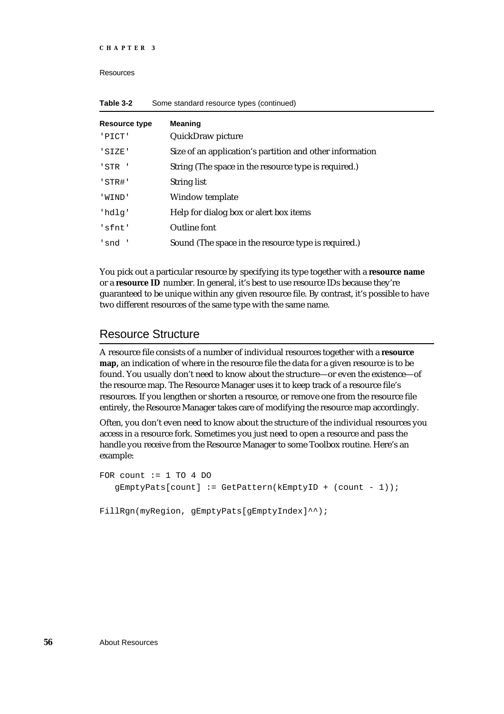Resources

| <b>Resource type</b><br>'PICT' | <b>Meaning</b><br>QuickDraw picture                      |
|--------------------------------|----------------------------------------------------------|
| 'SIZE'                         | Size of an application's partition and other information |
| ' STR '                        | String (The space in the resource type is required.)     |
| 'STR#'                         | <b>String list</b>                                       |
| 'WIND'                         | Window template                                          |
| 'hdlg'                         | Help for dialog box or alert box items                   |
| 'sfnt'                         | Outline font                                             |
| 'snd'                          | Sound (The space in the resource type is required.)      |

| Table 3-2 | Some standard resource types (continued) |  |
|-----------|------------------------------------------|--|
|-----------|------------------------------------------|--|

You pick out a particular resource by specifying its type together with a **resource name** or a **resource ID** number. In general, it's best to use resource IDs because they're guaranteed to be unique within any given resource file. By contrast, it's possible to have two different resources of the same type with the same name.

### Resource Structure

A resource file consists of a number of individual resources together with a **resource map,** an indication of where in the resource file the data for a given resource is to be found. You usually don't need to know about the structure—or even the existence—of the resource map. The Resource Manager uses it to keep track of a resource file's resources. If you lengthen or shorten a resource, or remove one from the resource file entirely, the Resource Manager takes care of modifying the resource map accordingly.

Often, you don't even need to know about the structure of the individual resources you access in a resource fork. Sometimes you just need to open a resource and pass the handle you receive from the Resource Manager to some Toolbox routine. Here's an example:

```
FOR count := 1 TO 4 DO
   qEmptyPats[count] := GetPattern(kEmptyID + (count - 1));FillRgn(myRegion, gEmptyPats[gEmptyIndex]^^);
```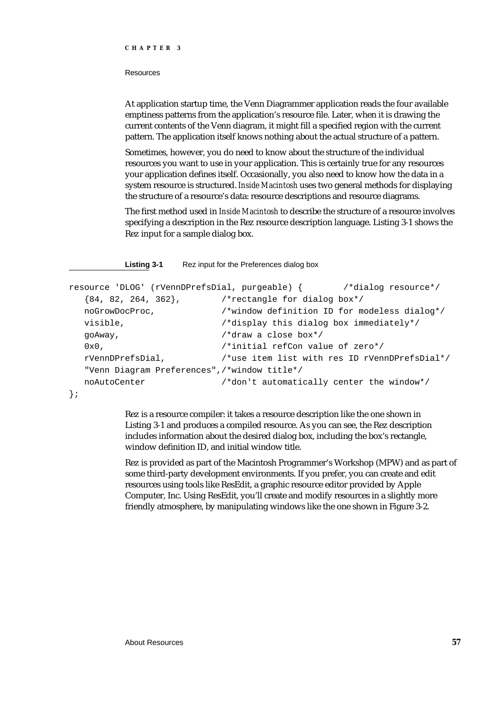## Resources

At application startup time, the Venn Diagrammer application reads the four available emptiness patterns from the application's resource file. Later, when it is drawing the current contents of the Venn diagram, it might fill a specified region with the current pattern. The application itself knows nothing about the actual structure of a pattern.

Sometimes, however, you do need to know about the structure of the individual resources you want to use in your application. This is certainly true for any resources your application defines itself. Occasionally, you also need to know how the data in a system resource is structured. *Inside Macintosh* uses two general methods for displaying the structure of a resource's data: resource descriptions and resource diagrams.

The first method used in *Inside Macintosh* to describe the structure of a resource involves specifying a description in the Rez resource description language. Listing 3-1 shows the Rez input for a sample dialog box.

**Listing 3-1** Rez input for the Preferences dialog box

```
resource 'DLOG' (rVennDPrefsDial, purgeable) { /*dialog resource*/
  {84, 82, 264, 362}, /*rectangle for dialog box*/
  noGrowDocProc, /*window definition ID for modeless dialog*/
  visible, /*display this dialog box immediately*/
  goAway, /*draw a close box*/
  0x0, /*initial refCon value of zero*/
  rVennDPrefsDial, /*use item list with res ID rVennDPrefsDial*/
  "Venn Diagram Preferences",/*window title*/
  noAutoCenter /*don't automatically center the window*/
};
```
Rez is a resource compiler: it takes a resource description like the one shown in Listing 3-1 and produces a compiled resource. As you can see, the Rez description includes information about the desired dialog box, including the box's rectangle, window definition ID, and initial window title.

Rez is provided as part of the Macintosh Programmer's Workshop (MPW) and as part of some third-party development environments. If you prefer, you can create and edit resources using tools like ResEdit, a graphic resource editor provided by Apple Computer, Inc. Using ResEdit, you'll create and modify resources in a slightly more friendly atmosphere, by manipulating windows like the one shown in Figure 3-2.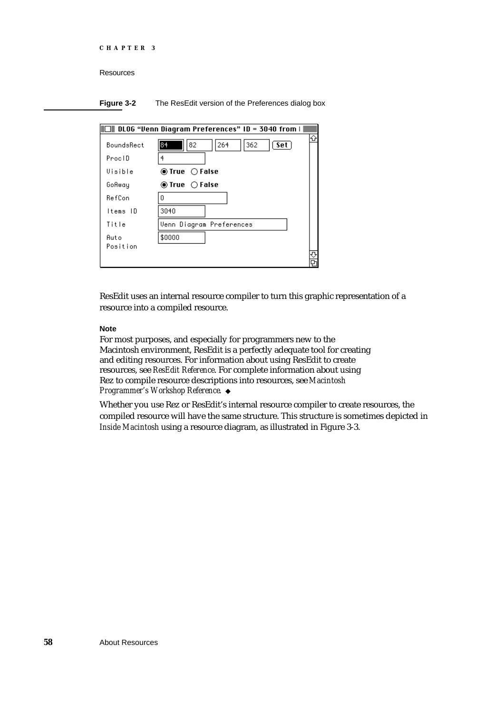```
CHAPTER 3
```
**Figure 3-2** The ResEdit version of the Preferences dialog box

| $\exists$ DLOG "Venn Diagram Preferences" ID = 3040 from   $\equiv$ |                                               |  |  |
|---------------------------------------------------------------------|-----------------------------------------------|--|--|
| BoundsRect                                                          | 362<br>84<br>264<br>82<br>∫ Set `             |  |  |
| ProclD                                                              |                                               |  |  |
| Uisible                                                             | $\circledcirc$ True $\circlearrowright$ False |  |  |
| GoAway                                                              | $\circledcirc$ True $\circlearrowright$ False |  |  |
| RefCon                                                              | п                                             |  |  |
| ltems ID                                                            | 3040                                          |  |  |
| Title                                                               | Venn Diagram Preferences                      |  |  |
| Auto                                                                | \$0000                                        |  |  |
| Position                                                            |                                               |  |  |
|                                                                     |                                               |  |  |

ResEdit uses an internal resource compiler to turn this graphic representation of a resource into a compiled resource.

## **Note**

For most purposes, and especially for programmers new to the Macintosh environment, ResEdit is a perfectly adequate tool for creating and editing resources. For information about using ResEdit to create resources, see *ResEdit Reference*. For complete information about using Rez to compile resource descriptions into resources, see *Macintosh Programmer's Workshop Reference*.

Whether you use Rez or ResEdit's internal resource compiler to create resources, the compiled resource will have the same structure. This structure is sometimes depicted in *Inside Macintosh* using a resource diagram, as illustrated in Figure 3-3.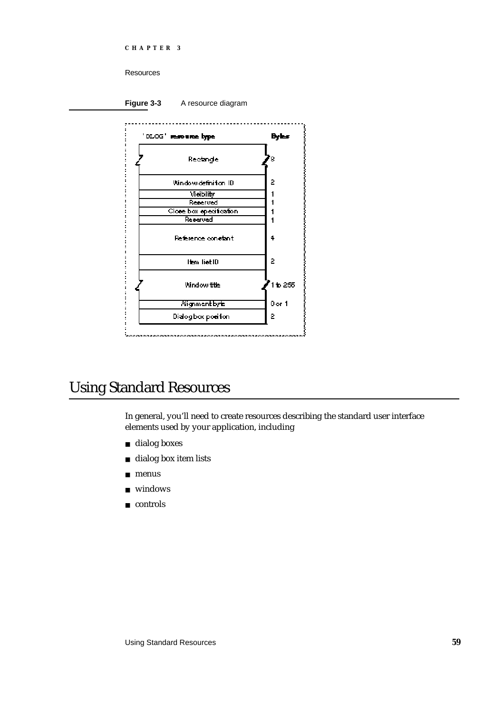Resources

Figure 3-3 A resource diagram



# Using Standard Resources

In general, you'll need to create resources describing the standard user interface elements used by your application, including

- dialog boxes
- dialog box item lists  $\overline{\mathsf{n}}$
- n menus
- windows  $\overline{\mathsf{n}}$
- n controls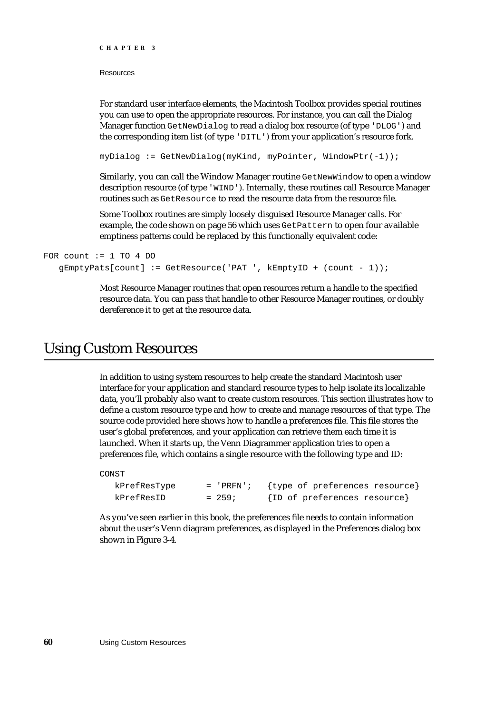Resources

For standard user interface elements, the Macintosh Toolbox provides special routines you can use to open the appropriate resources. For instance, you can call the Dialog Manager function GetNewDialog to read a dialog box resource (of type 'DLOG') and the corresponding item list (of type 'DITL') from your application's resource fork.

myDialog := GetNewDialog(myKind, myPointer, WindowPtr(-1));

Similarly, you can call the Window Manager routine GetNewWindow to open a window description resource (of type 'WIND'). Internally, these routines call Resource Manager routines such as GetResource to read the resource data from the resource file.

Some Toolbox routines are simply loosely disguised Resource Manager calls. For example, the code shown on page 56 which uses GetPattern to open four available emptiness patterns could be replaced by this functionally equivalent code:

```
FOR count := 1 TO 4 DO
  qEmptyPats[count] := GetResource('PATH ', kEmptyID + (count - 1));
```
Most Resource Manager routines that open resources return a handle to the specified resource data. You can pass that handle to other Resource Manager routines, or doubly dereference it to get at the resource data.

## Using Custom Resources

In addition to using system resources to help create the standard Macintosh user interface for your application and standard resource types to help isolate its localizable data, you'll probably also want to create custom resources. This section illustrates how to define a custom resource type and how to create and manage resources of that type. The source code provided here shows how to handle a preferences file. This file stores the user's global preferences, and your application can retrieve them each time it is launched. When it starts up, the Venn Diagrammer application tries to open a preferences file, which contains a single resource with the following type and ID:

CONST

| kPrefResType | $=$ 'PRFN'; | {type of preferences resource} |
|--------------|-------------|--------------------------------|
| kPrefResID   | $= 259;$    | {ID of preferences resource}   |

As you've seen earlier in this book, the preferences file needs to contain information about the user's Venn diagram preferences, as displayed in the Preferences dialog box shown in Figure 3-4.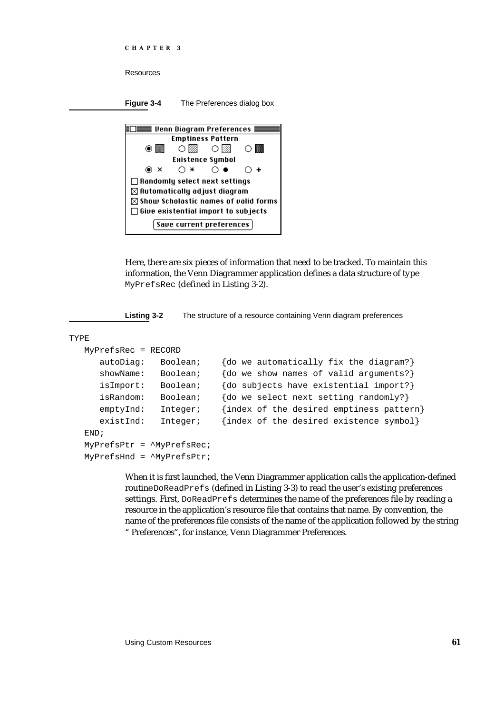```
CHAPTER 3
```
**Figure 3-4** The Preferences dialog box



Here, there are six pieces of information that need to be tracked. To maintain this information, the Venn Diagrammer application defines a data structure of type MyPrefsRec (defined in Listing 3-2).

**Listing 3-2** The structure of a resource containing Venn diagram preferences

```
TYPE
```

```
MyPrefsRec = RECORD
  autoDiag: Boolean; {do we automatically fix the diagram?}
  showName: Boolean; {do we show names of valid arguments?}
  isImport: Boolean; {do subjects have existential import?}
  isRandom: Boolean; {do we select next setting randomly?}
  emptyInd: Integer; {index of the desired emptiness pattern}
  existInd: Integer; {index of the desired existence symbol}
END;
MyPrefsPtr = ^MyPrefsRec;
MyPrefsHnd = ^MyPrefsPtr;
```
When it is first launched, the Venn Diagrammer application calls the application-defined routine DoReadPrefs (defined in Listing 3-3) to read the user's existing preferences settings. First, DoReadPrefs determines the name of the preferences file by reading a resource in the application's resource file that contains that name. By convention, the name of the preferences file consists of the name of the application followed by the string " Preferences", for instance, Venn Diagrammer Preferences.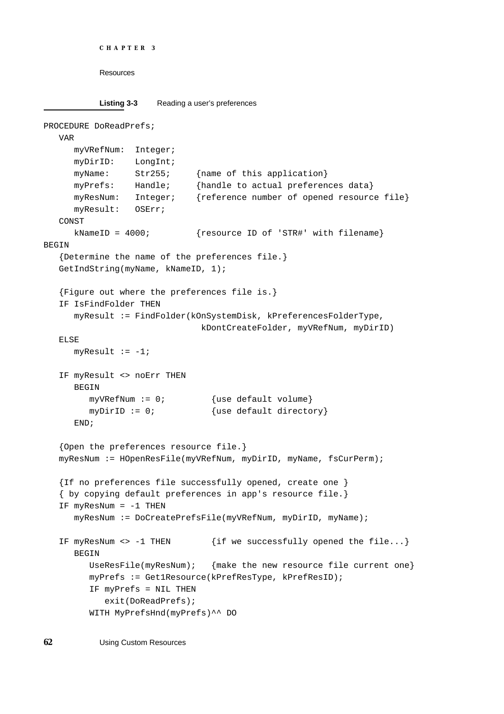```
CHAPTER 3
```

```
Listing 3-3 Reading a user's preferences
```

```
PROCEDURE DoReadPrefs;
  VAR
     myVRefNum: Integer;
     myDirID: LongInt;
     myName: Str255; {name of this application}
     myPrefs: Handle; {handle to actual preferences data}
     myResNum: Integer; {reference number of opened resource file}
     myResult: OSErr;
  CONST
     kNameID = 4000; {resource ID of 'STR#' with filename}
BEGIN
  {Determine the name of the preferences file.}
  GetIndString(myName, kNameID, 1);
  {Figure out where the preferences file is.}
  IF IsFindFolder THEN
     myResult := FindFolder(kOnSystemDisk, kPreferencesFolderType,
                              kDontCreateFolder, myVRefNum, myDirID)
  ELSE
     myResult := -1;IF myResult <> noErr THEN
     BEGIN
        myVRefNum := 0; {use default volume}
        myDirID := 0; \{use default directory\}END;
   {Open the preferences resource file.}
  myResNum := HOpenResFile(myVRefNum, myDirID, myName, fsCurPerm);
  {If no preferences file successfully opened, create one }
   { by copying default preferences in app's resource file.}
  IF myResNum = -1 THEN
     myResNum := DoCreatePrefsFile(myVRefNum, myDirID, myName);
  IF myResNum <> -1 THEN {if we successfully opened the file...}BEGIN
        UseResFile(myResNum); {make the new resource file current one}
        myPrefs := Get1Resource(kPrefResType, kPrefResID);
        IF myPrefs = NIL THEN
           exit(DoReadPrefs);
        WITH MyPrefsHnd(myPrefs)^^ DO
```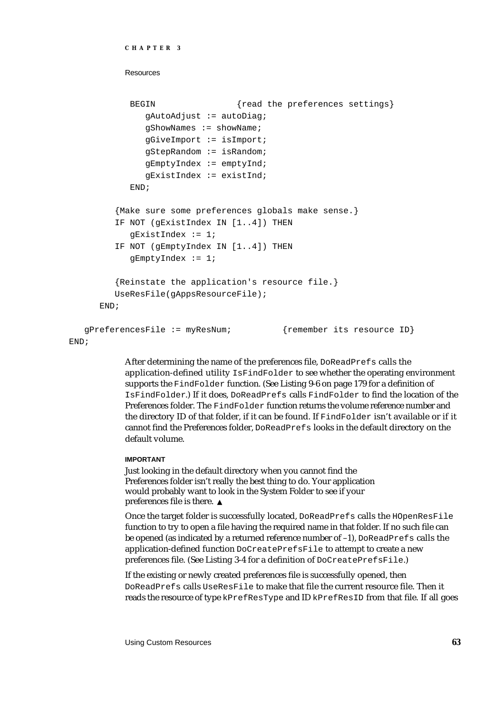```
CHAPTER 3
```

```
BEGIN {read the preferences settings}
           gAutoAdjust := autoDiag;
           qShowMames := showName;gGiveImport := isImport;
           gStepRandom := isRandom;
           gEmptyIndex := emptyInd;
           gExistIndex := existInd;
        END;
      {Make sure some preferences globals make sense.}
     IF NOT (gExistIndex IN [1..4]) THEN
        qExistIndex := 1;IF NOT (gEmptyIndex IN [1..4]) THEN
        qEmptyIndex := 1;{Reinstate the application's resource file.}
     UseResFile(gAppsResourceFile);
  END;
gPreferencesFile := myResNum; {remember its resource ID}
```
END;

After determining the name of the preferences file, DoReadPrefs calls the application-defined utility IsFindFolder to see whether the operating environment supports the FindFolder function. (See Listing 9-6 on page 179 for a definition of IsFindFolder.) If it does, DoReadPrefs calls FindFolder to find the location of the Preferences folder. The FindFolder function returns the volume reference number and the directory ID of that folder, if it can be found. If FindFolder isn't available or if it cannot find the Preferences folder, DoReadPrefs looks in the default directory on the default volume.

## **IMPORTANT**

Just looking in the default directory when you cannot find the Preferences folder isn't really the best thing to do. Your application would probably want to look in the System Folder to see if your preferences file is there.

Once the target folder is successfully located, DoReadPrefs calls the HOpenResFile function to try to open a file having the required name in that folder. If no such file can be opened (as indicated by a returned reference number of  $-1$ ), DoReadPrefs calls the application-defined function DoCreatePrefsFile to attempt to create a new preferences file. (See Listing 3-4 for a definition of DoCreatePrefsFile.)

If the existing or newly created preferences file is successfully opened, then DoReadPrefs calls UseResFile to make that file the current resource file. Then it reads the resource of type kPrefResType and ID kPrefResID from that file. If all goes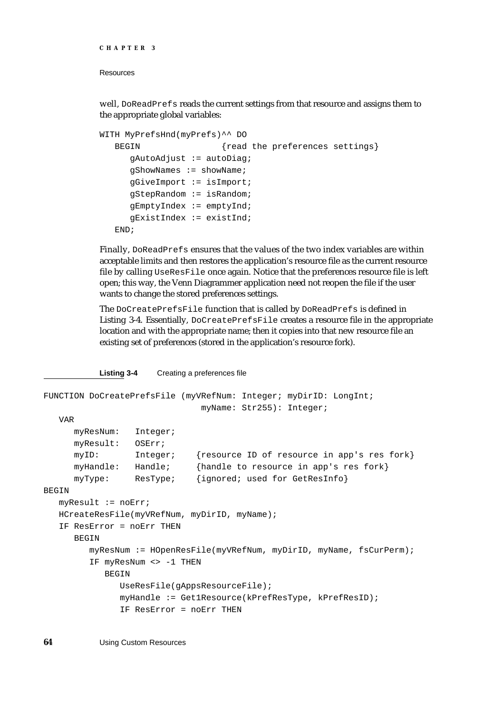## Resources

well, DoReadPrefs reads the current settings from that resource and assigns them to the appropriate global variables:

```
WITH MyPrefsHnd(myPrefs)^^ DO
  BEGIN {read the preferences settings}
     gAutoAdjust := autoDiag;
     gShowNames := showName;
     gGiveImport := isImport;
     gStepRandom := isRandom;
     gEmptyIndex := emptyInd;
     gExistIndex := existInd;
  END;
```
Finally, DoReadPrefs ensures that the values of the two index variables are within acceptable limits and then restores the application's resource file as the current resource file by calling UseResFile once again. Notice that the preferences resource file is left open; this way, the Venn Diagrammer application need not reopen the file if the user wants to change the stored preferences settings.

The DoCreatePrefsFile function that is called by DoReadPrefs is defined in Listing 3-4. Essentially, DoCreatePrefsFile creates a resource file in the appropriate location and with the appropriate name; then it copies into that new resource file an existing set of preferences (stored in the application's resource fork).

**Listing 3-4** Creating a preferences file FUNCTION DoCreatePrefsFile (myVRefNum: Integer; myDirID: LongInt; myName: Str255): Integer; VAR

```
myResNum: Integer;
myResult: OSErr;
myID: Integer; {resource ID of resource in app's res fork}
```

```
myHandle: Handle; {handle to resource in app's res fork}
     myType: ResType; {ignored; used for GetResInfo}
BEGIN
```

```
myResult := noErr;
HCreateResFile(myVRefNum, myDirID, myName);
```

```
IF ResError = noErr THEN
```

```
BEGIN
```

```
myResNum := HOpenResFile(myVRefNum, myDirID, myName, fsCurPerm);
IF myResNum <> -1 THEN
   BEGIN
      UseResFile(gAppsResourceFile);
      myHandle := Get1Resource(kPrefResType, kPrefResID);
```

```
IF ResError = noErr THEN
```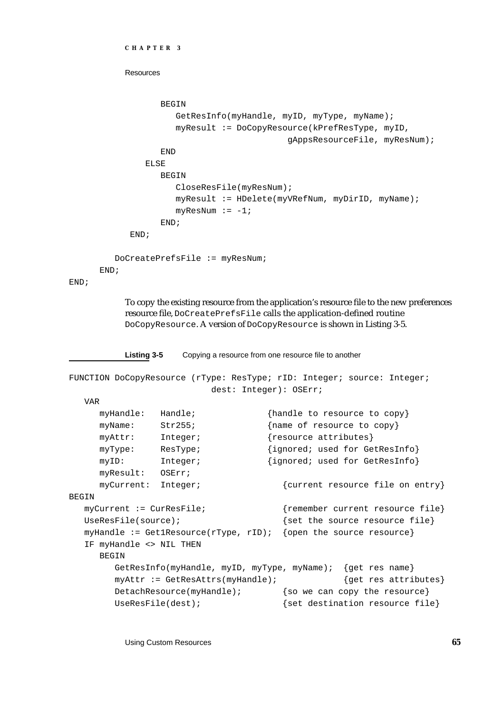```
CHAPTER 3
```

```
BEGIN
            GetResInfo(myHandle, myID, myType, myName);
            myResult := DoCopyResource(kPrefResType, myID,
                                    gAppsResourceFile, myResNum);
         END
      ELSE
         BEGIN
            CloseResFile(myResNum);
            myResult := HDelete(myVRefNum, myDirID, myName);
            myResNum := -1;END;
   END;
DoCreatePrefsFile := myResNum;
```
END;

END;

To copy the existing resource from the application's resource file to the new preferences resource file, DoCreatePrefsFile calls the application-defined routine DoCopyResource. A version of DoCopyResource is shown in Listing 3-5.

**Listing 3-5** Copying a resource from one resource file to another

```
FUNCTION DoCopyResource (rType: ResType; rID: Integer; source: Integer;
                         dest: Integer): OSErr;
  VAR
     myHandle: Handle; {handle to resource to copy}
     myName: Str255; {name of resource to copy}
     myAttr: Integer; {resource attributes}
     myType: ResType; {ignored; used for GetResInfo}
     myID: Integer; {\{ \text{ ignored; used for GetResInfo} \}}myResult: OSErr;
     myCurrent: Integer; {current resource file on entry}
BEGIN
  myCurrent := CurResFile; {remember current resource file}
  UseResFile(source); \{set \{set the source resource file\}myHandle := Get1Resource(rType, rID); {open the source resource}
  IF myHandle <> NIL THEN
     BEGIN
       GetResInfo(myHandle, myID, myType, myName); {get res name}
       myAttr := GetResAttrs(myHandle); {get res attributes}
       DetachResource(myHandle); {so we can copy the resource}
       UseResFile(dest); \{set fet destination resource file}
```
Using Custom Resources **65**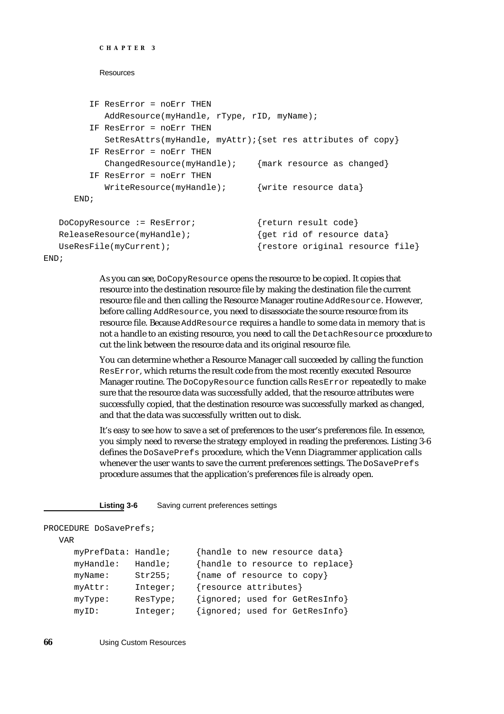```
CHAPTER 3
```

```
IF ResError = noErr THEN
        AddResource(myHandle, rType, rID, myName);
     IF ResError = noErr THEN
        SetResAttrs(myHandle, myAttr);{set res attributes of copy}
     IF ResError = noErr THEN
        ChangedResource(myHandle); {maxk resource as changed}
     IF ResError = noErr THEN
        WriteResource(myHandle); \{write resource data}
  END;
DoCopyResource := ResError; {return result code}
ReleaseResource(myHandle); <br> \{ qet rid of resource data}
UseResFile(myCurrent); {r} {restore original resource file}
```
END;

As you can see, DoCopyResource opens the resource to be copied. It copies that resource into the destination resource file by making the destination file the current resource file and then calling the Resource Manager routine AddResource. However, before calling AddResource, you need to disassociate the source resource from its resource file. Because AddResource requires a handle to some data in memory that is not a handle to an existing resource, you need to call the DetachResource procedure to cut the link between the resource data and its original resource file.

You can determine whether a Resource Manager call succeeded by calling the function ResError, which returns the result code from the most recently executed Resource Manager routine. The DoCopyResource function calls ResError repeatedly to make sure that the resource data was successfully added, that the resource attributes were successfully copied, that the destination resource was successfully marked as changed, and that the data was successfully written out to disk.

It's easy to see how to save a set of preferences to the user's preferences file. In essence, you simply need to reverse the strategy employed in reading the preferences. Listing 3-6 defines the DoSavePrefs procedure, which the Venn Diagrammer application calls whenever the user wants to save the current preferences settings. The DoSavePrefs procedure assumes that the application's preferences file is already open.

**Listing 3-6** Saving current preferences settings

```
PROCEDURE DoSavePrefs;
  VAR
```

```
myPrefData: Handle; {handle to new resource data}
myHandle: Handle; {handle to resource to replace}
myName: Str255; {name of resource to copy}
myAttr: Integer; {resource attributes}
myType: ResType; {ignored; used for GetResInfo}
myID: Integer; {ignored; used for GetResInfo}
```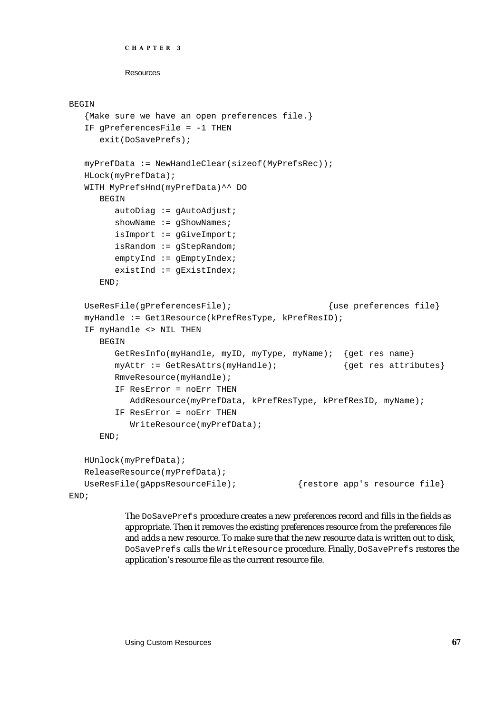```
CHAPTER 3
```

```
BEGIN
```

```
{Make sure we have an open preferences file.}
  IF gPreferencesFile = -1 THEN
     exit(DoSavePrefs);
  myPrefData := NewHandleClear(sizeof(MyPrefsRec));
  HLock(myPrefData);
  WITH MyPrefsHnd(myPrefData)^^ DO
     BEGIN
        autobiag := gAutodjust;showName := gShowNames;
        isImport := gGiveImport;
        isRandom := gStepRandom;
        emptyInd := gEmptyIndex;
        existInd := gExistIndex;
     END;
  UseResFile(qPreferencesFile); {use preferences file}myHandle := Get1Resource(kPrefResType, kPrefResID);
  IF myHandle <> NIL THEN
     BEGIN
        GetResInfo(myHandle, myID, myType, myName); {get res name}
        myAttr := GetResAttrs(myHandle); {get res attributes}
        RmveResource(myHandle);
        IF ResError = noErr THEN
           AddResource(myPrefData, kPrefResType, kPrefResID, myName);
        IF ResError = noErr THEN
           WriteResource(myPrefData);
     END;
  HUnlock(myPrefData);
  ReleaseResource(myPrefData);
  UseResFile(gAppsResourceFile); {r} {restore app's resource file}
END;
```
The DoSavePrefs procedure creates a new preferences record and fills in the fields as appropriate. Then it removes the existing preferences resource from the preferences file and adds a new resource. To make sure that the new resource data is written out to disk, DoSavePrefs calls the WriteResource procedure. Finally, DoSavePrefs restores the application's resource file as the current resource file.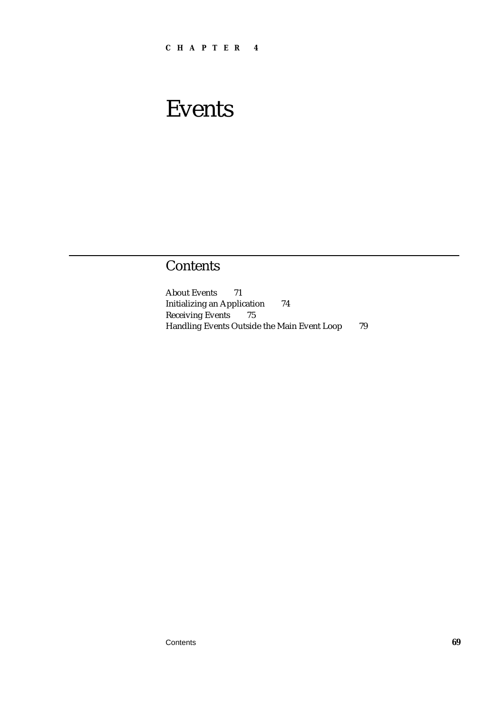# **Contents**

About Events 71 Initializing an Application 74 Receiving Events 75 Handling Events Outside the Main Event Loop 79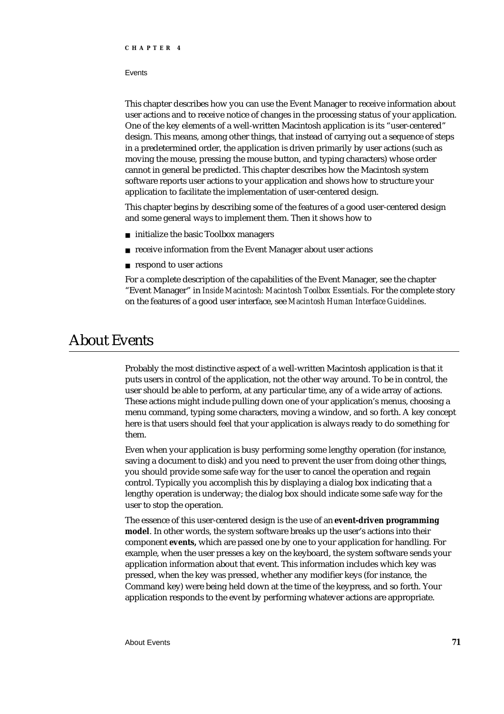#### **Events**

This chapter describes how you can use the Event Manager to receive information about user actions and to receive notice of changes in the processing status of your application. One of the key elements of a well-written Macintosh application is its "user-centered" design. This means, among other things, that instead of carrying out a sequence of steps in a predetermined order, the application is driven primarily by user actions (such as moving the mouse, pressing the mouse button, and typing characters) whose order cannot in general be predicted. This chapter describes how the Macintosh system software reports user actions to your application and shows how to structure your application to facilitate the implementation of user-centered design.

This chapter begins by describing some of the features of a good user-centered design and some general ways to implement them. Then it shows how to

- initialize the basic Toolbox managers
- n receive information from the Event Manager about user actions
- n respond to user actions

For a complete description of the capabilities of the Event Manager, see the chapter "Event Manager" in *Inside Macintosh: Macintosh Toolbox Essentials*. For the complete story on the features of a good user interface, see *Macintosh Human Interface Guidelines*.

# About Events

Probably the most distinctive aspect of a well-written Macintosh application is that it puts users in control of the application, not the other way around. To be in control, the user should be able to perform, at any particular time, any of a wide array of actions. These actions might include pulling down one of your application's menus, choosing a menu command, typing some characters, moving a window, and so forth. A key concept here is that users should feel that your application is always ready to do something for them.

Even when your application is busy performing some lengthy operation (for instance, saving a document to disk) and you need to prevent the user from doing other things, you should provide some safe way for the user to cancel the operation and regain control. Typically you accomplish this by displaying a dialog box indicating that a lengthy operation is underway; the dialog box should indicate some safe way for the user to stop the operation.

The essence of this user-centered design is the use of an **event-driven programming model**. In other words, the system software breaks up the user's actions into their component **events,** which are passed one by one to your application for handling. For example, when the user presses a key on the keyboard, the system software sends your application information about that event. This information includes which key was pressed, when the key was pressed, whether any modifier keys (for instance, the Command key) were being held down at the time of the keypress, and so forth. Your application responds to the event by performing whatever actions are appropriate.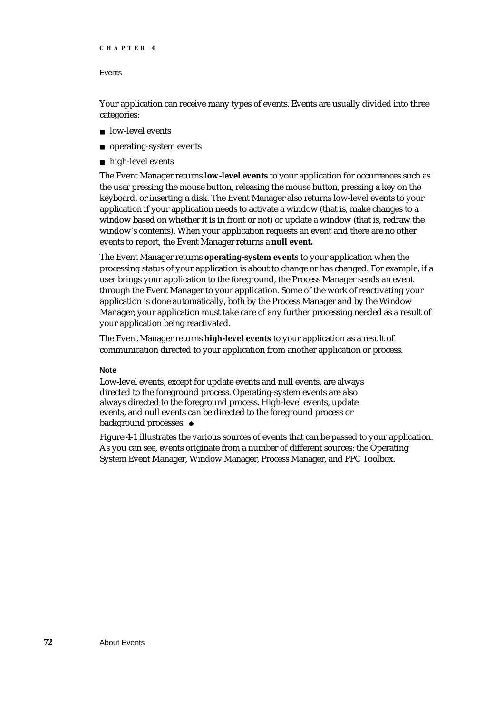```
CHAPTER 4
```
Your application can receive many types of events. Events are usually divided into three categories:

- n low-level events
- operating-system events
- high-level events

The Event Manager returns **low-level events** to your application for occurrences such as the user pressing the mouse button, releasing the mouse button, pressing a key on the keyboard, or inserting a disk. The Event Manager also returns low-level events to your application if your application needs to activate a window (that is, make changes to a window based on whether it is in front or not) or update a window (that is, redraw the window's contents). When your application requests an event and there are no other events to report, the Event Manager returns a **null event.**

The Event Manager returns **operating-system events** to your application when the processing status of your application is about to change or has changed. For example, if a user brings your application to the foreground, the Process Manager sends an event through the Event Manager to your application. Some of the work of reactivating your application is done automatically, both by the Process Manager and by the Window Manager; your application must take care of any further processing needed as a result of your application being reactivated.

The Event Manager returns **high-level events** to your application as a result of communication directed to your application from another application or process.

## **Note**

Low-level events, except for update events and null events, are always directed to the foreground process. Operating-system events are also always directed to the foreground process. High-level events, update events, and null events can be directed to the foreground process or background processes.

Figure 4-1 illustrates the various sources of events that can be passed to your application. As you can see, events originate from a number of different sources: the Operating System Event Manager, Window Manager, Process Manager, and PPC Toolbox.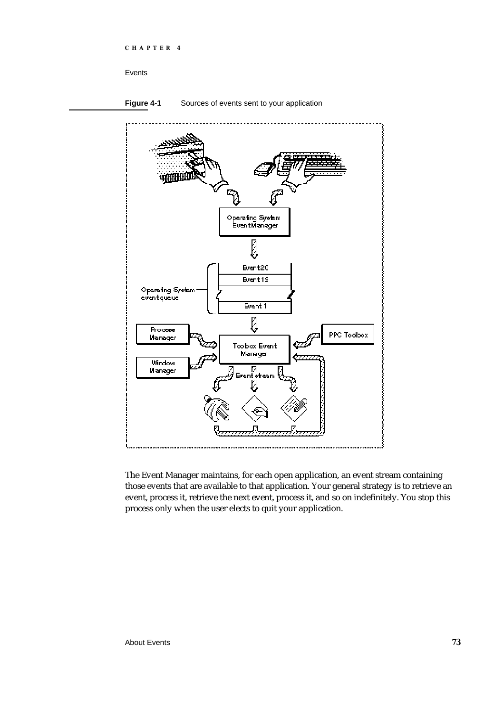**Figure 4-1** Sources of events sent to your application



The Event Manager maintains, for each open application, an event stream containing those events that are available to that application. Your general strategy is to retrieve an event, process it, retrieve the next event, process it, and so on indefinitely. You stop this process only when the user elects to quit your application.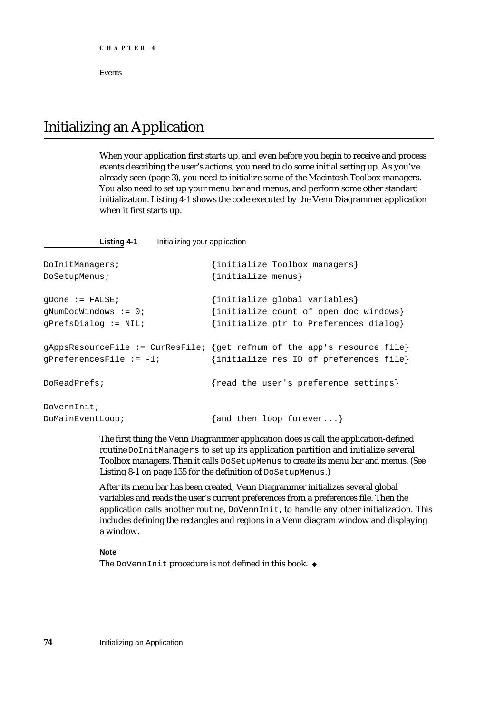# Initializing an Application

When your application first starts up, and even before you begin to receive and process events describing the user's actions, you need to do some initial setting up. As you've already seen (page 3), you need to initialize some of the Macintosh Toolbox managers. You also need to set up your menu bar and menus, and perform some other standard initialization. Listing 4-1 shows the code executed by the Venn Diagrammer application when it first starts up.

**Listing 4-1** Initializing your application

```
DoInitManagers; {initialize Toolbox managers}
DoSetupMenus; {initialize menus}
gDone := FALSE; {initialize global variables}
gNumDocWindows := 0; {initialize count of open doc windows}
gPrefsDialog := NIL; {initialize ptr to Preferences dialog}
gAppsResourceFile := CurResFile; {get refnum of the app's resource file}
gPreferencesFile := -1; \{initialize res ID of preferences file\}DoReadPrefs; {r} and the user's preference settings}
DoVennInit;
DoMainEventLoop; {and then loop for every ...}
```
The first thing the Venn Diagrammer application does is call the application-defined routine DoInitManagers to set up its application partition and initialize several Toolbox managers. Then it calls DoSetupMenus to create its menu bar and menus. (See Listing 8-1 on page 155 for the definition of DoSetupMenus.)

After its menu bar has been created, Venn Diagrammer initializes several global variables and reads the user's current preferences from a preferences file. Then the application calls another routine, DoVennInit, to handle any other initialization. This includes defining the rectangles and regions in a Venn diagram window and displaying a window.

**Note**

The DoVennInit procedure is not defined in this book. u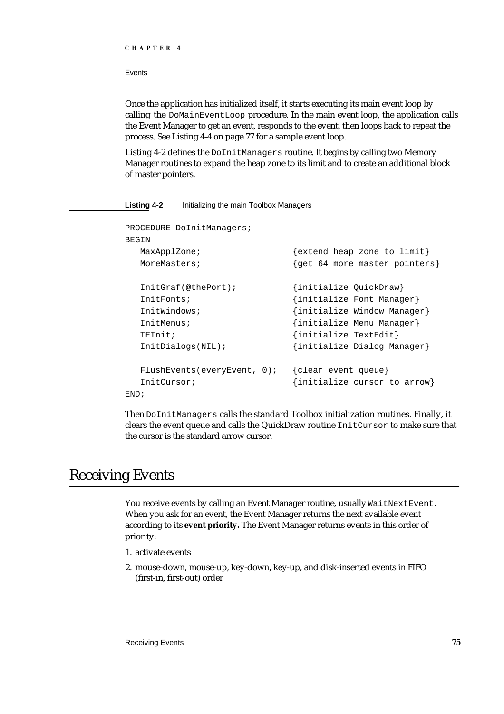Once the application has initialized itself, it starts executing its main event loop by calling the DoMainEventLoop procedure. In the main event loop, the application calls the Event Manager to get an event, responds to the event, then loops back to repeat the process. See Listing 4-4 on page 77 for a sample event loop.

Listing 4-2 defines the DoInitManagers routine. It begins by calling two Memory Manager routines to expand the heap zone to its limit and to create an additional block of master pointers.

## **Listing 4-2** Initializing the main Toolbox Managers

| PROCEDURE DoInitManagers;   |                                 |
|-----------------------------|---------------------------------|
| BEGIN                       |                                 |
| MaxApplZone;                | $\{extend heap zone to limit\}$ |
| MoreMasters;                | {get 64 more master pointers}   |
| InitGraf(@thePort);         | {initialize QuickDraw}          |
| InitFonts;                  | {initialize Font Manager}       |
| InitWindows;                | {initialize Window Manager}     |
| InitMenus;                  | {initialize Menu Manager}       |
| TEInit;                     | {initialize TextEdit}           |
| InitDialogs(NIL);           | {initialize Dialog Manager}     |
| FlushEvents(everyEvent, 0); | {clear event queue}             |
| InitCursor;                 | {initialize cursor to arrow}    |
| END;                        |                                 |

Then DoInitManagers calls the standard Toolbox initialization routines. Finally, it clears the event queue and calls the QuickDraw routine InitCursor to make sure that the cursor is the standard arrow cursor.

# Receiving Events

You receive events by calling an Event Manager routine, usually WaitNextEvent. When you ask for an event, the Event Manager returns the next available event according to its **event priority.** The Event Manager returns events in this order of priority:

- 1. activate events
- 2. mouse-down, mouse-up, key-down, key-up, and disk-inserted events in FIFO (first-in, first-out) order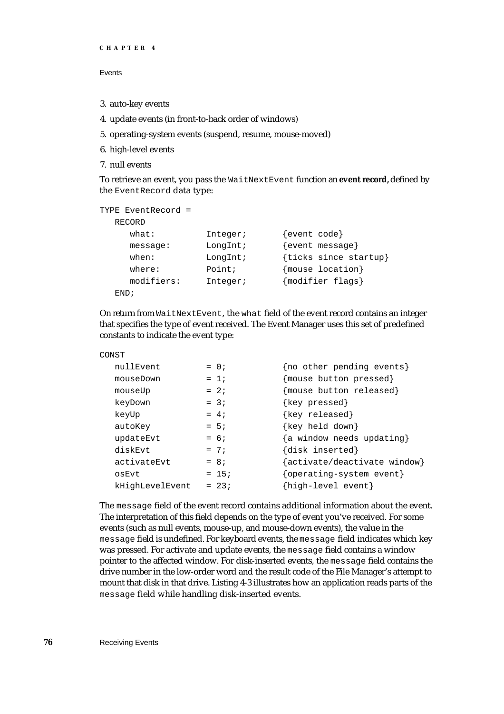```
CHAPTER 4
```
- 3. auto-key events
- 4. update events (in front-to-back order of windows)
- 5. operating-system events (suspend, resume, mouse-moved)
- 6. high-level events
- 7. null events

To retrieve an event, you pass the WaitNextEvent function an **event record,** defined by the EventRecord data type:

```
TYPE EventRecord =
```

```
RECORD
  what: Integer; {event code}
  message: LongInt; {event message}
  when: LongInt; {ticks since startup}
  where: Point; {mouse location}
  modifiers: Integer; {modifier flags}
END;
```
On return from WaitNextEvent, the what field of the event record contains an integer that specifies the type of event received. The Event Manager uses this set of predefined constants to indicate the event type:

```
CONST
```

| nullEvent       | $= 0$ ; | {no other pending events}    |
|-----------------|---------|------------------------------|
| mouseDown       | $= 1i$  | {mouse button pressed}       |
| mouseUp         | $= 2i$  | {mouse button released}      |
| keyDown         | $= 3i$  | {key pressed}                |
| keyUp           | $= 4;$  | {key released}               |
| autoKey         | $= 5i$  | {key held down}              |
| updateEvt       | $= 6i$  | {a window needs updating}    |
| diskEvt         | $= 7i$  | {disk inserted}              |
| activateEvt     | $= 8i$  | {activate/deactivate window} |
| osEvt           | $= 15;$ | {operating-system event}     |
| kHighLevelEvent | $= 23i$ | {high-level event}           |
|                 |         |                              |

The message field of the event record contains additional information about the event. The interpretation of this field depends on the type of event you've received. For some events (such as null events, mouse-up, and mouse-down events), the value in the message field is undefined. For keyboard events, the message field indicates which key was pressed. For activate and update events, the message field contains a window pointer to the affected window. For disk-inserted events, the message field contains the drive number in the low-order word and the result code of the File Manager's attempt to mount that disk in that drive. Listing 4-3 illustrates how an application reads parts of the message field while handling disk-inserted events.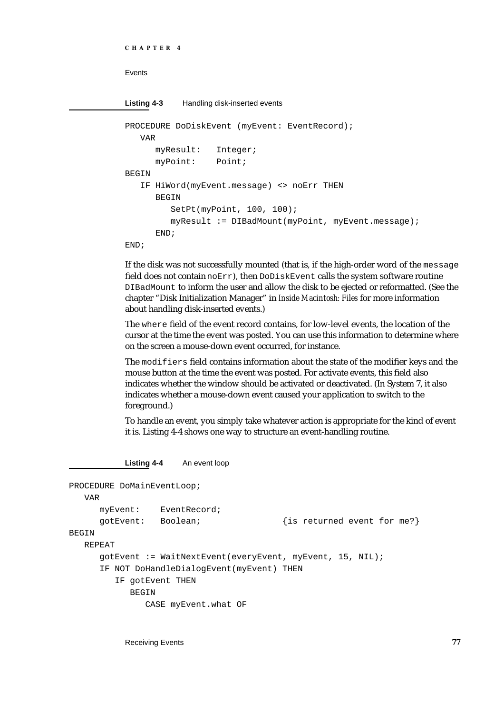**Listing 4-3** Handling disk-inserted events PROCEDURE DoDiskEvent (myEvent: EventRecord); VAR myResult: Integer; myPoint: Point; **BEGIN** IF HiWord(myEvent.message) <> noErr THEN BEGIN SetPt(myPoint, 100, 100); myResult := DIBadMount(myPoint, myEvent.message);

END;

END;

If the disk was not successfully mounted (that is, if the high-order word of the message field does not contain  $noErr$ ), then  $DoDiskEvent$  calls the system software routine DIBadMount to inform the user and allow the disk to be ejected or reformatted. (See the chapter "Disk Initialization Manager" in *Inside Macintosh: Files* for more information about handling disk-inserted events.)

The where field of the event record contains, for low-level events, the location of the cursor at the time the event was posted. You can use this information to determine where on the screen a mouse-down event occurred, for instance.

The modifiers field contains information about the state of the modifier keys and the mouse button at the time the event was posted. For activate events, this field also indicates whether the window should be activated or deactivated. (In System 7, it also indicates whether a mouse-down event caused your application to switch to the foreground.)

To handle an event, you simply take whatever action is appropriate for the kind of event it is. Listing 4-4 shows one way to structure an event-handling routine.

**Listing 4-4** An event loop

```
PROCEDURE DoMainEventLoop;
  VAR
     myEvent: EventRecord;
     gotEvent: Boolean; {is returned event for me?}
BEGIN
  REPEAT
     gotEvent := WaitNextEvent(everyEvent, myEvent, 15, NIL);
     IF NOT DoHandleDialogEvent(myEvent) THEN
        IF gotEvent THEN
           BEGIN
              CASE myEvent.what OF
```
Receiving Events **77**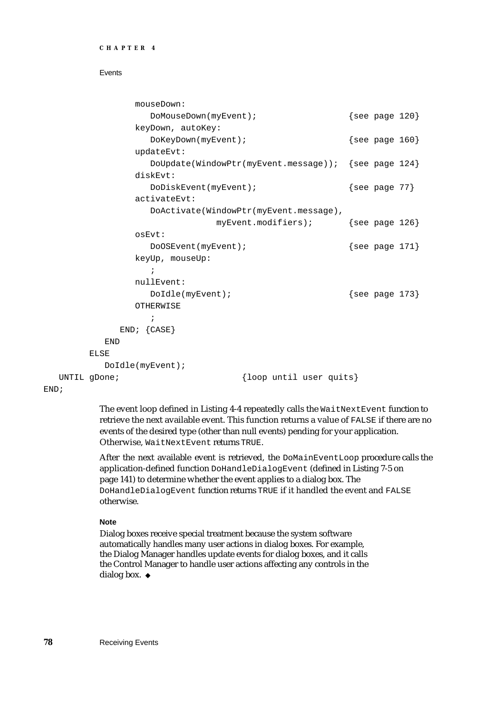```
CHAPTER 4
```

```
mouseDown: 
               DoMouseDown(myEvent); \{see page 120\}keyDown, autoKey: 
               DoKeyDown(myEvent); \{see page 160\}updateEvt: 
               DoUpdate(WindowPtr(myEvent.message)); {see page 124}
             diskEvt: 
               DoDiskEvent(myEvent); \{see page 77\}activateEvt: 
               DoActivate(WindowPtr(myEvent.message),
                           myEvent.modifiers); {see page 126}
             osEvt: 
               DoOSEvent(myEvent); {see} page 171}
             keyUp, mouseUp: 
               ;
             nullEvent: 
               DoIdle(myEvent); \{ See page 173}
             OTHERWISE
               ;
          END; {CASE}
       END
     ELSE<sup>T</sup>
       DoIdle(myEvent);
UNTIL gDone; \{loop until user quite}\}
```
END;

The event loop defined in Listing 4-4 repeatedly calls the WaitNextEvent function to retrieve the next available event. This function returns a value of FALSE if there are no events of the desired type (other than null events) pending for your application. Otherwise, WaitNextEvent returns TRUE.

After the next available event is retrieved, the DoMainEventLoop procedure calls the application-defined function DoHandleDialogEvent (defined in Listing 7-5 on page 141) to determine whether the event applies to a dialog box. The DoHandleDialogEvent function returns TRUE if it handled the event and FALSE otherwise.

## **Note**

Dialog boxes receive special treatment because the system software automatically handles many user actions in dialog boxes. For example, the Dialog Manager handles update events for dialog boxes, and it calls the Control Manager to handle user actions affecting any controls in the dialog box. u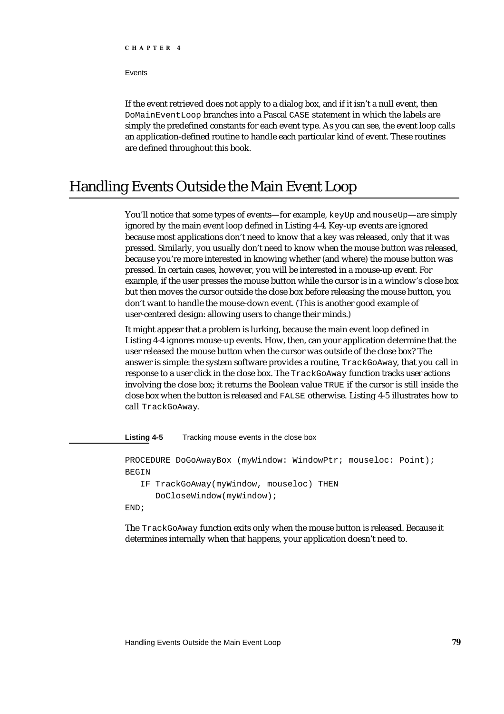**Events** 

If the event retrieved does not apply to a dialog box, and if it isn't a null event, then DoMainEventLoop branches into a Pascal CASE statement in which the labels are simply the predefined constants for each event type. As you can see, the event loop calls an application-defined routine to handle each particular kind of event. These routines are defined throughout this book.

# Handling Events Outside the Main Event Loop

You'll notice that some types of events—for example, keyUp and mouseUp—are simply ignored by the main event loop defined in Listing 4-4. Key-up events are ignored because most applications don't need to know that a key was released, only that it was pressed. Similarly, you usually don't need to know when the mouse button was released, because you're more interested in knowing whether (and where) the mouse button was pressed. In certain cases, however, you will be interested in a mouse-up event. For example, if the user presses the mouse button while the cursor is in a window's close box but then moves the cursor outside the close box before releasing the mouse button, you don't want to handle the mouse-down event. (This is another good example of user-centered design: allowing users to change their minds.)

It might appear that a problem is lurking, because the main event loop defined in Listing 4-4 ignores mouse-up events. How, then, can your application determine that the user released the mouse button when the cursor was outside of the close box? The answer is simple: the system software provides a routine, TrackGoAway, that you call in response to a user click in the close box. The TrackGoAway function tracks user actions involving the close box; it returns the Boolean value TRUE if the cursor is still inside the close box when the button is released and FALSE otherwise. Listing 4-5 illustrates how to call TrackGoAway.

**Listing 4-5** Tracking mouse events in the close box

PROCEDURE DoGoAwayBox (myWindow: WindowPtr; mouseloc: Point); **BEGIN** IF TrackGoAway(myWindow, mouseloc) THEN DoCloseWindow(myWindow); END;

The TrackGoAway function exits only when the mouse button is released. Because it determines internally when that happens, your application doesn't need to.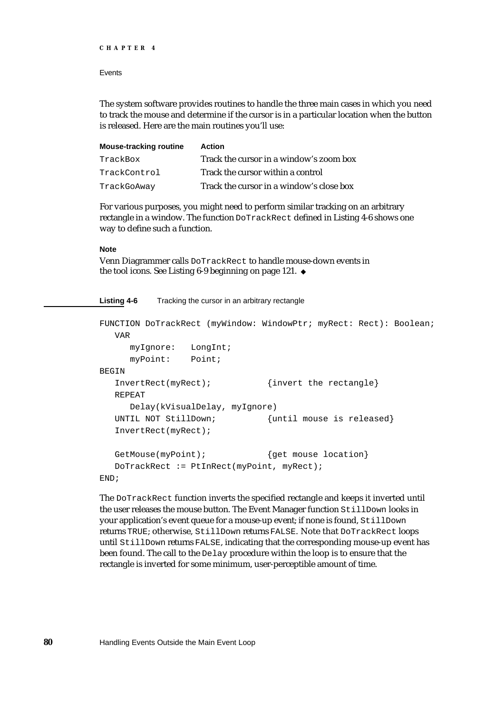```
CHAPTER 4
```
The system software provides routines to handle the three main cases in which you need to track the mouse and determine if the cursor is in a particular location when the button is released. Here are the main routines you'll use:

| <b>Mouse-tracking routine</b> | <b>Action</b>                            |
|-------------------------------|------------------------------------------|
| TrackBox                      | Track the cursor in a window's zoom box  |
| TrackControl                  | Track the cursor within a control        |
| TrackGoAway                   | Track the cursor in a window's close box |

For various purposes, you might need to perform similar tracking on an arbitrary rectangle in a window. The function DoTrackRect defined in Listing 4-6 shows one way to define such a function.

## **Note**

Venn Diagrammer calls DoTrackRect to handle mouse-down events in the tool icons. See Listing 6-9 beginning on page 121.

**Listing 4-6** Tracking the cursor in an arbitrary rectangle

```
FUNCTION DoTrackRect (myWindow: WindowPtr; myRect: Rect): Boolean;
  VAR
     myIgnore: LongInt;
     myPoint: Point;
BEGIN
  InvertRect(myRect); {invert the rectangle}
  REPEAT
     Delay(kVisualDelay, myIgnore)
  UNTIL NOT StillDown; {until mouse is released}InvertRect(myRect);
  GetMouse(myPoint); { {get mouse location}DoTrackRect := PtInRect(myPoint, myRect);
END;
```
The DoTrackRect function inverts the specified rectangle and keeps it inverted until the user releases the mouse button. The Event Manager function StillDown looks in your application's event queue for a mouse-up event; if none is found, StillDown returns TRUE; otherwise, StillDown returns FALSE. Note that DoTrackRect loops until StillDown returns FALSE, indicating that the corresponding mouse-up event has been found. The call to the Delay procedure within the loop is to ensure that the rectangle is inverted for some minimum, user-perceptible amount of time.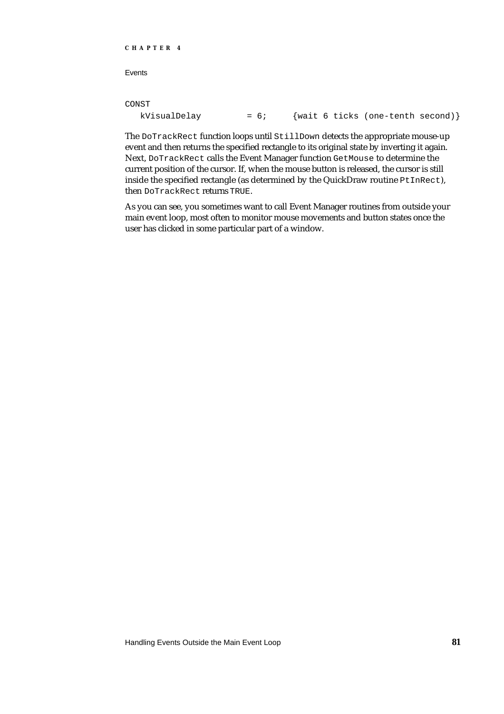## CONST

| kVisualDelay | $= 6:$ |  |  | {wait 6 ticks (one-tenth second)} |  |
|--------------|--------|--|--|-----------------------------------|--|
|--------------|--------|--|--|-----------------------------------|--|

The DoTrackRect function loops until StillDown detects the appropriate mouse-up event and then returns the specified rectangle to its original state by inverting it again. Next, DoTrackRect calls the Event Manager function GetMouse to determine the current position of the cursor. If, when the mouse button is released, the cursor is still inside the specified rectangle (as determined by the QuickDraw routine PtInRect), then DoTrackRect returns TRUE.

As you can see, you sometimes want to call Event Manager routines from outside your main event loop, most often to monitor mouse movements and button states once the user has clicked in some particular part of a window.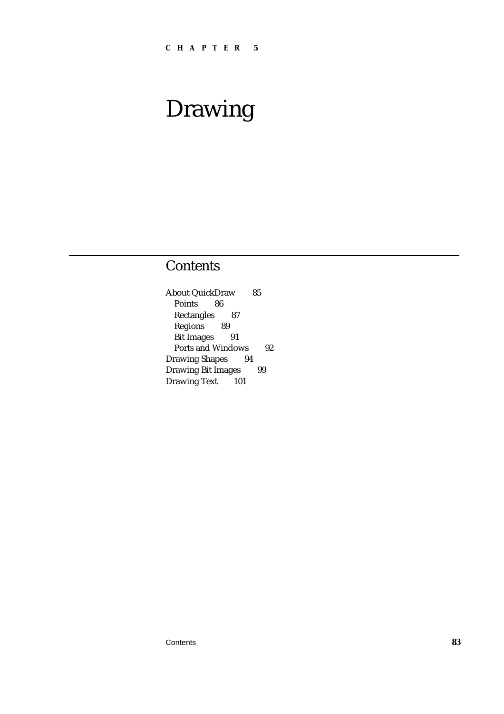# Drawing

# **Contents**

About QuickDraw 85 Points 86 Rectangles 87 Regions 89 Bit Images 91 Ports and Windows 92 Drawing Shapes 94 Drawing Bit Images 99 Drawing Text 101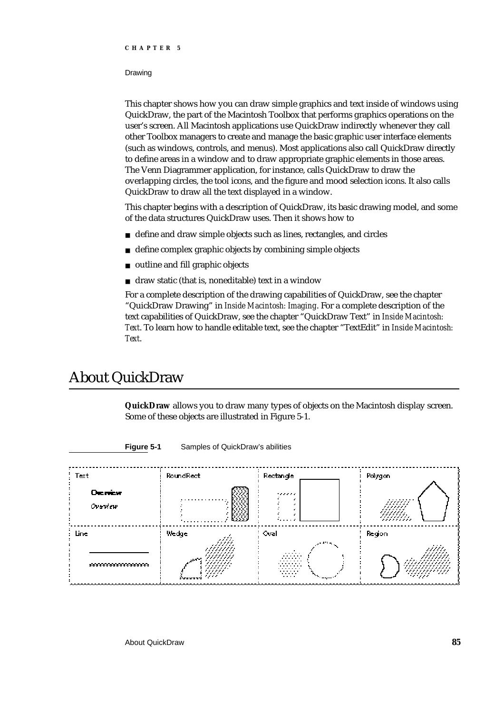## Drawing

This chapter shows how you can draw simple graphics and text inside of windows using QuickDraw, the part of the Macintosh Toolbox that performs graphics operations on the user's screen. All Macintosh applications use QuickDraw indirectly whenever they call other Toolbox managers to create and manage the basic graphic user interface elements (such as windows, controls, and menus). Most applications also call QuickDraw directly to define areas in a window and to draw appropriate graphic elements in those areas. The Venn Diagrammer application, for instance, calls QuickDraw to draw the overlapping circles, the tool icons, and the figure and mood selection icons. It also calls QuickDraw to draw all the text displayed in a window.

This chapter begins with a description of QuickDraw, its basic drawing model, and some of the data structures QuickDraw uses. Then it shows how to

- define and draw simple objects such as lines, rectangles, and circles
- define complex graphic objects by combining simple objects  $\overline{p}$
- outline and fill graphic objects  $\overline{p}$
- draw static (that is, noneditable) text in a window n.

For a complete description of the drawing capabilities of QuickDraw, see the chapter "QuickDraw Drawing" in *Inside Macintosh: Imaging*. For a complete description of the text capabilities of QuickDraw, see the chapter "QuickDraw Text" in *Inside Macintosh: Text*. To learn how to handle editable text, see the chapter "TextEdit" in *Inside Macintosh: Text*.

# About QuickDraw

**QuickDraw** allows you to draw many types of objects on the Macintosh display screen. Some of these objects are illustrated in Figure 5-1.



**Figure 5-1** Samples of QuickDraw's abilities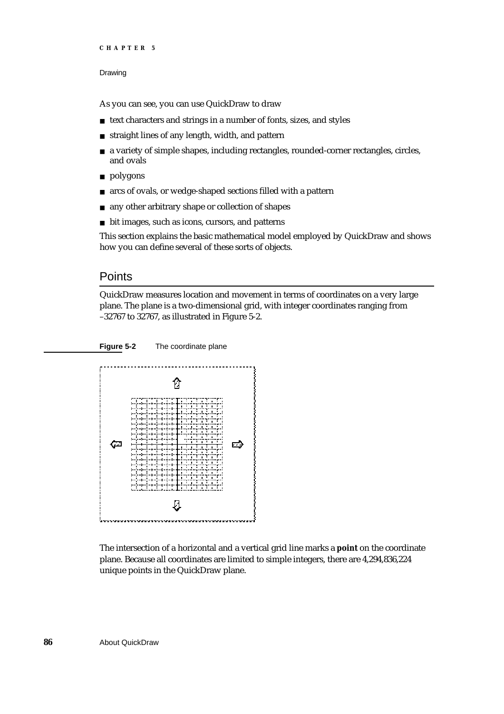```
CHAPTER 5
```
## Drawing

As you can see, you can use QuickDraw to draw

- n text characters and strings in a number of fonts, sizes, and styles
- straight lines of any length, width, and pattern
- a variety of simple shapes, including rectangles, rounded-corner rectangles, circles, and ovals
- n polygons
- arcs of ovals, or wedge-shaped sections filled with a pattern  $n$
- any other arbitrary shape or collection of shapes  $\overline{p}$
- bit images, such as icons, cursors, and patterns

This section explains the basic mathematical model employed by QuickDraw and shows how you can define several of these sorts of objects.

## **Points**

QuickDraw measures location and movement in terms of coordinates on a very large plane. The plane is a two-dimensional grid, with integer coordinates ranging from –32767 to 32767, as illustrated in Figure 5-2.

### **Figure 5-2** The coordinate plane



The intersection of a horizontal and a vertical grid line marks a **point** on the coordinate plane. Because all coordinates are limited to simple integers, there are 4,294,836,224 unique points in the QuickDraw plane.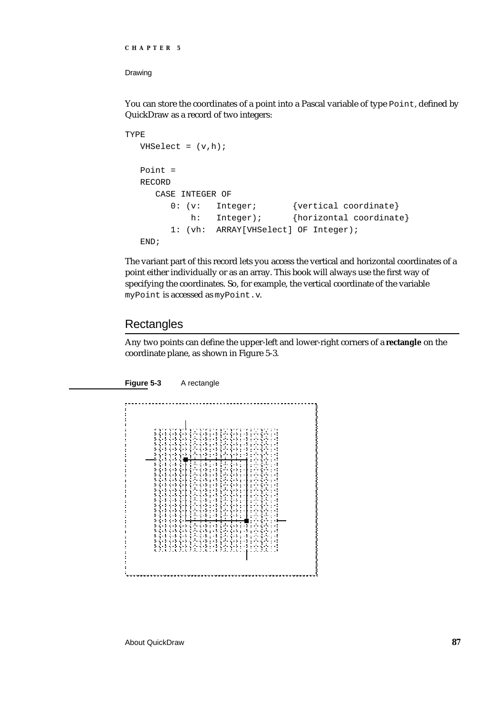## Drawing

You can store the coordinates of a point into a Pascal variable of type Point, defined by QuickDraw as a record of two integers:

```
TYPE
  VHSelect = (v,h);
  Point =
  RECORD
     CASE INTEGER OF
        0: (v: Integer; {vertical coordinate}
            h: Integer); {horizontal coordinate}
        1: (vh: ARRAY[VHSelect] OF Integer);
  END;
```
The variant part of this record lets you access the vertical and horizontal coordinates of a point either individually or as an array. This book will always use the first way of specifying the coordinates. So, for example, the vertical coordinate of the variable myPoint is accessed as myPoint.v.

## **Rectangles**

Any two points can define the upper-left and lower-right corners of a **rectangle** on the coordinate plane, as shown in Figure 5-3.



**Figure 5-3** A rectangle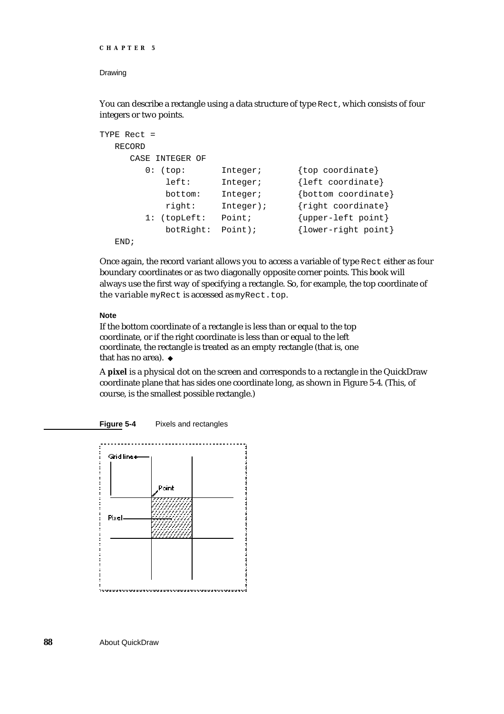```
CHAPTER 5
```
## Drawing

You can describe a rectangle using a data structure of type Rect, which consists of four integers or two points.

```
TYPE Rect =
  RECORD
    CASE INTEGER OF
       0: (top: Integer; {top coordinate}
           left: Integer; {left coordinate}
           bottom: Integer; {bottom coordinate}
           right: Integer); {right coordinate}
       1: (topLeft: Point; {upper-left point}
           botRight: Point); {lower-right point}
  END;
```
Once again, the record variant allows you to access a variable of type Rect either as four boundary coordinates or as two diagonally opposite corner points. This book will always use the first way of specifying a rectangle. So, for example, the top coordinate of the variable myRect is accessed as myRect.top.

## **Note**

If the bottom coordinate of a rectangle is less than or equal to the top coordinate, or if the right coordinate is less than or equal to the left coordinate, the rectangle is treated as an empty rectangle (that is, one that has no area). u

A **pixel** is a physical dot on the screen and corresponds to a rectangle in the QuickDraw coordinate plane that has sides one coordinate long, as shown in Figure 5-4. (This, of course, is the smallest possible rectangle.)



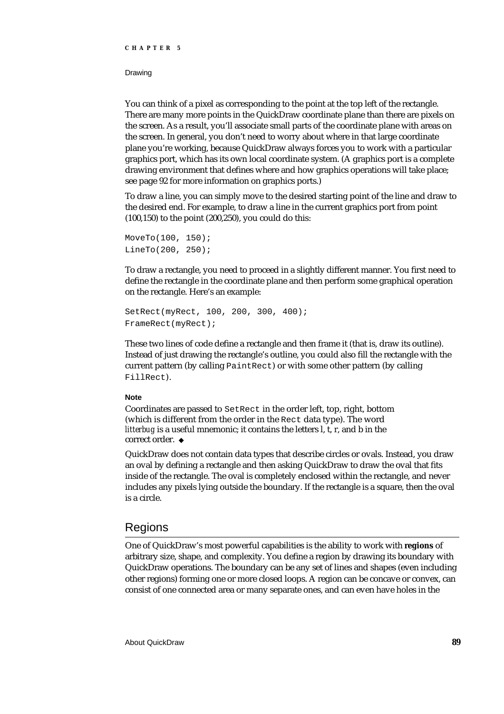## Drawing

You can think of a pixel as corresponding to the point at the top left of the rectangle. There are many more points in the QuickDraw coordinate plane than there are pixels on the screen. As a result, you'll associate small parts of the coordinate plane with areas on the screen. In general, you don't need to worry about where in that large coordinate plane you're working, because QuickDraw always forces you to work with a particular graphics port, which has its own local coordinate system. (A graphics port is a complete drawing environment that defines where and how graphics operations will take place; see page 92 for more information on graphics ports.)

To draw a line, you can simply move to the desired starting point of the line and draw to the desired end. For example, to draw a line in the current graphics port from point (100,150) to the point (200,250), you could do this:

```
MoveTo(100, 150);
LineTo(200, 250);
```
To draw a rectangle, you need to proceed in a slightly different manner. You first need to define the rectangle in the coordinate plane and then perform some graphical operation on the rectangle. Here's an example:

```
SetRect(myRect, 100, 200, 300, 400);
FrameRect(myRect);
```
These two lines of code define a rectangle and then frame it (that is, draw its outline). Instead of just drawing the rectangle's outline, you could also fill the rectangle with the current pattern (by calling PaintRect) or with some other pattern (by calling FillRect).

## **Note**

Coordinates are passed to SetRect in the order left, top, right, bottom (which is different from the order in the Rect data type). The word *litterbug* is a useful mnemonic; it contains the letters l, t, r, and b in the correct order. u

QuickDraw does not contain data types that describe circles or ovals. Instead, you draw an oval by defining a rectangle and then asking QuickDraw to draw the oval that fits inside of the rectangle. The oval is completely enclosed within the rectangle, and never includes any pixels lying outside the boundary. If the rectangle is a square, then the oval is a circle.

## Regions

One of QuickDraw's most powerful capabilities is the ability to work with **regions** of arbitrary size, shape, and complexity. You define a region by drawing its boundary with QuickDraw operations. The boundary can be any set of lines and shapes (even including other regions) forming one or more closed loops. A region can be concave or convex, can consist of one connected area or many separate ones, and can even have holes in the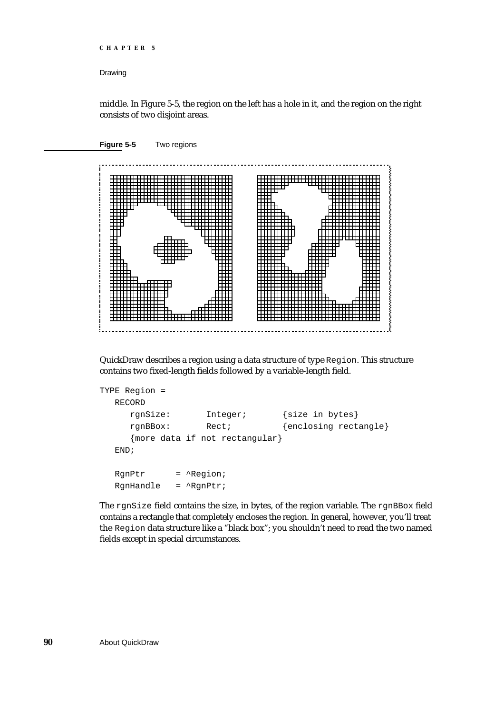## Drawing

middle. In Figure 5-5, the region on the left has a hole in it, and the region on the right consists of two disjoint areas.



QuickDraw describes a region using a data structure of type Region. This structure contains two fixed-length fields followed by a variable-length field.

```
TYPE Region =
  RECORD
     rgnSize: Integer; {size in bytes}
     rgnBBox: Rect; {enclosing rectangle}
     {more data if not rectangular}
  END;
  RgnPtr = ^Region;
  RgnHandle = ^RgnPtr;
```
The rgnSize field contains the size, in bytes, of the region variable. The rgnBBox field contains a rectangle that completely encloses the region. In general, however, you'll treat the Region data structure like a "black box"; you shouldn't need to read the two named fields except in special circumstances.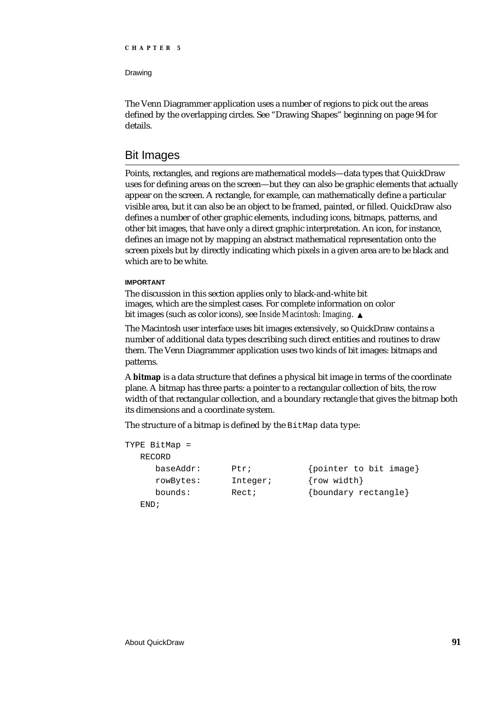Drawing

The Venn Diagrammer application uses a number of regions to pick out the areas defined by the overlapping circles. See "Drawing Shapes" beginning on page 94 for details.

## Bit Images

Points, rectangles, and regions are mathematical models—data types that QuickDraw uses for defining areas on the screen—but they can also be graphic elements that actually appear on the screen. A rectangle, for example, can mathematically define a particular visible area, but it can also be an object to be framed, painted, or filled. QuickDraw also defines a number of other graphic elements, including icons, bitmaps, patterns, and other bit images, that have only a direct graphic interpretation. An icon, for instance, defines an image not by mapping an abstract mathematical representation onto the screen pixels but by directly indicating which pixels in a given area are to be black and which are to be white.

## **IMPORTANT**

The discussion in this section applies only to black-and-white bit images, which are the simplest cases. For complete information on color bit images (such as color icons), see *Inside Macintosh: Imaging*.

The Macintosh user interface uses bit images extensively, so QuickDraw contains a number of additional data types describing such direct entities and routines to draw them. The Venn Diagrammer application uses two kinds of bit images: bitmaps and patterns.

A **bitmap** is a data structure that defines a physical bit image in terms of the coordinate plane. A bitmap has three parts: a pointer to a rectangular collection of bits, the row width of that rectangular collection, and a boundary rectangle that gives the bitmap both its dimensions and a coordinate system.

The structure of a bitmap is defined by the BitMap data type:

| TYPE BitMap = |          |                        |
|---------------|----------|------------------------|
| RECORD        |          |                        |
| baseAddr:     | Ptr;     | {pointer to bit image} |
| rowBytes:     | Integer; | $\{row width\}$        |
| bounds:       | Rect;    | {boundary rectangle}   |
| END ;         |          |                        |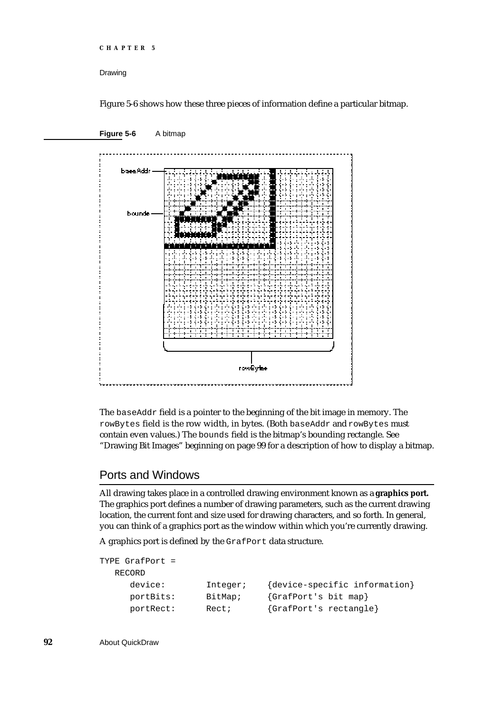```
CHAPTER 5
```
Drawing

Figure 5-6 shows how these three pieces of information define a particular bitmap.



The baseAddr field is a pointer to the beginning of the bit image in memory. The rowBytes field is the row width, in bytes. (Both baseAddr and rowBytes must contain even values.) The bounds field is the bitmap's bounding rectangle. See "Drawing Bit Images" beginning on page 99 for a description of how to display a bitmap.

## Ports and Windows

All drawing takes place in a controlled drawing environment known as a **graphics port.** The graphics port defines a number of drawing parameters, such as the current drawing location, the current font and size used for drawing characters, and so forth. In general, you can think of a graphics port as the window within which you're currently drawing.

A graphics port is defined by the GrafPort data structure.

```
TYPE GrafPort =
  RECORD
     device: Integer; {device-specific information}
     portBits: BitMap; {GrafPort's bit map}
     portRect: Rect; {GrafPort's rectangle}
```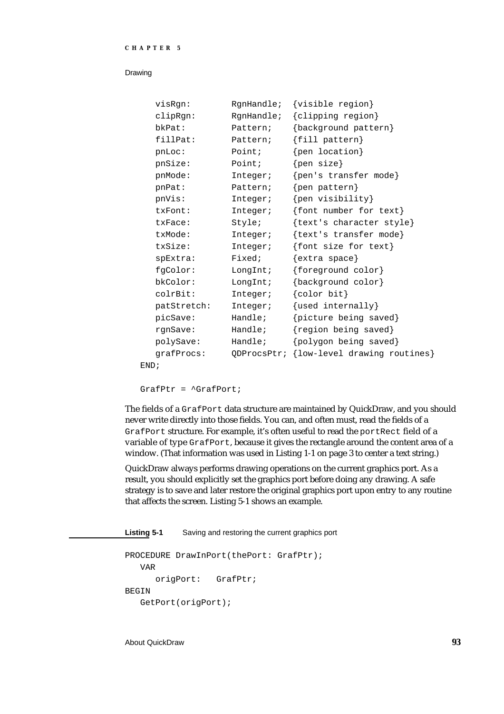| visRgn:         | RgnHandle;  | {visible region}             |
|-----------------|-------------|------------------------------|
| clipRgn:        | RgnHandle;  | {clipping region}            |
| bkPat:          | Pattern;    | {background pattern}         |
| fillPat:        | Pattern;    | ${fill pattern}$             |
| pnLoc:          | Point;      | {pen location}               |
| pnSize:         | Point;      | $\{pen\ size\}$              |
| pnMode:         | Integer;    | {pen's transfer mode}        |
| pnPat:          | Pattern;    | {pen pattern}                |
| pnVis:          | Integer;    | {pen visibility}             |
| txFont:         | Integer;    | {font number for text}       |
| txFace:         | Style;      | {text's character style}     |
| txMode:         | Integer;    | {text's transfer mode}       |
| txSize:         | Integer;    | {font size for text}         |
| $s$ p $Extra$ : | Fixed;      | $\{$ extra space $\}$        |
| fgColor:        | LongInt;    | {foreground color}           |
| bkColor:        | LongInt;    | {background color}           |
| colrBit:        | Integer;    | $\{color\}$                  |
| patStretch:     | Integer;    | {used internally}            |
| picSave:        | Handle;     | {picture being saved}        |
| rqnSave:        | Handle;     | {region being saved}         |
| polySave:       | Handle;     | {polygon being saved}        |
| grafProcs:      | ODProcsPtr; | {low-level drawing routines} |
| <del>.</del> .  |             |                              |

END;

GrafPtr = ^GrafPort;

The fields of a GrafPort data structure are maintained by QuickDraw, and you should never write directly into those fields. You can, and often must, read the fields of a GrafPort structure. For example, it's often useful to read the portRect field of a variable of type GrafPort, because it gives the rectangle around the content area of a window. (That information was used in Listing 1-1 on page 3 to center a text string.)

QuickDraw always performs drawing operations on the current graphics port. As a result, you should explicitly set the graphics port before doing any drawing. A safe strategy is to save and later restore the original graphics port upon entry to any routine that affects the screen. Listing 5-1 shows an example.

### **Listing 5-1** Saving and restoring the current graphics port

```
PROCEDURE DrawInPort(thePort: GrafPtr);
   VAR
     origPort: GrafPtr;
BEGIN
   GetPort(origPort);
```
About QuickDraw **93**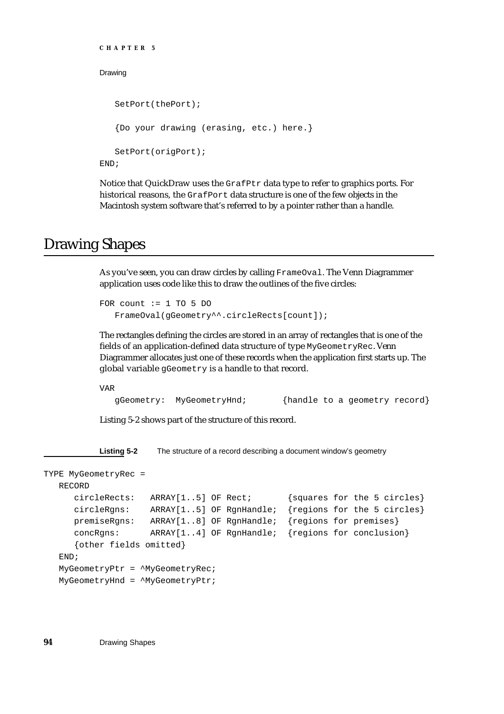```
CHAPTER 5
Drawing
   SetPort(thePort);
   {Do your drawing (erasing, etc.) here.}
   SetPort(origPort);
END;
```
Notice that QuickDraw uses the GrafPtr data type to refer to graphics ports. For historical reasons, the GrafPort data structure is one of the few objects in the Macintosh system software that's referred to by a pointer rather than a handle.

# Drawing Shapes

As you've seen, you can draw circles by calling FrameOval. The Venn Diagrammer application uses code like this to draw the outlines of the five circles:

```
FOR count := 1 TO 5 DO
   FrameOval(gGeometry^^.circleRects[count]);
```
The rectangles defining the circles are stored in an array of rectangles that is one of the fields of an application-defined data structure of type MyGeometryRec. Venn Diagrammer allocates just one of these records when the application first starts up. The global variable gGeometry is a handle to that record.

VAR

gGeometry: MyGeometryHnd; {handle to a geometry record}

Listing 5-2 shows part of the structure of this record.

**Listing 5-2** The structure of a record describing a document window's geometry

```
TYPE MyGeometryRec =
  RECORD
     circleRects: ARRAY[1..5] OF Rect; {squares for the 5 circles}
     circleRgns: ARRAY[1..5] OF RgnHandle; {regions for the 5 circles}
     premiseRgns: ARRAY[1..8] OF RgnHandle; {regions for premises}
     concRgns: ARRAY[1..4] OF RgnHandle; {regions for conclusion}
     {other fields omitted}
  END;
  MyGeometryPtr = ^MyGeometryRec;
  MyGeometryHnd = ^MyGeometryPtr;
```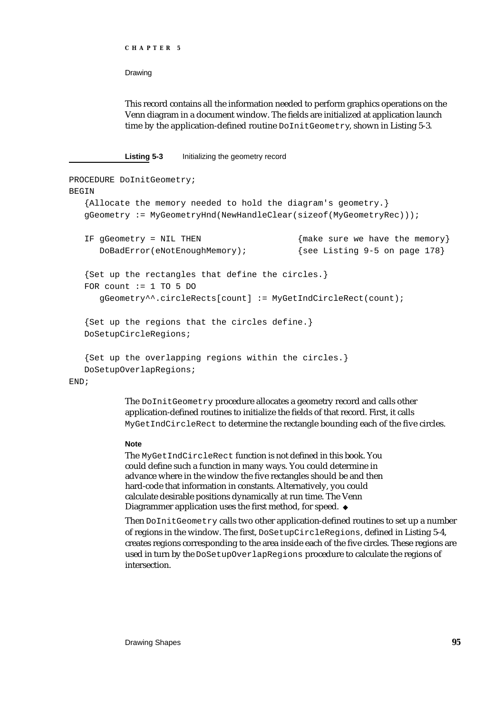```
CHAPTER 5
```
This record contains all the information needed to perform graphics operations on the Venn diagram in a document window. The fields are initialized at application launch time by the application-defined routine DoInitGeometry, shown in Listing 5-3.

**Listing 5-3** Initializing the geometry record

```
PROCEDURE DoInitGeometry;
BEGIN
  {Allocate the memory needed to hold the diagram's geometry.}
  gGeometry := MyGeometryHnd(NewHandleClear(sizeof(MyGeometryRec)));
  IF gGeometry = NIL THEN {mg_{\text{max}}}DoBadError(eNotEnoughMemory); \{ see Listing 9-5 on page 178}
  {Set up the rectangles that define the circles.}
  FOR count := 1 TO 5 DO
     gGeometry^^.circleRects[count] := MyGetIndCircleRect(count);
  {Set up the regions that the circles define.}
  DoSetupCircleRegions;
  {Set up the overlapping regions within the circles.}
  DoSetupOverlapRegions;
END;
```
The DoInitGeometry procedure allocates a geometry record and calls other application-defined routines to initialize the fields of that record. First, it calls MyGetIndCircleRect to determine the rectangle bounding each of the five circles.

### **Note**

The MyGetIndCircleRect function is not defined in this book. You could define such a function in many ways. You could determine in advance where in the window the five rectangles should be and then hard-code that information in constants. Alternatively, you could calculate desirable positions dynamically at run time. The Venn Diagrammer application uses the first method, for speed.

Then DoInitGeometry calls two other application-defined routines to set up a number of regions in the window. The first, DoSetupCircleRegions, defined in Listing 5-4, creates regions corresponding to the area inside each of the five circles. These regions are used in turn by the DoSetupOverlapRegions procedure to calculate the regions of intersection.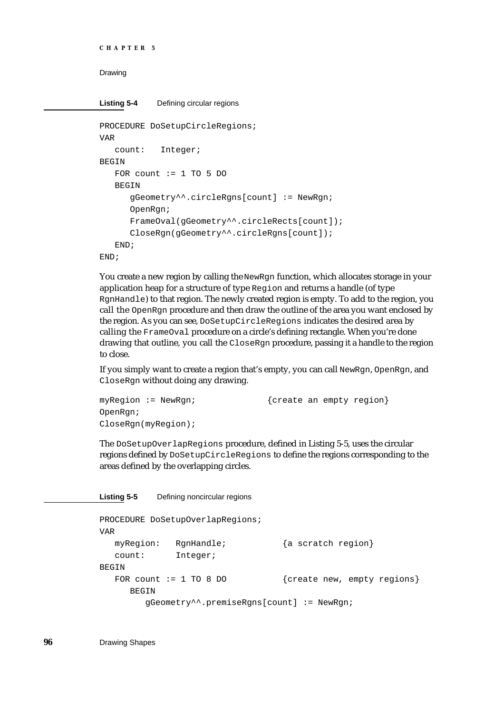```
CHAPTER 5
```

```
Listing 5-4 Defining circular regions
```

```
PROCEDURE DoSetupCircleRegions;
VAR
  count: Integer;
BEGIN
  FOR count := 1 TO 5 DO
   BEGIN
      gGeometry^^.circleRgns[count] := NewRgn;
      OpenRgn;
      FrameOval(gGeometry^^.circleRects[count]);
      CloseRgn(gGeometry^^.circleRgns[count]);
   END;
END;
```
You create a new region by calling the NewRgn function, which allocates storage in your application heap for a structure of type Region and returns a handle (of type RgnHandle) to that region. The newly created region is empty. To add to the region, you call the OpenRgn procedure and then draw the outline of the area you want enclosed by the region. As you can see, DoSetupCircleRegions indicates the desired area by calling the FrameOval procedure on a circle's defining rectangle. When you're done drawing that outline, you call the CloseRgn procedure, passing it a handle to the region to close.

If you simply want to create a region that's empty, you can call NewRgn, OpenRgn, and CloseRgn without doing any drawing.

```
myRegion := NewRgn; \{create an empty region\}OpenRgn;
CloseRgn(myRegion);
```
The DoSetupOverlapRegions procedure, defined in Listing 5-5, uses the circular regions defined by DoSetupCircleRegions to define the regions corresponding to the areas defined by the overlapping circles.

```
Listing 5-5 Defining noncircular regions
```

```
PROCEDURE DoSetupOverlapRegions;
VAR
  myRegion: RgnHandle; {a scratch region}
  count: Integer;
BEGIN
  FOR count := 1 TO 8 DO {create new, empty regions}
     BEGIN
       gGeometry^^.premiseRgns[count] := NewRgn;
```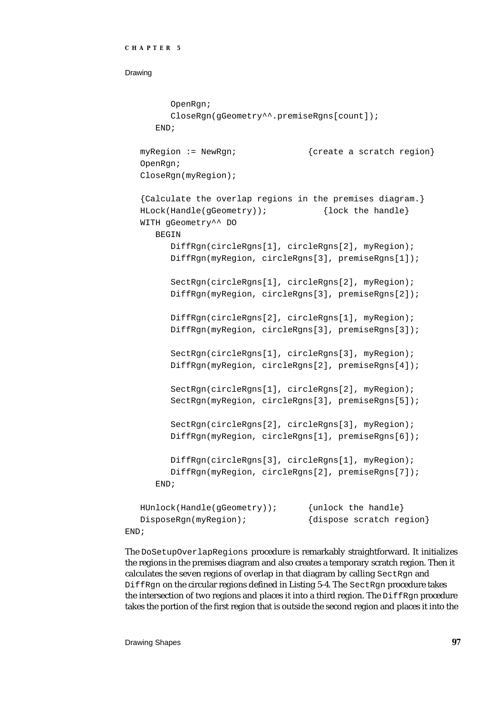```
CHAPTER 5
```

```
OpenRgn;
     CloseRgn(gGeometry^^.premiseRgns[count]);
  END;
myRegion := NewRgn; \{create\ a\ scratch\ region\}OpenRgn;
CloseRgn(myRegion);
{Calculate the overlap regions in the premises diagram.}
HLock(Handle(gGeometry)); {lock the handle}
WITH gGeometry^^ DO
  BEGIN
     DiffRgn(circleRgns[1], circleRgns[2], myRegion);
     DiffRgn(myRegion, circleRgns[3], premiseRgns[1]);
     SectRgn(circleRgns[1], circleRgns[2], myRegion);
     DiffRgn(myRegion, circleRgns[3], premiseRgns[2]);
     DiffRgn(circleRgns[2], circleRgns[1], myRegion);
     DiffRgn(myRegion, circleRgns[3], premiseRgns[3]);
     SectRgn(circleRgns[1], circleRgns[3], myRegion);
     DiffRgn(myRegion, circleRgns[2], premiseRgns[4]);
     SectRgn(circleRgns[1], circleRgns[2], myRegion);
     SectRgn(myRegion, circleRgns[3], premiseRgns[5]);
     SectRgn(circleRgns[2], circleRgns[3], myRegion);
     DiffRgn(myRegion, circleRgns[1], premiseRgns[6]);
     DiffRgn(circleRgns[3], circleRgns[1], myRegion);
     DiffRgn(myRegion, circleRgns[2], premiseRgns[7]);
  END;
HUnlock(Handle(gGeometry)); {unlock the handle}
DisposeRgn(myRegion); {dispose scratch region}
```
END;

The DoSetupOverlapRegions procedure is remarkably straightforward. It initializes the regions in the premises diagram and also creates a temporary scratch region. Then it calculates the seven regions of overlap in that diagram by calling SectRgn and DiffRgn on the circular regions defined in Listing 5-4. The SectRgn procedure takes the intersection of two regions and places it into a third region. The  $\text{Diff}\, \text{Rgn}$  procedure takes the portion of the first region that is outside the second region and places it into the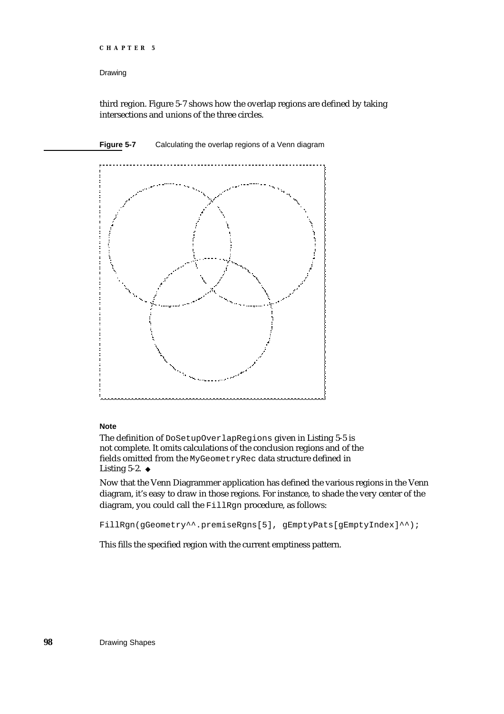```
CHAPTER 5
```
third region. Figure 5-7 shows how the overlap regions are defined by taking intersections and unions of the three circles.



### **Note**

The definition of DoSetupOverlapRegions given in Listing 5-5 is not complete. It omits calculations of the conclusion regions and of the fields omitted from the MyGeometryRec data structure defined in Listing 5-2. u

Now that the Venn Diagrammer application has defined the various regions in the Venn diagram, it's easy to draw in those regions. For instance, to shade the very center of the diagram, you could call the FillRgn procedure, as follows:

FillRgn(gGeometry^^.premiseRgns[5], gEmptyPats[gEmptyIndex]^^);

This fills the specified region with the current emptiness pattern.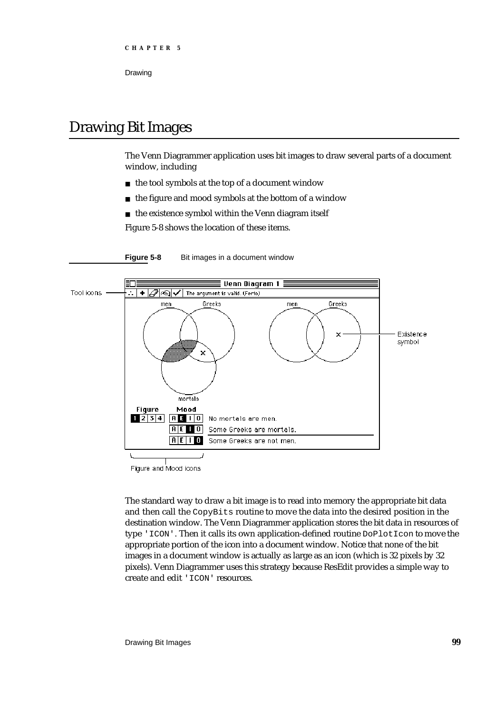# Drawing Bit Images

The Venn Diagrammer application uses bit images to draw several parts of a document window, including

- n the tool symbols at the top of a document window
- $n$  the figure and mood symbols at the bottom of a window
- n the existence symbol within the Venn diagram itself

Figure 5-8 shows the location of these items.



**Figure 5-8** Bit images in a document window

Figure and Mood icons

The standard way to draw a bit image is to read into memory the appropriate bit data and then call the CopyBits routine to move the data into the desired position in the destination window. The Venn Diagrammer application stores the bit data in resources of type 'ICON'. Then it calls its own application-defined routine DoPlotIcon to move the appropriate portion of the icon into a document window. Notice that none of the bit images in a document window is actually as large as an icon (which is 32 pixels by 32 pixels). Venn Diagrammer uses this strategy because ResEdit provides a simple way to create and edit 'ICON' resources.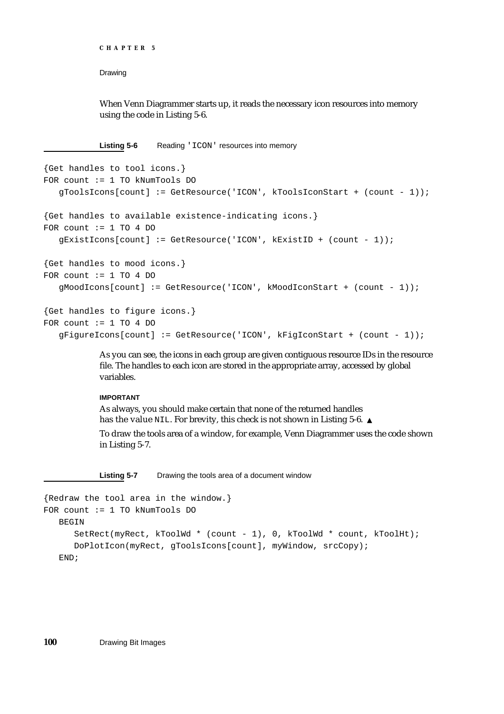**CHAPTER 5**

Drawing

When Venn Diagrammer starts up, it reads the necessary icon resources into memory using the code in Listing 5-6.

Listing 5-6 Reading 'ICON' resources into memory

```
{Get handles to tool icons.}
FOR count := 1 TO kNumTools DO
   gToolsIcons[count] := GetResource('ICON', kToolsIconStart + (count - 1));
{Get handles to available existence-indicating icons.}
FOR count := 1 TO 4 DO
  gExistIcons[count] := GetResource('ICON', kExistID + (count - 1));
{Get handles to mood icons.}
FOR count := 1 TO 4 DO
   gMoodIcons[count] := GetResource('ICON', kMoodIconStart + (count - 1));
{Get handles to figure icons.}
FOR count := 1 TO 4 DO
   gFigureIcons[count] := GetResource('ICON', kFigIconStart + (count - 1));
```
As you can see, the icons in each group are given contiguous resource IDs in the resource file. The handles to each icon are stored in the appropriate array, accessed by global variables.

### **IMPORTANT**

As always, you should make certain that none of the returned handles has the value NIL. For brevity, this check is not shown in Listing 5-6. s

To draw the tools area of a window, for example, Venn Diagrammer uses the code shown in Listing 5-7.

**Listing 5-7** Drawing the tools area of a document window

```
{Redraw the tool area in the window.}
FOR count := 1 TO kNumTools DO
  BEGIN
     SetRect(myRect, kToolWd * (count - 1), 0, kToolWd * count, kToolHt);
     DoPlotIcon(myRect, gToolsIcons[count], myWindow, srcCopy);
  END;
```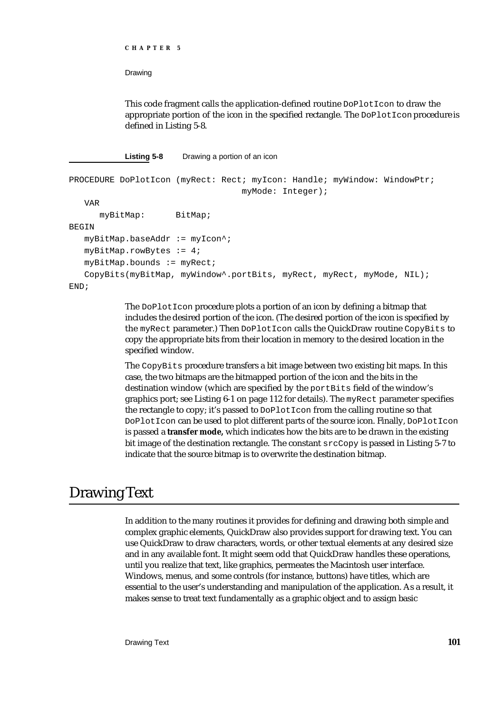```
CHAPTER 5
```
This code fragment calls the application-defined routine DoPlotIcon to draw the appropriate portion of the icon in the specified rectangle. The  $\text{DoPlot}$  con procedure is defined in Listing 5-8.

```
Listing 5-8 Drawing a portion of an icon
```

```
PROCEDURE DoPlotIcon (myRect: Rect; myIcon: Handle; myWindow: WindowPtr;
                                   myMode: Integer);
   VAR
      myBitMap: BitMap;
BEGIN
   myBitMap.baseAddr := myIcon^;
   myBitMap.rowBytes := 4;
   myBitMap.bounds := myRect;
   CopyBits(myBitMap, myWindow^.portBits, myRect, myRect, myMode, NIL);
END;
```
The DoPlotIcon procedure plots a portion of an icon by defining a bitmap that includes the desired portion of the icon. (The desired portion of the icon is specified by the myRect parameter.) Then DoPlotIcon calls the QuickDraw routine CopyBits to copy the appropriate bits from their location in memory to the desired location in the specified window.

The CopyBits procedure transfers a bit image between two existing bit maps. In this case, the two bitmaps are the bitmapped portion of the icon and the bits in the destination window (which are specified by the portBits field of the window's graphics port; see Listing 6-1 on page 112 for details). The myRect parameter specifies the rectangle to copy; it's passed to DoPlotIcon from the calling routine so that DoPlotIcon can be used to plot different parts of the source icon. Finally, DoPlotIcon is passed a **transfer mode,** which indicates how the bits are to be drawn in the existing bit image of the destination rectangle. The constant srcCopy is passed in Listing 5-7 to indicate that the source bitmap is to overwrite the destination bitmap.

# Drawing Text

In addition to the many routines it provides for defining and drawing both simple and complex graphic elements, QuickDraw also provides support for drawing text. You can use QuickDraw to draw characters, words, or other textual elements at any desired size and in any available font. It might seem odd that QuickDraw handles these operations, until you realize that text, like graphics, permeates the Macintosh user interface. Windows, menus, and some controls (for instance, buttons) have titles, which are essential to the user's understanding and manipulation of the application. As a result, it makes sense to treat text fundamentally as a graphic object and to assign basic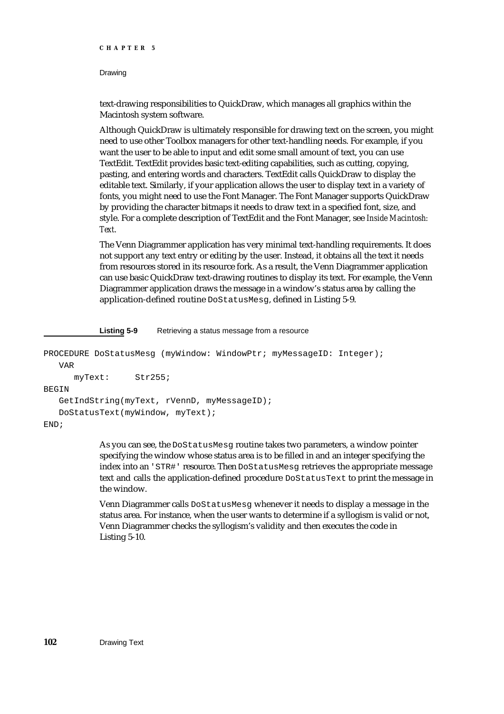```
CHAPTER 5
```
text-drawing responsibilities to QuickDraw, which manages all graphics within the Macintosh system software.

Although QuickDraw is ultimately responsible for drawing text on the screen, you might need to use other Toolbox managers for other text-handling needs. For example, if you want the user to be able to input and edit some small amount of text, you can use TextEdit. TextEdit provides basic text-editing capabilities, such as cutting, copying, pasting, and entering words and characters. TextEdit calls QuickDraw to display the editable text. Similarly, if your application allows the user to display text in a variety of fonts, you might need to use the Font Manager. The Font Manager supports QuickDraw by providing the character bitmaps it needs to draw text in a specified font, size, and style. For a complete description of TextEdit and the Font Manager, see *Inside Macintosh: Text*.

The Venn Diagrammer application has very minimal text-handling requirements. It does not support any text entry or editing by the user. Instead, it obtains all the text it needs from resources stored in its resource fork. As a result, the Venn Diagrammer application can use basic QuickDraw text-drawing routines to display its text. For example, the Venn Diagrammer application draws the message in a window's status area by calling the application-defined routine DoStatusMesg, defined in Listing 5-9.

**Listing 5-9** Retrieving a status message from a resource

```
PROCEDURE DoStatusMesg (myWindow: WindowPtr; myMessageID: Integer);
  VAR
     myText: Str255;
BEGIN
  GetIndString(myText, rVennD, myMessageID);
  DoStatusText(myWindow, myText);
END;
```
As you can see, the DoStatusMesq routine takes two parameters, a window pointer specifying the window whose status area is to be filled in and an integer specifying the index into an 'STR#' resource. Then DoStatusMesg retrieves the appropriate message text and calls the application-defined procedure DoStatusText to print the message in the window.

Venn Diagrammer calls DoStatusMesg whenever it needs to display a message in the status area. For instance, when the user wants to determine if a syllogism is valid or not, Venn Diagrammer checks the syllogism's validity and then executes the code in Listing 5-10.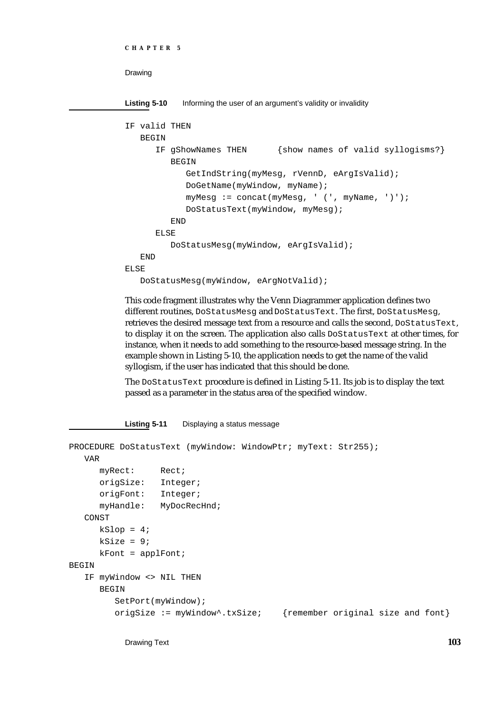```
CHAPTER 5
```
Listing 5-10 Informing the user of an argument's validity or invalidity

```
IF valid THEN
   BEGIN
      IF gShowNames THEN {show names of valid syllogisms?}
         BEGIN
            GetIndString(myMesg, rVennD, eArgIsValid);
            DoGetName(myWindow, myName);
            myMesg := concat(myMesg, ' (', myName, ')');
            DoStatusText(myWindow, myMesg);
         END
      ELSE
         DoStatusMesg(myWindow, eArgIsValid);
   END
ELSE
   DoStatusMesg(myWindow, eArgNotValid);
```
This code fragment illustrates why the Venn Diagrammer application defines two different routines, DoStatusMesg and DoStatusText. The first, DoStatusMesg, retrieves the desired message text from a resource and calls the second, DoStatusText, to display it on the screen. The application also calls DoStatusText at other times, for instance, when it needs to add something to the resource-based message string. In the example shown in Listing 5-10, the application needs to get the name of the valid syllogism, if the user has indicated that this should be done.

The DoStatusText procedure is defined in Listing 5-11. Its job is to display the text passed as a parameter in the status area of the specified window.

**Listing 5-11** Displaying a status message

```
PROCEDURE DoStatusText (myWindow: WindowPtr; myText: Str255);
  VAR
     myRect: Rect;
     origSize: Integer;
     origFont: Integer;
     myHandle: MyDocRecHnd;
  CONST
     kSlop = 4;ksize = 9;kFont = applFont;BEGIN
  IF myWindow <> NIL THEN
     BEGIN
        SetPort(myWindow);
        origSize := myWindow^.txSize; {remember original size and font}
```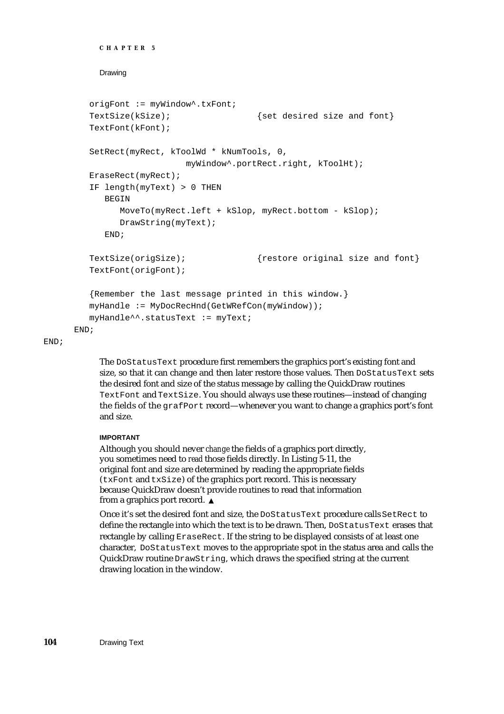```
CHAPTER 5
```

```
origFont := myWindow^.txFont;
  TextSize(kSize); \{set desired size and font\}TextFont(kFont);
  SetRect(myRect, kToolWd * kNumTools, 0,
                      myWindow^.portRect.right, kToolHt);
  EraseRect(myRect);
  IF length(myText) > 0 THEN
     BEGIN
        MoveTo(myRect.left + kSlop, myRect.bottom - kSlop);
        DrawString(myText);
     END;
  TextSize(origSize); {restore original size and font}TextFont(origFont);
   {Remember the last message printed in this window.}
  myHandle := MyDocRecHnd(GetWRefCon(myWindow));
  myHandle^^.statusText := myText;
END;
```
END;

The DoStatusText procedure first remembers the graphics port's existing font and size, so that it can change and then later restore those values. Then DoStatusText sets the desired font and size of the status message by calling the QuickDraw routines TextFont and TextSize. You should always use these routines—instead of changing the fields of the grafPort record—whenever you want to change a graphics port's font and size.

### **IMPORTANT**

Although you should never *change* the fields of a graphics port directly, you sometimes need to *read* those fields directly. In Listing 5-11, the original font and size are determined by reading the appropriate fields (txFont and txSize) of the graphics port record. This is necessary because QuickDraw doesn't provide routines to read that information from a graphics port record.

Once it's set the desired font and size, the DoStatusText procedure calls SetRect to define the rectangle into which the text is to be drawn. Then, DoStatusText erases that rectangle by calling EraseRect. If the string to be displayed consists of at least one character, DoStatusText moves to the appropriate spot in the status area and calls the QuickDraw routine DrawString, which draws the specified string at the current drawing location in the window.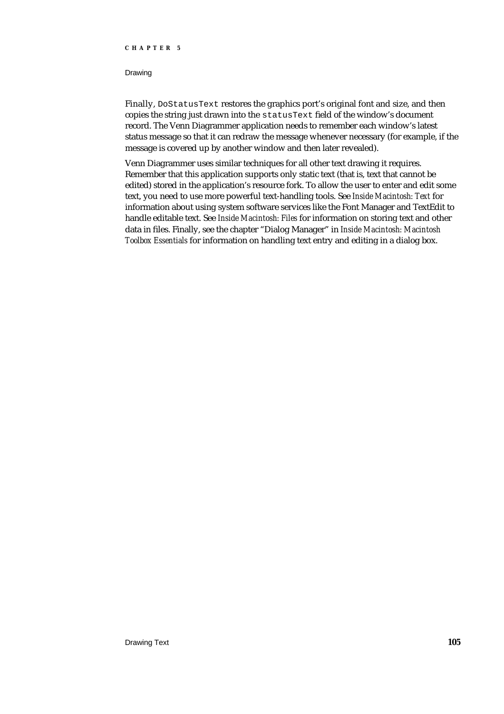### **CHAPTER 5**

### Drawing

Finally, DoStatusText restores the graphics port's original font and size, and then copies the string just drawn into the statusText field of the window's document record. The Venn Diagrammer application needs to remember each window's latest status message so that it can redraw the message whenever necessary (for example, if the message is covered up by another window and then later revealed).

Venn Diagrammer uses similar techniques for all other text drawing it requires. Remember that this application supports only static text (that is, text that cannot be edited) stored in the application's resource fork. To allow the user to enter and edit some text, you need to use more powerful text-handling tools. See *Inside Macintosh: Text* for information about using system software services like the Font Manager and TextEdit to handle editable text. See *Inside Macintosh: Files* for information on storing text and other data in files. Finally, see the chapter "Dialog Manager" in *Inside Macintosh: Macintosh Toolbox Essentials* for information on handling text entry and editing in a dialog box.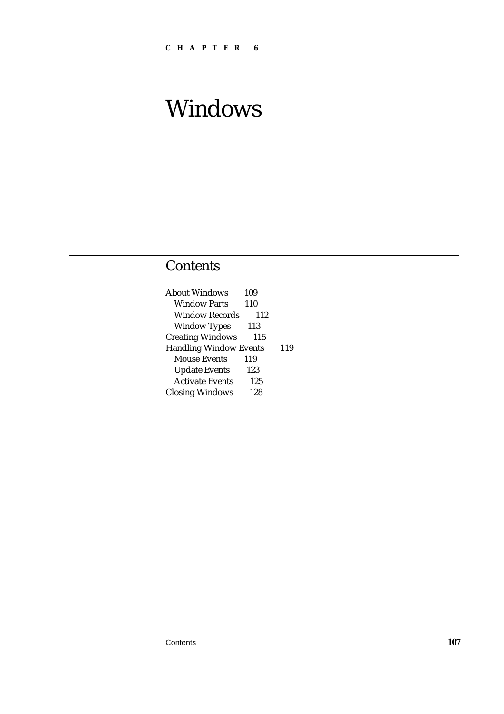# **Contents**

| 109                           |     |
|-------------------------------|-----|
| 110                           |     |
| 112                           |     |
| 113                           |     |
| 115                           |     |
| <b>Handling Window Events</b> | 119 |
| 119                           |     |
| 123                           |     |
| 125                           |     |
| 128                           |     |
|                               |     |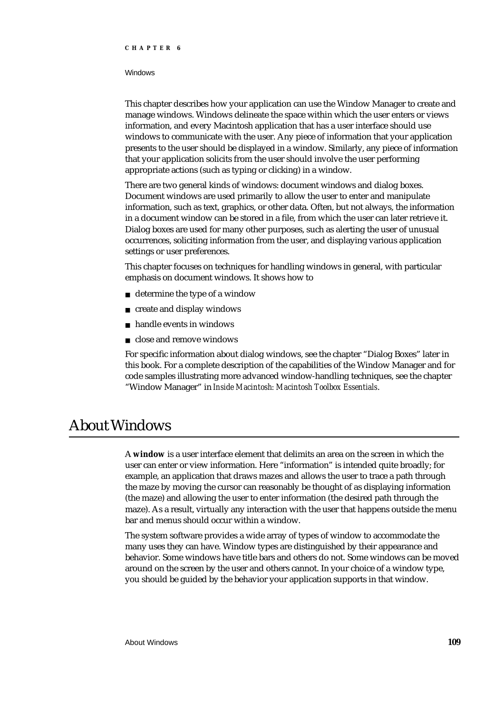#### **CHAPTER 6**

### **Windows**

This chapter describes how your application can use the Window Manager to create and manage windows. Windows delineate the space within which the user enters or views information, and every Macintosh application that has a user interface should use windows to communicate with the user. Any piece of information that your application presents to the user should be displayed in a window. Similarly, any piece of information that your application solicits from the user should involve the user performing appropriate actions (such as typing or clicking) in a window.

There are two general kinds of windows: document windows and dialog boxes. Document windows are used primarily to allow the user to enter and manipulate information, such as text, graphics, or other data. Often, but not always, the information in a document window can be stored in a file, from which the user can later retrieve it. Dialog boxes are used for many other purposes, such as alerting the user of unusual occurrences, soliciting information from the user, and displaying various application settings or user preferences.

This chapter focuses on techniques for handling windows in general, with particular emphasis on document windows. It shows how to

- determine the type of a window
- create and display windows
- handle events in windows n.
- n close and remove windows

For specific information about dialog windows, see the chapter "Dialog Boxes" later in this book. For a complete description of the capabilities of the Window Manager and for code samples illustrating more advanced window-handling techniques, see the chapter "Window Manager" in *Inside Macintosh: Macintosh Toolbox Essentials*.

# About Windows

A **window** is a user interface element that delimits an area on the screen in which the user can enter or view information. Here "information" is intended quite broadly; for example, an application that draws mazes and allows the user to trace a path through the maze by moving the cursor can reasonably be thought of as displaying information (the maze) and allowing the user to enter information (the desired path through the maze). As a result, virtually any interaction with the user that happens outside the menu bar and menus should occur within a window.

The system software provides a wide array of types of window to accommodate the many uses they can have. Window types are distinguished by their appearance and behavior. Some windows have title bars and others do not. Some windows can be moved around on the screen by the user and others cannot. In your choice of a window type, you should be guided by the behavior your application supports in that window.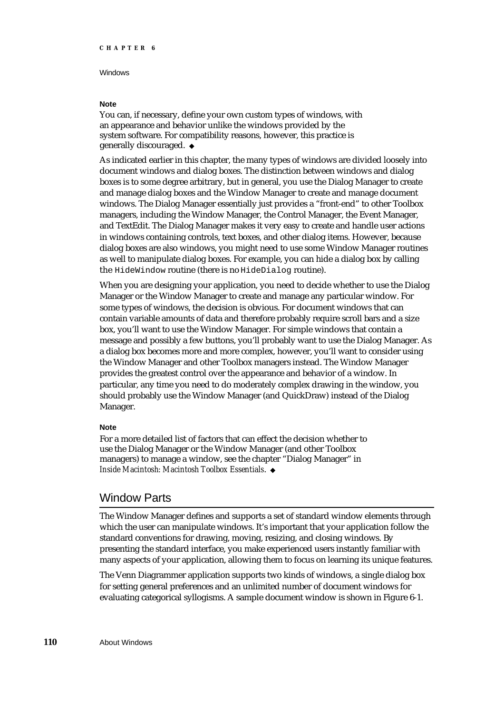### **Note**

You can, if necessary, define your own custom types of windows, with an appearance and behavior unlike the windows provided by the system software. For compatibility reasons, however, this practice is generally discouraged.

As indicated earlier in this chapter, the many types of windows are divided loosely into document windows and dialog boxes. The distinction between windows and dialog boxes is to some degree arbitrary, but in general, you use the Dialog Manager to create and manage dialog boxes and the Window Manager to create and manage document windows. The Dialog Manager essentially just provides a "front-end" to other Toolbox managers, including the Window Manager, the Control Manager, the Event Manager, and TextEdit. The Dialog Manager makes it very easy to create and handle user actions in windows containing controls, text boxes, and other dialog items. However, because dialog boxes are also windows, you might need to use some Window Manager routines as well to manipulate dialog boxes. For example, you can hide a dialog box by calling the HideWindow routine (there is no HideDialog routine).

When you are designing your application, you need to decide whether to use the Dialog Manager or the Window Manager to create and manage any particular window. For some types of windows, the decision is obvious. For document windows that can contain variable amounts of data and therefore probably require scroll bars and a size box, you'll want to use the Window Manager. For simple windows that contain a message and possibly a few buttons, you'll probably want to use the Dialog Manager. As a dialog box becomes more and more complex, however, you'll want to consider using the Window Manager and other Toolbox managers instead. The Window Manager provides the greatest control over the appearance and behavior of a window. In particular, any time you need to do moderately complex drawing in the window, you should probably use the Window Manager (and QuickDraw) instead of the Dialog Manager.

#### **Note**

For a more detailed list of factors that can effect the decision whether to use the Dialog Manager or the Window Manager (and other Toolbox managers) to manage a window, see the chapter "Dialog Manager" in *Inside Macintosh: Macintosh Toolbox Essentials*.

### Window Parts

The Window Manager defines and supports a set of standard window elements through which the user can manipulate windows. It's important that your application follow the standard conventions for drawing, moving, resizing, and closing windows. By presenting the standard interface, you make experienced users instantly familiar with many aspects of your application, allowing them to focus on learning its unique features.

The Venn Diagrammer application supports two kinds of windows, a single dialog box for setting general preferences and an unlimited number of document windows for evaluating categorical syllogisms. A sample document window is shown in Figure 6-1.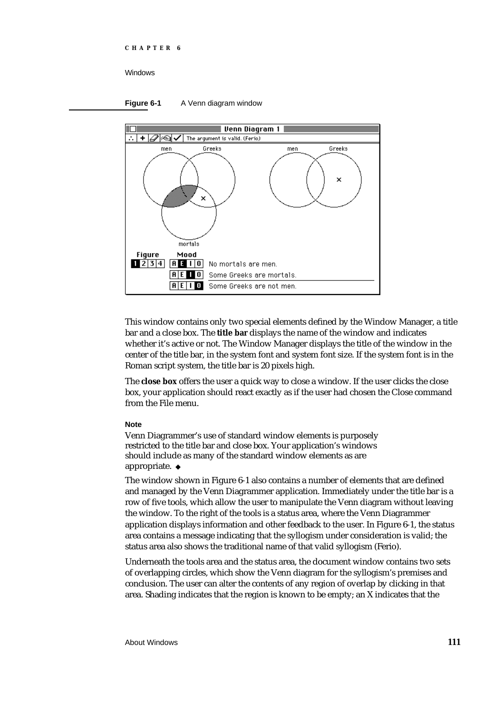### **Figure 6-1** A Venn diagram window



This window contains only two special elements defined by the Window Manager, a title bar and a close box. The **title bar** displays the name of the window and indicates whether it's active or not. The Window Manager displays the title of the window in the center of the title bar, in the system font and system font size. If the system font is in the Roman script system, the title bar is 20 pixels high.

The **close box** offers the user a quick way to close a window. If the user clicks the close box, your application should react exactly as if the user had chosen the Close command from the File menu.

### **Note**

Venn Diagrammer's use of standard window elements is purposely restricted to the title bar and close box. Your application's windows should include as many of the standard window elements as are appropriate.

The window shown in Figure 6-1 also contains a number of elements that are defined and managed by the Venn Diagrammer application. Immediately under the title bar is a row of five tools, which allow the user to manipulate the Venn diagram without leaving the window. To the right of the tools is a status area, where the Venn Diagrammer application displays information and other feedback to the user. In Figure 6-1, the status area contains a message indicating that the syllogism under consideration is valid; the status area also shows the traditional name of that valid syllogism (Ferio).

Underneath the tools area and the status area, the document window contains two sets of overlapping circles, which show the Venn diagram for the syllogism's premises and conclusion. The user can alter the contents of any region of overlap by clicking in that area. Shading indicates that the region is known to be empty; an X indicates that the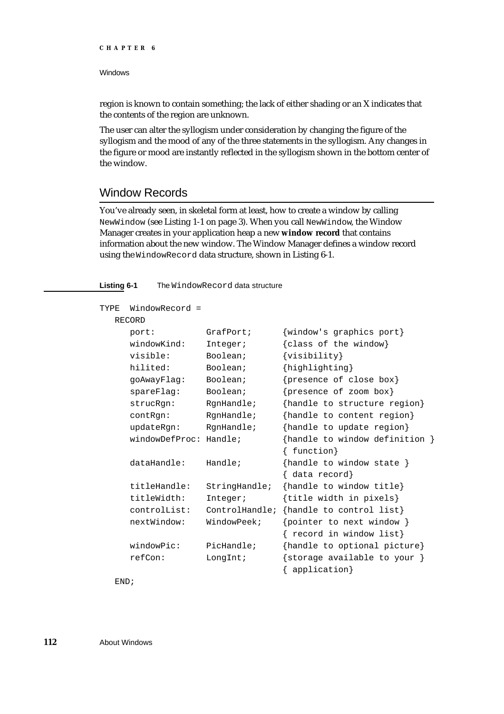region is known to contain something; the lack of either shading or an X indicates that the contents of the region are unknown.

The user can alter the syllogism under consideration by changing the figure of the syllogism and the mood of any of the three statements in the syllogism. Any changes in the figure or mood are instantly reflected in the syllogism shown in the bottom center of the window.

### Window Records

You've already seen, in skeletal form at least, how to create a window by calling NewWindow (see Listing 1-1 on page 3). When you call NewWindow, the Window Manager creates in your application heap a new **window record** that contains information about the new window. The Window Manager defines a window record using the WindowRecord data structure, shown in Listing 6-1.

### **Listing 6-1** The WindowRecord data structure

| TYPE | WindowRecord =         |                |                                |
|------|------------------------|----------------|--------------------------------|
|      | <b>RECORD</b>          |                |                                |
|      | port:                  | GrafPort;      | {window's graphics port}       |
|      | windowKind:            | Integer;       | {class of the window}          |
|      | visible:               | Boolean;       | $\{visitility\}$               |
|      | hilited:               | Boolean;       | {highlighting}                 |
|      | goAwayFlag:            | Boolean;       | {presence of close box}        |
|      | spareFlag:             | Boolean;       | {presence of zoom box}         |
|      | strucRqn:              | RgnHandle;     | {handle to structure region}   |
|      | contRqn:               | RgnHandle;     | {handle to content region}     |
|      | updateRgn:             | RgnHandle;     | {handle to update region}      |
|      | windowDefProc: Handle; |                | {handle to window definition } |
|      |                        |                | function}                      |
|      | dataHandle:            | Handle;        | {handle to window state }      |
|      |                        |                | $\{$ data record $\}$          |
|      | titleHandle:           | StringHandle;  | {handle to window title}       |
|      | titleWidth:            | Integer;       | {title width in pixels}        |
|      | controlList:           | ControlHandle; | {handle to control list}       |
|      | nextWindow:            | WindowPeek;    | {pointer to next window }      |
|      |                        |                | { record in window list}       |
|      | windowPic:             | PicHandle;     | {handle to optional picture}   |
|      | refCon:                | LongInt;       | {storage available to your }   |
|      |                        |                | application}                   |

END;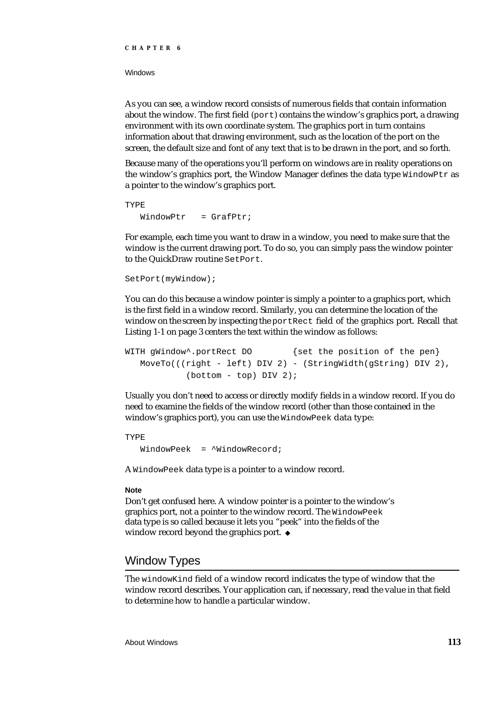As you can see, a window record consists of numerous fields that contain information about the window. The first field  $(port)$  contains the window's graphics port, a drawing environment with its own coordinate system. The graphics port in turn contains information about that drawing environment, such as the location of the port on the screen, the default size and font of any text that is to be drawn in the port, and so forth.

Because many of the operations you'll perform on windows are in reality operations on the window's graphics port, the Window Manager defines the data type  $WindowPut$  as a pointer to the window's graphics port.

```
TYPE
  WindowPtr = Gradient;
```
For example, each time you want to draw in a window, you need to make sure that the window is the current drawing port. To do so, you can simply pass the window pointer to the QuickDraw routine SetPort.

```
SetPort(myWindow);
```
You can do this because a window pointer is simply a pointer to a graphics port, which is the first field in a window record. Similarly, you can determine the location of the window on the screen by inspecting the portRect field of the graphics port. Recall that Listing 1-1 on page 3 centers the text within the window as follows:

```
WITH gWindow<sup>*</sup>.portRect DO {set the position of the pen}
   MoveTo(((right - left) DIV 2) - (StringWidth(gString) DIV 2),
            (bottom - top) DIV 2);
```
Usually you don't need to access or directly modify fields in a window record. If you do need to examine the fields of the window record (other than those contained in the window's graphics port), you can use the WindowPeek data type:

TYPE WindowPeek = ^WindowRecord;

A WindowPeek data type is a pointer to a window record.

### **Note**

Don't get confused here. A window pointer is a pointer to the window's graphics port, not a pointer to the window record. The WindowPeek data type is so called because it lets you "peek" into the fields of the window record beyond the graphics port. u

### Window Types

The windowKind field of a window record indicates the type of window that the window record describes. Your application can, if necessary, read the value in that field to determine how to handle a particular window.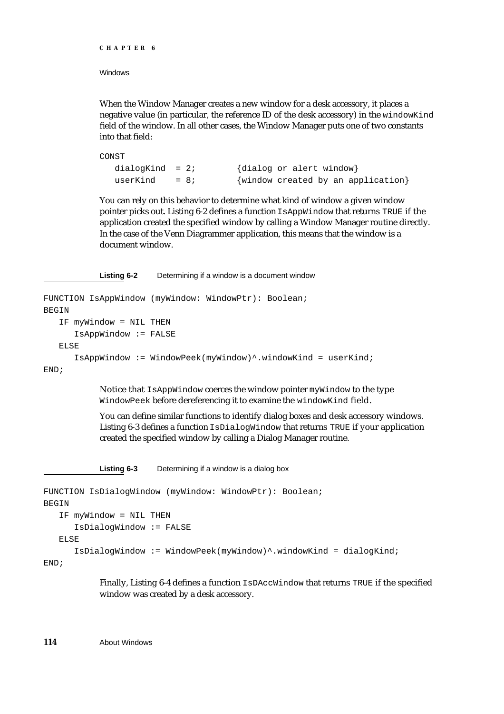```
CHAPTER 6
```
When the Window Manager creates a new window for a desk accessory, it places a negative value (in particular, the reference ID of the desk accessory) in the windowKind field of the window. In all other cases, the Window Manager puts one of two constants into that field:

```
CONST
  dialogKind = 2; \{dialoq or alert window\}userKind = 8; {\text{window created by an application}}
```
You can rely on this behavior to determine what kind of window a given window pointer picks out. Listing 6-2 defines a function IsAppWindow that returns TRUE if the application created the specified window by calling a Window Manager routine directly. In the case of the Venn Diagrammer application, this means that the window is a document window.

**Listing 6-2** Determining if a window is a document window

```
FUNCTION IsAppWindow (myWindow: WindowPtr): Boolean;
BEGIN
  IF myWindow = NIL THEN
      IsAppWindow := FALSE
  ELSE
      IsAppWindow := WindowPeek(myWindow)^.windowKind = userKind;
END;
```
Notice that IsAppWindow coerces the window pointer myWindow to the type WindowPeek before dereferencing it to examine the windowKind field.

You can define similar functions to identify dialog boxes and desk accessory windows. Listing 6-3 defines a function IsDialogWindow that returns TRUE if your application created the specified window by calling a Dialog Manager routine.

**Listing 6-3** Determining if a window is a dialog box

```
FUNCTION IsDialogWindow (myWindow: WindowPtr): Boolean;
BEGIN
  IF myWindow = NIL THEN
      IsDialogWindow := FALSE
  ELSE
      IsDialogWindow := WindowPeek(myWindow)^.windowKind = dialogKind;
END;
```
Finally, Listing 6-4 defines a function IsDAccWindow that returns TRUE if the specified window was created by a desk accessory.

**114** About Windows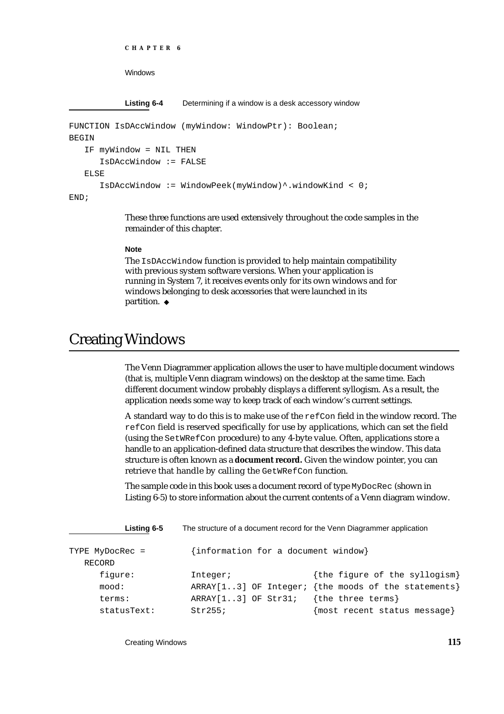```
CHAPTER 6
```
**Listing 6-4** Determining if a window is a desk accessory window

```
FUNCTION IsDAccWindow (myWindow: WindowPtr): Boolean;
BEGIN
   IF myWindow = NIL THEN
      IsDAccWindow := FALSE
   ELSE
      IsDAccWindow := WindowPeek(myWindow)^.windowKind < 0;
END;
```
These three functions are used extensively throughout the code samples in the remainder of this chapter.

### **Note**

The IsDAccWindow function is provided to help maintain compatibility with previous system software versions. When your application is running in System 7, it receives events only for its own windows and for windows belonging to desk accessories that were launched in its partition. u

# Creating Windows

The Venn Diagrammer application allows the user to have multiple document windows (that is, multiple Venn diagram windows) on the desktop at the same time. Each different document window probably displays a different syllogism. As a result, the application needs some way to keep track of each window's current settings.

A standard way to do this is to make use of the refCon field in the window record. The refCon field is reserved specifically for use by applications, which can set the field (using the SetWRefCon procedure) to any 4-byte value. Often, applications store a handle to an application-defined data structure that describes the window. This data structure is often known as a **document record.** Given the window pointer, you can retrieve that handle by calling the GetWRefCon function.

The sample code in this book uses a document record of type MyDocRec (shown in Listing 6-5) to store information about the current contents of a Venn diagram window.

| Listing 6-5               | The structure of a document record for the Venn Diagrammer application |                                                       |  |
|---------------------------|------------------------------------------------------------------------|-------------------------------------------------------|--|
| TYPE MyDocRec =<br>RECORD | {information for a document window}                                    |                                                       |  |
| fiqure:                   | Integer;                                                               | {the figure of the syllogism}                         |  |
| mood:                     |                                                                        | $ARRAY[13]$ OF Integer; {the moods of the statements} |  |
| terms:                    | ARRAY[13] OF Str31;                                                    | {the three terms}                                     |  |
| statusText:               | Str255;                                                                | {most recent status message}                          |  |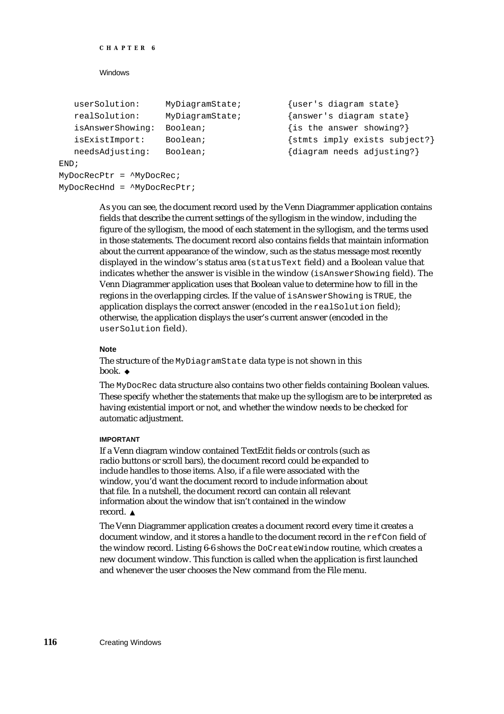```
CHAPTER 6
```

```
userSolution: MyDiagramState; {user's diagram state}
  realSolution: MyDiagramState; {answer's diagram state}
  isAnswerShowing: Boolean; {is the answer showing?}
  isExistImport: Boolean; {stmts imply exists subject?}
  needsAdjusting: Boolean; {diagram \ needs a djusting?}END;
MyDocRecPtr = ^MyDocRec;
MyDocRecHnd = ^MyDocRecPtr;
```
As you can see, the document record used by the Venn Diagrammer application contains fields that describe the current settings of the syllogism in the window, including the figure of the syllogism, the mood of each statement in the syllogism, and the terms used in those statements. The document record also contains fields that maintain information about the current appearance of the window, such as the status message most recently displayed in the window's status area (statusText field) and a Boolean value that indicates whether the answer is visible in the window (isAnswerShowing field). The Venn Diagrammer application uses that Boolean value to determine how to fill in the regions in the overlapping circles. If the value of isAnswerShowing is TRUE, the application displays the correct answer (encoded in the realSolution field); otherwise, the application displays the user's current answer (encoded in the userSolution field).

### **Note**

The structure of the MyDiagramState data type is not shown in this book. u

The MyDocRec data structure also contains two other fields containing Boolean values. These specify whether the statements that make up the syllogism are to be interpreted as having existential import or not, and whether the window needs to be checked for automatic adjustment.

### **IMPORTANT**

If a Venn diagram window contained TextEdit fields or controls (such as radio buttons or scroll bars), the document record could be expanded to include handles to those items. Also, if a file were associated with the window, you'd want the document record to include information about that file. In a nutshell, the document record can contain all relevant information about the window that isn't contained in the window record.<sub>s</sub>

The Venn Diagrammer application creates a document record every time it creates a document window, and it stores a handle to the document record in the refCon field of the window record. Listing 6-6 shows the DoCreateWindow routine, which creates a new document window. This function is called when the application is first launched and whenever the user chooses the New command from the File menu.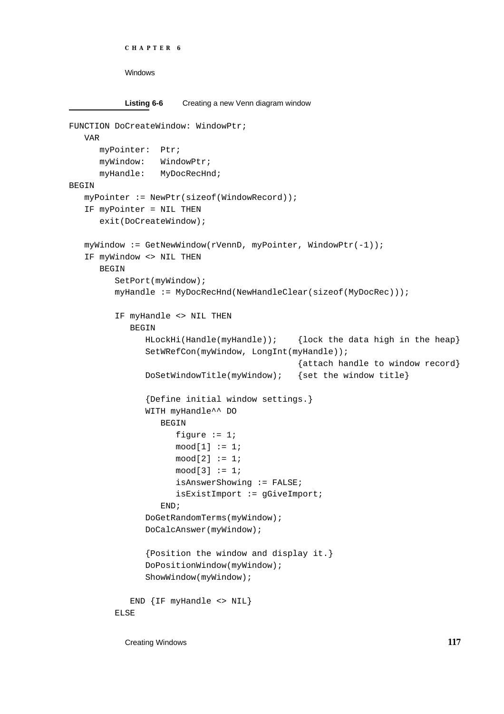```
CHAPTER 6
```

```
Listing 6-6 Creating a new Venn diagram window
FUNCTION DoCreateWindow: WindowPtr;
   VAR
     myPointer: Ptr;
     myWindow: WindowPtr;
     myHandle: MyDocRecHnd;
BEGIN
  myPointer := NewPtr(sizeof(WindowRecord));
   IF myPointer = NIL THEN
     exit(DoCreateWindow);
  myWindow := GetNewWindow(rVennD, myPointer, WindowPtr(-1));
   IF myWindow <> NIL THEN
     BEGIN
         SetPort(myWindow);
         myHandle := MyDocRecHnd(NewHandleClear(sizeof(MyDocRec)));
         IF myHandle <> NIL THEN
            BEGIN
               HLockHi(Handle(myHandle)); {lock the data high in the heap}
               SetWRefCon(myWindow, LongInt(myHandle));
                                             {attach handle to window record}
               DoSetWindowTitle(myWindow); {set the window title}
               {Define initial window settings.}
               WITH myHandle^^ DO
                  BEGIN
                     figure := 1;mod[1] := 1;mod[2] := 1;mod[3] := 1;isAnswerShowing := FALSE;
                     isExistImport := gGiveImport;
                  END;
               DoGetRandomTerms(myWindow);
               DoCalcAnswer(myWindow);
               {Position the window and display it.}
               DoPositionWindow(myWindow);
               ShowWindow(myWindow);
            END {IF myHandle <> NIL}
         ELSE
```
Creating Windows **117**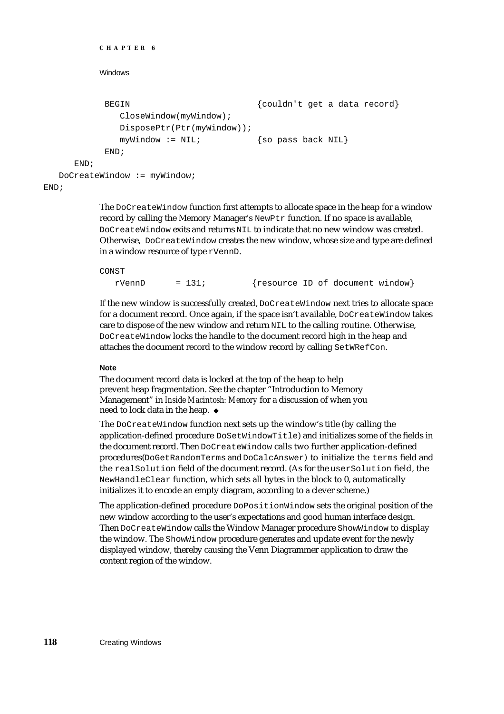```
CHAPTER 6
          Windows
           BEGIN \{couldn \cup t \text{ get a data record}\}CloseWindow(myWindow);
              DisposePtr(Ptr(myWindow));
              myWindow := NIL; {so pass back NIL}
           END;
     END;
  DoCreateWindow := myWindow;
END;
```
The DoCreateWindow function first attempts to allocate space in the heap for a window record by calling the Memory Manager's NewPtr function. If no space is available, DoCreateWindow exits and returns NIL to indicate that no new window was created. Otherwise, DoCreateWindow creates the new window, whose size and type are defined in a window resource of type rVennD.

### CONST

 $rVennD = 131;$  {resource ID of document window}

If the new window is successfully created, DoCreateWindow next tries to allocate space for a document record. Once again, if the space isn't available, DoCreateWindow takes care to dispose of the new window and return NIL to the calling routine. Otherwise, DoCreateWindow locks the handle to the document record high in the heap and attaches the document record to the window record by calling SetWRefCon.

### **Note**

The document record data is locked at the top of the heap to help prevent heap fragmentation. See the chapter "Introduction to Memory Management" in *Inside Macintosh: Memory* for a discussion of when you need to lock data in the heap.

The DoCreateWindow function next sets up the window's title (by calling the application-defined procedure DoSetWindowTitle) and initializes some of the fields in the document record. Then DoCreateWindow calls two further application-defined procedures (DoGetRandomTerms and DoCalcAnswer) to initialize the terms field and the realSolution field of the document record. (As for the userSolution field, the NewHandleClear function, which sets all bytes in the block to 0, automatically initializes it to encode an empty diagram, according to a clever scheme.)

The application-defined procedure DoPositionWindow sets the original position of the new window according to the user's expectations and good human interface design. Then DoCreateWindow calls the Window Manager procedure ShowWindow to display the window. The ShowWindow procedure generates and update event for the newly displayed window, thereby causing the Venn Diagrammer application to draw the content region of the window.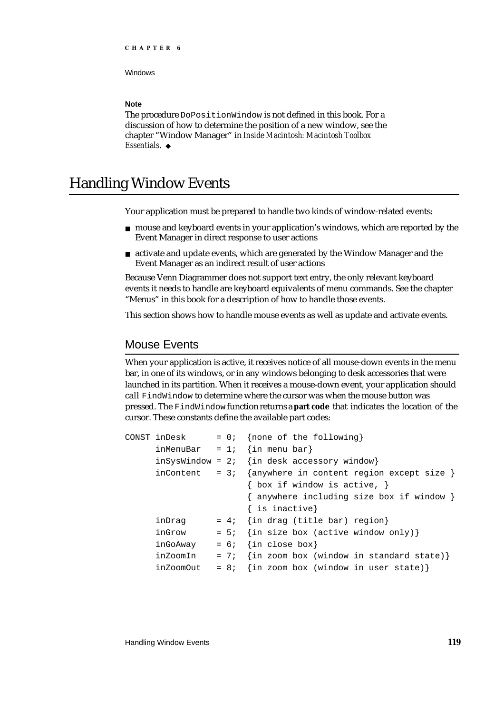### **Note**

The procedure DoPositionWindow is not defined in this book. For a discussion of how to determine the position of a new window, see the chapter "Window Manager" in *Inside Macintosh: Macintosh Toolbox Essentials*.

# Handling Window Events

Your application must be prepared to handle two kinds of window-related events:

- mouse and keyboard events in your application's windows, which are reported by the Event Manager in direct response to user actions
- activate and update events, which are generated by the Window Manager and the Event Manager as an indirect result of user actions

Because Venn Diagrammer does not support text entry, the only relevant keyboard events it needs to handle are keyboard equivalents of menu commands. See the chapter "Menus" in this book for a description of how to handle those events.

This section shows how to handle mouse events as well as update and activate events.

### Mouse Events

When your application is active, it receives notice of all mouse-down events in the menu bar, in one of its windows, or in any windows belonging to desk accessories that were launched in its partition. When it receives a mouse-down event, your application should call FindWindow to determine where the cursor was when the mouse button was pressed. The FindWindow function returns a **part code** that indicates the location of the cursor. These constants define the available part codes:

```
CONST inDesk = 0; {none of the following}
     inMenuBar = 1; {in menu bar}
     inSysWindow = 2; {in desk accessory window}
     inContent = 3; {anywhere in content region except size }
                       { box if window is active, }
                       { anywhere including size box if window }
                       { is inactive}
     indrag = 4; \{in drag (title bar) region\}inGrow = 5; {in size box (active window only)}
     inGoAway = 6; \{in close box\}inZoomIn = 7; {in zoom box (window in standard state)}
     inZoomOut = 8; {in zoom box (window in user state)}
```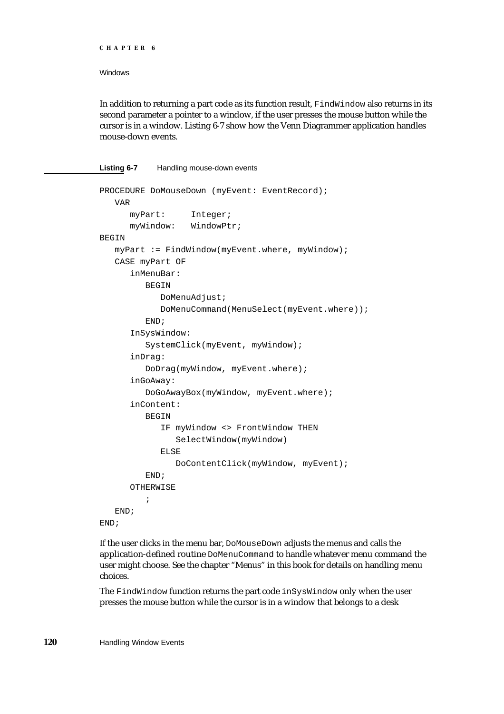```
CHAPTER 6
```
In addition to returning a part code as its function result, FindWindow also returns in its second parameter a pointer to a window, if the user presses the mouse button while the cursor is in a window. Listing 6-7 show how the Venn Diagrammer application handles mouse-down events.

### **Listing 6-7** Handling mouse-down events

```
PROCEDURE DoMouseDown (myEvent: EventRecord);
   VAR
      myPart: Integer;
      myWindow: WindowPtr;
BEGIN
  myPart := FindWindow(myEvent.where, myWindow);CASE myPart OF
      inMenuBar: 
         BEGIN
            DoMenuAdjust;
            DoMenuCommand(MenuSelect(myEvent.where));
         END;
      InSysWindow: 
         SystemClick(myEvent, myWindow);
      inDrag: 
         DoDrag(myWindow, myEvent.where);
      inGoAway: 
         DoGoAwayBox(myWindow, myEvent.where);
      inContent: 
         BEGIN
            IF myWindow <> FrontWindow THEN
               SelectWindow(myWindow)
            ELSE
               DoContentClick(myWindow, myEvent);
         END;
      OTHERWISE
         ;
   END;
END;
```
If the user clicks in the menu bar, DoMouseDown adjusts the menus and calls the application-defined routine DoMenuCommand to handle whatever menu command the user might choose. See the chapter "Menus" in this book for details on handling menu choices.

The FindWindow function returns the part code inSysWindow only when the user presses the mouse button while the cursor is in a window that belongs to a desk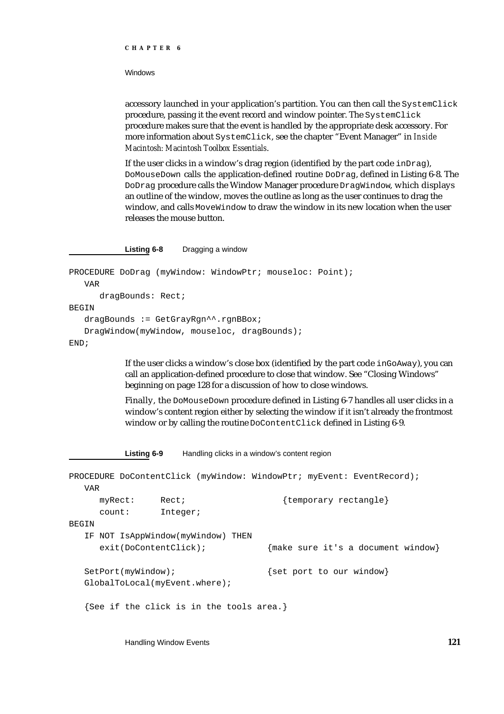#### **CHAPTER 6**

**Windows** 

accessory launched in your application's partition. You can then call the SystemClick procedure, passing it the event record and window pointer. The SystemClick procedure makes sure that the event is handled by the appropriate desk accessory. For more information about SystemClick, see the chapter "Event Manager" in *Inside Macintosh: Macintosh Toolbox Essentials*.

If the user clicks in a window's drag region (identified by the part code inDrag), DoMouseDown calls the application-defined routine DoDrag, defined in Listing 6-8. The DoDrag procedure calls the Window Manager procedure DragWindow, which displays an outline of the window, moves the outline as long as the user continues to drag the window, and calls MoveWindow to draw the window in its new location when the user releases the mouse button.

**Listing 6-8** Dragging a window

```
PROCEDURE DoDrag (myWindow: WindowPtr; mouseloc: Point);
   VAR
      dragBounds: Rect;
BEGIN
   dragBounds := GetGrayRgn^^.rgnBBox;
   DragWindow(myWindow, mouseloc, dragBounds);
END;
```
If the user clicks a window's close box (identified by the part code inGoAway), you can call an application-defined procedure to close that window. See "Closing Windows" beginning on page 128 for a discussion of how to close windows.

Finally, the DoMouseDown procedure defined in Listing 6-7 handles all user clicks in a window's content region either by selecting the window if it isn't already the frontmost window or by calling the routine DoContentClick defined in Listing 6-9.

Listing 6-9 Handling clicks in a window's content region

PROCEDURE DoContentClick (myWindow: WindowPtr; myEvent: EventRecord); VAR myRect: Rect;  $\{temporary rectangle\}$ count: Integer; **BEGIN** IF NOT IsAppWindow(myWindow) THEN exit(DoContentClick); {make sure it's a document window} SetPort(myWindow);  ${s$ et port to our window} GlobalToLocal(myEvent.where); {See if the click is in the tools area.}

Handling Window Events **121**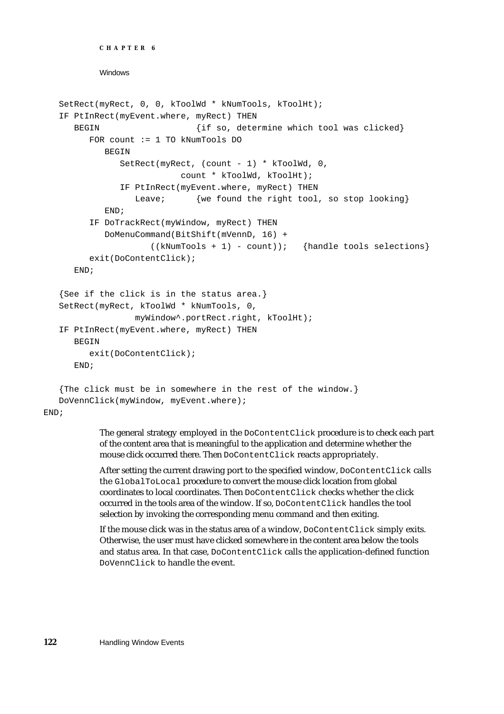```
CHAPTER 6
```

```
SetRect(myRect, 0, 0, kToolWd * kNumTools, kToolHt);
IF PtInRect(myEvent.where, myRect) THEN
  BEGIN \{if so, determine which tool was clicked\}FOR count := 1 TO kNumTools DO
        BEGIN
           SetRect(myRect, (count - 1) * kToolWd, 0, 
                       count * kToolWd, kToolHt);
           IF PtInRect(myEvent.where, myRect) THEN
              Leave; {we found the right tool, so stop looking}END;
     IF DoTrackRect(myWindow, myRect) THEN
        DoMenuCommand(BitShift(mVennD, 16) + 
                  ((kNumTools + 1) - count)); {handle tools selections}
     exit(DoContentClick);
  END;
{See if the click is in the status area.}
SetRect(myRect, kToolWd * kNumTools, 0, 
              myWindow^.portRect.right, kToolHt);
IF PtInRect(myEvent.where, myRect) THEN
  BEGIN
     exit(DoContentClick);
  END;
{The click must be in somewhere in the rest of the window.}
DoVennClick(myWindow, myEvent.where);
```
END;

The general strategy employed in the DoContentClick procedure is to check each part of the content area that is meaningful to the application and determine whether the mouse click occurred there. Then DoContentClick reacts appropriately.

After setting the current drawing port to the specified window, DoContentClick calls the GlobalToLocal procedure to convert the mouse click location from global coordinates to local coordinates. Then DoContentClick checks whether the click occurred in the tools area of the window. If so, DoContentClick handles the tool selection by invoking the corresponding menu command and then exiting.

If the mouse click was in the status area of a window, DoContentClick simply exits. Otherwise, the user must have clicked somewhere in the content area below the tools and status area. In that case, DoContentClick calls the application-defined function DoVennClick to handle the event.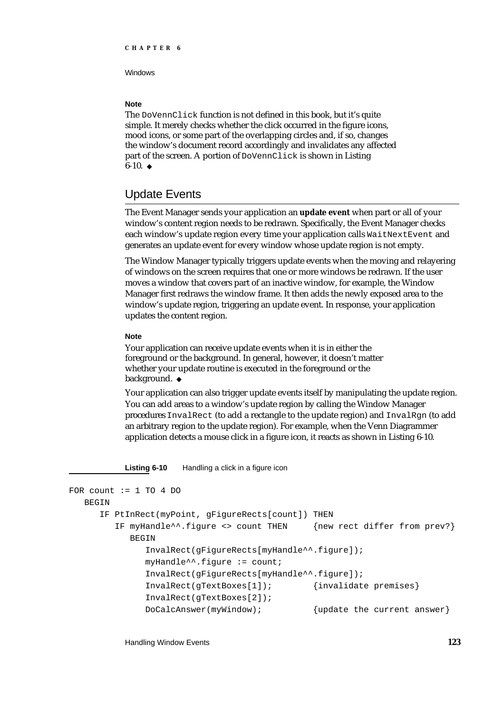### **Note**

The DoVennClick function is not defined in this book, but it's quite simple. It merely checks whether the click occurred in the figure icons, mood icons, or some part of the overlapping circles and, if so, changes the window's document record accordingly and invalidates any affected part of the screen. A portion of DoVennClick is shown in Listing  $6-10.$ u

### Update Events

The Event Manager sends your application an **update event** when part or all of your window's content region needs to be redrawn. Specifically, the Event Manager checks each window's update region every time your application calls WaitNextEvent and generates an update event for every window whose update region is not empty.

The Window Manager typically triggers update events when the moving and relayering of windows on the screen requires that one or more windows be redrawn. If the user moves a window that covers part of an inactive window, for example, the Window Manager first redraws the window frame. It then adds the newly exposed area to the window's update region, triggering an update event. In response, your application updates the content region.

### **Note**

Your application can receive update events when it is in either the foreground or the background. In general, however, it doesn't matter whether your update routine is executed in the foreground or the background. u

Your application can also trigger update events itself by manipulating the update region. You can add areas to a window's update region by calling the Window Manager procedures InvalRect (to add a rectangle to the update region) and InvalRgn (to add an arbitrary region to the update region). For example, when the Venn Diagrammer application detects a mouse click in a figure icon, it reacts as shown in Listing 6-10.

Listing 6-10 Handling a click in a figure icon

```
FOR count := 1 TO 4 DO
  BEGIN
     IF PtInRect(myPoint, gFigureRects[count]) THEN
        IF myHandle^^.figure <> count THEN {new rect differ from prev?}
           BEGIN
              InvalRect(gFigureRects[myHandle^^.figure]);
              myHandle^{\lambda}.figure := count;
              InvalRect(gFigureRects[myHandle^^.figure]);
              InvalRect(gTextBoxes[1]); {invalidate premises}
              InvalRect(gTextBoxes[2]);
              DoCalcAnswer(myWindow); {update the current answer}
```
Handling Window Events **123**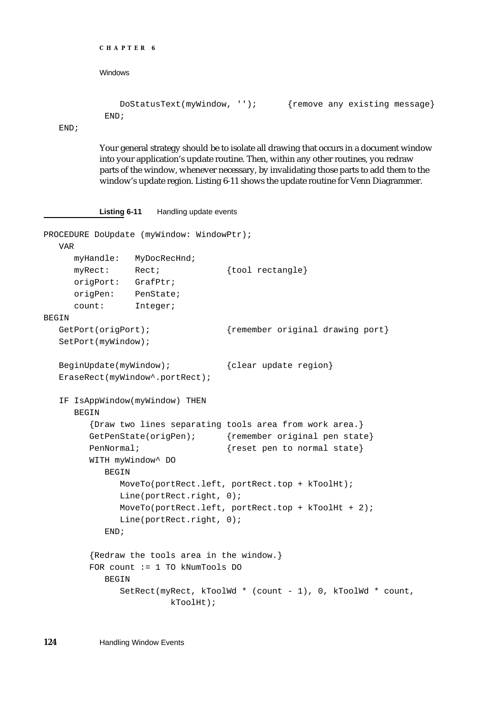```
CHAPTER 6
```

```
DoStatusText(myWindow, ''); {remove any existing message}
END;
```
END;

Your general strategy should be to isolate all drawing that occurs in a document window into your application's update routine. Then, within any other routines, you redraw parts of the window, whenever necessary, by invalidating those parts to add them to the window's update region. Listing 6-11 shows the update routine for Venn Diagrammer.

**Listing 6-11** Handling update events

```
PROCEDURE DoUpdate (myWindow: WindowPtr);
  VAR
     myHandle: MyDocRecHnd;
     myRect: Rect; {tool rectangle}
     origPort: GrafPtr;
     origPen: PenState;
     count: Integer;
BEGIN
  GetPort(origPort); {r \over {remember original drawing port}
  SetPort(myWindow);
  BeginUpdate(myWindow); {clear update region}EraseRect(myWindow^.portRect);
  IF IsAppWindow(myWindow) THEN
     BEGIN
        {Draw two lines separating tools area from work area.}
        GetPenState(origPen); {remember original pen state}
        PenNormal; \{reset\ pen\ to\ normal\ state\}WITH myWindow^ DO
           BEGIN
              MoveTo(portRect.left, portRect.top + kToolHt);
              Line(portRect.right, 0);
              MoveTo(portRect.left, portRect.top + kToolHt + 2);
              Line(portRect.right, 0);
           END;
        {Redraw the tools area in the window.}
        FOR count := 1 TO kNumTools DO
           BEGIN
              SetRect(myRect, kToolWd * (count - 1), 0, kToolWd * count,
                        kToolHt);
```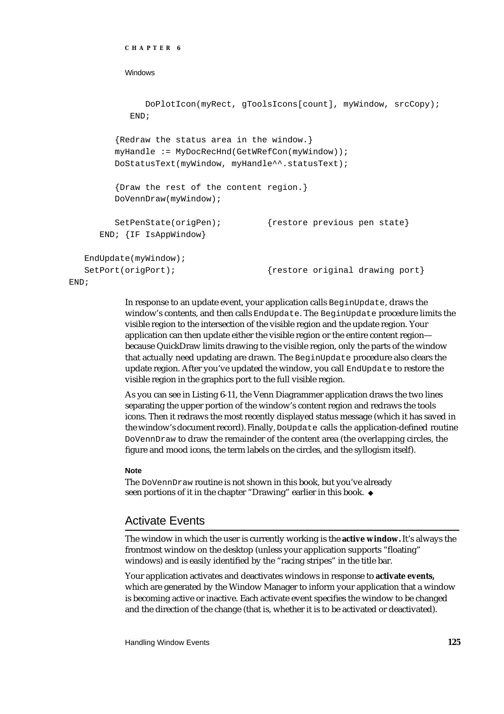```
DoPlotIcon(myRect, gToolsIcons[count], myWindow, srcCopy);
           END;
        {Redraw the status area in the window.}
        myHandle := MyDocRecHnd(GetWRefCon(myWindow));
        DoStatusText(myWindow, myHandle^^.statusText);
        {Draw the rest of the content region.}
        DoVennDraw(myWindow);
        SetPenState(origPen); {restore previous pen state}
     END; {IF IsAppWindow}
  EndUpdate(myWindow);
  SetPort(origPort); {frestore original drawing port}END;
```
In response to an update event, your application calls BeginUpdate, draws the window's contents, and then calls EndUpdate. The BeginUpdate procedure limits the visible region to the intersection of the visible region and the update region. Your application can then update either the visible region or the entire content region because QuickDraw limits drawing to the visible region, only the parts of the window that actually need updating are drawn. The BeginUpdate procedure also clears the update region. After you've updated the window, you call EndUpdate to restore the visible region in the graphics port to the full visible region.

As you can see in Listing 6-11, the Venn Diagrammer application draws the two lines separating the upper portion of the window's content region and redraws the tools icons. Then it redraws the most recently displayed status message (which it has saved in the window's document record). Finally, DoUpdate calls the application-defined routine DoVennDraw to draw the remainder of the content area (the overlapping circles, the figure and mood icons, the term labels on the circles, and the syllogism itself).

### **Note**

**CHAPTER 6**

**Windows** 

The DoVennDraw routine is not shown in this book, but you've already seen portions of it in the chapter "Drawing" earlier in this book.

### Activate Events

The window in which the user is currently working is the **active window.** It's always the frontmost window on the desktop (unless your application supports "floating" windows) and is easily identified by the "racing stripes" in the title bar.

Your application activates and deactivates windows in response to **activate events,** which are generated by the Window Manager to inform your application that a window is becoming active or inactive. Each activate event specifies the window to be changed and the direction of the change (that is, whether it is to be activated or deactivated).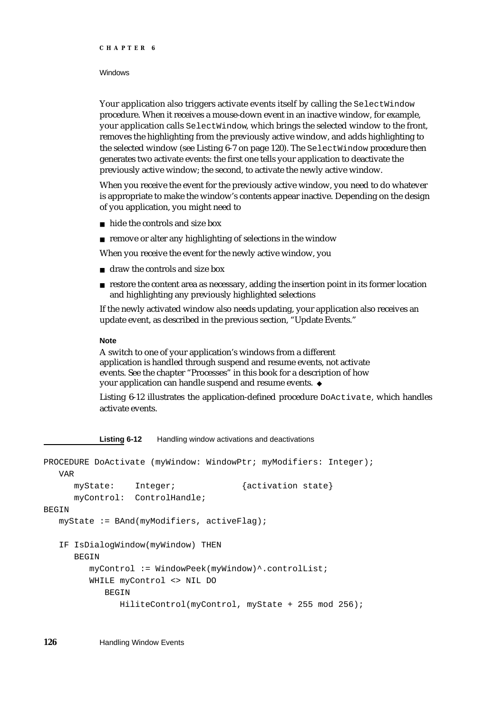#### **CHAPTER 6**

### **Windows**

Your application also triggers activate events itself by calling the SelectWindow procedure. When it receives a mouse-down event in an inactive window, for example, your application calls SelectWindow, which brings the selected window to the front, removes the highlighting from the previously active window, and adds highlighting to the selected window (see Listing 6-7 on page 120). The SelectWindow procedure then generates two activate events: the first one tells your application to deactivate the previously active window; the second, to activate the newly active window.

When you receive the event for the previously active window, you need to do whatever is appropriate to make the window's contents appear inactive. Depending on the design of you application, you might need to

- hide the controls and size box
- $n$  remove or alter any highlighting of selections in the window

When you receive the event for the newly active window, you

- n draw the controls and size box
- $n$  restore the content area as necessary, adding the insertion point in its former location and highlighting any previously highlighted selections

If the newly activated window also needs updating, your application also receives an update event, as described in the previous section, "Update Events."

### **Note**

A switch to one of your application's windows from a different application is handled through suspend and resume events, not activate events. See the chapter "Processes" in this book for a description of how your application can handle suspend and resume events.

Listing 6-12 illustrates the application-defined procedure DoActivate, which handles activate events.

**Listing 6-12** Handling window activations and deactivations

```
PROCEDURE DoActivate (myWindow: WindowPtr; myModifiers: Integer);
  VAR
     myState: Integer; {activation state}
     myControl: ControlHandle;
BEGIN
  myState := BAnd(myModifiers, activeFlag);
  IF IsDialogWindow(myWindow) THEN
     BEGIN
        myControl := WindowPeek(myWindow)^.controlList;
        WHILE myControl <> NIL DO
           BEGIN
              HiliteControl(myControl, myState + 255 mod 256);
```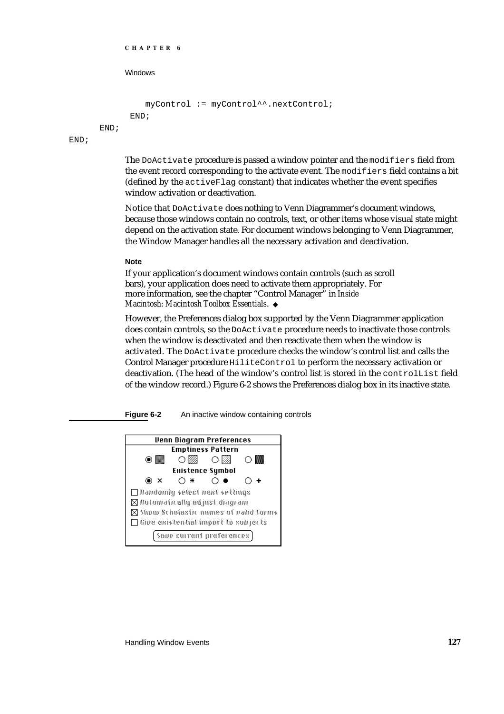```
CHAPTER 6
```

```
myControl := myControl^^.nextControl;
END;
```
END;

END;

The DoActivate procedure is passed a window pointer and the modifiers field from the event record corresponding to the activate event. The modifiers field contains a bit (defined by the activeFlag constant) that indicates whether the event specifies window activation or deactivation.

Notice that DoActivate does nothing to Venn Diagrammer's document windows, because those windows contain no controls, text, or other items whose visual state might depend on the activation state. For document windows belonging to Venn Diagrammer, the Window Manager handles all the necessary activation and deactivation.

### **Note**

If your application's document windows contain controls (such as scroll bars), your application does need to activate them appropriately. For more information, see the chapter "Control Manager" in *Inside Macintosh: Macintosh Toolbox Essentials*.

However, the Preferences dialog box supported by the Venn Diagrammer application does contain controls, so the DoActivate procedure needs to inactivate those controls when the window is deactivated and then reactivate them when the window is activated. The DoActivate procedure checks the window's control list and calls the Control Manager procedure HiliteControl to perform the necessary activation or deactivation. (The head of the window's control list is stored in the controlList field of the window record.) Figure 6-2 shows the Preferences dialog box in its inactive state.

**Figure 6-2** An inactive window containing controls

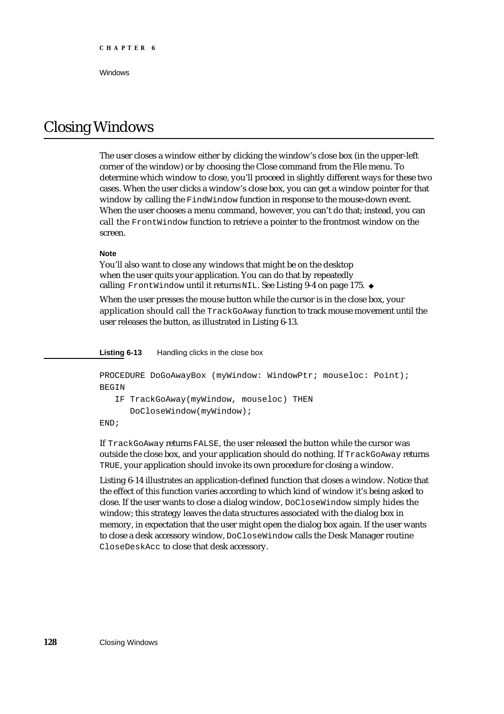# Closing Windows

The user closes a window either by clicking the window's close box (in the upper-left corner of the window) or by choosing the Close command from the File menu. To determine which window to close, you'll proceed in slightly different ways for these two cases. When the user clicks a window's close box, you can get a window pointer for that window by calling the FindWindow function in response to the mouse-down event. When the user chooses a menu command, however, you can't do that; instead, you can call the FrontWindow function to retrieve a pointer to the frontmost window on the screen.

### **Note**

You'll also want to close any windows that might be on the desktop when the user quits your application. You can do that by repeatedly calling FrontWindow until it returns NIL. See Listing 9-4 on page 175. u

When the user presses the mouse button while the cursor is in the close box, your application should call the TrackGoAway function to track mouse movement until the user releases the button, as illustrated in Listing 6-13.

**Listing 6-13** Handling clicks in the close box

```
PROCEDURE DoGoAwayBox (myWindow: WindowPtr; mouseloc: Point);
BEGIN
   IF TrackGoAway(myWindow, mouseloc) THEN
      DoCloseWindow(myWindow);
END;
```
If TrackGoAway returns FALSE, the user released the button while the cursor was outside the close box, and your application should do nothing. If TrackGoAway returns TRUE, your application should invoke its own procedure for closing a window.

Listing 6-14 illustrates an application-defined function that closes a window. Notice that the effect of this function varies according to which kind of window it's being asked to close. If the user wants to close a dialog window, DoCloseWindow simply hides the window; this strategy leaves the data structures associated with the dialog box in memory, in expectation that the user might open the dialog box again. If the user wants to close a desk accessory window, DoCloseWindow calls the Desk Manager routine CloseDeskAcc to close that desk accessory.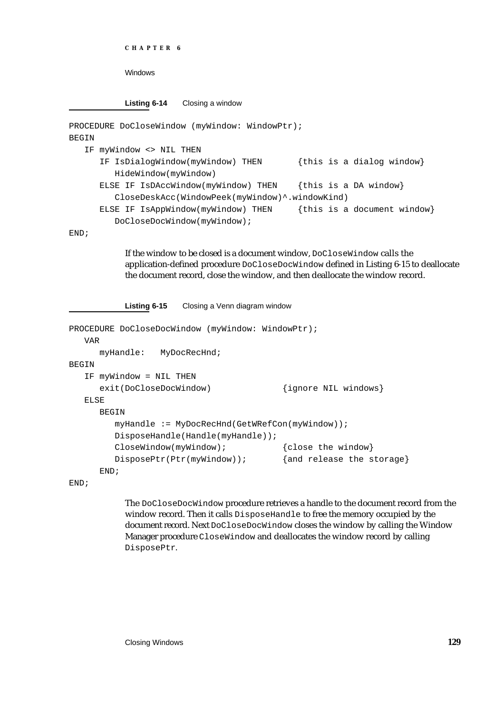```
CHAPTER 6
```
Windows

**Listing 6-14** Closing a window

```
PROCEDURE DoCloseWindow (myWindow: WindowPtr);
BEGIN
  IF myWindow <> NIL THEN
     IF IsDialogWindow(myWindow) THEN {this is a dialog window}
        HideWindow(myWindow)
     ELSE IF IsDAccWindow(myWindow) THEN {this is a DA window}
        CloseDeskAcc(WindowPeek(myWindow)^.windowKind)
     ELSE IF IsAppWindow(myWindow) THEN {this is a document window}
        DoCloseDocWindow(myWindow);
```
END;

If the window to be closed is a document window, DoCloseWindow calls the application-defined procedure DoCloseDocWindow defined in Listing 6-15 to deallocate the document record, close the window, and then deallocate the window record.

**Listing 6-15** Closing a Venn diagram window

```
PROCEDURE DoCloseDocWindow (myWindow: WindowPtr);
  VAR
     myHandle: MyDocRecHnd;
BEGIN
  IF myWindow = NIL THEN
     exit(DoCloseDocWindow) {ignore NIL windows}
  ELSE
     BEGIN
        myHandle := MyDocRecHnd(GetWRefCon(myWindow));
        DisposeHandle(Handle(myHandle));
        CloseWindow(myWindow); { close the window}
        DisposePtr(Ptr(myWindow)); {and release the storage}
     END;
```
END;

The DoCloseDocWindow procedure retrieves a handle to the document record from the window record. Then it calls DisposeHandle to free the memory occupied by the document record. Next DoCloseDocWindow closes the window by calling the Window Manager procedure CloseWindow and deallocates the window record by calling DisposePtr.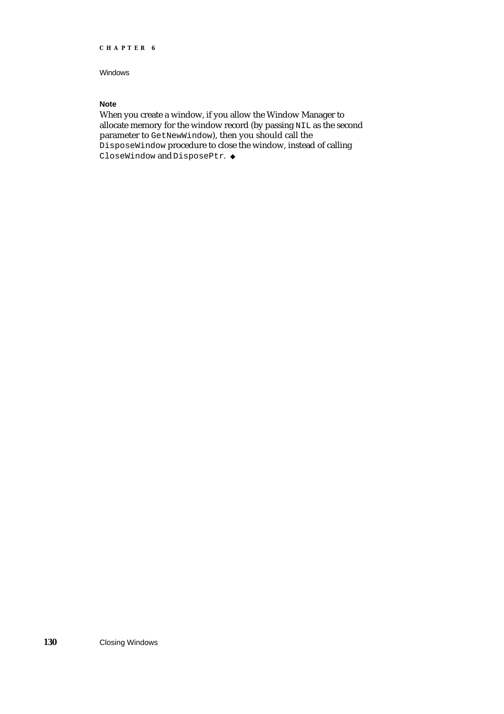### Windows

### **Note**

When you create a window, if you allow the Window Manager to allocate memory for the window record (by passing NIL as the second parameter to GetNewWindow), then you should call the DisposeWindow procedure to close the window, instead of calling CloseWindow and DisposePtr. u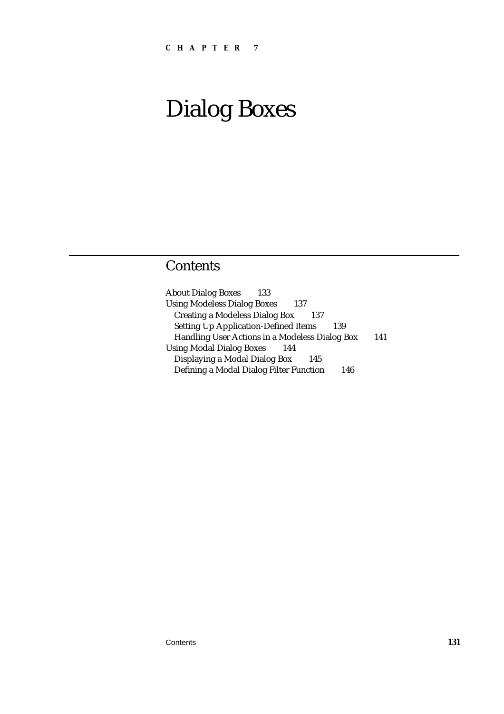# **Contents**

| <b>About Dialog Boxes</b><br>133                   |     |
|----------------------------------------------------|-----|
| <b>Using Modeless Dialog Boxes</b><br>137          |     |
| <b>Creating a Modeless Dialog Box</b><br>137       |     |
| <b>Setting Up Application-Defined Items</b><br>139 |     |
| Handling User Actions in a Modeless Dialog Box     | 141 |
| <b>Using Modal Dialog Boxes</b><br>144             |     |
| Displaying a Modal Dialog Box<br>145               |     |
| Defining a Modal Dialog Filter Function<br>146     |     |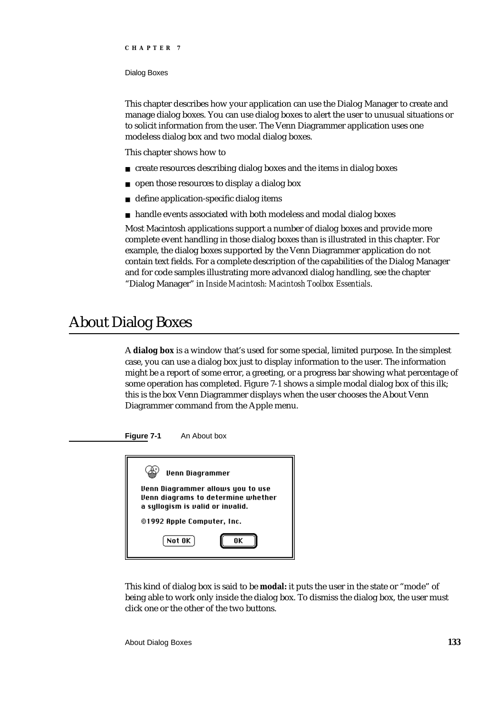#### Dialog Boxes

This chapter describes how your application can use the Dialog Manager to create and manage dialog boxes. You can use dialog boxes to alert the user to unusual situations or to solicit information from the user. The Venn Diagrammer application uses one modeless dialog box and two modal dialog boxes.

This chapter shows how to

- create resources describing dialog boxes and the items in dialog boxes  $\overline{p}$
- open those resources to display a dialog box  $\overline{p}$
- define application-specific dialog items  $\overline{p}$
- handle events associated with both modeless and modal dialog boxes  $\overline{p}$

Most Macintosh applications support a number of dialog boxes and provide more complete event handling in those dialog boxes than is illustrated in this chapter. For example, the dialog boxes supported by the Venn Diagrammer application do not contain text fields. For a complete description of the capabilities of the Dialog Manager and for code samples illustrating more advanced dialog handling, see the chapter "Dialog Manager" in *Inside Macintosh: Macintosh Toolbox Essentials*.

## About Dialog Boxes

A **dialog box** is a window that's used for some special, limited purpose. In the simplest case, you can use a dialog box just to display information to the user. The information might be a report of some error, a greeting, or a progress bar showing what percentage of some operation has completed. Figure 7-1 shows a simple modal dialog box of this ilk; this is the box Venn Diagrammer displays when the user chooses the About Venn Diagrammer command from the Apple menu.



**Figure 7-1** An About box

This kind of dialog box is said to be **modal:** it puts the user in the state or "mode" of being able to work only inside the dialog box. To dismiss the dialog box, the user must click one or the other of the two buttons.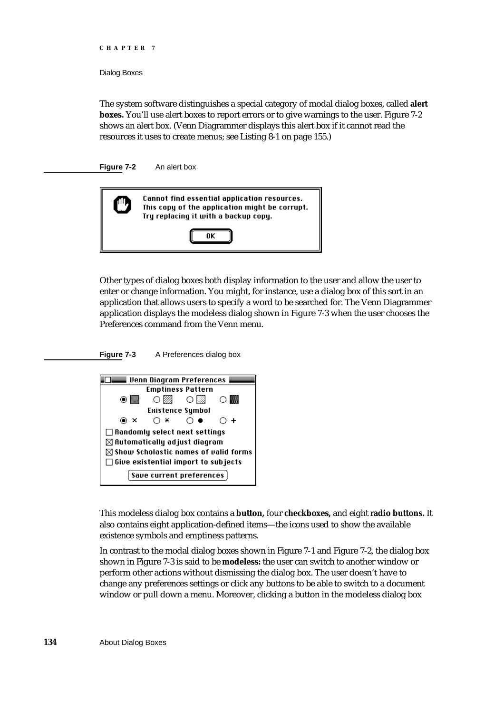Dialog Boxes

The system software distinguishes a special category of modal dialog boxes, called **alert boxes.** You'll use alert boxes to report errors or to give warnings to the user. Figure 7-2 shows an alert box. (Venn Diagrammer displays this alert box if it cannot read the resources it uses to create menus; see Listing 8-1 on page 155.)

**Figure 7-2** An alert box



Other types of dialog boxes both display information to the user and allow the user to enter or change information. You might, for instance, use a dialog box of this sort in an application that allows users to specify a word to be searched for. The Venn Diagrammer application displays the modeless dialog shown in Figure 7-3 when the user chooses the Preferences command from the Venn menu.

**Figure 7-3** A Preferences dialog box



This modeless dialog box contains a **button,** four **checkboxes,** and eight **radio buttons.** It also contains eight application-defined items—the icons used to show the available existence symbols and emptiness patterns.

In contrast to the modal dialog boxes shown in Figure 7-1 and Figure 7-2, the dialog box shown in Figure 7-3 is said to be **modeless:** the user can switch to another window or perform other actions without dismissing the dialog box. The user doesn't have to change any preferences settings or click any buttons to be able to switch to a document window or pull down a menu. Moreover, clicking a button in the modeless dialog box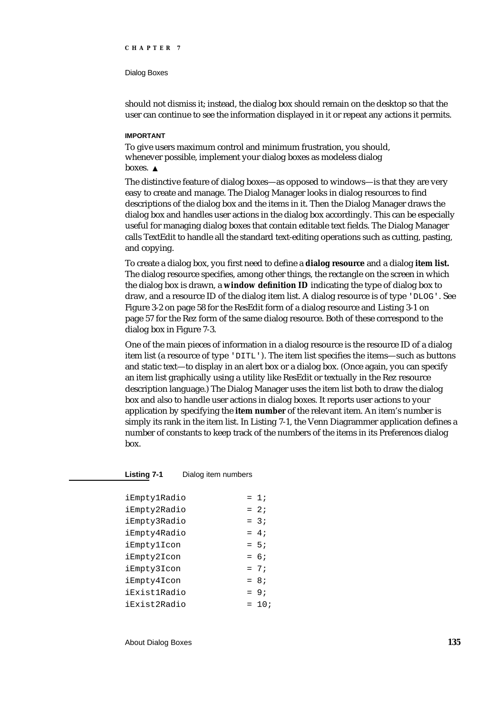#### Dialog Boxes

should not dismiss it; instead, the dialog box should remain on the desktop so that the user can continue to see the information displayed in it or repeat any actions it permits.

### **IMPORTANT**

To give users maximum control and minimum frustration, you should, whenever possible, implement your dialog boxes as modeless dialog boxes.

The distinctive feature of dialog boxes—as opposed to windows—is that they are very easy to create and manage. The Dialog Manager looks in dialog resources to find descriptions of the dialog box and the items in it. Then the Dialog Manager draws the dialog box and handles user actions in the dialog box accordingly. This can be especially useful for managing dialog boxes that contain editable text fields. The Dialog Manager calls TextEdit to handle all the standard text-editing operations such as cutting, pasting, and copying.

To create a dialog box, you first need to define a **dialog resource** and a dialog **item list.** The dialog resource specifies, among other things, the rectangle on the screen in which the dialog box is drawn, a **window definition ID** indicating the type of dialog box to draw, and a resource ID of the dialog item list. A dialog resource is of type 'DLOG'. See Figure 3-2 on page 58 for the ResEdit form of a dialog resource and Listing 3-1 on page 57 for the Rez form of the same dialog resource. Both of these correspond to the dialog box in Figure 7-3.

One of the main pieces of information in a dialog resource is the resource ID of a dialog item list (a resource of type 'DITL'). The item list specifies the items—such as buttons and static text—to display in an alert box or a dialog box. (Once again, you can specify an item list graphically using a utility like ResEdit or textually in the Rez resource description language.) The Dialog Manager uses the item list both to draw the dialog box and also to handle user actions in dialog boxes. It reports user actions to your application by specifying the **item number** of the relevant item. An item's number is simply its rank in the item list. In Listing 7-1, the Venn Diagrammer application defines a number of constants to keep track of the numbers of the items in its Preferences dialog box.

**Listing 7-1** Dialog item numbers

| iEmptylRadio | $= 1:$   |
|--------------|----------|
| iEmpty2Radio | $= 2i$   |
| iEmpty3Radio | $= 3:$   |
| iEmpty4Radio | $= 4:$   |
| iEmptylIcon  | $= 5:$   |
| iEmpty2Icon  | $= 6:$   |
| iEmpty3Icon  | $= 7:$   |
| iEmpty4Icon  | $= 8;$   |
| iExistlRadio | $= 9:$   |
| iExist2Radio | $= 10$ ; |

About Dialog Boxes **135**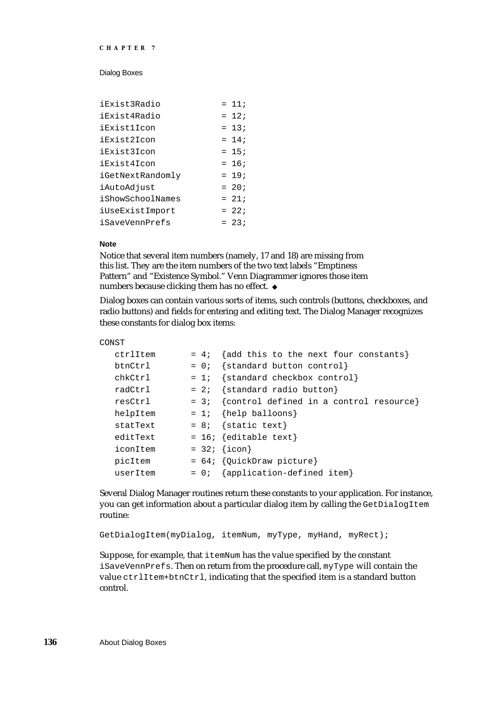#### Dialog Boxes

| iExist3Radio       | $= 11;$ |
|--------------------|---------|
| iExist4Radio       | $= 12i$ |
| <i>iExistlIcon</i> | $= 13;$ |
| iExist2Icon        | $= 14;$ |
| iExist3Icon        | $= 15;$ |
| iExist4Icon        | $= 16$  |
| iGetNextRandomly   | $= 19;$ |
| iAutoAdjust        | $= 20;$ |
| iShowSchoolNames   | $= 21;$ |
| iUseExistImport    | $= 22i$ |
| iSaveVennPrefs     | $= 23;$ |

### **Note**

Notice that several item numbers (namely, 17 and 18) are missing from this list. They are the item numbers of the two text labels "Emptiness Pattern" and "Existence Symbol." Venn Diagrammer ignores those item numbers because clicking them has no effect. u

Dialog boxes can contain various sorts of items, such controls (buttons, checkboxes, and radio buttons) and fields for entering and editing text. The Dialog Manager recognizes these constants for dialog box items:

### CONST

|        | = 4; {add this to the next four constants}     |
|--------|------------------------------------------------|
|        | $= 0$ ; {standard button control}              |
|        | $= 1;$ {standard checkbox control}             |
| $= 2i$ | {standard radio button}                        |
|        | = $3:$ {control defined in a control resource} |
|        | $= 1;$ {help balloons}                         |
|        | $= 8;$ {static text}                           |
|        | $= 16; \{editable text\}$                      |
|        | $= 32; \{icon\}$                               |
|        | $= 64;$ {QuickDraw picture}                    |
|        | $= 0;$ {application-defined item}              |
|        |                                                |

Several Dialog Manager routines return these constants to your application. For instance, you can get information about a particular dialog item by calling the GetDialogItem routine:

GetDialogItem(myDialog, itemNum, myType, myHand, myRect);

Suppose, for example, that itemNum has the value specified by the constant iSaveVennPrefs. Then on return from the procedure call, myType will contain the value ctrlItem+btnCtrl, indicating that the specified item is a standard button control.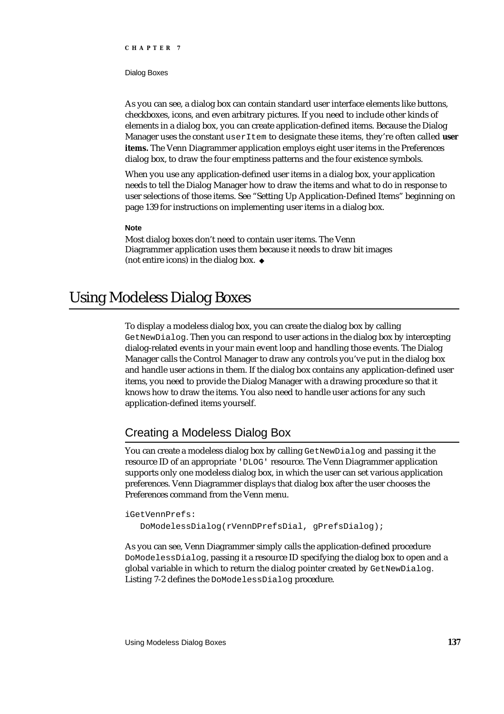Dialog Boxes

As you can see, a dialog box can contain standard user interface elements like buttons, checkboxes, icons, and even arbitrary pictures. If you need to include other kinds of elements in a dialog box, you can create application-defined items. Because the Dialog Manager uses the constant userItem to designate these items, they're often called **user items.** The Venn Diagrammer application employs eight user items in the Preferences dialog box, to draw the four emptiness patterns and the four existence symbols.

When you use any application-defined user items in a dialog box, your application needs to tell the Dialog Manager how to draw the items and what to do in response to user selections of those items. See "Setting Up Application-Defined Items" beginning on page 139 for instructions on implementing user items in a dialog box.

### **Note**

Most dialog boxes don't need to contain user items. The Venn Diagrammer application uses them because it needs to draw bit images (not entire icons) in the dialog box.

## Using Modeless Dialog Boxes

To display a modeless dialog box, you can create the dialog box by calling GetNewDialog. Then you can respond to user actions in the dialog box by intercepting dialog-related events in your main event loop and handling those events. The Dialog Manager calls the Control Manager to draw any controls you've put in the dialog box and handle user actions in them. If the dialog box contains any application-defined user items, you need to provide the Dialog Manager with a drawing procedure so that it knows how to draw the items. You also need to handle user actions for any such application-defined items yourself.

### Creating a Modeless Dialog Box

You can create a modeless dialog box by calling GetNewDialog and passing it the resource ID of an appropriate 'DLOG' resource. The Venn Diagrammer application supports only one modeless dialog box, in which the user can set various application preferences. Venn Diagrammer displays that dialog box after the user chooses the Preferences command from the Venn menu.

### iGetVennPrefs:

DoModelessDialog(rVennDPrefsDial, gPrefsDialog);

As you can see, Venn Diagrammer simply calls the application-defined procedure DoModelessDialog, passing it a resource ID specifying the dialog box to open and a global variable in which to return the dialog pointer created by GetNewDialog. Listing 7-2 defines the DoModelessDialog procedure.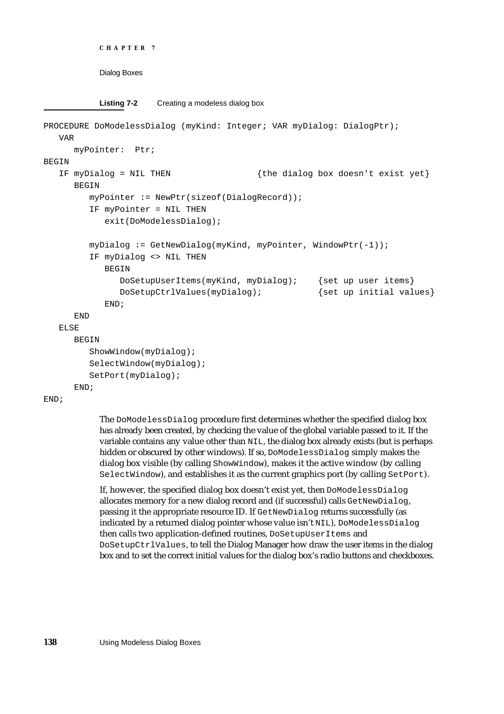```
CHAPTER 7
```
**Listing 7-2** Creating a modeless dialog box

```
PROCEDURE DoModelessDialog (myKind: Integer; VAR myDialog: DialogPtr);
  VAR
     myPointer: Ptr;
BEGIN
  IF myDialog = NIL THEN {the dialog box doesn't exist yet}
     BEGIN
        myPointer := NewPtr(sizeof(DialogRecord));
        IF myPointer = NIL THEN
           exit(DoModelessDialog);
        myDialog := GetNewDialog(myKind, myPointer, WindowPtr(-1));
        IF myDialog <> NIL THEN
           BEGIN
              DoSetupUserItems(myKind, myDialog); {set up user items}
              DoSetupCtrlValues(myDialog); {set up initial values}
           END;
     END
  ELSE
     BEGIN
        ShowWindow(myDialog);
        SelectWindow(myDialog);
        SetPort(myDialog);
     END;
```

```
END;
```
The DoModelessDialog procedure first determines whether the specified dialog box has already been created, by checking the value of the global variable passed to it. If the variable contains any value other than NIL, the dialog box already exists (but is perhaps hidden or obscured by other windows). If so, DoModelessDialog simply makes the dialog box visible (by calling ShowWindow), makes it the active window (by calling SelectWindow), and establishes it as the current graphics port (by calling SetPort).

If, however, the specified dialog box doesn't exist yet, then DoModelessDialog allocates memory for a new dialog record and (if successful) calls GetNewDialog, passing it the appropriate resource ID. If GetNewDialog returns successfully (as indicated by a returned dialog pointer whose value isn't NIL), DoModelessDialog then calls two application-defined routines, DoSetupUserItems and DoSetupCtrlValues, to tell the Dialog Manager how draw the user items in the dialog box and to set the correct initial values for the dialog box's radio buttons and checkboxes.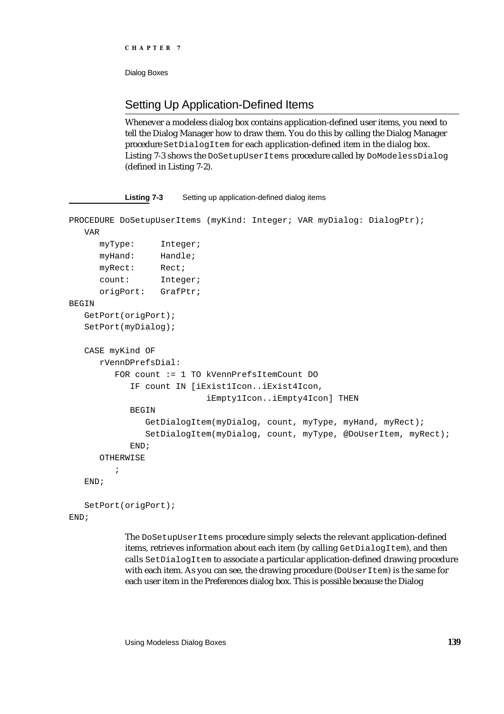```
CHAPTER 7
```
### Setting Up Application-Defined Items

**Listing 7-3** Setting up application-defined dialog items

Whenever a modeless dialog box contains application-defined user items, you need to tell the Dialog Manager how to draw them. You do this by calling the Dialog Manager procedure SetDialogItem for each application-defined item in the dialog box. Listing 7-3 shows the DoSetupUserItems procedure called by DoModelessDialog (defined in Listing 7-2).

```
PROCEDURE DoSetupUserItems (myKind: Integer; VAR myDialog: DialogPtr);
   VAR
     myType: Integer;
     myHand: Handle;
     myRect: Rect;
      count: Integer;
      origPort: GrafPtr;
BEGIN
   GetPort(origPort);
   SetPort(myDialog);
   CASE myKind OF
      rVennDPrefsDial: 
         FOR count := 1 TO kVennPrefsItemCount DO
            IF count IN [iExist1Icon..iExist4Icon, 
                           iEmpty1Icon..iEmpty4Icon] THEN
            BEGIN
              GetDialogItem(myDialog, count, myType, myHand, myRect);
              SetDialogItem(myDialog, count, myType, @DoUserItem, myRect);
            END;
      OTHERWISE
         ;
   END;
   SetPort(origPort);
```

```
END;
```
The DoSetupUserItems procedure simply selects the relevant application-defined items, retrieves information about each item (by calling GetDialogItem), and then calls SetDialogItem to associate a particular application-defined drawing procedure with each item. As you can see, the drawing procedure (DoUserItem) is the same for each user item in the Preferences dialog box. This is possible because the Dialog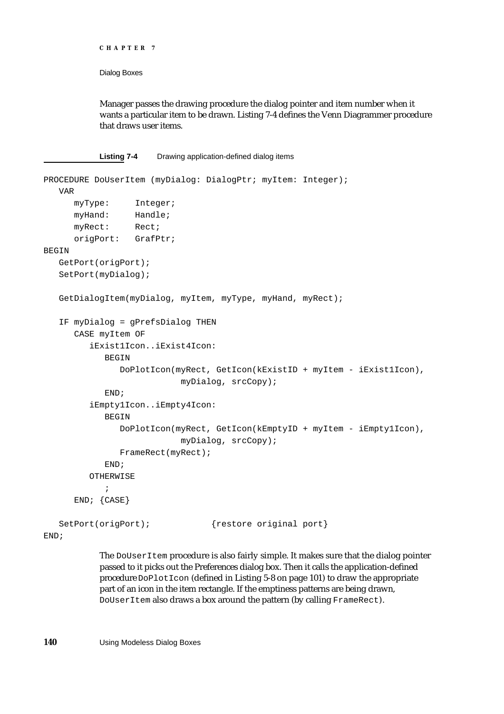```
CHAPTER 7
```
Manager passes the drawing procedure the dialog pointer and item number when it wants a particular item to be drawn. Listing 7-4 defines the Venn Diagrammer procedure that draws user items.

**Listing 7-4** Drawing application-defined dialog items

```
PROCEDURE DoUserItem (myDialog: DialogPtr; myItem: Integer);
  VAR
     myType: Integer;
     myHand: Handle;
     myRect: Rect;
     origPort: GrafPtr;
BEGIN
  GetPort(origPort);
  SetPort(myDialog);
  GetDialogItem(myDialog, myItem, myType, myHand, myRect);
  IF myDialog = gPrefsDialog THEN
     CASE myItem OF
        iExist1Icon..iExist4Icon: 
           BEGIN
              DoPlotIcon(myRect, GetIcon(kExistID + myItem - iExist1Icon),
                          myDialog, srcCopy);
           END;
        iEmpty1Icon..iEmpty4Icon: 
           BEGIN
              DoPlotIcon(myRect, GetIcon(kEmptyID + myItem - iEmpty1Icon),
                          myDialog, srcCopy);
              FrameRect(myRect);
           END;
        OTHERWISE
            ;
     END; {CASE}
  SetPort(origPort); {restore original port}
END;
```
The DoUserItem procedure is also fairly simple. It makes sure that the dialog pointer passed to it picks out the Preferences dialog box. Then it calls the application-defined procedure DoPlotIcon (defined in Listing 5-8 on page 101) to draw the appropriate part of an icon in the item rectangle. If the emptiness patterns are being drawn, DoUserItem also draws a box around the pattern (by calling FrameRect).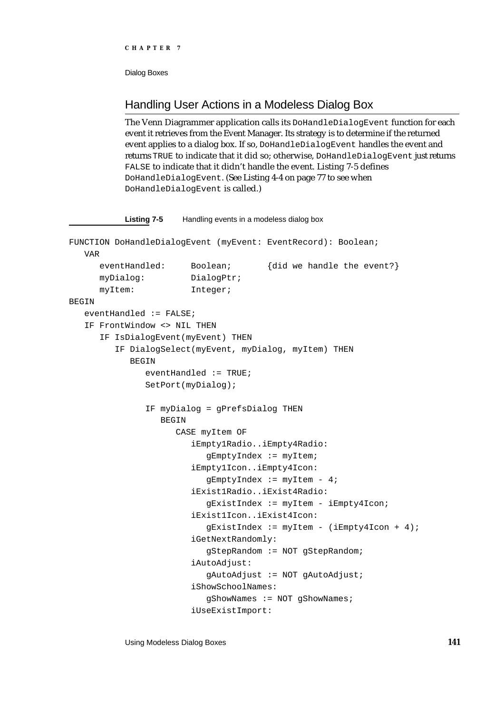### Handling User Actions in a Modeless Dialog Box

The Venn Diagrammer application calls its DoHandleDialogEvent function for each event it retrieves from the Event Manager. Its strategy is to determine if the returned event applies to a dialog box. If so, DoHandleDialogEvent handles the event and returns TRUE to indicate that it did so; otherwise, DoHandleDialogEvent just returns FALSE to indicate that it didn't handle the event. Listing 7-5 defines DoHandleDialogEvent. (See Listing 4-4 on page 77 to see when DoHandleDialogEvent is called.)

### **Listing 7-5** Handling events in a modeless dialog box

```
FUNCTION DoHandleDialogEvent (myEvent: EventRecord): Boolean;
  VAR
      eventHandled: Boolean; {did we handle the event?}
      myDialog: DialogPtr;
      myItem: Integer;
BEGIN
   eventHandled := FALSE;
   IF FrontWindow <> NIL THEN
      IF IsDialogEvent(myEvent) THEN
         IF DialogSelect(myEvent, myDialog, myItem) THEN
            BEGIN
              eventHandled := TRUE;
              SetPort(myDialog);
               IF myDialog = gPrefsDialog THEN
                 BEGIN
                    CASE myItem OF
                        iEmpty1Radio..iEmpty4Radio: 
                          gEmptyIndex := myItem;
                        iEmpty1Icon..iEmpty4Icon: 
                          qEmptyIndex := myItem - 4;iExist1Radio..iExist4Radio: 
                           gExistIndex := myItem - iEmpty4Icon;
                        iExist1Icon..iExist4Icon: 
                           gExistIndex := myItem - (iEmpty4Icon + 4);
                        iGetNextRandomly: 
                           gStepRandom := NOT gStepRandom;
                        iAutoAdjust: 
                           gAutoAdjust := NOT gAutoAdjust;
                        iShowSchoolNames: 
                           gShowNames := NOT gShowNames;
                        iUseExistImport:
```
Using Modeless Dialog Boxes **141**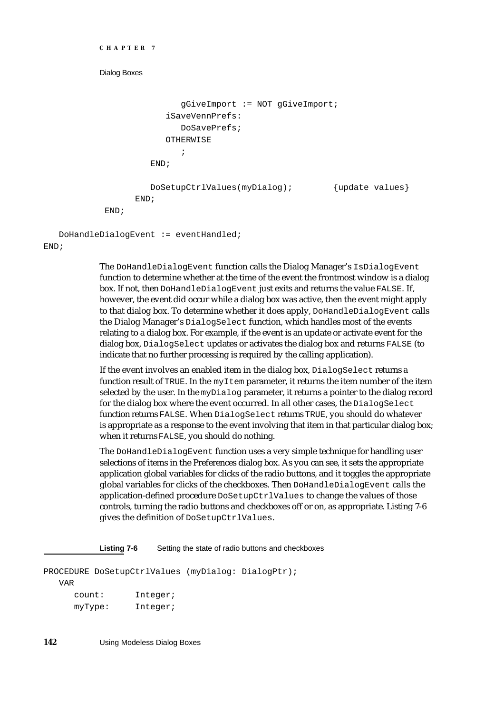```
CHAPTER 7
```

```
gGiveImport := NOT gGiveImport;
            iSaveVennPrefs: 
               DoSavePrefs;
            OTHERWISE
               ;
        END;
        DoSetupCtrlValues(myDialog); {update values}
      END;
END;
```
DoHandleDialogEvent := eventHandled;

END;

The DoHandleDialogEvent function calls the Dialog Manager's IsDialogEvent function to determine whether at the time of the event the frontmost window is a dialog box. If not, then DoHandleDialogEvent just exits and returns the value FALSE. If, however, the event did occur while a dialog box was active, then the event might apply to that dialog box. To determine whether it does apply, DoHandleDialogEvent calls the Dialog Manager's DialogSelect function, which handles most of the events relating to a dialog box. For example, if the event is an update or activate event for the dialog box, DialogSelect updates or activates the dialog box and returns FALSE (to indicate that no further processing is required by the calling application).

If the event involves an enabled item in the dialog box, DialogSelect returns a function result of TRUE. In the my<sub>Item</sub> parameter, it returns the item number of the item selected by the user. In the  $myDialoq$  parameter, it returns a pointer to the dialog record for the dialog box where the event occurred. In all other cases, the DialogSelect function returns FALSE. When DialogSelect returns TRUE, you should do whatever is appropriate as a response to the event involving that item in that particular dialog box; when it returns FALSE, you should do nothing.

The DoHandleDialogEvent function uses a very simple technique for handling user selections of items in the Preferences dialog box. As you can see, it sets the appropriate application global variables for clicks of the radio buttons, and it toggles the appropriate global variables for clicks of the checkboxes. Then DoHandleDialogEvent calls the application-defined procedure DoSetupCtrlValues to change the values of those controls, turning the radio buttons and checkboxes off or on, as appropriate. Listing 7-6 gives the definition of DoSetupCtrlValues.

**Listing 7-6** Setting the state of radio buttons and checkboxes

```
PROCEDURE DoSetupCtrlValues (myDialog: DialogPtr);
  VAR
     count: Integer;
     myType: Integer;
```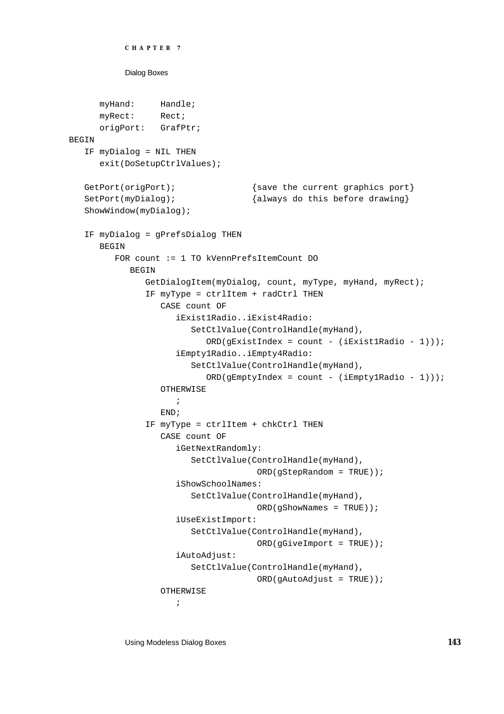```
CHAPTER 7
```

```
myHand: Handle;
      myRect: Rect;
      origPort: GrafPtr;
BEGIN
   IF myDialog = NIL THEN
      exit(DoSetupCtrlValues);
   GetPort(origPort); \{ \text{save the current graphics port} \}SetPort(myDialog); {always do this before drawing}ShowWindow(myDialog);
   IF myDialog = gPrefsDialog THEN
      BEGIN
         FOR count := 1 TO kVennPrefsItemCount DO
            BEGIN
               GetDialogItem(myDialog, count, myType, myHand, myRect);
               IF myType = ctrlItem + radCtrl THEN
                  CASE count OF
                     iExist1Radio..iExist4Radio: 
                        SetCtlValue(ControlHandle(myHand),
                           ORD(gExistIndex = count - (ikxistIRadio - 1))));
                     iEmpty1Radio..iEmpty4Radio: 
                        SetCtlValue(ControlHandle(myHand),
                           ORD(gEmptyIndex = count - (iEmpty1Radio - 1))));
                  OTHERWISE
                     ;
                  END;
               IF myType = ctrlItem + chkCtrl THEN
                  CASE count OF
                     iGetNextRandomly: 
                        SetCtlValue(ControlHandle(myHand),
                                      ORD(gStepRandom = TRUE));
                     iShowSchoolNames: 
                        SetCtlValue(ControlHandle(myHand), 
                                      ORD(gShowNames = TRUE));
                     iUseExistImport: 
                        SetCtlValue(ControlHandle(myHand),
                                      ORD(gGiveImport = TRUE));
                     iAutoAdjust: 
                        SetCtlValue(ControlHandle(myHand),
                                      ORD(gAutoAdjust = TRUE));
                  OTHERWISE
                     ;
```
Using Modeless Dialog Boxes **143**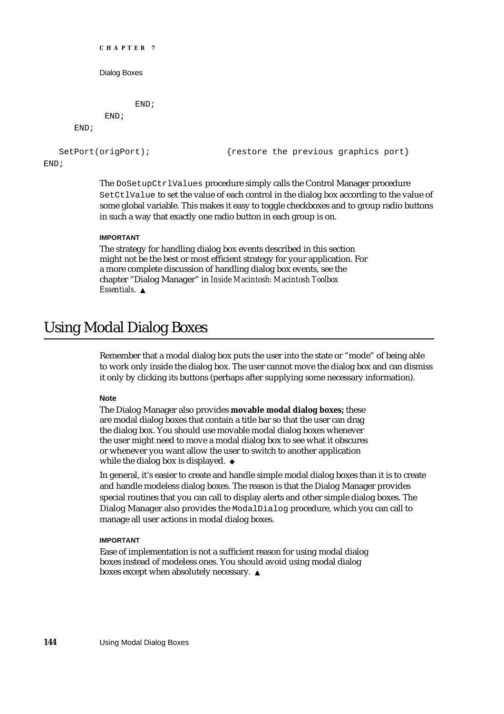```
CHAPTER 7
           Dialog Boxes
                  END;
            END;
      END;
   SetPort(origPort); {restore the previous graphics port}END;
           The DoSetupCtrlValues procedure simply calls the Control Manager procedure
```
SetCtlValue to set the value of each control in the dialog box according to the value of some global variable. This makes it easy to toggle checkboxes and to group radio buttons in such a way that exactly one radio button in each group is on.

### **IMPORTANT**

The strategy for handling dialog box events described in this section might not be the best or most efficient strategy for your application. For a more complete discussion of handling dialog box events, see the chapter "Dialog Manager" in *Inside Macintosh: Macintosh Toolbox Essentials*.

# Using Modal Dialog Boxes

Remember that a modal dialog box puts the user into the state or "mode" of being able to work only inside the dialog box. The user cannot move the dialog box and can dismiss it only by clicking its buttons (perhaps after supplying some necessary information).

### **Note**

The Dialog Manager also provides **movable modal dialog boxes;** these are modal dialog boxes that contain a title bar so that the user can drag the dialog box. You should use movable modal dialog boxes whenever the user might need to move a modal dialog box to see what it obscures or whenever you want allow the user to switch to another application while the dialog box is displayed. u

In general, it's easier to create and handle simple modal dialog boxes than it is to create and handle modeless dialog boxes. The reason is that the Dialog Manager provides special routines that you can call to display alerts and other simple dialog boxes. The Dialog Manager also provides the ModalDialog procedure, which you can call to manage all user actions in modal dialog boxes.

### **IMPORTANT**

Ease of implementation is not a sufficient reason for using modal dialog boxes instead of modeless ones. You should avoid using modal dialog boxes except when absolutely necessary. s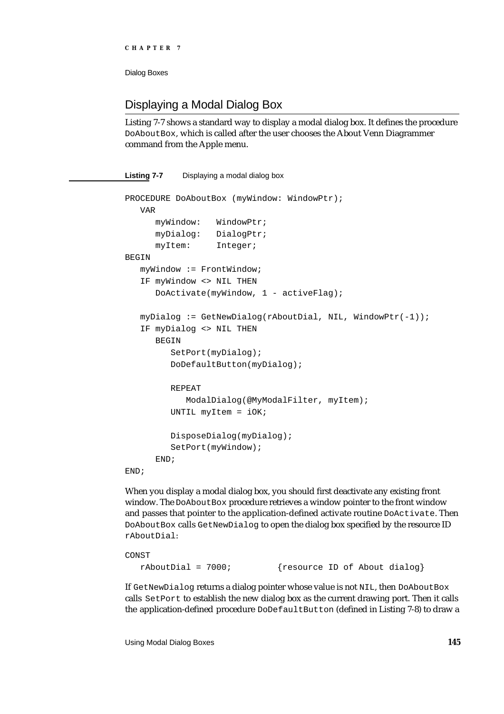### Displaying a Modal Dialog Box

Listing 7-7 shows a standard way to display a modal dialog box. It defines the procedure DoAboutBox, which is called after the user chooses the About Venn Diagrammer command from the Apple menu.

**Listing 7-7** Displaying a modal dialog box PROCEDURE DoAboutBox (myWindow: WindowPtr); VAR myWindow: WindowPtr; myDialog: DialogPtr; myItem: Integer; **BEGIN** myWindow := FrontWindow; IF myWindow <> NIL THEN DoActivate(myWindow, 1 - activeFlag); myDialog := GetNewDialog(rAboutDial, NIL, WindowPtr(-1)); IF myDialog <> NIL THEN **BEGIN** SetPort(myDialog); DoDefaultButton(myDialog); REPEAT ModalDialog(@MyModalFilter, myItem); UNTIL myItem = iOK; DisposeDialog(myDialog); SetPort(myWindow); END; END;

When you display a modal dialog box, you should first deactivate any existing front window. The DoAboutBox procedure retrieves a window pointer to the front window and passes that pointer to the application-defined activate routine DoActivate. Then DoAboutBox calls GetNewDialog to open the dialog box specified by the resource ID rAboutDial:

```
CONST
  rAboutDial = 7000; {resource ID of About dialog}
```
If GetNewDialog returns a dialog pointer whose value is not NIL, then DoAboutBox calls SetPort to establish the new dialog box as the current drawing port. Then it calls the application-defined procedure DoDefaultButton (defined in Listing 7-8) to draw a

Using Modal Dialog Boxes **145**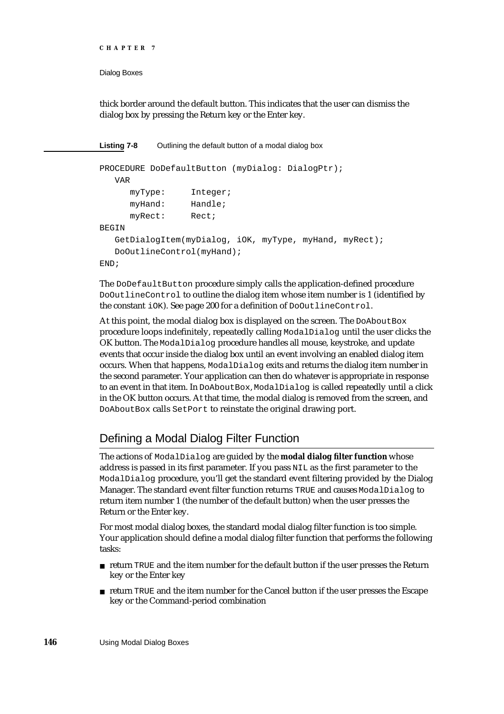```
CHAPTER 7
```
thick border around the default button. This indicates that the user can dismiss the dialog box by pressing the Return key or the Enter key.

**Listing 7-8** Outlining the default button of a modal dialog box

```
PROCEDURE DoDefaultButton (myDialog: DialogPtr);
  VAR
     myType: Integer;
     myHand: Handle;
     myRect: Rect;
BEGIN
  GetDialogItem(myDialog, iOK, myType, myHand, myRect);
  DoOutlineControl(myHand);
END;
```
The DoDefaultButton procedure simply calls the application-defined procedure DoOutlineControl to outline the dialog item whose item number is 1 (identified by the constant iOK). See page 200 for a definition of DoOutlineControl.

At this point, the modal dialog box is displayed on the screen. The DoAbout Box procedure loops indefinitely, repeatedly calling ModalDialog until the user clicks the OK button. The ModalDialog procedure handles all mouse, keystroke, and update events that occur inside the dialog box until an event involving an enabled dialog item occurs. When that happens, ModalDialog exits and returns the dialog item number in the second parameter. Your application can then do whatever is appropriate in response to an event in that item. In DoAboutBox, ModalDialog is called repeatedly until a click in the OK button occurs. At that time, the modal dialog is removed from the screen, and DoAboutBox calls SetPort to reinstate the original drawing port.

### Defining a Modal Dialog Filter Function

The actions of ModalDialog are guided by the **modal dialog filter function** whose address is passed in its first parameter. If you pass NIL as the first parameter to the ModalDialog procedure, you'll get the standard event filtering provided by the Dialog Manager. The standard event filter function returns TRUE and causes ModalDialog to return item number 1 (the number of the default button) when the user presses the Return or the Enter key.

For most modal dialog boxes, the standard modal dialog filter function is too simple. Your application should define a modal dialog filter function that performs the following tasks:

- $n$  return TRUE and the item number for the default button if the user presses the Return key or the Enter key
- $n$  return TRUE and the item number for the Cancel button if the user presses the Escape key or the Command-period combination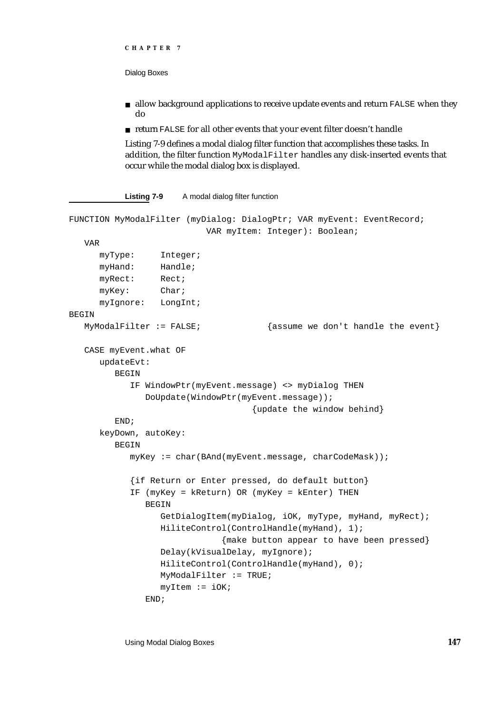```
CHAPTER 7
```
- $n$  allow background applications to receive update events and return FALSE when they do
- return FALSE for all other events that your event filter doesn't handle

Listing 7-9 defines a modal dialog filter function that accomplishes these tasks. In addition, the filter function MyModalFilter handles any disk-inserted events that occur while the modal dialog box is displayed.

Listing 7-9 A modal dialog filter function

```
FUNCTION MyModalFilter (myDialog: DialogPtr; VAR myEvent: EventRecord;
                          VAR myItem: Integer): Boolean;
  VAR
     myType: Integer;
     myHand: Handle;
     myRect: Rect;
     myKey: Char;
     myIgnore: LongInt;
BEGIN
  MyModalFilter := FALSE; {asume we don't handle the event}CASE myEvent.what OF
     updateEvt: 
        BEGIN
           IF WindowPtr(myEvent.message) <> myDialog THEN
              DoUpdate(WindowPtr(myEvent.message));
                                   {update the window behind}
        END;
     keyDown, autoKey: 
        BEGIN
           myKey := char(BAnd(myEvent.message, charCodeMask));
           {if Return or Enter pressed, do default button}
           IF (myKey = kReturn) OR (myKey = kEnter) THEN
              BEGIN
                 GetDialogItem(myDialog, iOK, myType, myHand, myRect);
                 HiliteControl(ControlHandle(myHand), 1);
                             {make button appear to have been pressed}
                 Delay(kVisualDelay, myIgnore);
                 HiliteControl(ControlHandle(myHand), 0);
                 MyModalFilter := TRUE;
                 myItem := iOK;END;
```
Using Modal Dialog Boxes **147**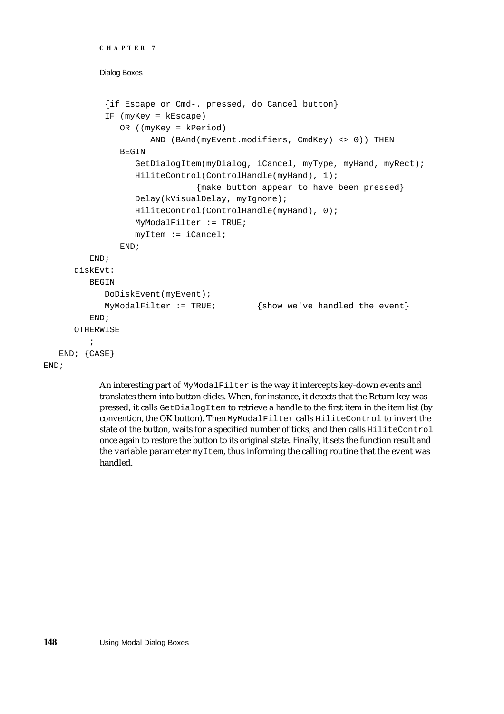```
CHAPTER 7
```

```
{if Escape or Cmd-. pressed, do Cancel button}
         IF (myKey = kEscape)
            OR ((myKey = kPeriod)
                  AND (BAnd(myEvent.modifiers, CmdKey) <> 0)) THEN
            BEGIN
               GetDialogItem(myDialog, iCancel, myType, myHand, myRect);
               HiliteControl(ControlHandle(myHand), 1);
                           {make button appear to have been pressed}
               Delay(kVisualDelay, myIgnore);
               HiliteControl(ControlHandle(myHand), 0);
               MyModalFilter := TRUE;
               myItem := iCancel;
            END;
      END;
   diskEvt: 
     BEGIN
         DoDiskEvent(myEvent);
         MyModalFilter := TRUE; {show we've handled the event}END;
   OTHERWISE
      ;
END; {CASE}
```
### END;

An interesting part of MyModalFilter is the way it intercepts key-down events and translates them into button clicks. When, for instance, it detects that the Return key was pressed, it calls GetDialogItem to retrieve a handle to the first item in the item list (by convention, the OK button). Then MyModalFilter calls HiliteControl to invert the state of the button, waits for a specified number of ticks, and then calls HiliteControl once again to restore the button to its original state. Finally, it sets the function result and the variable parameter myItem, thus informing the calling routine that the event was handled.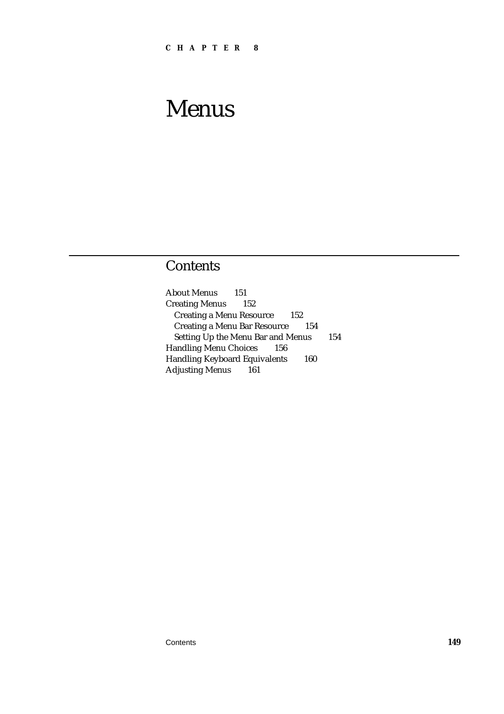## Contents

About Menus 151 Creating Menus 152 Creating a Menu Resource 152 Creating a Menu Bar Resource 154 Setting Up the Menu Bar and Menus 154 Handling Menu Choices 156 Handling Keyboard Equivalents 160 Adjusting Menus 161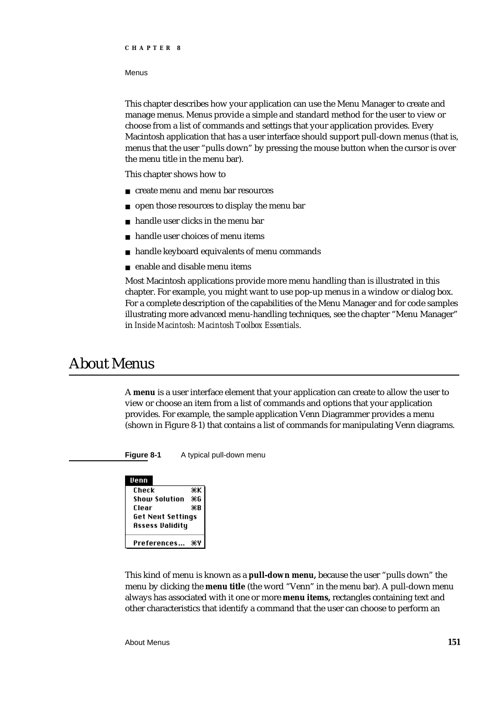This chapter describes how your application can use the Menu Manager to create and manage menus. Menus provide a simple and standard method for the user to view or choose from a list of commands and settings that your application provides. Every Macintosh application that has a user interface should support pull-down menus (that is, menus that the user "pulls down" by pressing the mouse button when the cursor is over the menu title in the menu bar).

This chapter shows how to

- create menu and menu bar resources
- n open those resources to display the menu bar
- handle user clicks in the menu bar  $\overline{a}$
- handle user choices of menu items  $\overline{p}$
- handle keyboard equivalents of menu commands  $\overline{p}$
- enable and disable menu items n.

Most Macintosh applications provide more menu handling than is illustrated in this chapter. For example, you might want to use pop-up menus in a window or dialog box. For a complete description of the capabilities of the Menu Manager and for code samples illustrating more advanced menu-handling techniques, see the chapter "Menu Manager" in *Inside Macintosh: Macintosh Toolbox Essentials*.

### About Menus

A **menu** is a user interface element that your application can create to allow the user to view or choose an item from a list of commands and options that your application provides. For example, the sample application Venn Diagrammer provides a menu (shown in Figure 8-1) that contains a list of commands for manipulating Venn diagrams.

**Figure 8-1** A typical pull-down menu

| Venn                     |    |
|--------------------------|----|
| Check                    | ЖK |
| Show Solution            | Ж6 |
| Clear                    | ЖB |
| <b>Get Next Settings</b> |    |
| Assess Validity          |    |
| Preferences              | ж٧ |

This kind of menu is known as a **pull-down menu,** because the user "pulls down" the menu by clicking the **menu title** (the word "Venn" in the menu bar). A pull-down menu always has associated with it one or more **menu items,** rectangles containing text and other characteristics that identify a command that the user can choose to perform an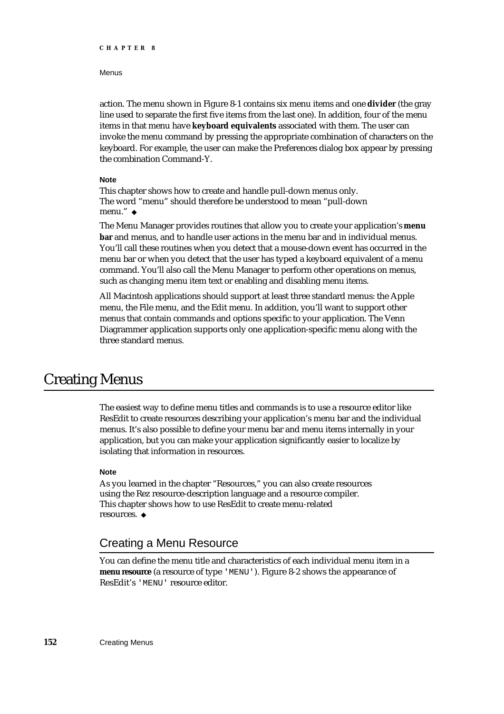#### Menus

action. The menu shown in Figure 8-1 contains six menu items and one **divider** (the gray line used to separate the first five items from the last one). In addition, four of the menu items in that menu have **keyboard equivalents** associated with them. The user can invoke the menu command by pressing the appropriate combination of characters on the keyboard. For example, the user can make the Preferences dialog box appear by pressing the combination Command-Y.

### **Note**

This chapter shows how to create and handle pull-down menus only. The word "menu" should therefore be understood to mean "pull-down menu." u

The Menu Manager provides routines that allow you to create your application's **menu bar** and menus, and to handle user actions in the menu bar and in individual menus. You'll call these routines when you detect that a mouse-down event has occurred in the menu bar or when you detect that the user has typed a keyboard equivalent of a menu command. You'll also call the Menu Manager to perform other operations on menus, such as changing menu item text or enabling and disabling menu items.

All Macintosh applications should support at least three standard menus: the Apple menu, the File menu, and the Edit menu. In addition, you'll want to support other menus that contain commands and options specific to your application. The Venn Diagrammer application supports only one application-specific menu along with the three standard menus.

### Creating Menus

The easiest way to define menu titles and commands is to use a resource editor like ResEdit to create resources describing your application's menu bar and the individual menus. It's also possible to define your menu bar and menu items internally in your application, but you can make your application significantly easier to localize by isolating that information in resources.

### **Note**

As you learned in the chapter "Resources," you can also create resources using the Rez resource-description language and a resource compiler. This chapter shows how to use ResEdit to create menu-related resources. u

### Creating a Menu Resource

You can define the menu title and characteristics of each individual menu item in a **menu resource** (a resource of type 'MENU'). Figure 8-2 shows the appearance of ResEdit's 'MENU' resource editor.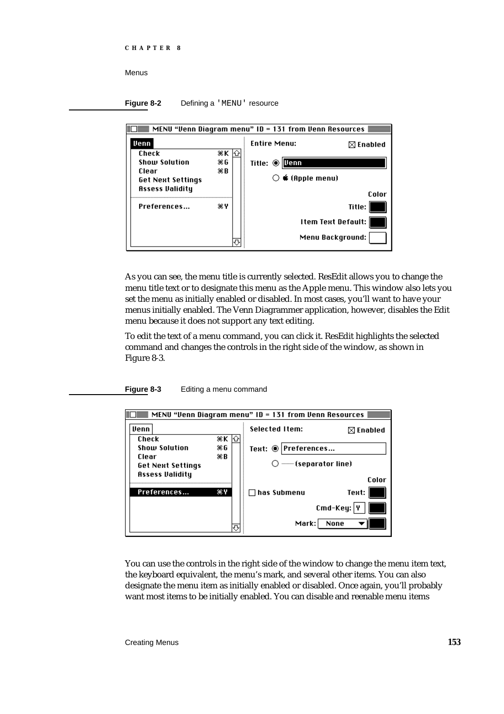**Figure 8-2** Defining a 'MENU' resource

| MENU "Venn Diagram menu" ID = 131 from Venn Resources $\equiv$ |    |                                   |                           |  |
|----------------------------------------------------------------|----|-----------------------------------|---------------------------|--|
| Venn                                                           |    | <b>Entire Menu:</b>               | $\boxtimes$ Enabled       |  |
| Check                                                          | ЖK |                                   |                           |  |
| <b>Show Solution</b>                                           | ЖG | Venn<br>Title: $•$                |                           |  |
| Clear                                                          | жB |                                   |                           |  |
| <b>Get Next Settings</b>                                       |    | $\bigcirc$ $\bullet$ (Apple menu) |                           |  |
| <b>Assess Validity</b>                                         |    |                                   |                           |  |
|                                                                |    |                                   | Color                     |  |
| Preferences                                                    | жY |                                   | Title:                    |  |
|                                                                |    |                                   | <b>Item Text Default:</b> |  |
|                                                                |    |                                   | Menu Background:          |  |

As you can see, the menu title is currently selected. ResEdit allows you to change the menu title text or to designate this menu as the Apple menu. This window also lets you set the menu as initially enabled or disabled. In most cases, you'll want to have your menus initially enabled. The Venn Diagrammer application, however, disables the Edit menu because it does not support any text editing.

To edit the text of a menu command, you can click it. ResEdit highlights the selected command and changes the controls in the right side of the window, as shown in Figure 8-3.

**Figure 8-3** Editing a menu command



You can use the controls in the right side of the window to change the menu item text, the keyboard equivalent, the menu's mark, and several other items. You can also designate the menu item as initially enabled or disabled. Once again, you'll probably want most items to be initially enabled. You can disable and reenable menu items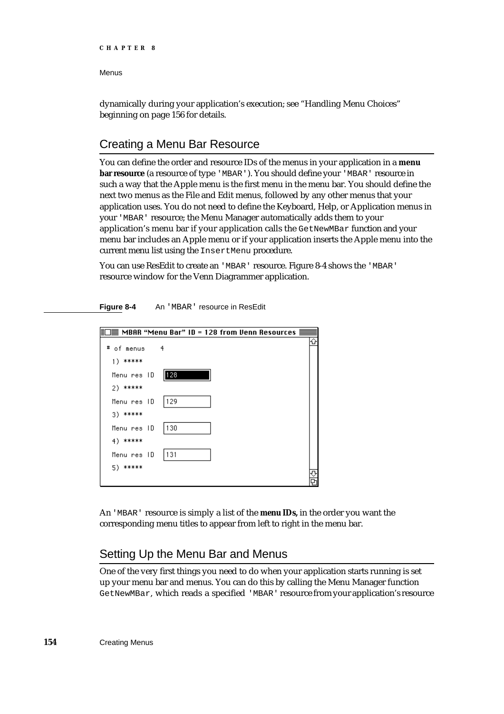Menus

dynamically during your application's execution; see "Handling Menu Choices" beginning on page 156 for details.

### Creating a Menu Bar Resource

You can define the order and resource IDs of the menus in your application in a **menu bar resource** (a resource of type 'MBAR'). You should define your 'MBAR' resource in such a way that the Apple menu is the first menu in the menu bar. You should define the next two menus as the File and Edit menus, followed by any other menus that your application uses. You do not need to define the Keyboard, Help, or Application menus in your 'MBAR' resource; the Menu Manager automatically adds them to your application's menu bar if your application calls the GetNewMBar function and your menu bar includes an Apple menu or if your application inserts the Apple menu into the current menu list using the InsertMenu procedure.

You can use ResEdit to create an 'MBAR' resource. Figure 8-4 shows the 'MBAR' resource window for the Venn Diagrammer application.



**Figure 8-4** An 'MBAR' resource in ResEdit

An 'MBAR' resource is simply a list of the **menu IDs,** in the order you want the corresponding menu titles to appear from left to right in the menu bar.

### Setting Up the Menu Bar and Menus

One of the very first things you need to do when your application starts running is set up your menu bar and menus. You can do this by calling the Menu Manager function GetNewMBar, which reads a specified 'MBAR' resource from your application's resource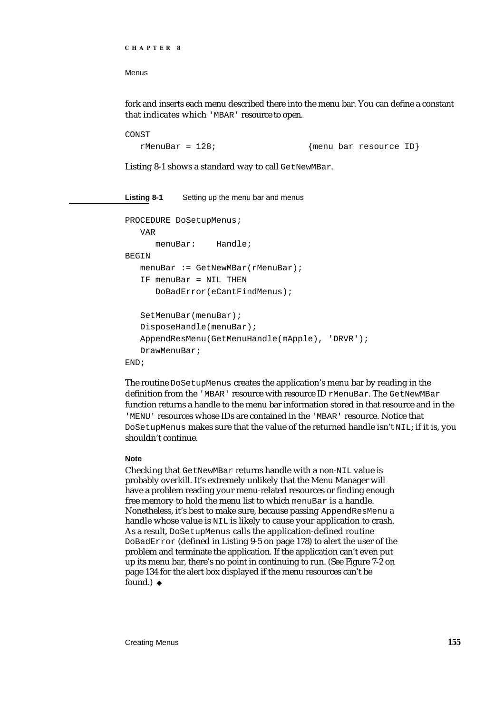Menus

fork and inserts each menu described there into the menu bar. You can define a constant that indicates which 'MBAR' resource to open.

```
CONST
```
rMenuBar = 128;<br>
{menu bar resource ID}

Listing 8-1 shows a standard way to call GetNewMBar.

| Listing 8-1 | Setting up the menu bar and menus             |
|-------------|-----------------------------------------------|
|             | PROCEDURE DoSetupMenus;                       |
| VAR         |                                               |
|             | menuBar: Handle;                              |
| BEGIN       |                                               |
|             | $m$ enuBar := GetNewMBar(rMenuBar);           |
|             | IF menuBar = NIL THEN                         |
|             | DoBadError(eCantFindMenus);                   |
|             |                                               |
|             | SetMenuBar(menuBar);                          |
|             | DisposeHandle(menuBar);                       |
|             | AppendResMenu(GetMenuHandle(mApple), 'DRVR'); |
|             | DrawMenuBar;                                  |
| END:        |                                               |

The routine DoSetupMenus creates the application's menu bar by reading in the definition from the 'MBAR' resource with resource ID rMenuBar. The GetNewMBar function returns a handle to the menu bar information stored in that resource and in the 'MENU' resources whose IDs are contained in the 'MBAR' resource. Notice that DoSetupMenus makes sure that the value of the returned handle isn't NIL; if it is, you shouldn't continue.

### **Note**

Checking that GetNewMBar returns handle with a non-NIL value is probably overkill. It's extremely unlikely that the Menu Manager will have a problem reading your menu-related resources or finding enough free memory to hold the menu list to which menuBar is a handle. Nonetheless, it's best to make sure, because passing AppendResMenu a handle whose value is NIL is likely to cause your application to crash. As a result, DoSetupMenus calls the application-defined routine DoBadError (defined in Listing 9-5 on page 178) to alert the user of the problem and terminate the application. If the application can't even put up its menu bar, there's no point in continuing to run. (See Figure 7-2 on page 134 for the alert box displayed if the menu resources can't be found.) u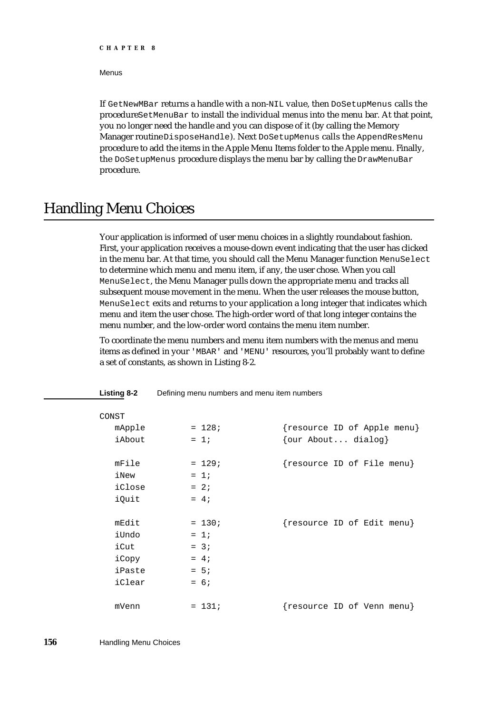### Menus

If GetNewMBar returns a handle with a non-NIL value, then DoSetupMenus calls the procedure SetMenuBar to install the individual menus into the menu bar. At that point, you no longer need the handle and you can dispose of it (by calling the Memory Manager routine DisposeHandle). Next DoSetupMenus calls the AppendResMenu procedure to add the items in the Apple Menu Items folder to the Apple menu. Finally, the DoSetupMenus procedure displays the menu bar by calling the DrawMenuBar procedure.

## Handling Menu Choices

Your application is informed of user menu choices in a slightly roundabout fashion. First, your application receives a mouse-down event indicating that the user has clicked in the menu bar. At that time, you should call the Menu Manager function MenuSelect to determine which menu and menu item, if any, the user chose. When you call MenuSelect, the Menu Manager pulls down the appropriate menu and tracks all subsequent mouse movement in the menu. When the user releases the mouse button, MenuSelect exits and returns to your application a long integer that indicates which menu and item the user chose. The high-order word of that long integer contains the menu number, and the low-order word contains the menu item number.

To coordinate the menu numbers and menu item numbers with the menus and menu items as defined in your 'MBAR' and 'MENU' resources, you'll probably want to define a set of constants, as shown in Listing 8-2.

| CONST  |          |                    |                             |
|--------|----------|--------------------|-----------------------------|
| mApple | $= 128;$ |                    | {resource ID of Apple menu} |
| iAbout | $= 1i$   | {our About dialog} |                             |
| mFile  | $= 129;$ |                    | {resource ID of File menu}  |
| iNew   | $= 1i$   |                    |                             |
| iClose | $= 2i$   |                    |                             |
| iQuit  | $= 4i$   |                    |                             |
|        |          |                    |                             |
| mEdit  | $= 130;$ |                    | {resource ID of Edit menu}  |
| iUndo  | $= 1i$   |                    |                             |
| iCut   | $= 3i$   |                    |                             |
| iCopy  | $= 4i$   |                    |                             |
| iPaste | $= 5i$   |                    |                             |
| iClear | $= 6i$   |                    |                             |
| mVenn  | $= 131;$ |                    |                             |
|        |          |                    | {resource ID of Venn menu}  |

**Listing 8-2** Defining menu numbers and menu item numbers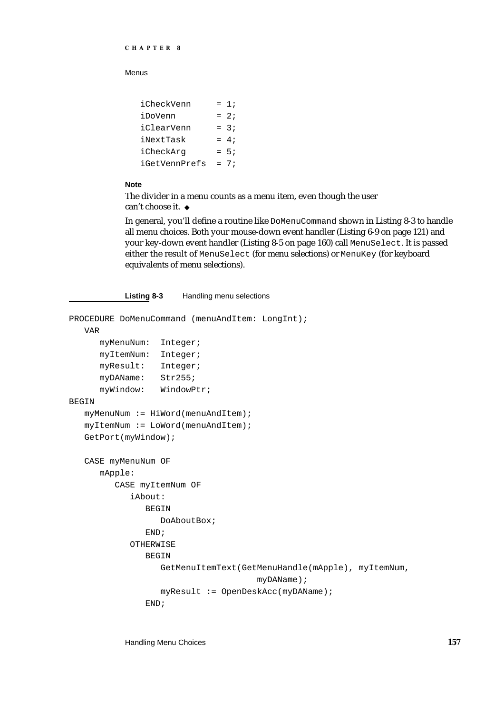Menus

| iCheckVenn    | $= 1;$ |
|---------------|--------|
| iDoVenn       | $= 2i$ |
| iClearVenn    | $= 3:$ |
| iNextTask     | $= 4:$ |
| iCheckArq     | $= 5:$ |
| iGetVennPrefs | $= 7:$ |

### **Note**

The divider in a menu counts as a menu item, even though the user can't choose it.

In general, you'll define a routine like DoMenuCommand shown in Listing 8-3 to handle all menu choices. Both your mouse-down event handler (Listing 6-9 on page 121) and your key-down event handler (Listing 8-5 on page 160) call MenuSelect. It is passed either the result of MenuSelect (for menu selections) or MenuKey (for keyboard equivalents of menu selections).

### **Listing 8-3** Handling menu selections

```
PROCEDURE DoMenuCommand (menuAndItem: LongInt);
  VAR
      myMenuNum: Integer;
      myItemNum: Integer;
      myResult: Integer;
      myDAName: Str255;
      myWindow: WindowPtr;
BEGIN
   myMenuNum := HiWord(menuAndItem);
   myItemNum := LoWord(menuAndItem);
   GetPort(myWindow);
   CASE myMenuNum OF
      mApple: 
         CASE myItemNum OF
            iAbout: 
               BEGIN
                  DoAboutBox;
               END;
            OTHERWISE
               BEGIN
                  GetMenuItemText(GetMenuHandle(mApple), myItemNum,
                                     myDAName);
                  myResult := OpenDeskAcc(myDAName);
               END;
```
Handling Menu Choices **157**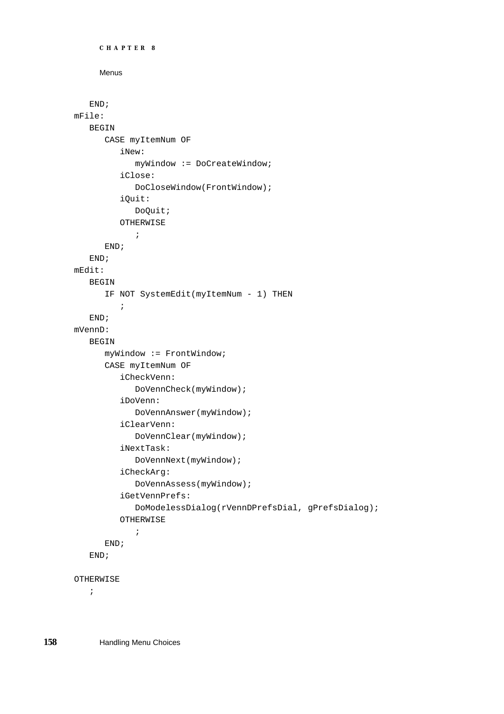```
CHAPTER 8
     Menus
   END;
mFile: 
   BEGIN
      CASE myItemNum OF
         iNew: 
            myWindow := DoCreateWindow;
         iClose: 
            DoCloseWindow(FrontWindow);
         iQuit: 
            DoQuit;
         OTHERWISE
            ;
      END;
   END;
mEdit:
   BEGIN
      IF NOT SystemEdit(myItemNum - 1) THEN
         ;
   END;
mVennD: 
   BEGIN
      myWindow := FrontWindow;
      CASE myItemNum OF
         iCheckVenn: 
            DoVennCheck(myWindow);
         iDoVenn: 
            DoVennAnswer(myWindow);
         iClearVenn: 
            DoVennClear(myWindow);
         iNextTask: 
            DoVennNext(myWindow);
         iCheckArg: 
            DoVennAssess(myWindow);
         iGetVennPrefs: 
            DoModelessDialog(rVennDPrefsDial, gPrefsDialog);
         OTHERWISE
            ;
      END;
   END;
OTHERWISE
   ;
```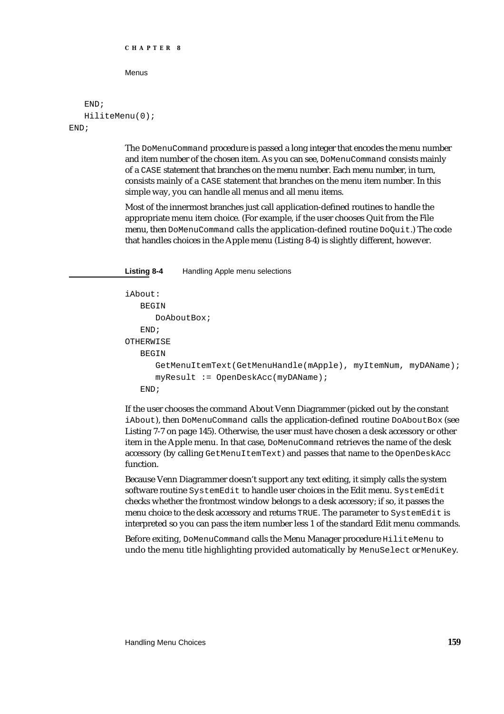```
CHAPTER 8
```

```
END;
   HiliteMenu(0);
END;
```
The DoMenuCommand procedure is passed a long integer that encodes the menu number and item number of the chosen item. As you can see, DoMenuCommand consists mainly of a CASE statement that branches on the menu number. Each menu number, in turn, consists mainly of a CASE statement that branches on the menu item number. In this simple way, you can handle all menus and all menu items.

Most of the innermost branches just call application-defined routines to handle the appropriate menu item choice. (For example, if the user chooses Quit from the File menu, then DoMenuCommand calls the application-defined routine DoQuit.) The code that handles choices in the Apple menu (Listing 8-4) is slightly different, however.

**Listing 8-4** Handling Apple menu selections

```
iAbout: 
   BEGIN
      DoAboutBox;
   END;
OTHERWISE
   BEGIN
      GetMenuItemText(GetMenuHandle(mApple), myItemNum, myDAName);
      myResult := OpenDeskAcc(myDAName);
   END;
```
If the user chooses the command About Venn Diagrammer (picked out by the constant iAbout), then DoMenuCommand calls the application-defined routine DoAboutBox (see Listing 7-7 on page 145). Otherwise, the user must have chosen a desk accessory or other item in the Apple menu. In that case, DoMenuCommand retrieves the name of the desk accessory (by calling GetMenuItemText) and passes that name to the OpenDeskAcc function.

Because Venn Diagrammer doesn't support any text editing, it simply calls the system software routine SystemEdit to handle user choices in the Edit menu. SystemEdit checks whether the frontmost window belongs to a desk accessory; if so, it passes the menu choice to the desk accessory and returns TRUE. The parameter to SystemEdit is interpreted so you can pass the item number less 1 of the standard Edit menu commands.

Before exiting, DoMenuCommand calls the Menu Manager procedure HiliteMenu to undo the menu title highlighting provided automatically by MenuSelect or MenuKey.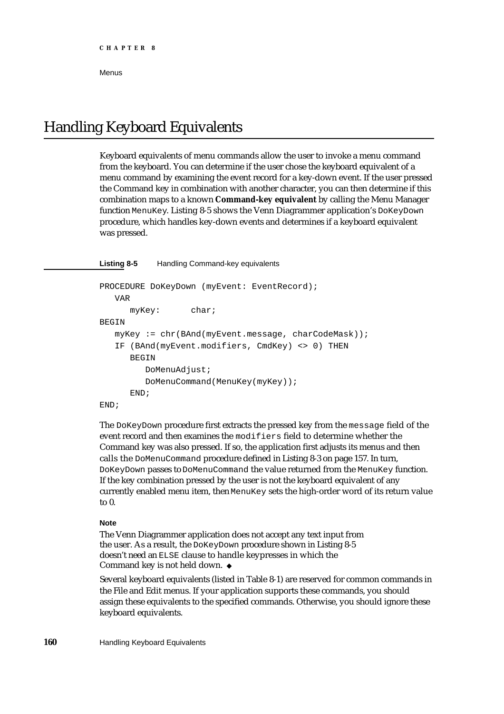# Handling Keyboard Equivalents

Keyboard equivalents of menu commands allow the user to invoke a menu command from the keyboard. You can determine if the user chose the keyboard equivalent of a menu command by examining the event record for a key-down event. If the user pressed the Command key in combination with another character, you can then determine if this combination maps to a known **Command-key equivalent** by calling the Menu Manager function MenuKey. Listing 8-5 shows the Venn Diagrammer application's DoKeyDown procedure, which handles key-down events and determines if a keyboard equivalent was pressed.

### **Listing 8-5** Handling Command-key equivalents

```
PROCEDURE DoKeyDown (myEvent: EventRecord);
   VAR
     myKey: char;
BEGIN
  myKey := chr(BAnd(myEvent.message, charCodeMask));
   IF (BAnd(myEvent.modifiers, CmdKey) <> 0) THEN
      BEGIN
         DoMenuAdjust;
         DoMenuCommand(MenuKey(myKey));
      END;
END;
```
The DoKeyDown procedure first extracts the pressed key from the message field of the event record and then examines the modifiers field to determine whether the Command key was also pressed. If so, the application first adjusts its menus and then calls the DoMenuCommand procedure defined in Listing 8-3 on page 157. In turn, DoKeyDown passes to DoMenuCommand the value returned from the MenuKey function. If the key combination pressed by the user is not the keyboard equivalent of any currently enabled menu item, then MenuKey sets the high-order word of its return value to 0.

### **Note**

The Venn Diagrammer application does not accept any text input from the user. As a result, the DoKeyDown procedure shown in Listing 8-5 doesn't need an ELSE clause to handle keypresses in which the Command key is not held down.

Several keyboard equivalents (listed in Table 8-1) are reserved for common commands in the File and Edit menus. If your application supports these commands, you should assign these equivalents to the specified commands. Otherwise, you should ignore these keyboard equivalents.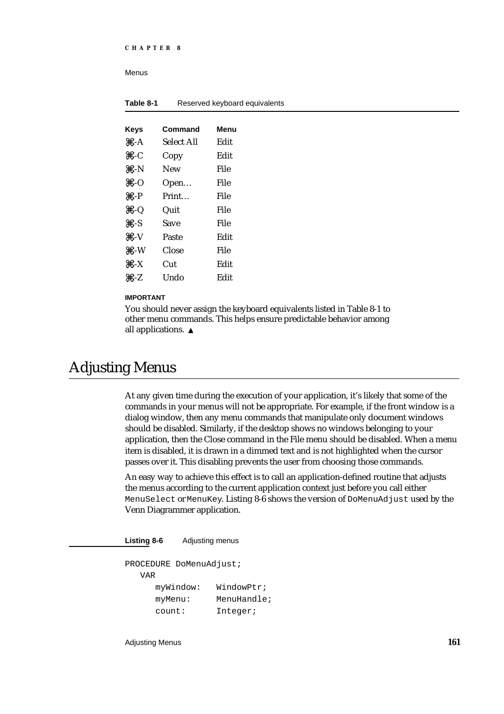| Table 8-1                 | Reserved keyboard equivalents |      |  |
|---------------------------|-------------------------------|------|--|
|                           |                               |      |  |
| <b>Keys</b>               | Command                       | Menu |  |
| $# - A$                   | Select All                    | Edit |  |
| $#$ -C                    | Copy                          | Edit |  |
| #N                        | New                           | File |  |
| #O                        | Open                          | File |  |
| $\mathbf{H} - \mathbf{P}$ | Print                         | File |  |
| $\#Q$                     | Quit                          | File |  |
| $# -S$                    | <b>Save</b>                   | File |  |
| $# - V$                   | Paste                         | Edit |  |
| #W                        | Close                         | File |  |
| $\#$ -X                   | Cut                           | Edit |  |
| #Z                        | Undo                          | Edit |  |

### **IMPORTANT**

You should never assign the keyboard equivalents listed in Table 8-1 to other menu commands. This helps ensure predictable behavior among all applications. s

# Adjusting Menus

At any given time during the execution of your application, it's likely that some of the commands in your menus will not be appropriate. For example, if the front window is a dialog window, then any menu commands that manipulate only document windows should be disabled. Similarly, if the desktop shows no windows belonging to your application, then the Close command in the File menu should be disabled. When a menu item is disabled, it is drawn in a dimmed text and is not highlighted when the cursor passes over it. This disabling prevents the user from choosing those commands.

An easy way to achieve this effect is to call an application-defined routine that adjusts the menus according to the current application context just before you call either MenuSelect or MenuKey. Listing 8-6 shows the version of DoMenuAdjust used by the Venn Diagrammer application.

**Listing 8-6** Adjusting menus

PROCEDURE DoMenuAdjust;

| VAR.      |             |
|-----------|-------------|
| myWindow: | WindowPtr;  |
| myMenu:   | MenuHandle; |
| count:    | Integer;    |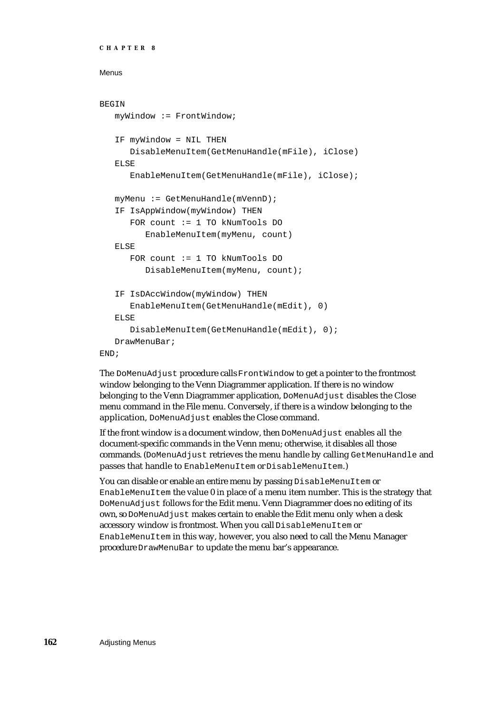```
CHAPTER 8
```

```
BEGIN
  myWindow := FrontWindow;
   IF myWindow = NIL THEN
      DisableMenuItem(GetMenuHandle(mFile), iClose)
   ELSE
      EnableMenuItem(GetMenuHandle(mFile), iClose);
   myMenu := GetMenuHandle(mVennD);
   IF IsAppWindow(myWindow) THEN
      FOR count := 1 TO kNumTools DO
         EnableMenuItem(myMenu, count)
   ELSE
      FOR count := 1 TO kNumTools DO
         DisableMenuItem(myMenu, count);
   IF IsDAccWindow(myWindow) THEN
      EnableMenuItem(GetMenuHandle(mEdit), 0)
   ELSE
      DisableMenuItem(GetMenuHandle(mEdit), 0);
   DrawMenuBar;
END;
```
The DoMenuAdjust procedure calls FrontWindow to get a pointer to the frontmost window belonging to the Venn Diagrammer application. If there is no window belonging to the Venn Diagrammer application, DoMenuAdjust disables the Close menu command in the File menu. Conversely, if there is a window belonging to the application, DoMenuAdjust enables the Close command.

If the front window is a document window, then DoMenuAdjust enables all the document-specific commands in the Venn menu; otherwise, it disables all those commands. (DoMenuAdjust retrieves the menu handle by calling GetMenuHandle and passes that handle to EnableMenuItem or DisableMenuItem.)

You can disable or enable an entire menu by passing DisableMenuItem or EnableMenuItem the value  $\theta$  in place of a menu item number. This is the strategy that DoMenuAdjust follows for the Edit menu. Venn Diagrammer does no editing of its own, so DoMenuAdjust makes certain to enable the Edit menu only when a desk accessory window is frontmost. When you call DisableMenuItem or EnableMenuItem in this way, however, you also need to call the Menu Manager procedure DrawMenuBar to update the menu bar's appearance.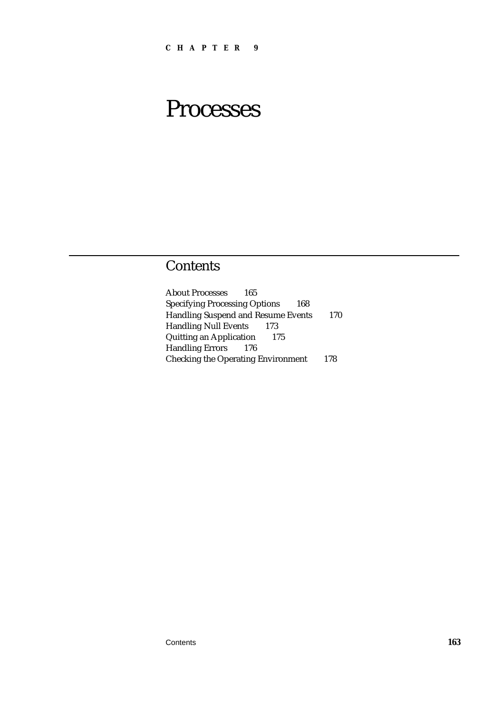# Processes

### Contents

About Processes 165 Specifying Processing Options 168 Handling Suspend and Resume Events 170 Handling Null Events 173 Quitting an Application 175 Handling Errors 176 Checking the Operating Environment 178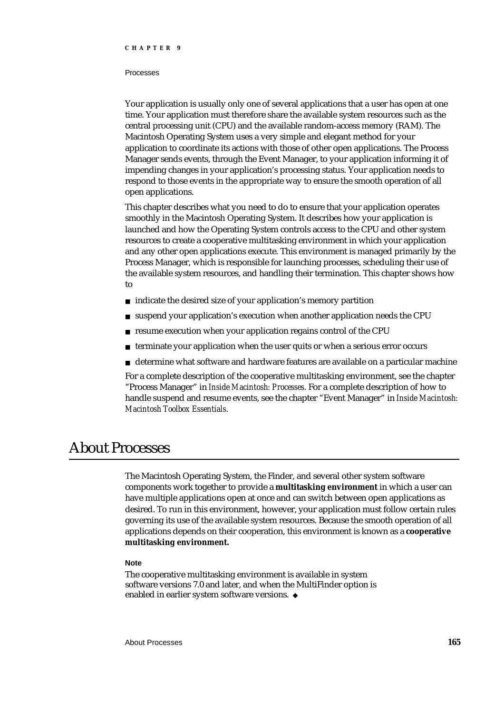#### Processes

Your application is usually only one of several applications that a user has open at one time. Your application must therefore share the available system resources such as the central processing unit (CPU) and the available random-access memory (RAM). The Macintosh Operating System uses a very simple and elegant method for your application to coordinate its actions with those of other open applications. The Process Manager sends events, through the Event Manager, to your application informing it of impending changes in your application's processing status. Your application needs to respond to those events in the appropriate way to ensure the smooth operation of all open applications.

This chapter describes what you need to do to ensure that your application operates smoothly in the Macintosh Operating System. It describes how your application is launched and how the Operating System controls access to the CPU and other system resources to create a cooperative multitasking environment in which your application and any other open applications execute. This environment is managed primarily by the Process Manager, which is responsible for launching processes, scheduling their use of the available system resources, and handling their termination. This chapter shows how to

- $n$  indicate the desired size of your application's memory partition
- suspend your application's execution when another application needs the CPU  $\overline{p}$
- resume execution when your application regains control of the CPU  $\overline{p}$
- terminate your application when the user quits or when a serious error occurs  $\overline{p}$
- determine what software and hardware features are available on a particular machine n

For a complete description of the cooperative multitasking environment, see the chapter "Process Manager" in *Inside Macintosh: Processes*. For a complete description of how to handle suspend and resume events, see the chapter "Event Manager" in *Inside Macintosh: Macintosh Toolbox Essentials*.

## About Processes

The Macintosh Operating System, the Finder, and several other system software components work together to provide a **multitasking environment** in which a user can have multiple applications open at once and can switch between open applications as desired. To run in this environment, however, your application must follow certain rules governing its use of the available system resources. Because the smooth operation of all applications depends on their cooperation, this environment is known as a **cooperative multitasking environment.**

#### **Note**

The cooperative multitasking environment is available in system software versions 7.0 and later, and when the MultiFinder option is enabled in earlier system software versions.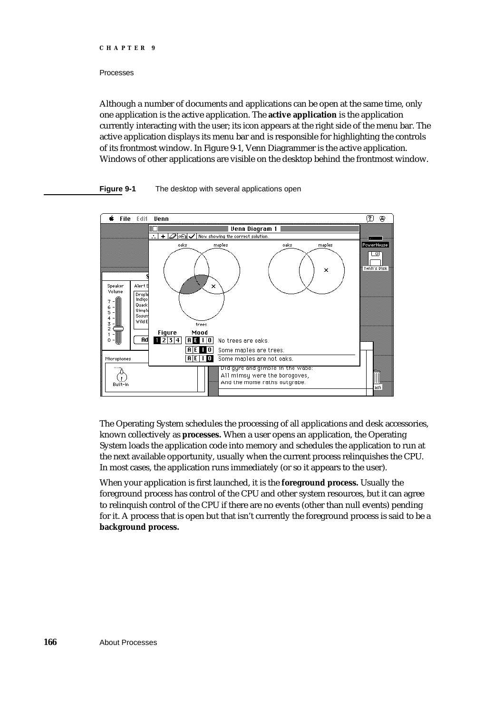#### Processes

Although a number of documents and applications can be open at the same time, only one application is the active application. The **active application** is the application currently interacting with the user; its icon appears at the right side of the menu bar. The active application displays its menu bar and is responsible for highlighting the controls of its frontmost window. In Figure 9-1, Venn Diagrammer is the active application. Windows of other applications are visible on the desktop behind the frontmost window.

#### **Figure 9-1** The desktop with several applications open



The Operating System schedules the processing of all applications and desk accessories, known collectively as **processes.** When a user opens an application, the Operating System loads the application code into memory and schedules the application to run at the next available opportunity, usually when the current process relinquishes the CPU. In most cases, the application runs immediately (or so it appears to the user).

When your application is first launched, it is the **foreground process.** Usually the foreground process has control of the CPU and other system resources, but it can agree to relinquish control of the CPU if there are no events (other than null events) pending for it. A process that is open but that isn't currently the foreground process is said to be a **background process.**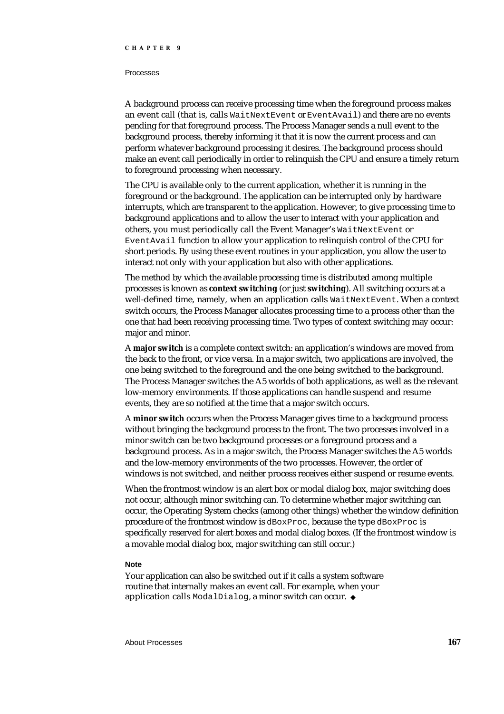#### Processes

A background process can receive processing time when the foreground process makes an event call (that is, calls WaitNextEvent or EventAvail) and there are no events pending for that foreground process. The Process Manager sends a null event to the background process, thereby informing it that it is now the current process and can perform whatever background processing it desires. The background process should make an event call periodically in order to relinquish the CPU and ensure a timely return to foreground processing when necessary.

The CPU is available only to the current application, whether it is running in the foreground or the background. The application can be interrupted only by hardware interrupts, which are transparent to the application. However, to give processing time to background applications and to allow the user to interact with your application and others, you must periodically call the Event Manager's WaitNextEvent or EventAvail function to allow your application to relinquish control of the CPU for short periods. By using these event routines in your application, you allow the user to interact not only with your application but also with other applications.

The method by which the available processing time is distributed among multiple processes is known as **context switching** (or just **switching**). All switching occurs at a well-defined time, namely, when an application calls WaitNextEvent. When a context switch occurs, the Process Manager allocates processing time to a process other than the one that had been receiving processing time. Two types of context switching may occur: major and minor.

A **major switch** is a complete context switch: an application's windows are moved from the back to the front, or vice versa. In a major switch, two applications are involved, the one being switched to the foreground and the one being switched to the background. The Process Manager switches the A5 worlds of both applications, as well as the relevant low-memory environments. If those applications can handle suspend and resume events, they are so notified at the time that a major switch occurs.

A **minor switch** occurs when the Process Manager gives time to a background process without bringing the background process to the front. The two processes involved in a minor switch can be two background processes or a foreground process and a background process. As in a major switch, the Process Manager switches the A5 worlds and the low-memory environments of the two processes. However, the order of windows is not switched, and neither process receives either suspend or resume events.

When the frontmost window is an alert box or modal dialog box, major switching does not occur, although minor switching can. To determine whether major switching can occur, the Operating System checks (among other things) whether the window definition procedure of the frontmost window is dBoxProc, because the type dBoxProc is specifically reserved for alert boxes and modal dialog boxes. (If the frontmost window is a movable modal dialog box, major switching can still occur.)

#### **Note**

Your application can also be switched out if it calls a system software routine that internally makes an event call. For example, when your application calls ModalDialog, a minor switch can occur. u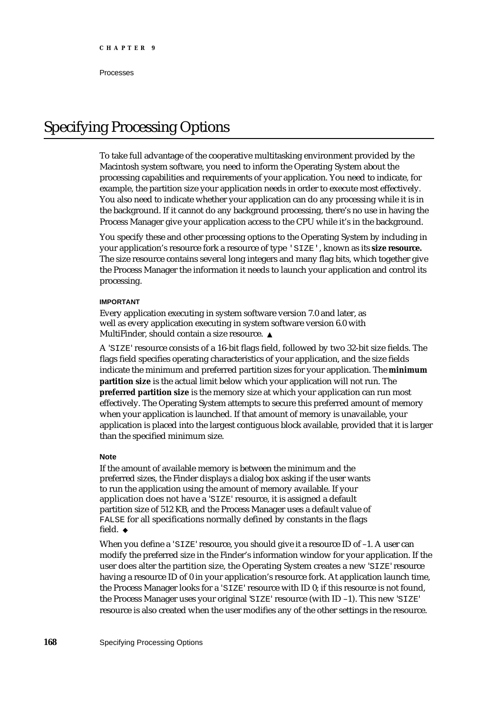Processes

## Specifying Processing Options

To take full advantage of the cooperative multitasking environment provided by the Macintosh system software, you need to inform the Operating System about the processing capabilities and requirements of your application. You need to indicate, for example, the partition size your application needs in order to execute most effectively. You also need to indicate whether your application can do any processing while it is in the background. If it cannot do any background processing, there's no use in having the Process Manager give your application access to the CPU while it's in the background.

You specify these and other processing options to the Operating System by including in your application's resource fork a resource of type 'SIZE', known as its **size resource.** The size resource contains several long integers and many flag bits, which together give the Process Manager the information it needs to launch your application and control its processing.

#### **IMPORTANT**

Every application executing in system software version 7.0 and later, as well as every application executing in system software version 6.0 with MultiFinder, should contain a size resource.

A 'SIZE' resource consists of a 16-bit flags field, followed by two 32-bit size fields. The flags field specifies operating characteristics of your application, and the size fields indicate the minimum and preferred partition sizes for your application. The **minimum partition size** is the actual limit below which your application will not run. The **preferred partition size** is the memory size at which your application can run most effectively. The Operating System attempts to secure this preferred amount of memory when your application is launched. If that amount of memory is unavailable, your application is placed into the largest contiguous block available, provided that it is larger than the specified minimum size.

#### **Note**

If the amount of available memory is between the minimum and the preferred sizes, the Finder displays a dialog box asking if the user wants to run the application using the amount of memory available. If your application does not have a 'SIZE' resource, it is assigned a default partition size of 512 KB, and the Process Manager uses a default value of FALSE for all specifications normally defined by constants in the flags field. u

When you define a 'SIZE' resource, you should give it a resource ID of -1. A user can modify the preferred size in the Finder's information window for your application. If the user does alter the partition size, the Operating System creates a new 'SIZE' resource having a resource ID of 0 in your application's resource fork. At application launch time, the Process Manager looks for a 'SIZE' resource with ID 0; if this resource is not found, the Process Manager uses your original 'SIZE' resource (with ID –1). This new 'SIZE' resource is also created when the user modifies any of the other settings in the resource.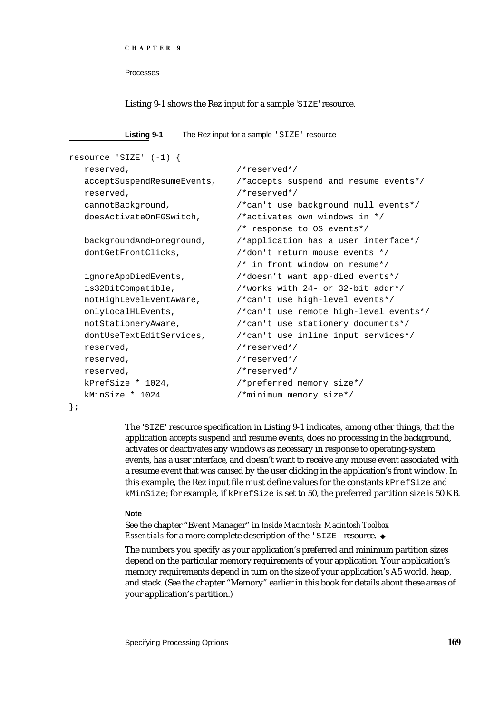```
CHAPTER 9
```
Processes

#### Listing 9-1 shows the Rez input for a sample 'SIZE' resource.

| Listing 9-1 | The Rez input for a sample 'SIZE' resource |  |  |
|-------------|--------------------------------------------|--|--|
|-------------|--------------------------------------------|--|--|

```
resource 'SIZE' (-1) {
  reserved, /*reserved*/
  acceptSuspendResumeEvents, /*accepts suspend and resume events*/
  reserved, /*reserved*/
  cannotBackground, /*can't use background null events*/
  doesActivateOnFGSwitch, \overline{\phantom{a}} /*activates own windows in */
                           /* response to OS events*/
  backgroundAndForeground, /*application has a user interface*/
  dontGetFrontClicks, \sqrt{*}don't return mouse events *//* in front window on resume*/
  ignoreAppDiedEvents, /*doesn't want app-died events*/
  is32BitCompatible, /*works with 24- or 32-bit addr*/
  notHighLevelEventAware, /*can't use high-level events*/
  onlyLocalHLEvents, /*can't use remote high-level events*/
  notStationeryAware, /*can't use stationery documents*/
  dontUseTextEditServices, /*can't use inline input services*/
  reserved, /*reserved*/
  reserved, /*reserved*/
  reserved, /*reserved*/
  kPrefSize * 1024, /*preferred memory size*/
  kMinSize * 1024 /*minimum memory size*/
```
};

The 'SIZE' resource specification in Listing 9-1 indicates, among other things, that the application accepts suspend and resume events, does no processing in the background, activates or deactivates any windows as necessary in response to operating-system events, has a user interface, and doesn't want to receive any mouse event associated with a resume event that was caused by the user clicking in the application's front window. In this example, the Rez input file must define values for the constants kPrefSize and kMinSize; for example, if kPrefSize is set to 50, the preferred partition size is 50 KB.

#### **Note**

See the chapter "Event Manager" in *Inside Macintosh: Macintosh Toolbox Essentials* for a more complete description of the 'SIZE' resource.

The numbers you specify as your application's preferred and minimum partition sizes depend on the particular memory requirements of your application. Your application's memory requirements depend in turn on the size of your application's A5 world, heap, and stack. (See the chapter "Memory" earlier in this book for details about these areas of your application's partition.)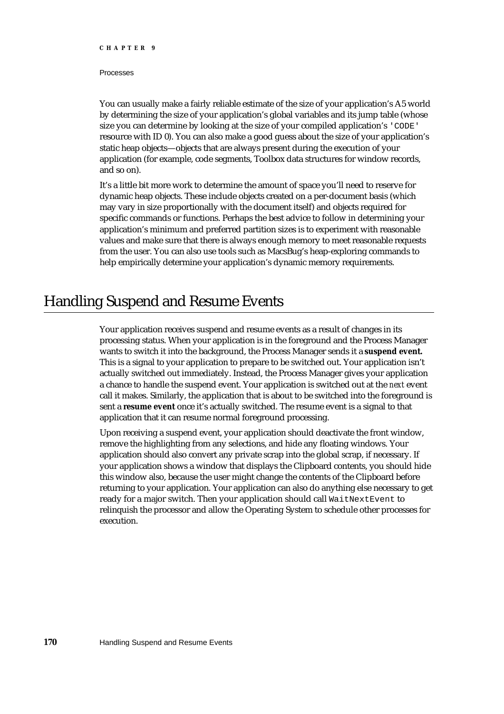#### Processes

You can usually make a fairly reliable estimate of the size of your application's A5 world by determining the size of your application's global variables and its jump table (whose size you can determine by looking at the size of your compiled application's 'CODE' resource with ID 0). You can also make a good guess about the size of your application's static heap objects—objects that are always present during the execution of your application (for example, code segments, Toolbox data structures for window records, and so on).

It's a little bit more work to determine the amount of space you'll need to reserve for dynamic heap objects. These include objects created on a per-document basis (which may vary in size proportionally with the document itself) and objects required for specific commands or functions. Perhaps the best advice to follow in determining your application's minimum and preferred partition sizes is to experiment with reasonable values and make sure that there is always enough memory to meet reasonable requests from the user. You can also use tools such as MacsBug's heap-exploring commands to help empirically determine your application's dynamic memory requirements.

## Handling Suspend and Resume Events

Your application receives suspend and resume events as a result of changes in its processing status. When your application is in the foreground and the Process Manager wants to switch it into the background, the Process Manager sends it a **suspend event.** This is a signal to your application to prepare to be switched out. Your application isn't actually switched out immediately. Instead, the Process Manager gives your application a chance to handle the suspend event. Your application is switched out at the *next* event call it makes. Similarly, the application that is about to be switched into the foreground is sent a **resume event** once it's actually switched. The resume event is a signal to that application that it can resume normal foreground processing.

Upon receiving a suspend event, your application should deactivate the front window, remove the highlighting from any selections, and hide any floating windows. Your application should also convert any private scrap into the global scrap, if necessary. If your application shows a window that displays the Clipboard contents, you should hide this window also, because the user might change the contents of the Clipboard before returning to your application. Your application can also do anything else necessary to get ready for a major switch. Then your application should call WaitNextEvent to relinquish the processor and allow the Operating System to schedule other processes for execution.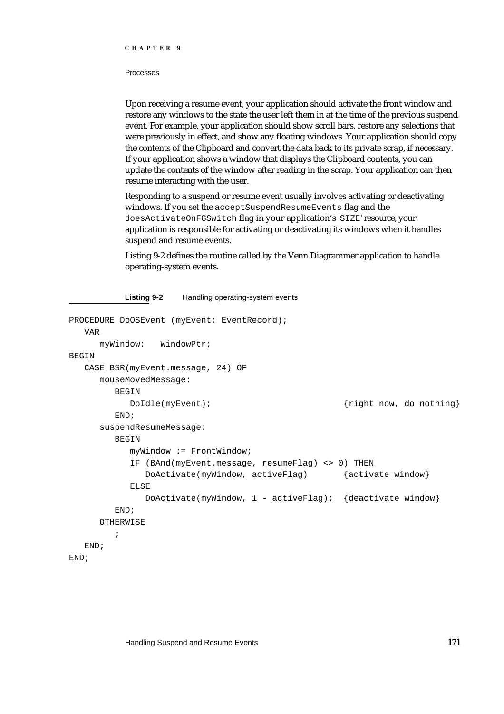#### Processes

Upon receiving a resume event, your application should activate the front window and restore any windows to the state the user left them in at the time of the previous suspend event. For example, your application should show scroll bars, restore any selections that were previously in effect, and show any floating windows. Your application should copy the contents of the Clipboard and convert the data back to its private scrap, if necessary. If your application shows a window that displays the Clipboard contents, you can update the contents of the window after reading in the scrap. Your application can then resume interacting with the user.

Responding to a suspend or resume event usually involves activating or deactivating windows. If you set the acceptSuspendResumeEvents flag and the doesActivateOnFGSwitch flag in your application's 'SIZE' resource, your application is responsible for activating or deactivating its windows when it handles suspend and resume events.

Listing 9-2 defines the routine called by the Venn Diagrammer application to handle operating-system events.

#### **Listing 9-2** Handling operating-system events

```
PROCEDURE DOOSEvent (myEvent: EventRecord);
  VAR
     myWindow: WindowPtr;
BEGIN
  CASE BSR(myEvent.message, 24) OF
     mouseMovedMessage: 
        BEGIN
           DoIdle(myEvent); \{right\} now, do nothing}
        END;
     suspendResumeMessage: 
        BEGIN
           myWindow := FrontWindow;
           IF (BAnd(myEvent.message, resumeFlag) <> 0) THEN
              DoActivate(myWindow, activeFlag) {activate window}
           ELSE
              DoActivate(myWindow, 1 - activeFlag); {deactivate window}
        END;
     OTHERWISE
        ;
  END;
END;
```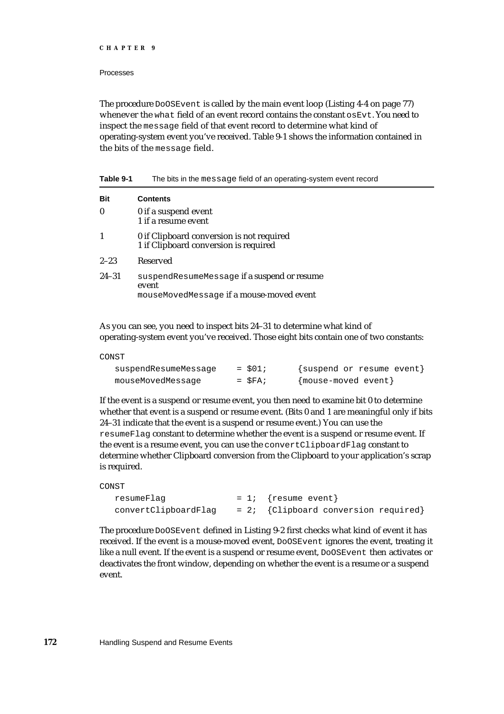#### Processes

The procedure DoOSEvent is called by the main event loop (Listing 4-4 on page 77) whenever the what field of an event record contains the constant  $\circ$  Evt. You need to inspect the message field of that event record to determine what kind of operating-system event you've received. Table 9-1 shows the information contained in the bits of the message field.

| Bit       | <b>Contents</b>                                                                                  |
|-----------|--------------------------------------------------------------------------------------------------|
|           | 0 if a suspend event<br>1 if a resume event                                                      |
|           | 0 if Clipboard conversion is not required<br>1 if Clipboard conversion is required               |
| $2 - 23$  | Reserved                                                                                         |
| $24 - 31$ | suspendResumeMessage if a suspend or resume<br>event<br>mouseMovedMessage if a mouse-moved event |

**Table 9-1** The bits in the message field of an operating-system event record

As you can see, you need to inspect bits 24–31 to determine what kind of operating-system event you've received. Those eight bits contain one of two constants:

CONST

| suspendResumeMessage | $=$ \$01;   | {suspend or resume event} |
|----------------------|-------------|---------------------------|
| mouseMovedMessage    | $=$ $SFA$ ; | {mouse-moved event}       |

If the event is a suspend or resume event, you then need to examine bit 0 to determine whether that event is a suspend or resume event. (Bits 0 and 1 are meaningful only if bits 24–31 indicate that the event is a suspend or resume event.) You can use the resumeFlag constant to determine whether the event is a suspend or resume event. If the event is a resume event, you can use the convertClipboardFlag constant to determine whether Clipboard conversion from the Clipboard to your application's scrap is required.

```
CONST
```

```
resumeFlag = 1; {resume event}
convertClipboardFlag = 2; {Clipboard conversion required}
```
The procedure DoOSEvent defined in Listing 9-2 first checks what kind of event it has received. If the event is a mouse-moved event, DoOSEvent ignores the event, treating it like a null event. If the event is a suspend or resume event, DoOSEvent then activates or deactivates the front window, depending on whether the event is a resume or a suspend event.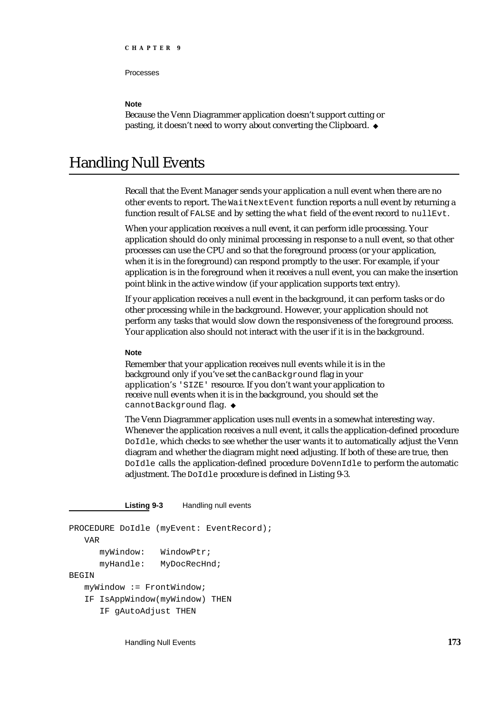Processes

#### **Note**

Because the Venn Diagrammer application doesn't support cutting or pasting, it doesn't need to worry about converting the Clipboard.

## Handling Null Events

Recall that the Event Manager sends your application a null event when there are no other events to report. The WaitNextEvent function reports a null event by returning a function result of FALSE and by setting the what field of the event record to nullEvt.

When your application receives a null event, it can perform idle processing. Your application should do only minimal processing in response to a null event, so that other processes can use the CPU and so that the foreground process (or your application, when it is in the foreground) can respond promptly to the user. For example, if your application is in the foreground when it receives a null event, you can make the insertion point blink in the active window (if your application supports text entry).

If your application receives a null event in the background, it can perform tasks or do other processing while in the background. However, your application should not perform any tasks that would slow down the responsiveness of the foreground process. Your application also should not interact with the user if it is in the background.

#### **Note**

Remember that your application receives null events while it is in the background only if you've set the canBackground flag in your application's 'SIZE' resource. If you don't want your application to receive null events when it is in the background, you should set the cannotBackground flag. u

The Venn Diagrammer application uses null events in a somewhat interesting way. Whenever the application receives a null event, it calls the application-defined procedure DoIdle, which checks to see whether the user wants it to automatically adjust the Venn diagram and whether the diagram might need adjusting. If both of these are true, then DoIdle calls the application-defined procedure DoVennIdle to perform the automatic adjustment. The DoIdle procedure is defined in Listing 9-3.

**Listing 9-3** Handling null events

```
PROCEDURE DoIdle (myEvent: EventRecord);
   VAR
      myWindow: WindowPtr;
      myHandle: MyDocRecHnd;
BEGIN
   myWindow := FrontWindow;
   IF IsAppWindow(myWindow) THEN
      IF gAutoAdjust THEN
```
Handling Null Events **173**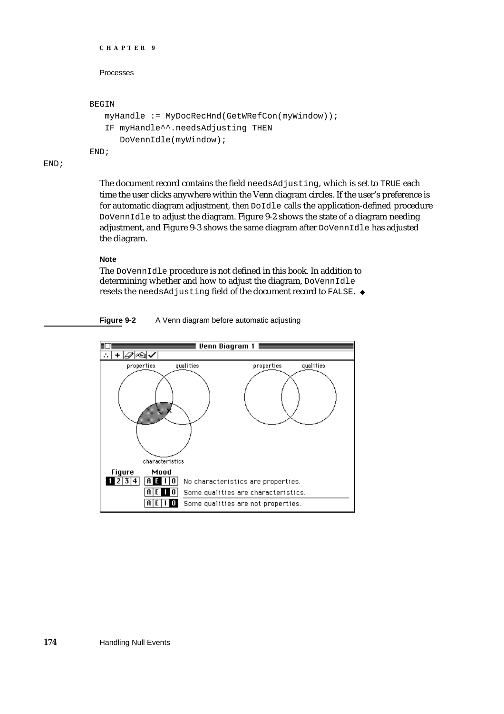```
CHAPTER 9
  Processes
BEGIN
  myHandle := MyDocRecHnd(GetWRefCon(myWindow));
   IF myHandle^^.needsAdjusting THEN
      DoVennIdle(myWindow);
END;
```
END;

The document record contains the field needsAdjusting, which is set to TRUE each time the user clicks anywhere within the Venn diagram circles. If the user's preference is for automatic diagram adjustment, then DoIdle calls the application-defined procedure DoVennIdle to adjust the diagram. Figure 9-2 shows the state of a diagram needing adjustment, and Figure 9-3 shows the same diagram after DoVennIdle has adjusted the diagram.

#### **Note**

The DoVennIdle procedure is not defined in this book. In addition to determining whether and how to adjust the diagram, DoVennIdle resets the needsAdjusting field of the document record to FALSE.



**Figure 9-2** A Venn diagram before automatic adjusting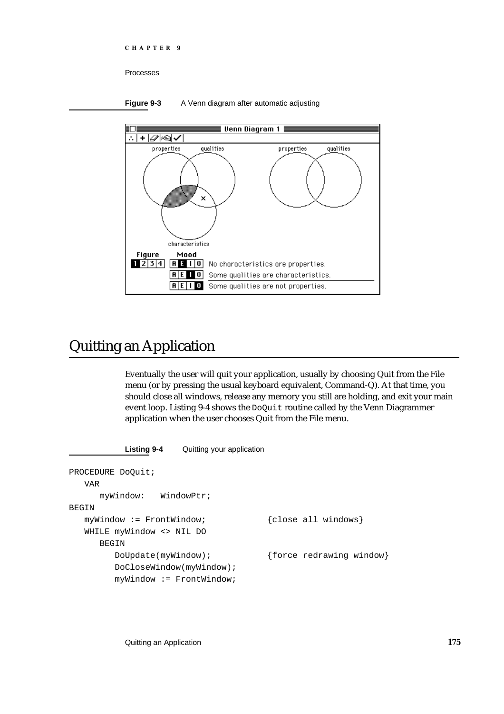```
CHAPTER 9
```
Processes





## Quitting an Application

Eventually the user will quit your application, usually by choosing Quit from the File menu (or by pressing the usual keyboard equivalent, Command-Q). At that time, you should close all windows, release any memory you still are holding, and exit your main event loop. Listing 9-4 shows the DoQuit routine called by the Venn Diagrammer application when the user chooses Quit from the File menu.

```
Listing 9-4 Quitting your application
PROCEDURE DoQuit;
  VAR
     myWindow: WindowPtr;
BEGIN
  myWindow := FrontWindow; {close all windows}
  WHILE myWindow <> NIL DO
     BEGIN
        DoUpdate(myWindow); {force redrawing window}
        DoCloseWindow(myWindow);
        myWindow := FrontWindow;
```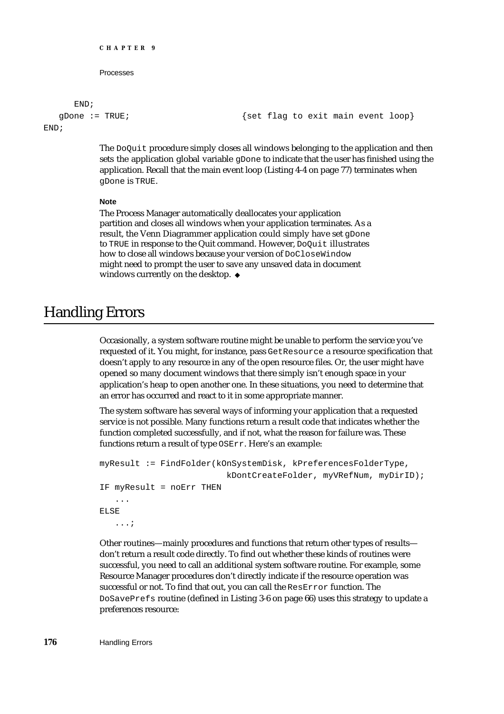```
CHAPTER 9
     Processes
END;
```
gDone := TRUE;  $\{ set \ flag \ to \ exit \ main \ event \ loop\}$ 

END;

The DoQuit procedure simply closes all windows belonging to the application and then sets the application global variable gDone to indicate that the user has finished using the application. Recall that the main event loop (Listing 4-4 on page 77) terminates when gDone is TRUE.

#### **Note**

The Process Manager automatically deallocates your application partition and closes all windows when your application terminates. As a result, the Venn Diagrammer application could simply have set gDone to TRUE in response to the Quit command. However, DoQuit illustrates how to close all windows because your version of DoCloseWindow might need to prompt the user to save any unsaved data in document windows currently on the desktop. u

## Handling Errors

Occasionally, a system software routine might be unable to perform the service you've requested of it. You might, for instance, pass GetResource a resource specification that doesn't apply to any resource in any of the open resource files. Or, the user might have opened so many document windows that there simply isn't enough space in your application's heap to open another one. In these situations, you need to determine that an error has occurred and react to it in some appropriate manner.

The system software has several ways of informing your application that a requested service is not possible. Many functions return a result code that indicates whether the function completed successfully, and if not, what the reason for failure was. These functions return a result of type OSErr. Here's an example:

```
myResult := FindFolder(kOnSystemDisk, kPreferencesFolderType,
                          kDontCreateFolder, myVRefNum, myDirID);
IF myResult = noErr THEN
   ...
ELSE
   ...;
```
Other routines—mainly procedures and functions that return other types of results don't return a result code directly. To find out whether these kinds of routines were successful, you need to call an additional system software routine. For example, some Resource Manager procedures don't directly indicate if the resource operation was successful or not. To find that out, you can call the ResError function. The DoSavePrefs routine (defined in Listing 3-6 on page 66) uses this strategy to update a preferences resource: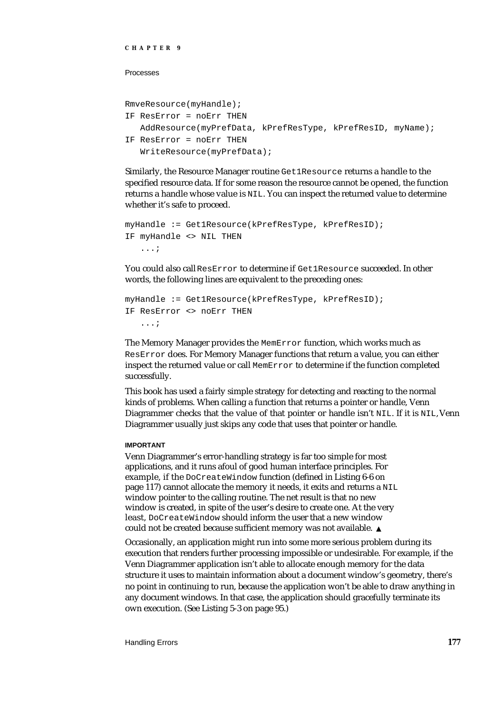#### Processes

```
RmveResource(myHandle);
```

```
IF ResError = noErr THEN
  AddResource(myPrefData, kPrefResType, kPrefResID, myName);
IF ResError = noErr THEN
   WriteResource(myPrefData);
```
Similarly, the Resource Manager routine Get1Resource returns a handle to the specified resource data. If for some reason the resource cannot be opened, the function returns a handle whose value is NIL. You can inspect the returned value to determine whether it's safe to proceed.

```
myHandle := Get1Resource(kPrefResType, kPrefResID);
IF myHandle <> NIL THEN
   ...;
```
You could also call ResError to determine if Get1Resource succeeded. In other words, the following lines are equivalent to the preceding ones:

```
myHandle := Get1Resource(kPrefResType, kPrefResID);
IF ResError <> noErr THEN
   ...;
```
The Memory Manager provides the MemError function, which works much as ResError does. For Memory Manager functions that return a value, you can either inspect the returned value or call MemError to determine if the function completed successfully.

This book has used a fairly simple strategy for detecting and reacting to the normal kinds of problems. When calling a function that returns a pointer or handle, Venn Diagrammer checks that the value of that pointer or handle isn't NIL. If it is NIL, Venn Diagrammer usually just skips any code that uses that pointer or handle.

#### **IMPORTANT**

Venn Diagrammer's error-handling strategy is far too simple for most applications, and it runs afoul of good human interface principles. For example, if the DoCreateWindow function (defined in Listing 6-6 on page 117) cannot allocate the memory it needs, it exits and returns a NIL window pointer to the calling routine. The net result is that no new window is created, in spite of the user's desire to create one. At the very least, DoCreateWindow should inform the user that a new window could not be created because sufficient memory was not available.

Occasionally, an application might run into some more serious problem during its execution that renders further processing impossible or undesirable. For example, if the Venn Diagrammer application isn't able to allocate enough memory for the data structure it uses to maintain information about a document window's geometry, there's no point in continuing to run, because the application won't be able to draw anything in any document windows. In that case, the application should gracefully terminate its own execution. (See Listing 5-3 on page 95.)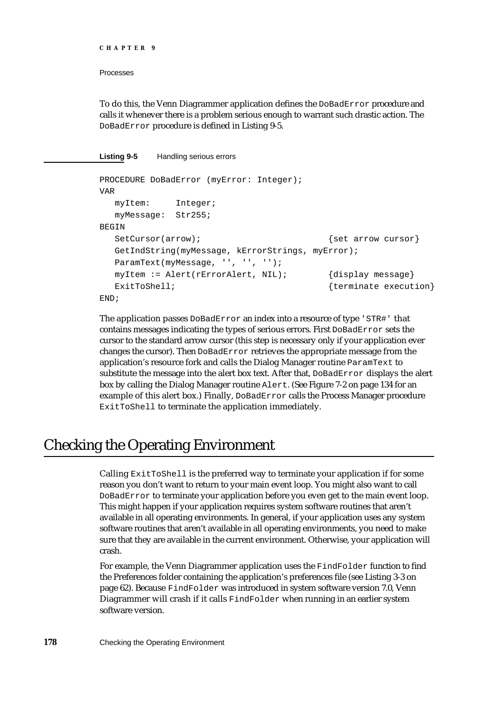```
CHAPTER 9
```
Processes

To do this, the Venn Diagrammer application defines the DoBadError procedure and calls it whenever there is a problem serious enough to warrant such drastic action. The DoBadError procedure is defined in Listing 9-5.

**Listing 9-5** Handling serious errors

```
PROCEDURE DoBadError (myError: Integer);
VAR
  myItem: Integer;
  myMessage: Str255;
BEGIN
  SetCursor(arrow); \{set curvesor \}GetIndString(myMessage, kErrorStrings, myError);
  ParamText(myMessage, '', '', '');
  myItem := Alert(rErrorAlert, NIL); {display message}
  ExitToShell; { {terminate execution}</sub>
END;
```
The application passes DoBadError an index into a resource of type 'STR#' that contains messages indicating the types of serious errors. First DoBadError sets the cursor to the standard arrow cursor (this step is necessary only if your application ever changes the cursor). Then DoBadError retrieves the appropriate message from the application's resource fork and calls the Dialog Manager routine ParamText to substitute the message into the alert box text. After that, DoBadError displays the alert box by calling the Dialog Manager routine Alert. (See Figure 7-2 on page 134 for an example of this alert box.) Finally, DoBadError calls the Process Manager procedure ExitToShell to terminate the application immediately.

## Checking the Operating Environment

Calling ExitToShell is the preferred way to terminate your application if for some reason you don't want to return to your main event loop. You might also want to call DoBadError to terminate your application before you even get to the main event loop. This might happen if your application requires system software routines that aren't available in all operating environments. In general, if your application uses any system software routines that aren't available in all operating environments, you need to make sure that they are available in the current environment. Otherwise, your application will crash.

For example, the Venn Diagrammer application uses the FindFolder function to find the Preferences folder containing the application's preferences file (see Listing 3-3 on page 62). Because FindFolder was introduced in system software version 7.0, Venn Diagrammer will crash if it calls FindFolder when running in an earlier system software version.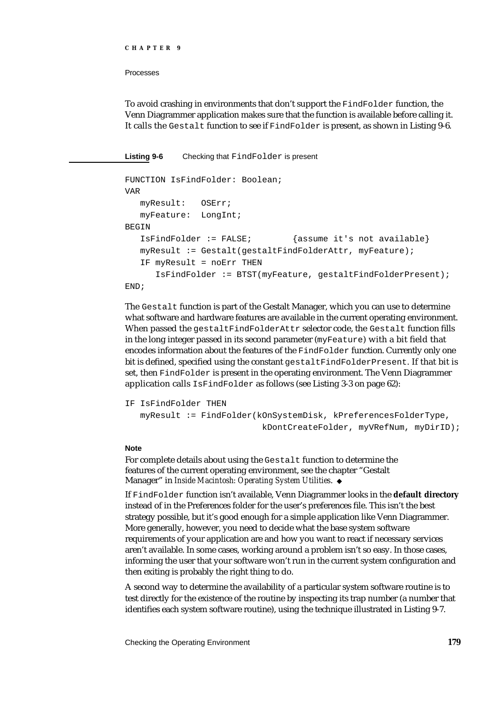#### Processes

To avoid crashing in environments that don't support the FindFolder function, the Venn Diagrammer application makes sure that the function is available before calling it. It calls the Gestalt function to see if FindFolder is present, as shown in Listing 9-6.

**Listing 9-6** Checking that FindFolder is present

```
FUNCTION IsFindFolder: Boolean;
VAR
  myResult: OSErr;
  myFeature: LongInt;
BEGIN
  IsFindFolder := FALSE; {assume it's not available}
  myResult := Gestalt(gestaltFindFolderAttr, myFeature);
  IF myResult = noErr THEN 
      IsFindFolder := BTST(myFeature, gestaltFindFolderPresent);
END;
```
The Gestalt function is part of the Gestalt Manager, which you can use to determine what software and hardware features are available in the current operating environment. When passed the gestaltFindFolderAttr selector code, the Gestalt function fills in the long integer passed in its second parameter (myFeature) with a bit field that encodes information about the features of the FindFolder function. Currently only one bit is defined, specified using the constant gestaltFindFolderPresent. If that bit is set, then FindFolder is present in the operating environment. The Venn Diagrammer application calls IsFindFolder as follows (see Listing 3-3 on page 62):

```
IF IsFindFolder THEN
  myResult := FindFolder(kOnSystemDisk, kPreferencesFolderType,
                           kDontCreateFolder, myVRefNum, myDirID);
```
#### **Note**

For complete details about using the Gestalt function to determine the features of the current operating environment, see the chapter "Gestalt Manager" in *Inside Macintosh: Operating System Utilities*.

If FindFolder function isn't available, Venn Diagrammer looks in the **default directory** instead of in the Preferences folder for the user's preferences file. This isn't the best strategy possible, but it's good enough for a simple application like Venn Diagrammer. More generally, however, you need to decide what the base system software requirements of your application are and how you want to react if necessary services aren't available. In some cases, working around a problem isn't so easy. In those cases, informing the user that your software won't run in the current system configuration and then exiting is probably the right thing to do.

A second way to determine the availability of a particular system software routine is to test directly for the existence of the routine by inspecting its trap number (a number that identifies each system software routine), using the technique illustrated in Listing 9-7.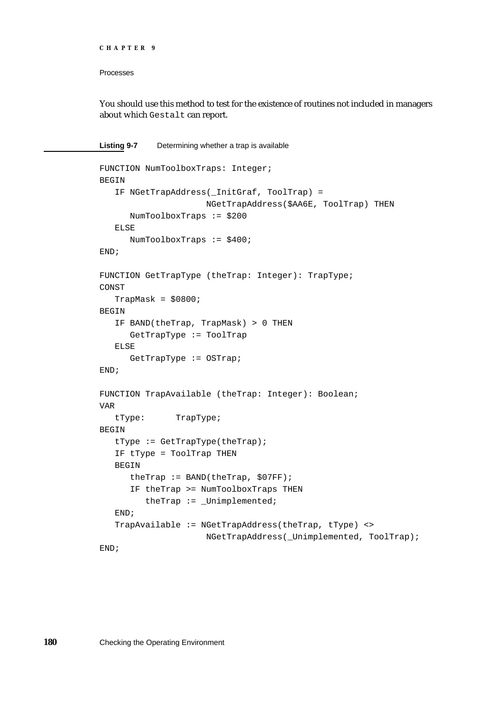```
CHAPTER 9
```
#### Processes

You should use this method to test for the existence of routines not included in managers about which Gestalt can report.

**Listing 9-7** Determining whether a trap is available

```
FUNCTION NumToolboxTraps: Integer;
BEGIN
   IF NGetTrapAddress(_InitGraf, ToolTrap) = 
                     NGetTrapAddress($AA6E, ToolTrap) THEN
      NumToolboxTraps := $200
   ELSE
     NumToolboxTraps := $400;
END;
FUNCTION GetTrapType (theTrap: Integer): TrapType;
CONST
   TrapMask = $0800;
BEGIN
   IF BAND(theTrap, TrapMask) > 0 THEN
      GetTrapType := ToolTrap
   ELSE
      GetTrapType := OSTrap;
END;
FUNCTION TrapAvailable (theTrap: Integer): Boolean;
VAR
   tType: TrapType;
BEGIN
   tType := GetTrapType(theTrap);
  IF tType = ToolTrap THEN
  BEGIN
      theTrap := BAND(theTrap, $07FF);
      IF theTrap >= NumToolboxTraps THEN
         theTrap := _Unimplemented;
   END;
   TrapAvailable := NGetTrapAddress(theTrap, tType) <>
                     NGetTrapAddress(_Unimplemented, ToolTrap);
END;
```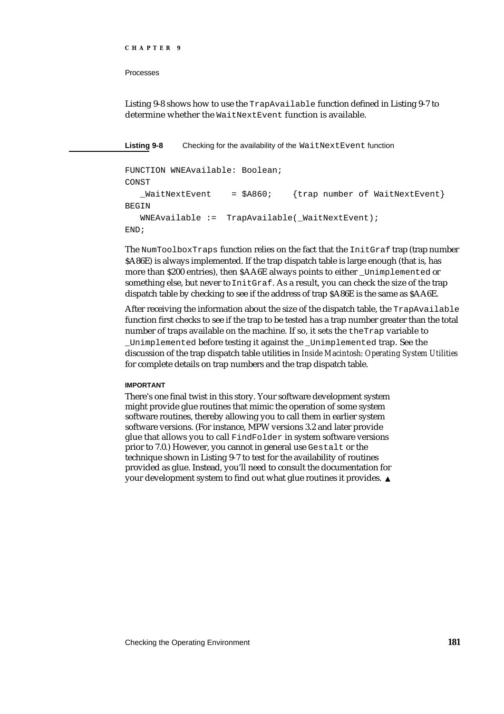#### Processes

Listing 9-8 shows how to use the TrapAvailable function defined in Listing 9-7 to determine whether the WaitNextEvent function is available.

**Listing 9-8** Checking for the availability of the WaitNextEvent function

```
FUNCTION WNEAvailable: Boolean;
CONST
   _MWaitNextEvent = $A860; {trap number of WaitNextEvent}
BEGIN
  WNEAvailable := TrapAvailable(_WaitNextEvent);
END;
```
The NumToolboxTraps function relies on the fact that the InitGraf trap (trap number \$A86E) is always implemented. If the trap dispatch table is large enough (that is, has more than \$200 entries), then \$AA6E always points to either \_Unimplemented or something else, but never to InitGraf. As a result, you can check the size of the trap dispatch table by checking to see if the address of trap \$A86E is the same as \$AA6E.

After receiving the information about the size of the dispatch table, the TrapAvailable function first checks to see if the trap to be tested has a trap number greater than the total number of traps available on the machine. If so, it sets the theTrap variable to \_Unimplemented before testing it against the \_Unimplemented trap. See the discussion of the trap dispatch table utilities in *Inside Macintosh: Operating System Utilities* for complete details on trap numbers and the trap dispatch table.

#### **IMPORTANT**

There's one final twist in this story. Your software development system might provide glue routines that mimic the operation of some system software routines, thereby allowing you to call them in earlier system software versions. (For instance, MPW versions 3.2 and later provide glue that allows you to call FindFolder in system software versions prior to 7.0.) However, you cannot in general use Gestalt or the technique shown in Listing 9-7 to test for the availability of routines provided as glue. Instead, you'll need to consult the documentation for your development system to find out what glue routines it provides.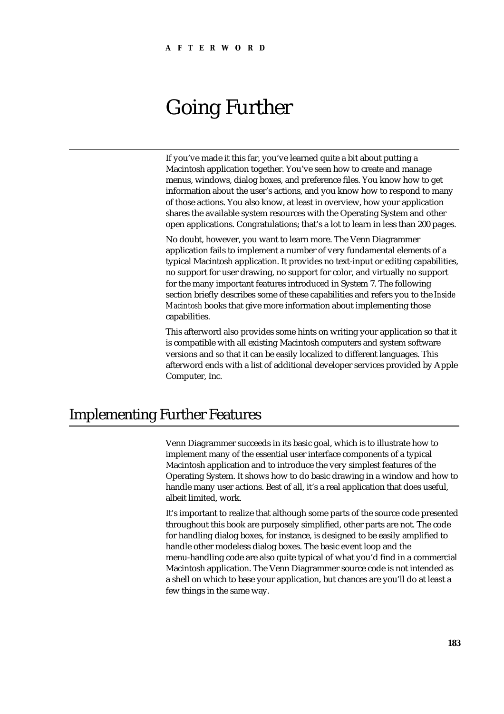# Going Further

If you've made it this far, you've learned quite a bit about putting a Macintosh application together. You've seen how to create and manage menus, windows, dialog boxes, and preference files. You know how to get information about the user's actions, and you know how to respond to many of those actions. You also know, at least in overview, how your application shares the available system resources with the Operating System and other open applications. Congratulations; that's a lot to learn in less than 200 pages.

No doubt, however, you want to learn more. The Venn Diagrammer application fails to implement a number of very fundamental elements of a typical Macintosh application. It provides no text-input or editing capabilities, no support for user drawing, no support for color, and virtually no support for the many important features introduced in System 7. The following section briefly describes some of these capabilities and refers you to the *Inside Macintosh* books that give more information about implementing those capabilities.

This afterword also provides some hints on writing your application so that it is compatible with all existing Macintosh computers and system software versions and so that it can be easily localized to different languages. This afterword ends with a list of additional developer services provided by Apple Computer, Inc.

## Implementing Further Features

Venn Diagrammer succeeds in its basic goal, which is to illustrate how to implement many of the essential user interface components of a typical Macintosh application and to introduce the very simplest features of the Operating System. It shows how to do basic drawing in a window and how to handle many user actions. Best of all, it's a real application that does useful, albeit limited, work.

It's important to realize that although some parts of the source code presented throughout this book are purposely simplified, other parts are not. The code for handling dialog boxes, for instance, is designed to be easily amplified to handle other modeless dialog boxes. The basic event loop and the menu-handling code are also quite typical of what you'd find in a commercial Macintosh application. The Venn Diagrammer source code is not intended as a shell on which to base your application, but chances are you'll do at least a few things in the same way.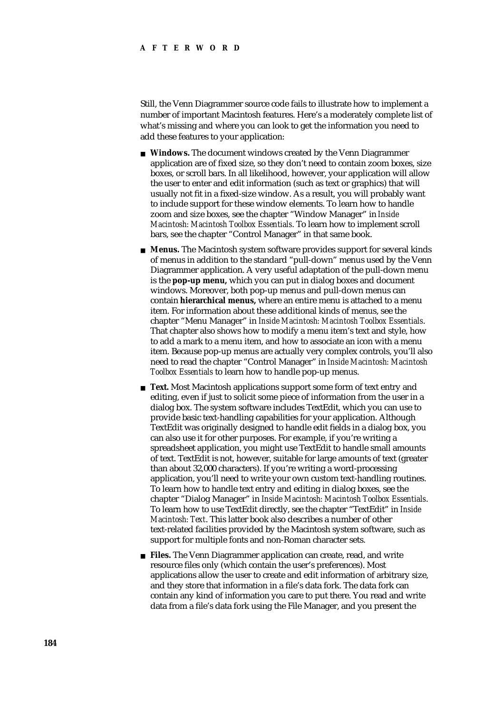Still, the Venn Diagrammer source code fails to illustrate how to implement a number of important Macintosh features. Here's a moderately complete list of what's missing and where you can look to get the information you need to add these features to your application:

- **Windows.** The document windows created by the Venn Diagrammer application are of fixed size, so they don't need to contain zoom boxes, size boxes, or scroll bars. In all likelihood, however, your application will allow the user to enter and edit information (such as text or graphics) that will usually not fit in a fixed-size window. As a result, you will probably want to include support for these window elements. To learn how to handle zoom and size boxes, see the chapter "Window Manager" in *Inside Macintosh: Macintosh Toolbox Essentials*. To learn how to implement scroll bars, see the chapter "Control Manager" in that same book.
- **Menus.** The Macintosh system software provides support for several kinds of menus in addition to the standard "pull-down" menus used by the Venn Diagrammer application. A very useful adaptation of the pull-down menu is the **pop-up menu,** which you can put in dialog boxes and document windows. Moreover, both pop-up menus and pull-down menus can contain **hierarchical menus,** where an entire menu is attached to a menu item. For information about these additional kinds of menus, see the chapter "Menu Manager" in *Inside Macintosh: Macintosh Toolbox Essentials*. That chapter also shows how to modify a menu item's text and style, how to add a mark to a menu item, and how to associate an icon with a menu item. Because pop-up menus are actually very complex controls, you'll also need to read the chapter "Control Manager" in *Inside Macintosh: Macintosh Toolbox Essentials* to learn how to handle pop-up menus.
- **Text.** Most Macintosh applications support some form of text entry and editing, even if just to solicit some piece of information from the user in a dialog box. The system software includes TextEdit, which you can use to provide basic text-handling capabilities for your application. Although TextEdit was originally designed to handle edit fields in a dialog box, you can also use it for other purposes. For example, if you're writing a spreadsheet application, you might use TextEdit to handle small amounts of text. TextEdit is not, however, suitable for large amounts of text (greater than about 32,000 characters). If you're writing a word-processing application, you'll need to write your own custom text-handling routines. To learn how to handle text entry and editing in dialog boxes, see the chapter "Dialog Manager" in *Inside Macintosh: Macintosh Toolbox Essentials*. To learn how to use TextEdit directly, see the chapter "TextEdit" in *Inside Macintosh: Text*. This latter book also describes a number of other text-related facilities provided by the Macintosh system software, such as support for multiple fonts and non-Roman character sets.
- **Files.** The Venn Diagrammer application can create, read, and write resource files only (which contain the user's preferences). Most applications allow the user to create and edit information of arbitrary size, and they store that information in a file's data fork. The data fork can contain any kind of information you care to put there. You read and write data from a file's data fork using the File Manager, and you present the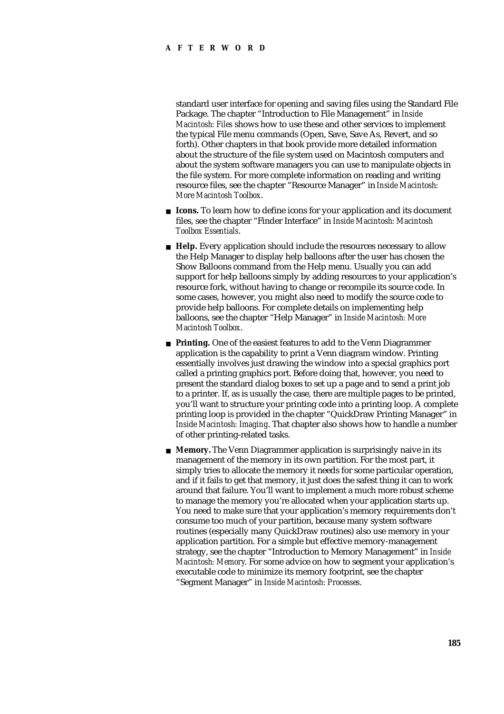#### **AFTERWORD**

standard user interface for opening and saving files using the Standard File Package. The chapter "Introduction to File Management" in *Inside Macintosh: Files* shows how to use these and other services to implement the typical File menu commands (Open, Save, Save As, Revert, and so forth). Other chapters in that book provide more detailed information about the structure of the file system used on Macintosh computers and about the system software managers you can use to manipulate objects in the file system. For more complete information on reading and writing resource files, see the chapter "Resource Manager" in *Inside Macintosh: More Macintosh Toolbox*.

- **Icons.** To learn how to define icons for your application and its document files, see the chapter "Finder Interface" in *Inside Macintosh: Macintosh Toolbox Essentials*.
- **Help.** Every application should include the resources necessary to allow the Help Manager to display help balloons after the user has chosen the Show Balloons command from the Help menu. Usually you can add support for help balloons simply by adding resources to your application's resource fork, without having to change or recompile its source code. In some cases, however, you might also need to modify the source code to provide help balloons. For complete details on implementing help balloons, see the chapter "Help Manager" in *Inside Macintosh: More Macintosh Toolbox*.
- **Printing.** One of the easiest features to add to the Venn Diagrammer application is the capability to print a Venn diagram window. Printing essentially involves just drawing the window into a special graphics port called a printing graphics port. Before doing that, however, you need to present the standard dialog boxes to set up a page and to send a print job to a printer. If, as is usually the case, there are multiple pages to be printed, you'll want to structure your printing code into a printing loop. A complete printing loop is provided in the chapter "QuickDraw Printing Manager" in *Inside Macintosh: Imaging*. That chapter also shows how to handle a number of other printing-related tasks.
- **Memory.** The Venn Diagrammer application is surprisingly naive in its management of the memory in its own partition. For the most part, it simply tries to allocate the memory it needs for some particular operation, and if it fails to get that memory, it just does the safest thing it can to work around that failure. You'll want to implement a much more robust scheme to manage the memory you're allocated when your application starts up. You need to make sure that your application's memory requirements don't consume too much of your partition, because many system software routines (especially many QuickDraw routines) also use memory in your application partition. For a simple but effective memory-management strategy, see the chapter "Introduction to Memory Management" in *Inside Macintosh: Memory*. For some advice on how to segment your application's executable code to minimize its memory footprint, see the chapter "Segment Manager" in *Inside Macintosh: Processes*.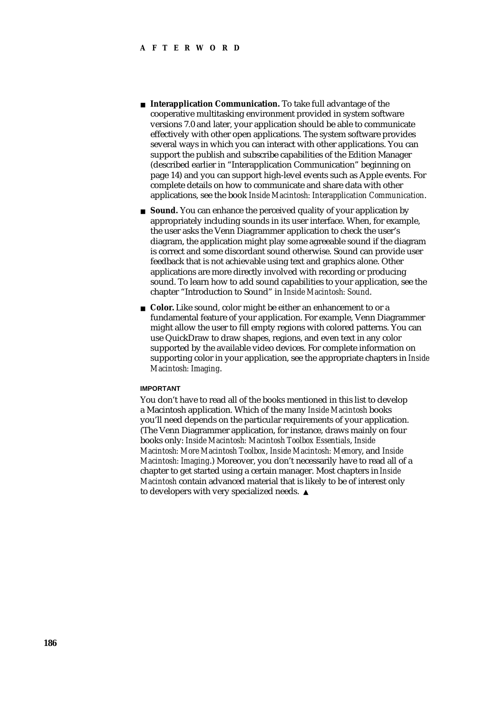- **Interapplication Communication.** To take full advantage of the cooperative multitasking environment provided in system software versions 7.0 and later, your application should be able to communicate effectively with other open applications. The system software provides several ways in which you can interact with other applications. You can support the publish and subscribe capabilities of the Edition Manager (described earlier in "Interapplication Communication" beginning on page 14) and you can support high-level events such as Apple events. For complete details on how to communicate and share data with other applications, see the book *Inside Macintosh: Interapplication Communication*.
- **Sound.** You can enhance the perceived quality of your application by appropriately including sounds in its user interface. When, for example, the user asks the Venn Diagrammer application to check the user's diagram, the application might play some agreeable sound if the diagram is correct and some discordant sound otherwise. Sound can provide user feedback that is not achievable using text and graphics alone. Other applications are more directly involved with recording or producing sound. To learn how to add sound capabilities to your application, see the chapter "Introduction to Sound" in *Inside Macintosh: Sound*.
- **Color.** Like sound, color might be either an enhancement to or a fundamental feature of your application. For example, Venn Diagrammer might allow the user to fill empty regions with colored patterns. You can use QuickDraw to draw shapes, regions, and even text in any color supported by the available video devices. For complete information on supporting color in your application, see the appropriate chapters in *Inside Macintosh: Imaging*.

#### **IMPORTANT**

You don't have to read all of the books mentioned in this list to develop a Macintosh application. Which of the many *Inside Macintosh* books you'll need depends on the particular requirements of your application. (The Venn Diagrammer application, for instance, draws mainly on four books only: *Inside Macintosh: Macintosh Toolbox Essentials*, *Inside Macintosh: More Macintosh Toolbox*, *Inside Macintosh: Memory*, and *Inside Macintosh: Imaging*.) Moreover, you don't necessarily have to read all of a chapter to get started using a certain manager. Most chapters in *Inside Macintosh* contain advanced material that is likely to be of interest only to developers with very specialized needs.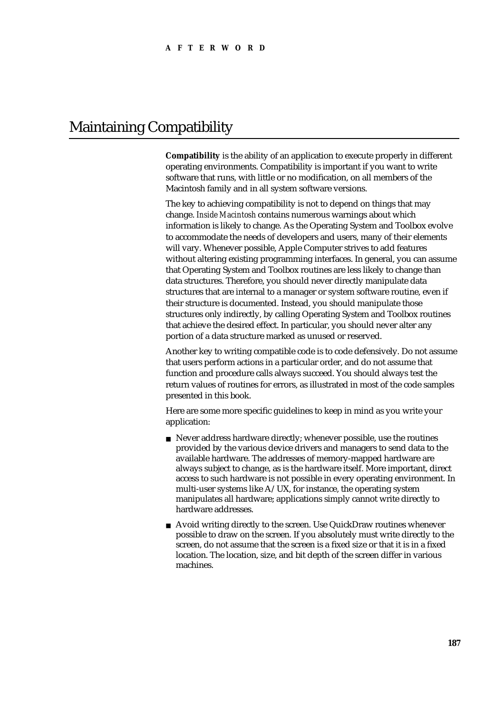## Maintaining Compatibility

**Compatibility** is the ability of an application to execute properly in different operating environments. Compatibility is important if you want to write software that runs, with little or no modification, on all members of the Macintosh family and in all system software versions.

The key to achieving compatibility is not to depend on things that may change. *Inside Macintosh* contains numerous warnings about which information is likely to change. As the Operating System and Toolbox evolve to accommodate the needs of developers and users, many of their elements will vary. Whenever possible, Apple Computer strives to add features without altering existing programming interfaces. In general, you can assume that Operating System and Toolbox routines are less likely to change than data structures. Therefore, you should never directly manipulate data structures that are internal to a manager or system software routine, even if their structure is documented. Instead, you should manipulate those structures only indirectly, by calling Operating System and Toolbox routines that achieve the desired effect. In particular, you should never alter any portion of a data structure marked as unused or reserved.

Another key to writing compatible code is to code defensively. Do not assume that users perform actions in a particular order, and do not assume that function and procedure calls always succeed. You should always test the return values of routines for errors, as illustrated in most of the code samples presented in this book.

Here are some more specific guidelines to keep in mind as you write your application:

- n Never address hardware directly; whenever possible, use the routines provided by the various device drivers and managers to send data to the available hardware. The addresses of memory-mapped hardware are always subject to change, as is the hardware itself. More important, direct access to such hardware is not possible in every operating environment. In multi-user systems like A/UX, for instance, the operating system manipulates all hardware; applications simply cannot write directly to hardware addresses.
- Avoid writing directly to the screen. Use QuickDraw routines whenever possible to draw on the screen. If you absolutely must write directly to the screen, do not assume that the screen is a fixed size or that it is in a fixed location. The location, size, and bit depth of the screen differ in various machines.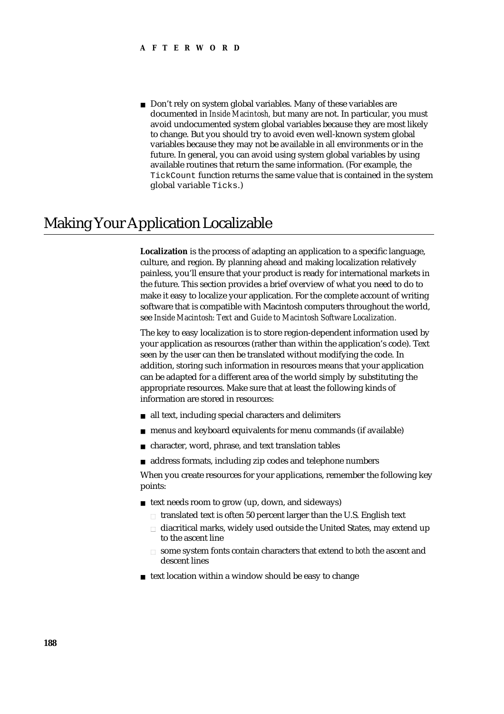n Don't rely on system global variables. Many of these variables are documented in *Inside Macintosh,* but many are not. In particular, you must avoid undocumented system global variables because they are most likely to change. But you should try to avoid even well-known system global variables because they may not be available in all environments or in the future. In general, you can avoid using system global variables by using available routines that return the same information. (For example, the TickCount function returns the same value that is contained in the system global variable Ticks.)

## Making Your Application Localizable

**Localization** is the process of adapting an application to a specific language, culture, and region. By planning ahead and making localization relatively painless, you'll ensure that your product is ready for international markets in the future. This section provides a brief overview of what you need to do to make it easy to localize your application. For the complete account of writing software that is compatible with Macintosh computers throughout the world, see *Inside Macintosh: Text* and *Guide to Macintosh Software Localization.*

The key to easy localization is to store region-dependent information used by your application as resources (rather than within the application's code). Text seen by the user can then be translated without modifying the code. In addition, storing such information in resources means that your application can be adapted for a different area of the world simply by substituting the appropriate resources. Make sure that at least the following kinds of information are stored in resources:

- all text, including special characters and delimiters
- menus and keyboard equivalents for menu commands (if available)  $\overline{p}$
- character, word, phrase, and text translation tables  $\sf n$
- address formats, including zip codes and telephone numbers n.

When you create resources for your applications, remember the following key points:

- n text needs room to grow (up, down, and sideways)
	- n translated text is often 50 percent larger than the U.S. English text
	- diacritical marks, widely used outside the United States, may extend up to the ascent line
	- some system fonts contain characters that extend to *both* the ascent and descent lines
- n text location within a window should be easy to change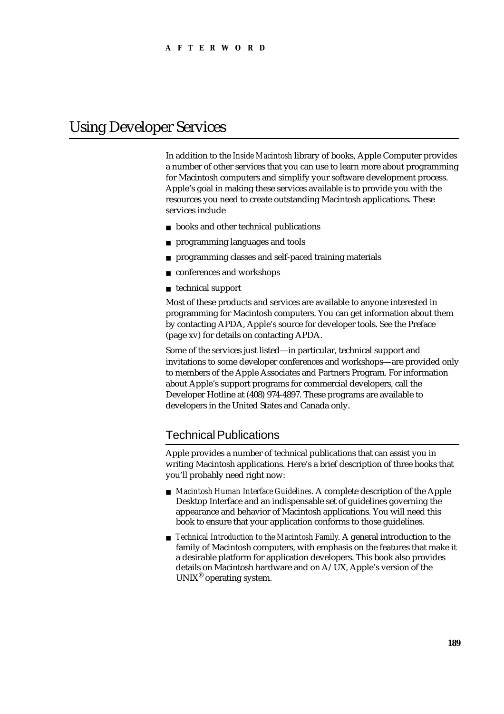## Using Developer Services

In addition to the *Inside Macintosh* library of books, Apple Computer provides a number of other services that you can use to learn more about programming for Macintosh computers and simplify your software development process. Apple's goal in making these services available is to provide you with the resources you need to create outstanding Macintosh applications. These services include

- books and other technical publications  $\overline{p}$
- programming languages and tools  $\overline{p}$
- programming classes and self-paced training materials  $\mathbf{r}$
- conferences and workshops  $\overline{a}$
- n technical support

Most of these products and services are available to anyone interested in programming for Macintosh computers. You can get information about them by contacting APDA, Apple's source for developer tools. See the Preface (page xv) for details on contacting APDA.

Some of the services just listed—in particular, technical support and invitations to some developer conferences and workshops—are provided only to members of the Apple Associates and Partners Program. For information about Apple's support programs for commercial developers, call the Developer Hotline at (408) 974-4897. These programs are available to developers in the United States and Canada only.

### Technical Publications

Apple provides a number of technical publications that can assist you in writing Macintosh applications. Here's a brief description of three books that you'll probably need right now:

- *Macintosh Human Interface Guidelines.* A complete description of the Apple Desktop Interface and an indispensable set of guidelines governing the appearance and behavior of Macintosh applications. You will need this book to ensure that your application conforms to those guidelines.
- *Technical Introduction to the Macintosh Family*. A general introduction to the family of Macintosh computers, with emphasis on the features that make it a desirable platform for application developers. This book also provides details on Macintosh hardware and on A/UX, Apple's version of the  $UNIX^{\omega}$  operating system.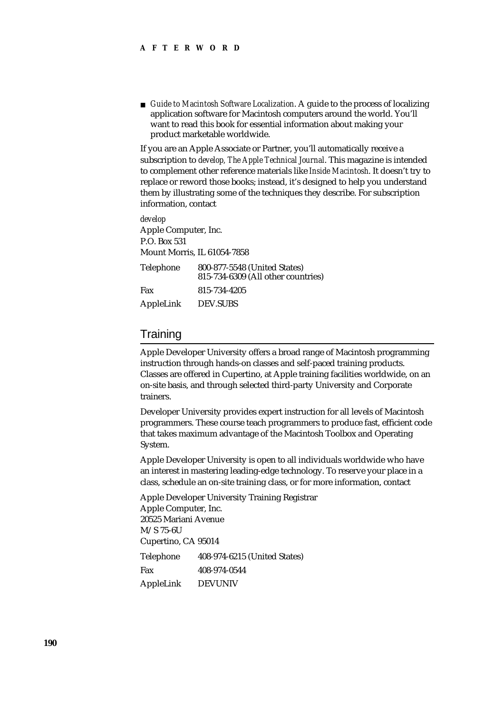*Guide to Macintosh Software Localization*. A guide to the process of localizing application software for Macintosh computers around the world. You'll want to read this book for essential information about making your product marketable worldwide.

If you are an Apple Associate or Partner, you'll automatically receive a subscription to *develop, The Apple Technical Journal*. This magazine is intended to complement other reference materials like *Inside Macintosh*. It doesn't try to replace or reword those books; instead, it's designed to help you understand them by illustrating some of the techniques they describe. For subscription information, contact

*develop* Apple Computer, Inc. P.O. Box 531 Mount Morris, IL 61054-7858

| <b>Telephone</b> | 800-877-5548 (United States)<br>815-734-6309 (All other countries) |
|------------------|--------------------------------------------------------------------|
| Fax              | 815-734-4205                                                       |
| AppleLink        | <b>DEV.SUBS</b>                                                    |

#### **Training**

Apple Developer University offers a broad range of Macintosh programming instruction through hands-on classes and self-paced training products. Classes are offered in Cupertino, at Apple training facilities worldwide, on an on-site basis, and through selected third-party University and Corporate trainers.

Developer University provides expert instruction for all levels of Macintosh programmers. These course teach programmers to produce fast, efficient code that takes maximum advantage of the Macintosh Toolbox and Operating System.

Apple Developer University is open to all individuals worldwide who have an interest in mastering leading-edge technology. To reserve your place in a class, schedule an on-site training class, or for more information, contact

Apple Developer University Training Registrar Apple Computer, Inc. 20525 Mariani Avenue M/S 75-6U Cupertino, CA 95014 Telephone 408-974-6215 (United States) Fax 408-974-0544 AppleLink DEVUNIV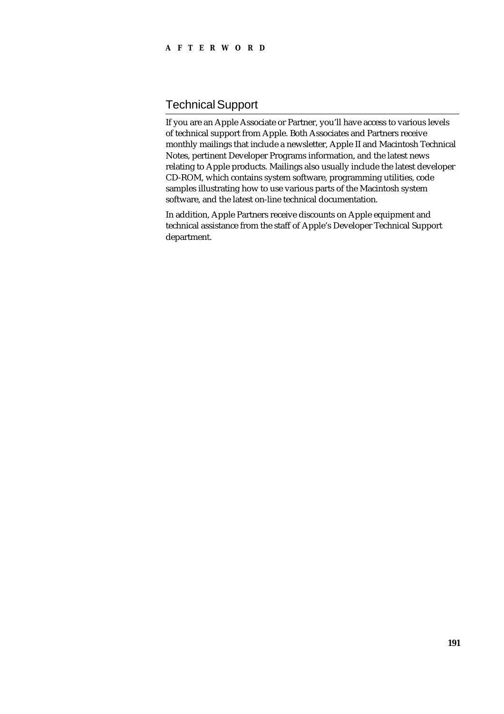#### **AFTERWORD**

## Technical Support

If you are an Apple Associate or Partner, you'll have access to various levels of technical support from Apple. Both Associates and Partners receive monthly mailings that include a newsletter, Apple II and Macintosh Technical Notes, pertinent Developer Programs information, and the latest news relating to Apple products. Mailings also usually include the latest developer CD-ROM, which contains system software, programming utilities, code samples illustrating how to use various parts of the Macintosh system software, and the latest on-line technical documentation.

In addition, Apple Partners receive discounts on Apple equipment and technical assistance from the staff of Apple's Developer Technical Support department.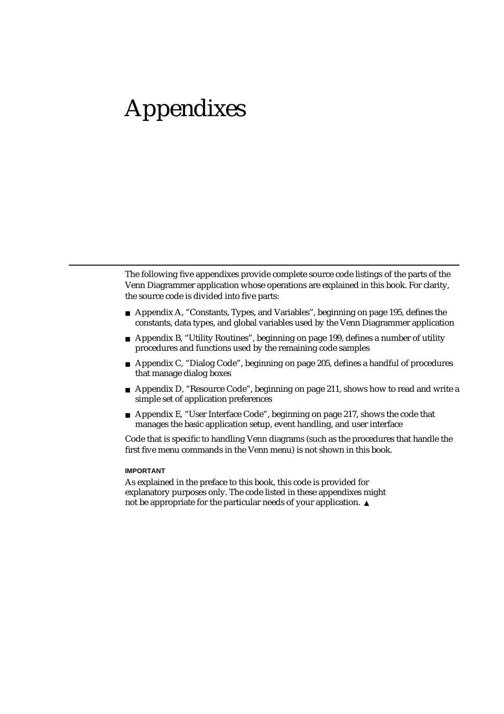# Appendixes

The following five appendixes provide complete source code listings of the parts of the Venn Diagrammer application whose operations are explained in this book. For clarity, the source code is divided into five parts:

- Appendix A, "Constants, Types, and Variables", beginning on page 195, defines the constants, data types, and global variables used by the Venn Diagrammer application
- Appendix B, "Utility Routines", beginning on page 199, defines a number of utility procedures and functions used by the remaining code samples
- Appendix C, "Dialog Code", beginning on page 205, defines a handful of procedures that manage dialog boxes
- n Appendix D, "Resource Code", beginning on page 211, shows how to read and write a simple set of application preferences
- $n_A$  Appendix E, "User Interface Code", beginning on page 217, shows the code that manages the basic application setup, event handling, and user interface

Code that is specific to handling Venn diagrams (such as the procedures that handle the first five menu commands in the Venn menu) is not shown in this book.

#### **IMPORTANT**

As explained in the preface to this book, this code is provided for explanatory purposes only. The code listed in these appendixes might not be appropriate for the particular needs of your application.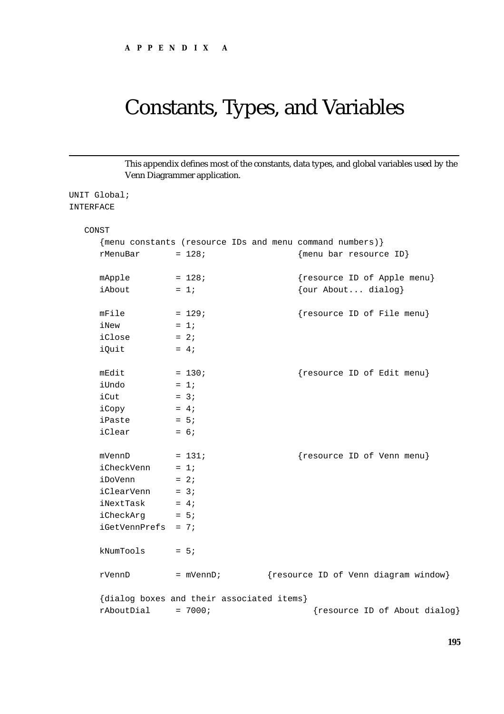## Constants, Types, and Variables

This appendix defines most of the constants, data types, and global variables used by the Venn Diagrammer application.

```
UNIT Global;
INTERFACE
```

```
CONST
  {menu constants (resource IDs and menu command numbers)}
  rMenuBar = 128; {\text{mean}} bar resource ID}
  mApple = 128; {resource ID of Apple menu}iAbout = 1; \{our About... dialog\}mFile = 129; {resource ID of File menu}iNew = 1;iClose = 2;iOuit = 4;
  mEdit = 130; {resource ID of Editor menu}iUndo = 1;
  iCut = 3;
  iCopy = 4;iPaste = 5iiClear = 6;mVennD = 131; {resource ID of Venn menu}iCheckVenn = 1;iDoVenn = 2;
  iClearVenn = 3;
  iNextTask = 4;
  iCheckArg = 5;iGetVennPrefs = 7;
  kNumTools = 5;rVennD = mVennD; {resource ID of Venn diagram window}
  {dialog boxes and their associated items}
  r\text{AboutDial} = 7000; \{r\text{esource ID of About dialog}\}
```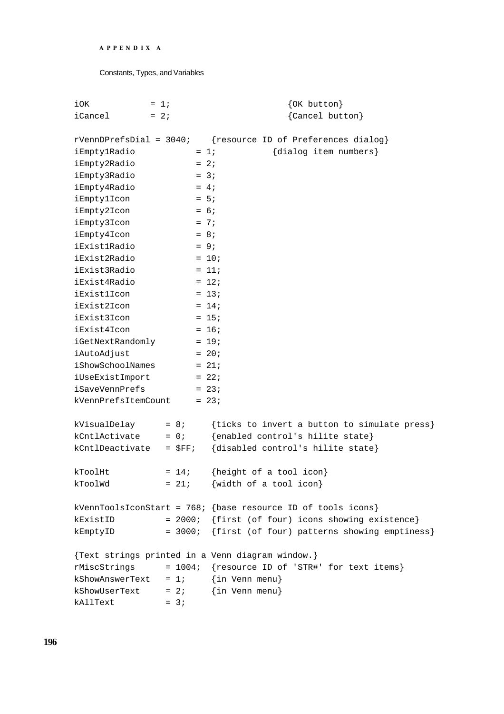```
APPENDIX A
```
Constants, Types, and Variables

| iOK                       | $= 1i$      | $\{OK\ button\}$                                               |
|---------------------------|-------------|----------------------------------------------------------------|
| iCancel                   | $= 2i$      | {Cancel button}                                                |
|                           |             |                                                                |
| $rVennDPrefsDial = 3040;$ |             | {resource ID of Preferences dialog}                            |
| iEmptylRadio              |             | {dialog item numbers}<br>$= 1i$                                |
| iEmpty2Radio              |             | $= 2i$                                                         |
| iEmpty3Radio              |             | $= 3i$                                                         |
| iEmpty4Radio              |             | $= 4i$                                                         |
| iEmptylIcon               |             | $= 5i$                                                         |
| iEmpty2Icon               |             | $= 6i$                                                         |
| iEmpty3Icon               |             | $= 7i$                                                         |
| iEmpty4Icon               |             | $= 8;$                                                         |
| iExist1Radio              |             | $= 9i$                                                         |
| iExist2Radio              |             | $= 10;$                                                        |
| iExist3Radio              |             | $= 11;$                                                        |
| iExist4Radio              |             | $= 12i$                                                        |
| <i>iExistlIcon</i>        |             | $= 13;$                                                        |
| iExist2Icon               |             | $= 14;$                                                        |
| iExist3Icon               |             | $= 15;$                                                        |
| iExist4Icon               |             | $= 16;$                                                        |
| iGetNextRandomly          |             | $= 19;$                                                        |
| iAutoAdjust               |             | $= 20;$                                                        |
| iShowSchoolNames          |             | $= 21;$                                                        |
| iUseExistImport           |             | $= 22i$                                                        |
| iSaveVennPrefs            |             | $= 23;$                                                        |
| kVennPrefsItemCount       |             | $= 23;$                                                        |
|                           |             |                                                                |
| kVisualDelay              | $= 8;$      | {ticks to invert a button to simulate press}                   |
| kCntlActivate             | $= 0;$      | {enabled control's hilite state}                               |
| kCntlDeactivate           | $=$ $SFF$ ; | {disabled control's hilite state}                              |
|                           |             |                                                                |
| kToolHt                   | $= 14;$     | {height of a tool icon}                                        |
| kToolWd                   | $= 21;$     | {width of a tool icon}                                         |
|                           |             |                                                                |
|                           |             | kVennToolsIconStart = $768i$ {base resource ID of tools icons} |
| kExistID                  |             | = 2000; {first (of four) icons showing existence}              |
| kEmptyID                  |             | = 3000; {first (of four) patterns showing emptiness}           |
|                           |             |                                                                |
|                           |             | {Text strings printed in a Venn diagram window.}               |
| rMiscStrings              |             | = 1004; {resource ID of 'STR#' for text items}                 |
|                           |             | $k$ ShowAnswerText = 1; {in Venn menu}                         |
|                           |             | $k$ ShowUserText = 2; {in Venn menu}                           |
| kAllText                  | $= 3i$      |                                                                |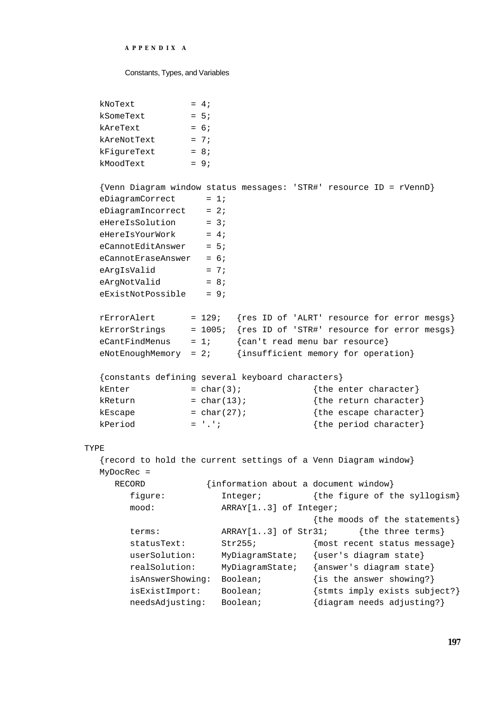#### **APPENDIX A**

#### Constants, Types, and Variables

| kNoText     | $= 4:$ |
|-------------|--------|
| kSomeText   | $= 5:$ |
| kAreText    | $= 6:$ |
| kAreNotText | $= 7$  |
| kFiqureText | $= 8:$ |
| kMoodText   | $= 9:$ |
|             |        |

```
{Venn Diagram window status messages: 'STR#' resource ID = rVennD}
  eDiagramCorrect = 1;
  eDiagramIncorrect = 2;
  eHereIsSolution = 3;
  eHereIsYourWork = 4;
  eCannotEditAnswer = 5;
  eCannotEraseAnswer = 6;eArgIsValid = 7;
  eArgNotValid = 8;
  eExistNotPossible = 9;
  rErrorAlert = 129; {res ID of 'ALRT' resource for error mesgs}
  kErrorStrings = 1005; {res ID of 'STR#' resource for error mesgs}
  eCantFindMenus = 1; {can't read menu bar resource}
  eNotEnoughMemory = 2; \{insufficient memory for operation\}{constants defining several keyboard characters}
  kEnter = char(3); {the enter character}
  kReturn = char(13); {the return character}
  kEscape = char(27); {the escape character}
  kPeriod = '.'; {\text{the period character}}TYPE 
  {record to hold the current settings of a Venn Diagram window}
  MyDocRec = 
    RECORD {information about a document window}
       figure: Integer; {the figure of the syllogism}
       mood: ARRAY[1..3] of Integer;
                                     {the moods of the statements}
```

|                  |                          | The moves of the statements?  |
|------------------|--------------------------|-------------------------------|
| terms:           | $ARRAY[13]$ of $Str31$ ; | {the three terms}             |
| statusText:      | Str255;                  | {most recent status message}  |
| userSolution:    | MyDiagramState;          | {user's diagram state}        |
| realSolution:    | MyDiagramState;          | {answer's diagram state}      |
| isAnswerShowing: | Boolean;                 | $\{is the answer showing? \}$ |
| isExistImport:   | Boolean;                 | {stmts imply exists subject?} |
| needsAdjusting:  | Boolean;                 | {diagram needs adjusting?}    |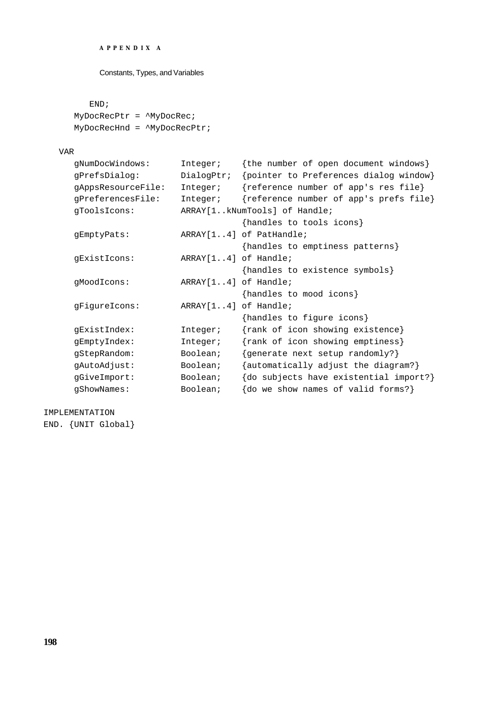```
APPENDIX A
```
Constants, Types, and Variables

#### END;

MyDocRecPtr = ^MyDocRec; MyDocRecHnd = ^MyDocRecPtr;

#### VAR

| gNumDocWindows:    | Integer;             | {the number of open document windows}  |
|--------------------|----------------------|----------------------------------------|
| qPrefsDialoq:      | DialogPtr;           | {pointer to Preferences dialog window} |
| qAppsResourceFile: | Integer;             | {reference number of app's res file}   |
| gPreferencesFile:  | Integer;             | {reference number of app's prefs file} |
| qToolsIcons:       |                      | ARRAY[1kNumTools] of Handle;           |
|                    |                      | {handles to tools icons}               |
| gEmptyPats:        |                      | ARRAY[14] of PatHandle;                |
|                    |                      | {handles to emptiness patterns}        |
| gExistIcons:       | ARRAY[14] of Handle; |                                        |
|                    |                      | {handles to existence symbols}         |
| qMoodIcons:        | ARRAY[14] of Handle; |                                        |
|                    |                      | {handles to mood icons}                |
| gFigureIcons:      | ARRAY[14] of Handle; |                                        |
|                    |                      | {handles to figure icons}              |
| gExistIndex:       | Integer;             | {rank of icon showing existence}       |
| gEmptyIndex:       | Integer;             | {rank of icon showing emptiness}       |
| qStepRandom:       | Boolean;             | {generate next setup randomly?}        |
| gAutoAdjust:       | Boolean;             | {automatically adjust the diagram?}    |
| gGiveImport:       | Boolean;             | {do subjects have existential import?} |
| qShowNames:        | Boolean;             | do we show names of valid forms?}      |

IMPLEMENTATION END. {UNIT Global}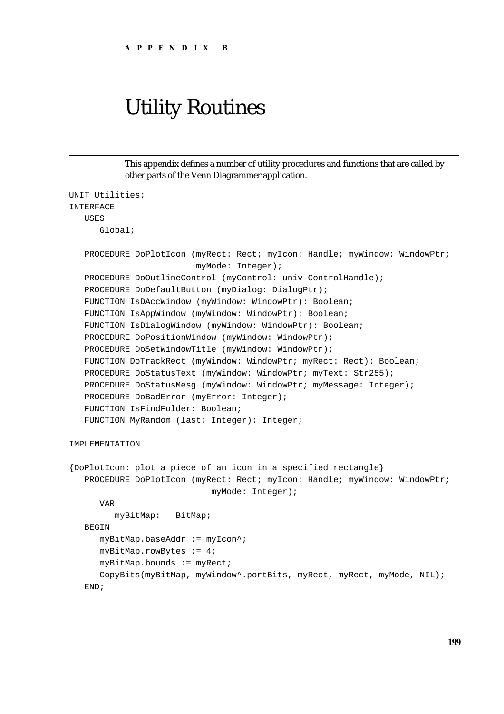# Utility Routines

This appendix defines a number of utility procedures and functions that are called by other parts of the Venn Diagrammer application.

```
UNIT Utilities;
INTERFACE
  USES
     Global;
   PROCEDURE DoPlotIcon (myRect: Rect; myIcon: Handle; myWindow: WindowPtr;
                          myMode: Integer);
   PROCEDURE DoOutlineControl (myControl: univ ControlHandle);
   PROCEDURE DoDefaultButton (myDialog: DialogPtr);
   FUNCTION IsDAccWindow (myWindow: WindowPtr): Boolean;
   FUNCTION IsAppWindow (myWindow: WindowPtr): Boolean;
   FUNCTION IsDialogWindow (myWindow: WindowPtr): Boolean;
   PROCEDURE DoPositionWindow (myWindow: WindowPtr);
   PROCEDURE DoSetWindowTitle (myWindow: WindowPtr);
   FUNCTION DoTrackRect (myWindow: WindowPtr; myRect: Rect): Boolean;
   PROCEDURE DoStatusText (myWindow: WindowPtr; myText: Str255);
   PROCEDURE DoStatusMesg (myWindow: WindowPtr; myMessage: Integer);
   PROCEDURE DoBadError (myError: Integer);
   FUNCTION IsFindFolder: Boolean;
   FUNCTION MyRandom (last: Integer): Integer;
IMPLEMENTATION
{DoPlotIcon: plot a piece of an icon in a specified rectangle}
   PROCEDURE DoPlotIcon (myRect: Rect; myIcon: Handle; myWindow: WindowPtr;
                             myMode: Integer);
     VAR
        myBitMap: BitMap;
   BEGIN
     myBitMap.baseAddr := myIcon^;
     myBitMap.rowBytes := 4;
     myBitMap.bounds := myRect;CopyBits(myBitMap, myWindow^.portBits, myRect, myRect, myMode, NIL);
   END;
```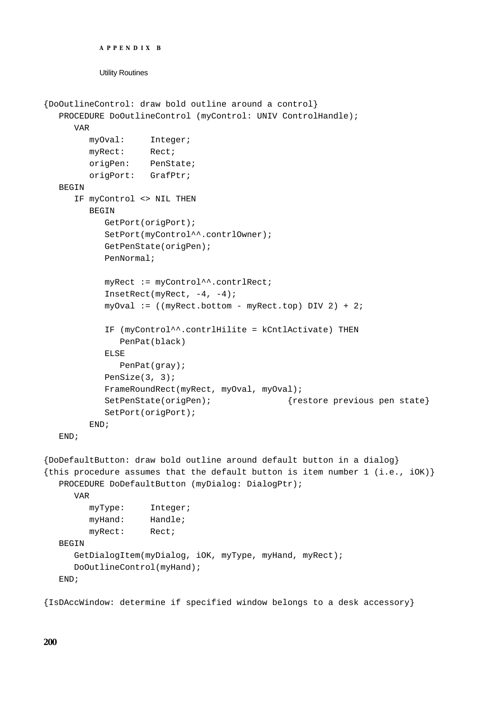```
APPENDIX B
```
Utility Routines

```
{DoOutlineControl: draw bold outline around a control}
  PROCEDURE DoOutlineControl (myControl: UNIV ControlHandle);
     VAR
        myOval: Integer;
        myRect: Rect;
        origPen: PenState;
        origPort: GrafPtr;
  BEGIN
     IF myControl <> NIL THEN
        BEGIN
           GetPort(origPort);
           SetPort(myControl^^.contrlOwner);
           GetPenState(origPen);
           PenNormal;
           myRect := myControl^^.contrlRect;
           InsetRect(myRect, -4, -4);
           myOval := ((myRect.bottom - myRect.top) DIV 2) + 2;IF (myControl^^.contrlHilite = kCntlActivate) THEN
              PenPat(black)
           ELSE
              PenPat(gray);
           PenSize(3, 3);
           FrameRoundRect(myRect, myOval, myOval);
           SetPenState(origPen); {r} {restore previous pen state}
           SetPort(origPort);
        END;
  END;
{DoDefaultButton: draw bold outline around default button in a dialog}
{this procedure assumes that the default button is item number 1 (i.e., iOK)}
  PROCEDURE DoDefaultButton (myDialog: DialogPtr);
```

```
VAR
```

```
myType: Integer;
     myHand: Handle;
     myRect: Rect;
BEGIN
  GetDialogItem(myDialog, iOK, myType, myHand, myRect);
  DoOutlineControl(myHand);
END;
```
{IsDAccWindow: determine if specified window belongs to a desk accessory}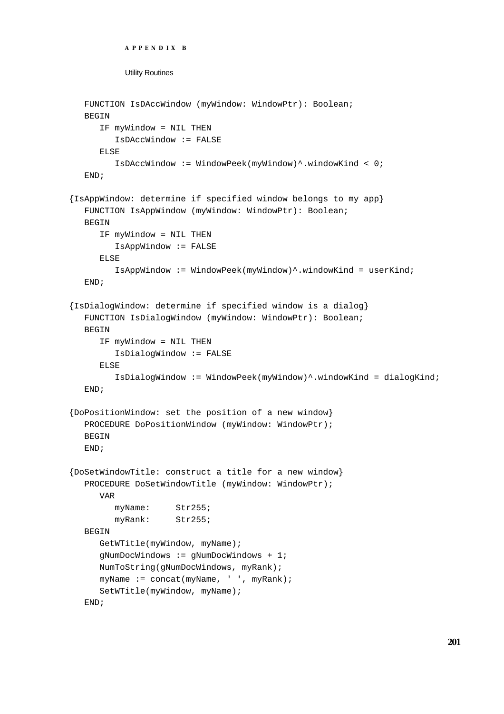```
APPENDIX B
           Utility Routines
  FUNCTION IsDAccWindow (myWindow: WindowPtr): Boolean;
  BEGIN
     IF myWindow = NIL THEN
         IsDAccWindow := FALSE
     ELSE
         IsDAccWindow := WindowPeek(myWindow)^.windowKind < 0;
  END;
{IsAppWindow: determine if specified window belongs to my app}
  FUNCTION IsAppWindow (myWindow: WindowPtr): Boolean;
  BEGIN
      IF myWindow = NIL THEN
         IsAppWindow := FALSE
     ELSE
         IsAppWindow := WindowPeek(myWindow)^.windowKind = userKind;
  END;
{IsDialogWindow: determine if specified window is a dialog}
  FUNCTION IsDialogWindow (myWindow: WindowPtr): Boolean;
  BEGIN
      IF myWindow = NIL THEN
         IsDialogWindow := FALSE
     ELSE
         IsDialogWindow := WindowPeek(myWindow)^.windowKind = dialogKind;
  END;
{DoPositionWindow: set the position of a new window}
  PROCEDURE DoPositionWindow (myWindow: WindowPtr);
  BEGIN
  END;
{DoSetWindowTitle: construct a title for a new window}
  PROCEDURE DoSetWindowTitle (myWindow: WindowPtr);
     VAR
        myName: Str255;
        myRank: Str255;
  BEGIN
     GetWTitle(myWindow, myName);
      gNumDocWindows := gNumDocWindows + 1;
     NumToString(gNumDocWindows, myRank);
     myName := concat(myName, ' ', myRank);
     SetWTitle(myWindow, myName);
```

```
END;
```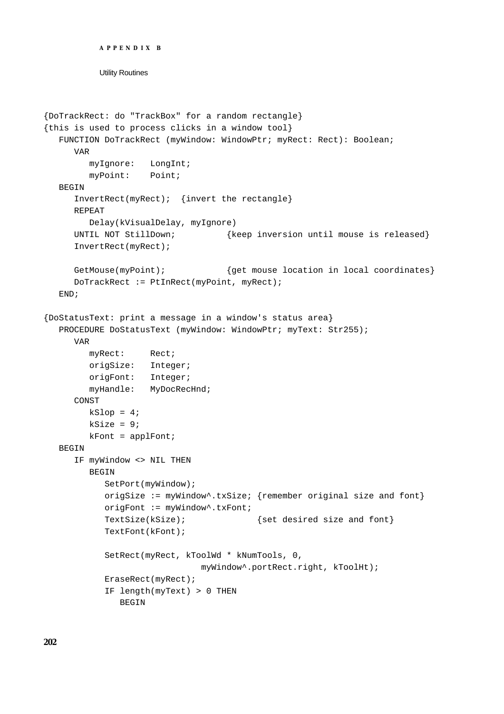```
APPENDIX B
```
Utility Routines

```
{DoTrackRect: do "TrackBox" for a random rectangle}
{this is used to process clicks in a window tool}
  FUNCTION DoTrackRect (myWindow: WindowPtr; myRect: Rect): Boolean;
     VAR
        myIgnore: LongInt;
        myPoint: Point;
  BEGIN
     InvertRect(myRect); {invert the rectangle}
     REPEAT
        Delay(kVisualDelay, myIgnore)
     UNTIL NOT StillDown; {keep} inversion until mouse is released}
     InvertRect(myRect);
     GetMouse(myPoint); {get mouse location in local coordinates}
     DoTrackRect := PtInRect(myPoint, myRect);
  END;
{DoStatusText: print a message in a window's status area}
  PROCEDURE DoStatusText (myWindow: WindowPtr; myText: Str255);
     VAR
        myRect: Rect;
        origSize: Integer;
        origFont: Integer;
        myHandle: MyDocRecHnd;
     CONST
        kSlop = 4;ksize = 9;kFont = applFont;BEGIN
     IF myWindow <> NIL THEN
        BEGIN
           SetPort(myWindow);
           origSize := myWindow^.txSize; {remember original size and font}
           origFont := myWindow^.txFont;
           TextSize(kSize); {set desired size and font}TextFont(kFont);
           SetRect(myRect, kToolWd * kNumTools, 0,
                              myWindow^.portRect.right, kToolHt);
           EraseRect(myRect);
           IF length(myText) > 0 THEN
              BEGIN
```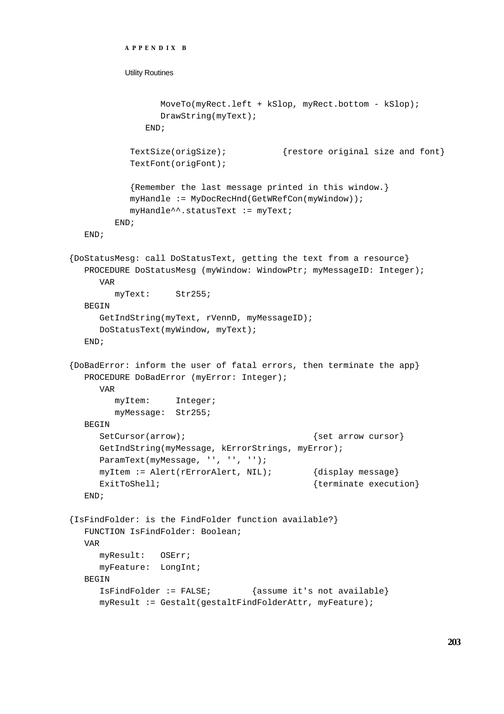```
APPENDIX B
          Utility Routines
                MoveTo(myRect.left + kSlop, myRect.bottom - kSlop);
                DrawString(myText);
              END;
           TextSize(origSize); {restore original size and font}
           TextFont(origFont);
           {Remember the last message printed in this window.}
           myHandle := MyDocRecHnd(GetWRefCon(myWindow));
           myHandle^^.statusText := myText;
        END;
  END;
{DoStatusMesg: call DoStatusText, getting the text from a resource}
  PROCEDURE DoStatusMesq (myWindow: WindowPtr; myMessageID: Integer);
     VAR
        myText: Str255;
  BEGIN
     GetIndString(myText, rVennD, myMessageID);
     DoStatusText(myWindow, myText);
  END;
{DoBadError: inform the user of fatal errors, then terminate the app}
  PROCEDURE DoBadError (myError: Integer);
     VAR
        myItem: Integer;
        myMessage: Str255;
  BEGIN
     SetCursor(arrow); \{set curvesor\}GetIndString(myMessage, kErrorStrings, myError);
     ParamText(myMessage, '', '', '');
     myItem := Alert(rErrorAlert, NIL); {display message}
     ExitToShell; \{ terminate execution\}END;
{IsFindFolder: is the FindFolder function available?}
  FUNCTION IsFindFolder: Boolean;
  VAR
     myResult: OSErr;
     myFeature: LongInt;
  BEGIN
     IsFindFolder := FALSE; {assume it's not available}
     myResult := Gestalt(gestaltFindFolderAttr, myFeature);
```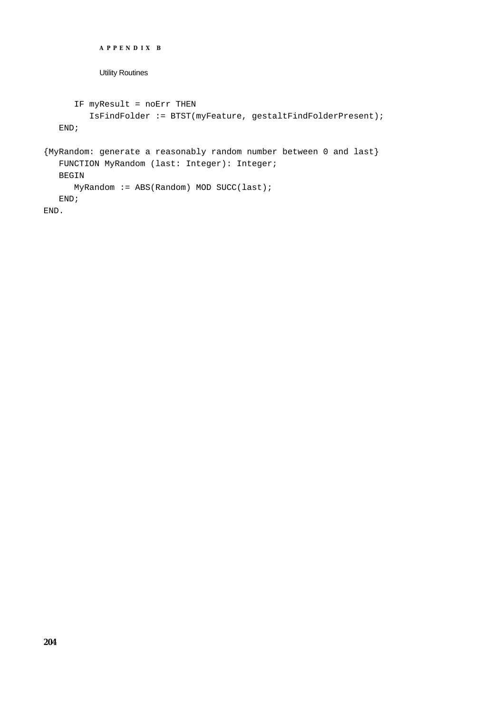```
APPENDIX B
           Utility Routines
      IF myResult = noErr THEN 
         IsFindFolder := BTST(myFeature, gestaltFindFolderPresent);
  END;
{MyRandom: generate a reasonably random number between 0 and last}
  FUNCTION MyRandom (last: Integer): Integer;
  BEGIN
      MyRandom := ABS(Random) MOD SUCC(last);
  END;
END.
```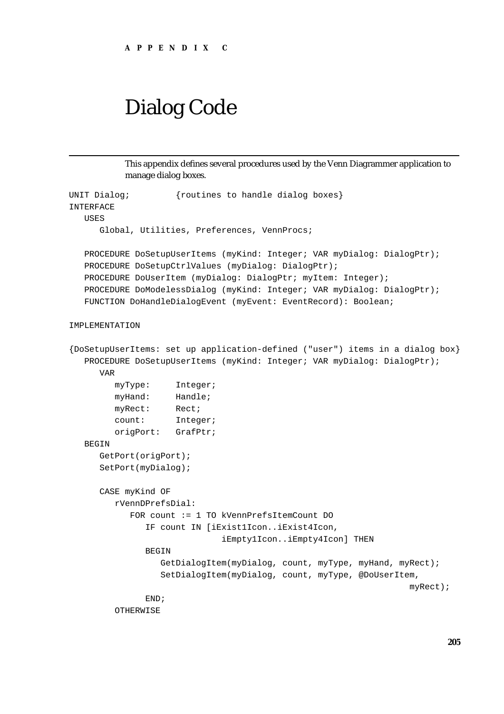# Dialog Code

This appendix defines several procedures used by the Venn Diagrammer application to manage dialog boxes.

```
UNIT Dialog; {v {routines to handle dialog boxes}
INTERFACE
  USES
      Global, Utilities, Preferences, VennProcs;
   PROCEDURE DoSetupUserItems (myKind: Integer; VAR myDialog: DialogPtr);
   PROCEDURE DoSetupCtrlValues (myDialog: DialogPtr);
   PROCEDURE DoUserItem (myDialog: DialogPtr; myItem: Integer);
   PROCEDURE DoModelessDialog (myKind: Integer; VAR myDialog: DialogPtr);
   FUNCTION DoHandleDialogEvent (myEvent: EventRecord): Boolean;
IMPLEMENTATION
{DoSetupUserItems: set up application-defined ("user") items in a dialog box}
   PROCEDURE DoSetupUserItems (myKind: Integer; VAR myDialog: DialogPtr);
     VAR
        myType: Integer;
        myHand: Handle;
        myRect: Rect;
        count: Integer;
        origPort: GrafPtr;
   BEGIN
      GetPort(origPort);
     SetPort(myDialog);
      CASE myKind OF
        rVennDPrefsDial: 
            FOR count := 1 TO kVennPrefsItemCount DO
              IF count IN [iExist1Icon..iExist4Icon, 
                              iEmpty1Icon..iEmpty4Icon] THEN
              BEGIN
                 GetDialogItem(myDialog, count, myType, myHand, myRect);
                 SetDialogItem(myDialog, count, myType, @DoUserItem,
                                                                   myRect);
              END;
         OTHERWISE
```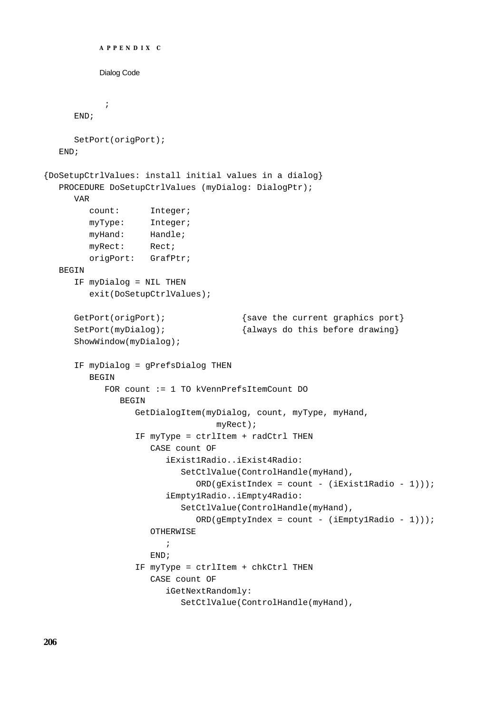```
APPENDIX C
          Dialog Code
            ;
     END;
     SetPort(origPort);
  END;
{DoSetupCtrlValues: install initial values in a dialog}
  PROCEDURE DoSetupCtrlValues (myDialog: DialogPtr);
     VAR
        count: Integer;
        myType: Integer;
        myHand: Handle;
        myRect: Rect;
        origPort: GrafPtr;
  BEGIN
     IF myDialog = NIL THEN
        exit(DoSetupCtrlValues);
     GetPort(origPort); {sqrt{\frac{1}{n}} {save the current graphics port}
     SetPort(myDialog); {always do this before drawing}ShowWindow(myDialog);
     IF myDialog = gPrefsDialog THEN
        BEGIN
           FOR count := 1 TO kVennPrefsItemCount DO
              BEGIN
                 GetDialogItem(myDialog, count, myType, myHand,
                                  myRect);
                 IF myType = ctrlItem + radCtrl THEN
                    CASE count OF
                       iExist1Radio..iExist4Radio: 
                          SetCtlValue(ControlHandle(myHand),
                             ORD(gExistIndex = count - (iExist1Radio - 1)));
                       iEmpty1Radio..iEmpty4Radio: 
                          SetCtlValue(ControlHandle(myHand),
                             ORD(gEmptyIndex = count - (iEmpty1Radio - 1))));
                    OTHERWISE
                        ;
                    END;
                 IF myType = ctrlItem + chkCtrl THEN
                    CASE count OF
                       iGetNextRandomly: 
                          SetCtlValue(ControlHandle(myHand),
```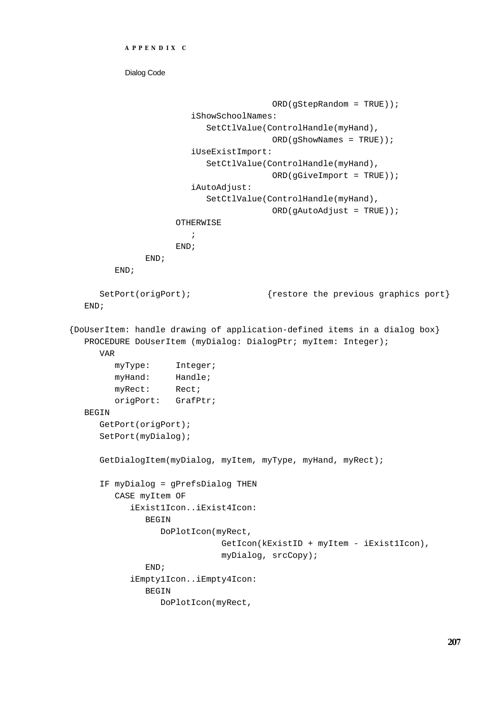```
APPENDIX C
```
Dialog Code

```
 ORD(gStepRandom = TRUE));
                        iShowSchoolNames: 
                           SetCtlValue(ControlHandle(myHand), 
                                        ORD(gShowNames = TRUE));
                        iUseExistImport: 
                           SetCtlValue(ControlHandle(myHand),
                                         ORD(gGiveImport = TRUE));
                        iAutoAdjust: 
                           SetCtlValue(ControlHandle(myHand),
                                         ORD(gAutoAdjust = TRUE));
                    OTHERWISE
                       ;
                    END;
              END;
        END;
     SetPort(origPort); {restore the previous graphics port}END;
{DoUserItem: handle drawing of application-defined items in a dialog box}
  PROCEDURE DoUserItem (myDialog: DialogPtr; myItem: Integer);
     VAR
        myType: Integer;
        myHand: Handle;
        myRect: Rect;
        origPort: GrafPtr;
  BEGIN
     GetPort(origPort);
     SetPort(myDialog);
     GetDialogItem(myDialog, myItem, myType, myHand, myRect);
     IF myDialog = gPrefsDialog THEN
        CASE myItem OF
           iExist1Icon..iExist4Icon: 
              BEGIN
                 DoPlotIcon(myRect, 
                             GetIcon(kExistID + myItem - iExist1Icon),
                             myDialog, srcCopy);
              END;
           iEmpty1Icon..iEmpty4Icon: 
              BEGIN
                 DoPlotIcon(myRect,
```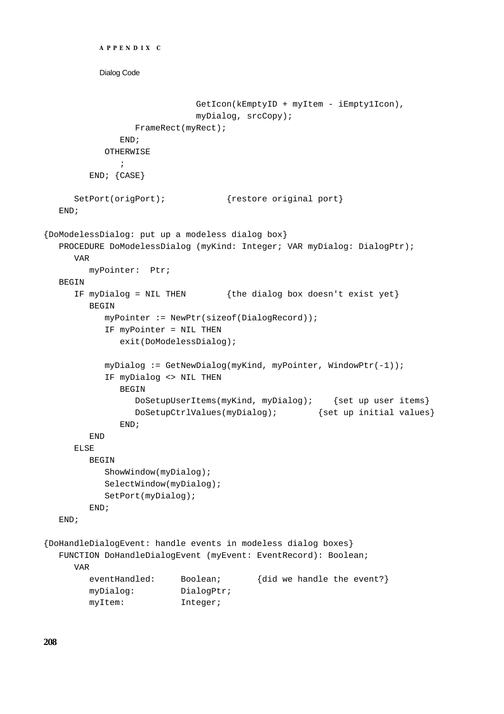```
Dialog Code
                            GetIcon(kEmptyID + myItem - iEmpty1Icon),
                            myDialog, srcCopy);
                 FrameRect(myRect);
              END;
           OTHERWISE
              ;
        END; {CASE}
     SetPort(origPort); {restore original port}
  END;
{DoModelessDialog: put up a modeless dialog box}
  PROCEDURE DoModelessDialog (myKind: Integer; VAR myDialog: DialogPtr);
     VAR
        myPointer: Ptr;
  BEGIN
     IF myDialog = NIL THEN {the dialog box doesn't exist yet}
        BEGIN
           myPointer := NewPtr(sizeof(DialogRecord));
           IF myPointer = NIL THEN
              exit(DoModelessDialog);
           myDialog := GetNewDialog(myKind, myPointer, WindowPtr(-1));
           IF myDialog <> NIL THEN
              BEGIN
                 DoSetupUserItems(myKind, myDialog); {set up user items}
                 DoSetupCtrlValues(myDialog); {set up initial values}
              END;
        END
     ELSE
        BEGIN
           ShowWindow(myDialog);
           SelectWindow(myDialog);
           SetPort(myDialog);
        END;
  END;
{DoHandleDialogEvent: handle events in modeless dialog boxes}
  FUNCTION DoHandleDialogEvent (myEvent: EventRecord): Boolean;
     VAR
        eventHandled: Boolean; {did we handle the event?}
        myDialog: DialogPtr;
        myItem: Integer;
```
**APPENDIX C**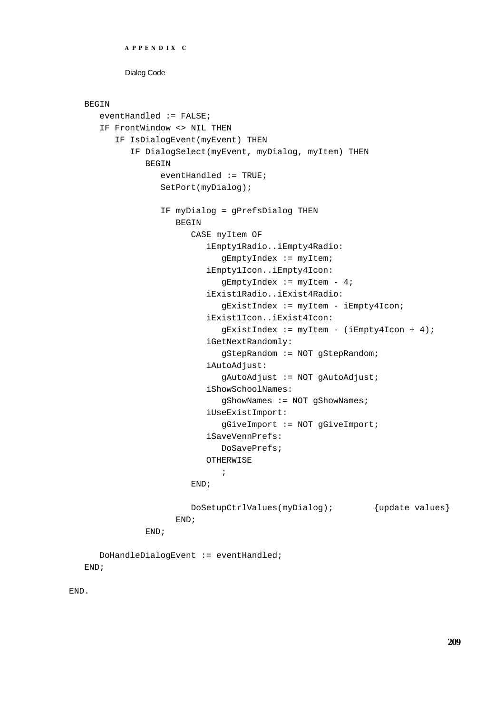```
APPENDIX C
```
Dialog Code

### BEGIN

```
eventHandled := FALSE;
  IF FrontWindow <> NIL THEN
      IF IsDialogEvent(myEvent) THEN
         IF DialogSelect(myEvent, myDialog, myItem) THEN
            BEGIN
               eventHandled := TRUE;
               SetPort(myDialog);
               IF myDialog = gPrefsDialog THEN
                  BEGIN
                     CASE myItem OF
                        iEmpty1Radio..iEmpty4Radio: 
                           gEmptyIndex := myItem;
                        iEmpty1Icon..iEmpty4Icon: 
                           gEmptyIndex := myItem - 4;
                        iExist1Radio..iExist4Radio: 
                           gExistIndex := myItem - iEmpty4Icon;
                        iExist1Icon..iExist4Icon: 
                           gExistIndex := myItem - (iEmpty4Icon + 4);iGetNextRandomly: 
                           gStepRandom := NOT gStepRandom;
                        iAutoAdjust: 
                           gAutoAdjust := NOT gAutoAdjust;
                        iShowSchoolNames: 
                           gShowNames := NOT gShowNames;
                        iUseExistImport: 
                           gGiveImport := NOT gGiveImport;
                        iSaveVennPrefs: 
                           DoSavePrefs;
                        OTHERWISE
                           ;
                     END;
                     DoSetupCtrlValues(myDialog); {update values}
                  END;
            END;
  DoHandleDialogEvent := eventHandled;
END;
```
END.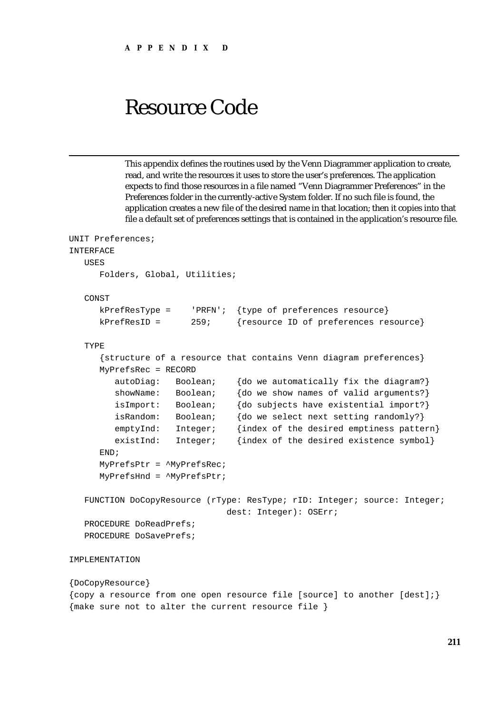This appendix defines the routines used by the Venn Diagrammer application to create, read, and write the resources it uses to store the user's preferences. The application expects to find those resources in a file named "Venn Diagrammer Preferences" in the Preferences folder in the currently-active System folder. If no such file is found, the application creates a new file of the desired name in that location; then it copies into that file a default set of preferences settings that is contained in the application's resource file.

```
UNIT Preferences;
INTERFACE
  USES
     Folders, Global, Utilities;
  CONST
     kPrefResType = 'PRFN'; {type of preferences resource}
     kPrefResID = 259; {resource ID of preferences resource}
  TYPE
     {structure of a resource that contains Venn diagram preferences}
     MyPrefsRec = RECORD
        autoDiag: Boolean; {do we automatically fix the diagram?}
        showName: Boolean; {do we show names of valid arguments?}
        isImport: Boolean; {do subjects have existential import?}
        isRandom: Boolean; {do we select next setting randomly?}
        emptyInd: Integer; {index of the desired emptiness pattern}
        existInd: Integer; {index of the desired existence symbol}
     END;
     MyPrefsPtr = ^MyPrefsRec;
     MyPrefsHnd = ^MyPrefsPtr;
  FUNCTION DoCopyResource (rType: ResType; rID: Integer; source: Integer;
                              dest: Integer): OSErr;
  PROCEDURE DoReadPrefs;
  PROCEDURE DoSavePrefs;
IMPLEMENTATION
```

```
{DoCopyResource}
{copy a resource from one open resource file [source] to another [dest];}
{make sure not to alter the current resource file }
```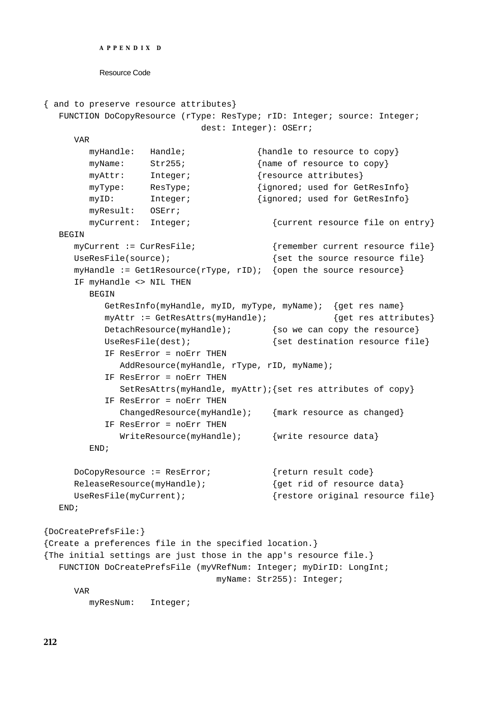```
APPENDIX D
```

```
{ and to preserve resource attributes}
  FUNCTION DoCopyResource (rType: ResType; rID: Integer; source: Integer;
                             dest: Integer): OSErr;
     VAR
        myHandle: Handle; {h}andle to resource to copy
       myName: Str255; {name of resource to copy}
       myAttr: Integer; {resource attributes}
       myType: ResType; {ignored; used for GetResInfo}
       myID: Integer; {ignored; used for GetResInfo}
       myResult: OSErr;
       myCurrent: Integer; {\text{current} \times \text{current} \times \text{reward}}BEGIN
     myCurrent := CurResFile; {remember current resource file}
     UseResFile(source); {set the source resource file}myHandle := Get1Resource(rType, rID); {open the source resource}
     IF myHandle <> NIL THEN
       BEGIN
          GetResInfo(myHandle, myID, myType, myName); {get res name}
          myAttr := GetResAttrs(myHandle); {get res attributes}
          DetachResource(myHandle); {so we can copy the resource}
          UseResFile(dest); \{set\} fet destination resource file}
          IF ResError = noErr THEN
             AddResource(myHandle, rType, rID, myName);
          IF ResError = noErr THEN
             SetResAttrs(myHandle, myAttr);{set res attributes of copy}
          IF ResError = noErr THEN
             ChangedResource(myHandle); {mark resource as changed}
          IF ResError = noErr THEN
             WriteResource(myHandle); {write resource data}
        END;
     DoCopyResource := ResError; {return result code}
     ReleaseResource(myHandle); {qet rid of resource data}UseResFile(myCurrent); {r} {restore original resource file}
  END;
{DoCreatePrefsFile:}
{Create a preferences file in the specified location.}
{The initial settings are just those in the app's resource file.}
  FUNCTION DoCreatePrefsFile (myVRefNum: Integer; myDirID: LongInt;
                               myName: Str255): Integer;
     VAR
       myResNum: Integer;
```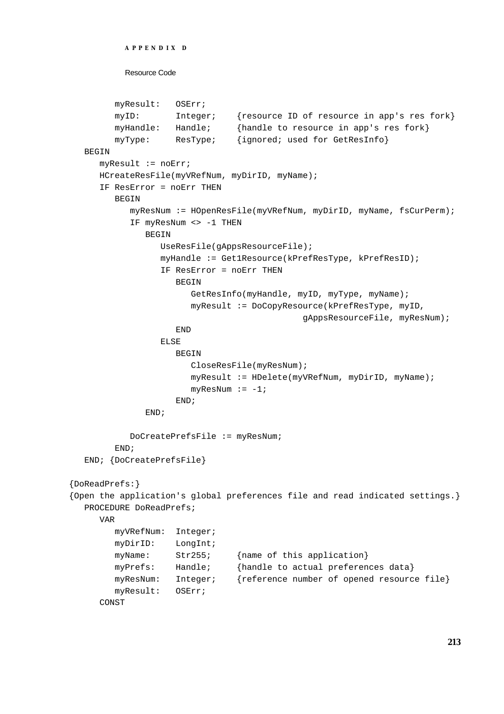```
APPENDIX D
```

```
myResult: OSErr;
        myID: Integer; {resource ID of resource in app's res fork}
        myHandle: Handle; {handle to resource in app's res fork}
        myType: ResType; {ignored; used for GetResInfo}
  BEGIN
     myResult := noErr;
     HCreateResFile(myVRefNum, myDirID, myName);
     IF ResError = noErr THEN
        BEGIN
           myResNum := HOpenResFile(myVRefNum, myDirID, myName, fsCurPerm);
           IF myResNum <> -1 THEN
              BEGIN
                 UseResFile(gAppsResourceFile);
                 myHandle := Get1Resource(kPrefResType, kPrefResID);
                 IF ResError = noErr THEN
                    BEGIN
                       GetResInfo(myHandle, myID, myType, myName);
                       myResult := DoCopyResource(kPrefResType, myID,
                                             gAppsResourceFile, myResNum);
                    END
                 ELSE
                    BEGIN
                       CloseResFile(myResNum);
                       myResult := HDelete(myVRefNum, myDirID, myName);
                       myResNum := -1;END;
              END;
           DoCreatePrefsFile := myResNum;
        END;
  END; {DoCreatePrefsFile}
{DoReadPrefs:}
{Open the application's global preferences file and read indicated settings.}
  PROCEDURE DoReadPrefs;
     VAR
        myVRefNum: Integer;
        myDirID: LongInt;
        myName: Str255; {name of this application}
        myPrefs: Handle; {handle to actual preferences data}
        myResNum: Integer; {reference number of opened resource file}
        myResult: OSErr;
     CONST
```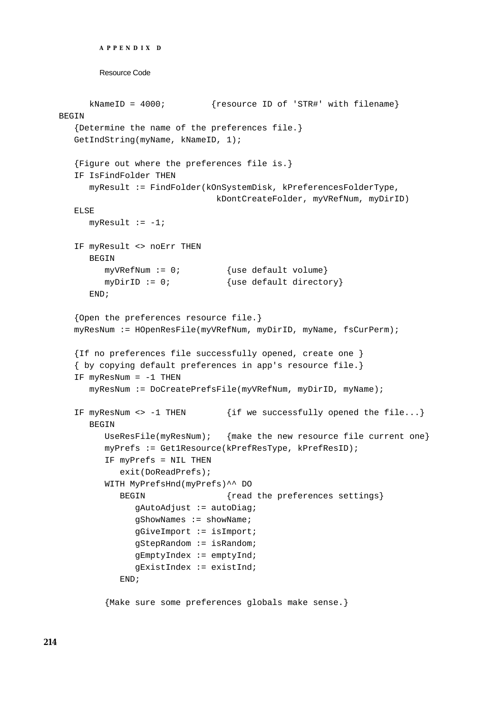```
APPENDIX D
```

```
kNameID = 4000; {resource ID of 'STR#' with filename}
BEGIN
   {Determine the name of the preferences file.}
  GetIndString(myName, kNameID, 1);
  {Figure out where the preferences file is.}
  IF IsFindFolder THEN
     myResult := FindFolder(kOnSystemDisk, kPreferencesFolderType,
                               kDontCreateFolder, myVRefNum, myDirID)
  ELSE
     myResult := -1;IF myResult <> noErr THEN
     BEGIN
        myVRefNum := 0; {use default volume}
        myDirID := 0; {use default directory}
     END;
   {Open the preferences resource file.}
  myResNum := HOpenResFile(myVRefNum, myDirID, myName, fsCurPerm);
  {If no preferences file successfully opened, create one }
  { by copying default preferences in app's resource file.}
  IF myResNum = -1 THEN
     myResNum := DoCreatePrefsFile(myVRefNum, myDirID, myName);
  IF myResNum <> -1 THEN \{if we successfully opened the file...}
     BEGIN
        UseResFile(myResNum); { make the new resource file current one}
        myPrefs := Get1Resource(kPrefResType, kPrefResID);
        IF myPrefs = NIL THEN
           exit(DoReadPrefs);
        WITH MyPrefsHnd(myPrefs)^^ DO
           BEGIN \{read the preferences settings\}gAutoAdjust := autoDiag;
              gShowNames := showName;
              gGiveImport := isImport;
              gStepRandom := isRandom;
              gEmptyIndex := emptyInd;
              gExistIndex := existInd;
           END;
```
{Make sure some preferences globals make sense.}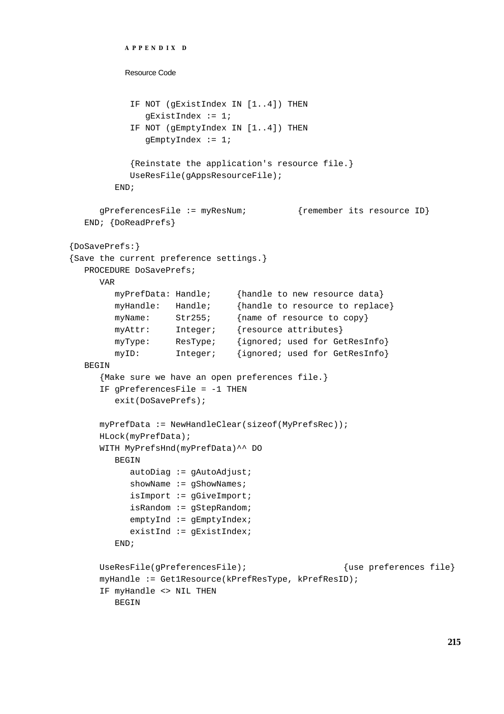```
APPENDIX D
          Resource Code
           IF NOT (gExistIndex IN [1..4]) THEN
              gExistIndex := 1;
           IF NOT (gEmptyIndex IN [1..4]) THEN
              gEmptyIndex := 1;
           {Reinstate the application's resource file.}
           UseResFile(gAppsResourceFile);
        END;
     gPreferencesFile := myResNum; {remember its resource ID}
  END; {DoReadPrefs}
{DoSavePrefs:}
{Save the current preference settings.}
  PROCEDURE DoSavePrefs;
     VAR
        myPrefData: Handle; {handle to new resource data}
        myHandle: Handle; {handle to resource to replace}
        myName: Str255; {name of resource to copy}
        myAttr: Integer; {resource attributes}
        myType: ResType; {ignored; used for GetResInfo}
        myID: Integer; {ignored; used for GetResInfo}
  BEGIN
     {Make sure we have an open preferences file.}
     IF gPreferencesFile = -1 THEN
        exit(DoSavePrefs);
     myPrefData := NewHandleClear(sizeof(MyPrefsRec));
     HLock(myPrefData);
     WITH MyPrefsHnd(myPrefData)^^ DO
        BEGIN
           autobiag := gAutodjust;showName := gShowNames;
           isImport := gGiveImport;
           isRandom := gStepRandom;
           emptyInd := gEmptyIndex;
           existInd := gExistIndex;
        END;
     UseResFile(qPreferencesFile); {use}</math> [use preferences file]myHandle := Get1Resource(kPrefResType, kPrefResID);
     IF myHandle <> NIL THEN
        BEGIN
```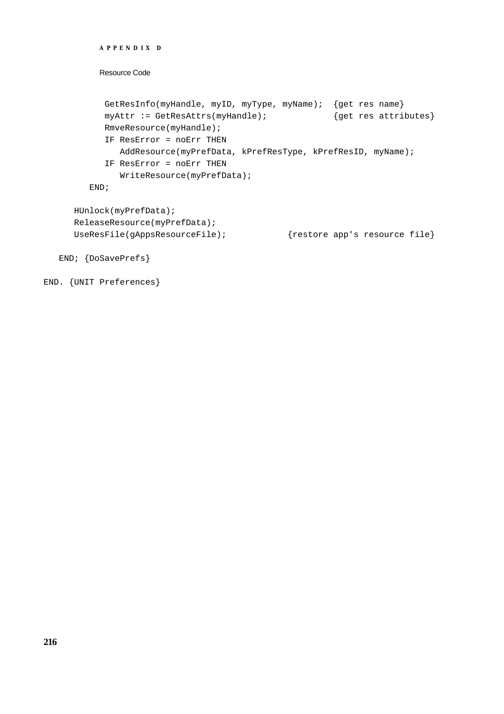```
Resource Code
        GetResInfo(myHandle, myID, myType, myName); {get res name}
        myAttr := GetResAttrs(myHandle); {get res attributes}
        RmveResource(myHandle);
        IF ResError = noErr THEN
           AddResource(myPrefData, kPrefResType, kPrefResID, myName);
        IF ResError = noErr THEN
           WriteResource(myPrefData);
     END;
  HUnlock(myPrefData);
  ReleaseResource(myPrefData);
  UseResFile(gAppsResourceFile); {r} {restore app's resource file}
END; {DoSavePrefs}
```

```
END. {UNIT Preferences}
```
**APPENDIX D**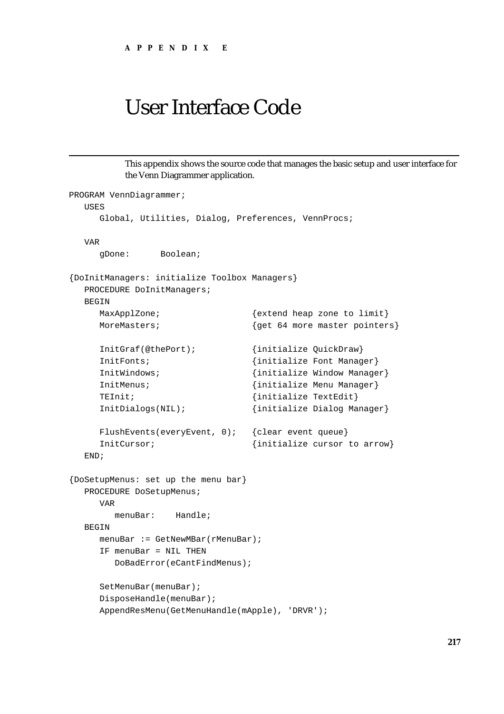This appendix shows the source code that manages the basic setup and user interface for the Venn Diagrammer application.

```
PROGRAM VennDiagrammer;
  USES
     Global, Utilities, Dialog, Preferences, VennProcs;
  VAR
     gDone: Boolean;
{DoInitManagers: initialize Toolbox Managers}
  PROCEDURE DoInitManagers;
  BEGIN
     MaxApplZone; \{extend\text{heap zone to limit}\}MoreMasters; {qet 64 more master pointers}InitGraf(@thePort); {initialize QuickDraw}
     InitFonts; \{initialize Font Manager\}InitWindows; {initialize Window Manager}
     InitMenus; {initialize Menu Manager}
     TEInit; \{initialize \; TextEdit\}InitDialogs(NIL); {initialize Dialog Manager}
     FlushEvents(everyEvent, 0); {clear event queue}
     InitCursor; \{initialize cursor to arrow\}END;
{DoSetupMenus: set up the menu bar}
  PROCEDURE DoSetupMenus;
     VAR
       menuBar: Handle;
  BEGIN
     menuBar := GetNewMBar(rMenuBar);
     IF menuBar = NIL THEN
       DoBadError(eCantFindMenus);
     SetMenuBar(menuBar);
     DisposeHandle(menuBar);
     AppendResMenu(GetMenuHandle(mApple), 'DRVR');
```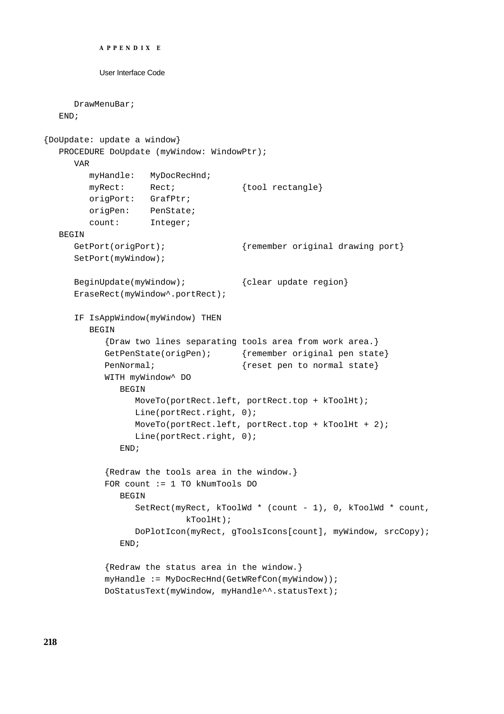```
APPENDIX E
          User Interface Code
     DrawMenuBar;
  END;
{DoUpdate: update a window}
  PROCEDURE DoUpdate (myWindow: WindowPtr);
     VAR
        myHandle: MyDocRecHnd;
        myRect: Rect; {tool rectangle}
        origPort: GrafPtr;
        origPen: PenState;
        count: Integer;
  BEGIN
     GetPort(origPort); { fremember original drawing port}
     SetPort(myWindow);
     BeginUpdate(myWindow); {clear update region}EraseRect(myWindow^.portRect);
     IF IsAppWindow(myWindow) THEN
        BEGIN
           {Draw two lines separating tools area from work area.}
           GetPenState(origPen); {remember original pen state}
           PenNormal; {reset pen to normal state}WITH myWindow^ DO
              BEGIN
                 MoveTo(portRect.left, portRect.top + kToolHt);
                 Line(portRect.right, 0);
                 MoveTo(portRect.left, portRect.top + kToolHt + 2);
                 Line(portRect.right, 0);
              END;
           {Redraw the tools area in the window.}
           FOR count := 1 TO kNumTools DO
              BEGIN
                 SetRect(myRect, kToolWd * (count - 1), 0, kToolWd * count,
                           kToolHt);
                 DoPlotIcon(myRect, gToolsIcons[count], myWindow, srcCopy);
              END;
           {Redraw the status area in the window.}
           myHandle := MyDocRecHnd(GetWRefCon(myWindow));
```
DoStatusText(myWindow, myHandle^^.statusText);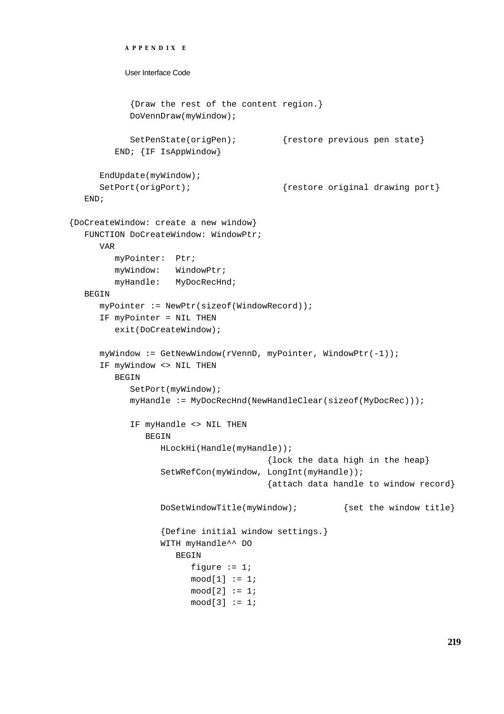```
APPENDIX E
          User Interface Code
           {Draw the rest of the content region.}
           DoVennDraw(myWindow);
           SetPenState(origPen); {restore previous pen state}
        END; {IF IsAppWindow}
     EndUpdate(myWindow);
     SetPort(origPort); {r}{s} {restore original drawing port}
  END;
{DoCreateWindow: create a new window}
  FUNCTION DoCreateWindow: WindowPtr;
     VAR
        myPointer: Ptr;
        myWindow: WindowPtr;
        myHandle: MyDocRecHnd;
  BEGIN
     myPointer := NewPtr(sizeof(WindowRecord));
     IF myPointer = NIL THEN
        exit(DoCreateWindow);
     myWindow := GetNewWindow(rVennD, myPointer, WindowPtr(-1));
     IF myWindow <> NIL THEN
        BEGIN
           SetPort(myWindow);
           myHandle := MyDocRecHnd(NewHandleClear(sizeof(MyDocRec)));
           IF myHandle <> NIL THEN
              BEGIN
                 HLockHi(Handle(myHandle));
                                      {lock the data high in the heap}
                 SetWRefCon(myWindow, LongInt(myHandle));
                                      {attach data handle to window record}
                 DoSetWindowTitle(myWindow); {set the window title}
                 {Define initial window settings.}
                 WITH myHandle^^ DO
                    BEGIN
                       figure := 1;mod[1] := 1;mod[2] := 1;mod[3] := 1;
```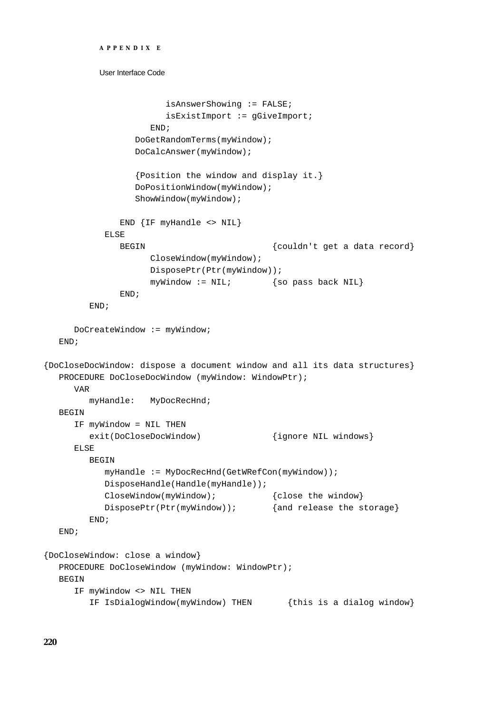```
APPENDIX E
          User Interface Code
                       isAnswerShowing := FALSE;
                       isExistImport := gGiveImport;
                    END;
                 DoGetRandomTerms(myWindow);
                 DoCalcAnswer(myWindow);
                 {Position the window and display it.}
                 DoPositionWindow(myWindow);
                 ShowWindow(myWindow);
              END {IF myHandle <> NIL}
           ELSE
              BEGIN \{couldn' t \text{ get a data record}\}CloseWindow(myWindow);
                    DisposePtr(Ptr(myWindow));
                    myWindow := NIL; {so pass back NIL}
              END;
        END;
     DoCreateWindow := myWindow;
  END;
{DoCloseDocWindow: dispose a document window and all its data structures}
  PROCEDURE DoCloseDocWindow (myWindow: WindowPtr);
     VAR
        myHandle: MyDocRecHnd;
  BEGIN
     IF myWindow = NIL THEN
        exit(DoCloseDocWindow) {ignore NIL windows}
     ELSE
        BEGIN
           myHandle := MyDocRecHnd(GetWRefCon(myWindow));
           DisposeHandle(Handle(myHandle));
           CloseWindow(myWindow); { close the window}
           DisposePtr(Ptr(myWindow)); {and release the storage}
        END;
  END;
{DoCloseWindow: close a window}
  PROCEDURE DoCloseWindow (myWindow: WindowPtr);
  BEGIN
     IF myWindow <> NIL THEN
        IF IsDialogWindow(myWindow) THEN {this is a dialog window}
```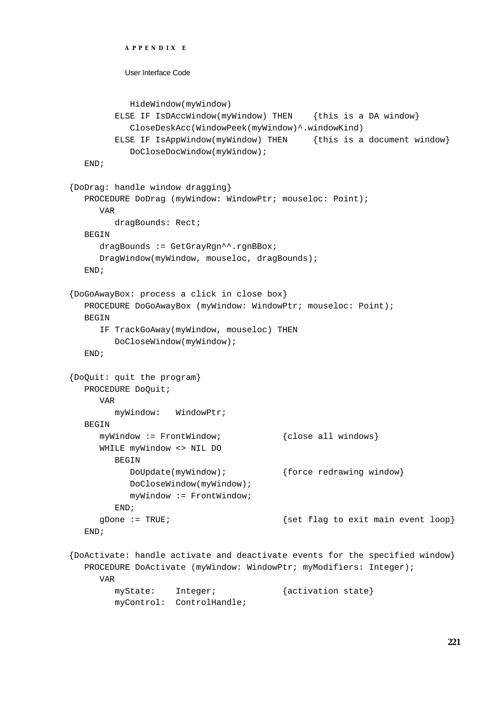```
APPENDIX E
          User Interface Code
           HideWindow(myWindow)
        ELSE IF IsDAccWindow(myWindow) THEN {this is a DA window}
           CloseDeskAcc(WindowPeek(myWindow)^.windowKind)
        ELSE IF IsAppWindow(myWindow) THEN {this is a document window}
           DoCloseDocWindow(myWindow);
  END;
{DoDrag: handle window dragging}
  PROCEDURE DoDrag (myWindow: WindowPtr; mouseloc: Point);
     VAR
        dragBounds: Rect;
  BEGIN
     dragBounds := GetGrayRqn^^.rqnBBox;
     DragWindow(myWindow, mouseloc, dragBounds);
  END;
{DoGoAwayBox: process a click in close box}
  PROCEDURE DoGoAwayBox (myWindow: WindowPtr; mouseloc: Point);
  BEGIN
     IF TrackGoAway(myWindow, mouseloc) THEN
        DoCloseWindow(myWindow);
  END;
{DoQuit: quit the program}
  PROCEDURE DoQuit;
     VAR
        myWindow: WindowPtr;
  BEGIN
     myWindow := FrontWindow; {close all windows}
     WHILE myWindow <> NIL DO
        BEGIN
           DoUpdate(myWindow); {force redrawing window}
           DoCloseWindow(myWindow);
           myWindow := FrontWindow;
        END;
     gDone := TRUE; \{ set \ flag \ to \ exit \ main \ event \ loop\}END;
{DoActivate: handle activate and deactivate events for the specified window}
  PROCEDURE DoActivate (myWindow: WindowPtr; myModifiers: Integer);
     VAR
        myState: Integer; {activation state}
```
myControl: ControlHandle;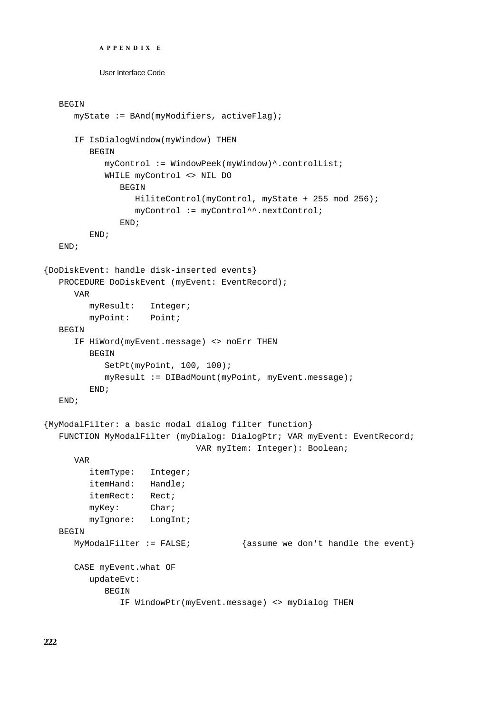```
APPENDIX E
```
#### BEGIN

```
myState := BAnd(myModifiers, activeFlag);
     IF IsDialogWindow(myWindow) THEN
        BEGIN
           myControl := WindowPeek(myWindow)^.controlList;
           WHILE myControl <> NIL DO
              BEGIN
                 HiliteControl(myControl, myState + 255 mod 256);
                 myControl := myControl^^.nextControl;
              END;
        END;
  END;
{DoDiskEvent: handle disk-inserted events}
  PROCEDURE DoDiskEvent (myEvent: EventRecord);
     VAR
        myResult: Integer;
        myPoint: Point;
  BEGIN
     IF HiWord(myEvent.message) <> noErr THEN
        BEGIN
           SetPt(myPoint, 100, 100);
           myResult := DIBadMount(myPoint, myEvent.message);
        END;
  END;
{MyModalFilter: a basic modal dialog filter function}
  FUNCTION MyModalFilter (myDialog: DialogPtr; VAR myEvent: EventRecord; 
                             VAR myItem: Integer): Boolean;
     VAR
        itemType: Integer;
        itemHand: Handle;
        itemRect: Rect;
        myKey: Char;
        myIgnore: LongInt;
  BEGIN
     MyModalFilter := FALSE; {assume we don't handle the event}
     CASE myEvent.what OF
        updateEvt: 
           BEGIN
              IF WindowPtr(myEvent.message) <> myDialog THEN
```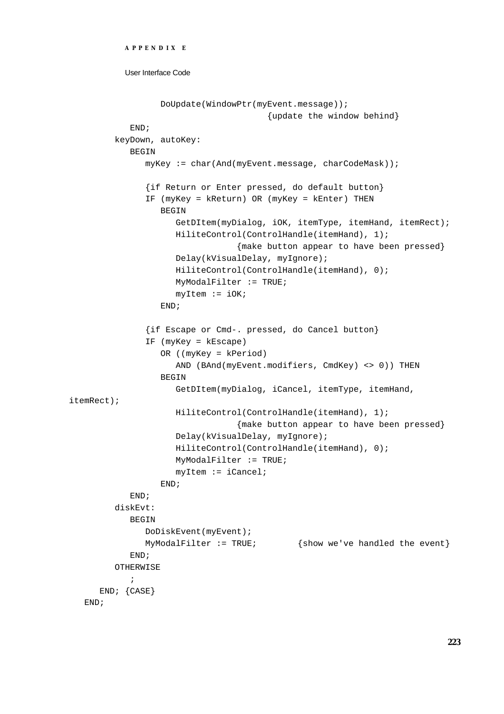```
APPENDIX E
```

```
DoUpdate(WindowPtr(myEvent.message));
                                       {update the window behind}
            END;
         keyDown, autoKey: 
            BEGIN
               myKey := char(And(myEvent.message, charCodeMask));
               {if Return or Enter pressed, do default button}
               IF (myKey = kReturn) OR (myKey = kEnter) THEN
                  BEGIN
                     GetDItem(myDialog, iOK, itemType, itemHand, itemRect);
                     HiliteControl(ControlHandle(itemHand), 1);
                                 {make button appear to have been pressed}
                     Delay(kVisualDelay, myIgnore);
                     HiliteControl(ControlHandle(itemHand), 0);
                     MyModalFilter := TRUE;
                     myItem := iOK;END;
               {if Escape or Cmd-. pressed, do Cancel button}
               IF (myKey = kEscape) 
                  OR ((myKey = kPeriod) 
                     AND (BAnd(myEvent.modifiers, CmdKey) <> 0)) THEN
                  BEGIN
                     GetDItem(myDialog, iCancel, itemType, itemHand, 
itemRect);
                     HiliteControl(ControlHandle(itemHand), 1);
                                 {make button appear to have been pressed}
                     Delay(kVisualDelay, myIgnore);
                     HiliteControl(ControlHandle(itemHand), 0);
                     MyModalFilter := TRUE;
                     myItem := iCancel;
                  END;
            END;
         diskEvt: 
            BEGIN
               DoDiskEvent(myEvent);
               MyModalFilter := TRUE; {show we've handled the event}END;
         OTHERWISE
           ;
     END; {CASE}
   END;
```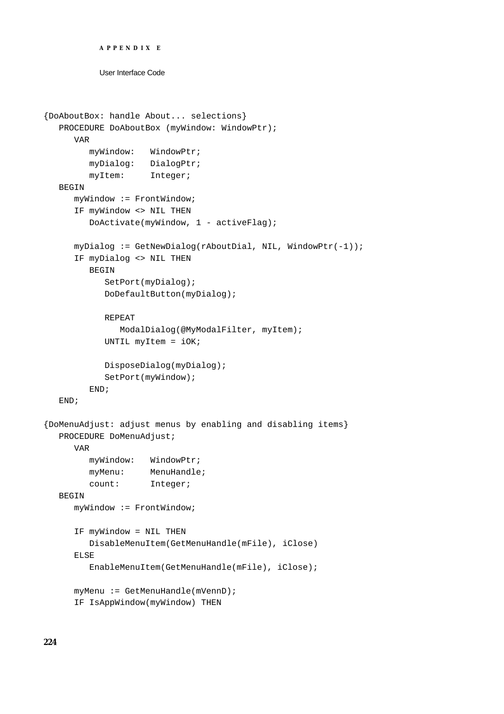```
APPENDIX E
```

```
{DoAboutBox: handle About... selections}
  PROCEDURE DoAboutBox (myWindow: WindowPtr);
     VAR
        myWindow: WindowPtr;
        myDialog: DialogPtr;
        myItem: Integer;
  BEGIN
     myWindow := FrontWindow;
     IF myWindow <> NIL THEN
        DoActivate(myWindow, 1 - activeFlag);
     myDialog := GetNewDialog(rAboutDial, NIL, WindowPtr(-1));
     IF myDialog <> NIL THEN
        BEGIN
           SetPort(myDialog);
           DoDefaultButton(myDialog);
           REPEAT
              ModalDialog(@MyModalFilter, myItem);
           UNTIL myItem = iOK;
           DisposeDialog(myDialog);
           SetPort(myWindow);
        END;
  END;
{DoMenuAdjust: adjust menus by enabling and disabling items}
  PROCEDURE DoMenuAdjust;
     VAR
        myWindow: WindowPtr;
        myMenu: MenuHandle;
        count: Integer;
  BEGIN
     myWindow := FrontWindow;
     IF myWindow = NIL THEN
        DisableMenuItem(GetMenuHandle(mFile), iClose)
     ELSE
        EnableMenuItem(GetMenuHandle(mFile), iClose);
     myMenu := GetMenuHandle(mVennD);
     IF IsAppWindow(myWindow) THEN
```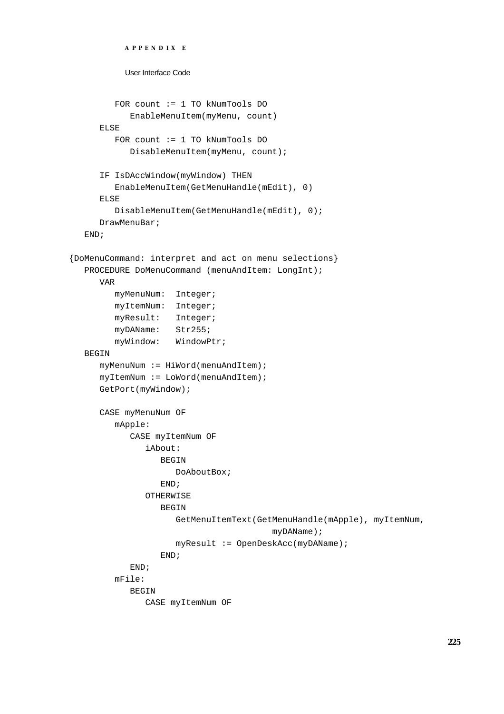```
APPENDIX E
           User Interface Code
         FOR count := 1 TO kNumTools DO
            EnableMenuItem(myMenu, count)
     ELSE
         FOR count := 1 TO kNumTools DO
            DisableMenuItem(myMenu, count);
      IF IsDAccWindow(myWindow) THEN
         EnableMenuItem(GetMenuHandle(mEdit), 0)
     ELSE
         DisableMenuItem(GetMenuHandle(mEdit), 0);
     DrawMenuBar;
  END;
{DoMenuCommand: interpret and act on menu selections}
  PROCEDURE DoMenuCommand (menuAndItem: LongInt);
     VAR
         myMenuNum: Integer;
         myItemNum: Integer;
         myResult: Integer;
        myDAName: Str255;
        myWindow: WindowPtr;
  BEGIN
     myMenuNum := HiWord(menuAndItem);myItemNum := LoWord(menuAndItem);
     GetPort(myWindow);
     CASE myMenuNum OF
         mApple: 
            CASE myItemNum OF
               iAbout: 
                  BEGIN
                     DoAboutBox;
                  END;
               OTHERWISE
                  BEGIN
                     GetMenuItemText(GetMenuHandle(mApple), myItemNum,
                                        myDAName) ;
                     myResult := OpenDeskAcc(myDAName);
                  END;
            END;
         mFile: 
            BEGIN
               CASE myItemNum OF
```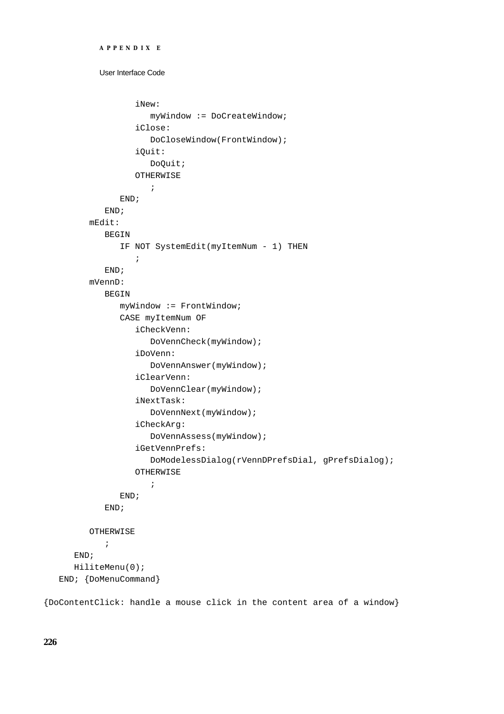```
APPENDIX E
```

```
User Interface Code
```

```
iNew: 
                   myWindow := DoCreateWindow;
                iClose: 
                   DoCloseWindow(FrontWindow);
                iQuit: 
                   DoQuit;
               OTHERWISE
                   ;
            END;
         END;
      mEdit: 
         BEGIN
            IF NOT SystemEdit(myItemNum - 1) THEN
               ;
         END;
      mVennD: 
         BEGIN
            myWindow := FrontWindow;
            CASE myItemNum OF
               iCheckVenn: 
                  DoVennCheck(myWindow);
               iDoVenn: 
                   DoVennAnswer(myWindow);
               iClearVenn: 
                   DoVennClear(myWindow);
               iNextTask: 
                   DoVennNext(myWindow);
               iCheckArg: 
                  DoVennAssess(myWindow);
                iGetVennPrefs: 
                   DoModelessDialog(rVennDPrefsDial, gPrefsDialog);
               OTHERWISE
                   ;
            END;
         END;
      OTHERWISE
         ;
   END;
   HiliteMenu(0);
END; {DoMenuCommand}
```
{DoContentClick: handle a mouse click in the content area of a window}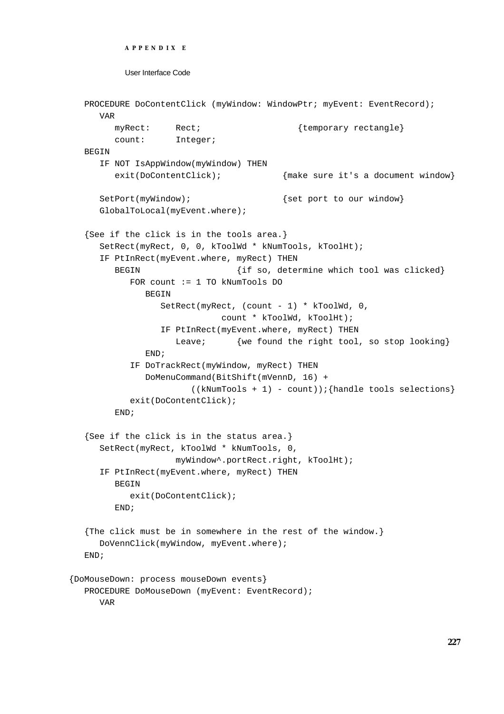```
APPENDIX E
```

```
PROCEDURE DoContentClick (myWindow: WindowPtr; myEvent: EventRecord);
     VAR
        myRect: Rect; \{temporary rectangle\}count: Integer;
  BEGIN
     IF NOT IsAppWindow(myWindow) THEN
        exit(DoContentClick); {max} in {max} it's a document window}
     SetPort(myWindow); \{ set port to our window}
     GlobalToLocal(myEvent.where);
  {See if the click is in the tools area.}
     SetRect(myRect, 0, 0, kToolWd * kNumTools, kToolHt);
     IF PtInRect(myEvent.where, myRect) THEN
        BEGIN \{if so, determine which tool was clicked\}FOR count := 1 TO kNumTools DO
              BEGIN
                 SetRect(myRect, (count - 1) * kToolWd, 0, 
                            count * kToolWd, kToolHt);
                 IF PtInRect(myEvent.where, myRect) THEN
                   Leave; {we found the right tool, so stop looking}END;
           IF DoTrackRect(myWindow, myRect) THEN
              DoMenuCommand(BitShift(mVennD, 16) + 
                       ((kNumTools + 1) - count)); {handle tools selections}
           exit(DoContentClick);
        END;
  {See if the click is in the status area.}
     SetRect(myRect, kToolWd * kNumTools, 0, 
                   myWindow^.portRect.right, kToolHt);
     IF PtInRect(myEvent.where, myRect) THEN
        BEGIN
           exit(DoContentClick);
        END;
  {The click must be in somewhere in the rest of the window.}
     DoVennClick(myWindow, myEvent.where);
  END;
{DoMouseDown: process mouseDown events}
  PROCEDURE DoMouseDown (myEvent: EventRecord);
     VAR
```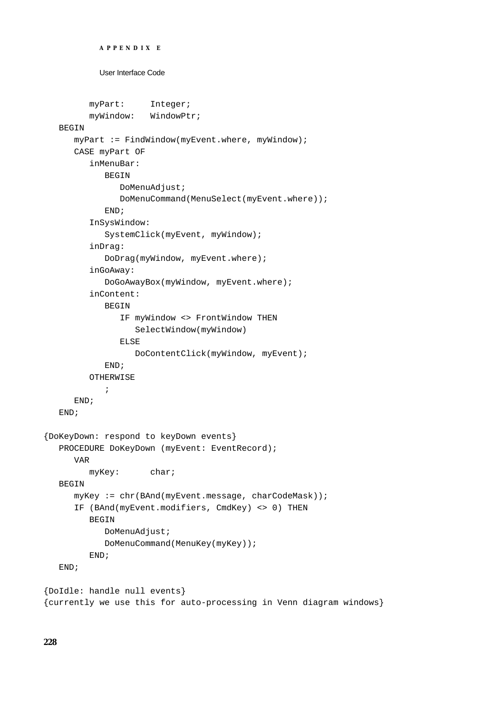```
APPENDIX E
           User Interface Code
        myPart: Integer;
        myWindow: WindowPtr;
  BEGIN
     myPart := FindWindow(myEvent.where, myWindow);CASE myPart OF
        inMenuBar: 
            BEGIN
               DoMenuAdjust;
               DoMenuCommand(MenuSelect(myEvent.where));
            END;
         InSysWindow: 
            SystemClick(myEvent, myWindow);
         inDrag: 
            DoDrag(myWindow, myEvent.where);
         inGoAway: 
            DoGoAwayBox(myWindow, myEvent.where);
         inContent: 
            BEGIN
               IF myWindow <> FrontWindow THEN
                  SelectWindow(myWindow)
               ELSE
                  DoContentClick(myWindow, myEvent);
            END;
        OTHERWISE
            ;
      END;
  END;
{DoKeyDown: respond to keyDown events}
  PROCEDURE DoKeyDown (myEvent: EventRecord);
     VAR
        myKey: char;
  BEGIN
     myKey := chr(BAnd(myEvent.message, charCodeMask));
      IF (BAnd(myEvent.modifiers, CmdKey) <> 0) THEN
        BEGIN
            DoMenuAdjust;
            DoMenuCommand(MenuKey(myKey));
        END;
  END;
{DoIdle: handle null events}
{currently we use this for auto-processing in Venn diagram windows}
```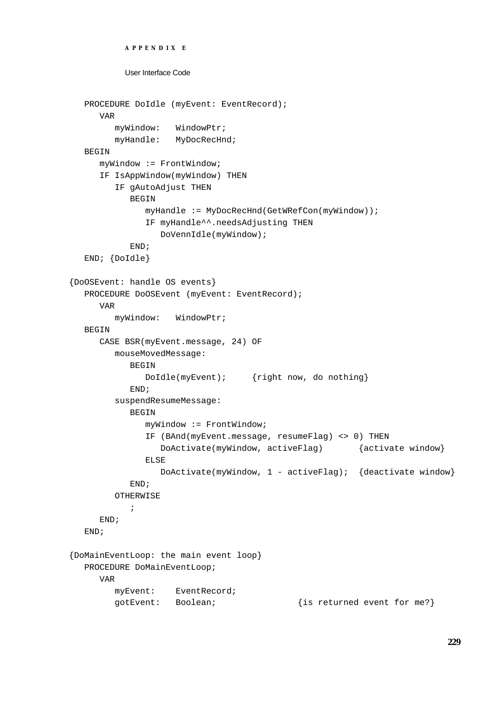```
APPENDIX E
          User Interface Code
  PROCEDURE DoIdle (myEvent: EventRecord);
     VAR
        myWindow: WindowPtr;
        myHandle: MyDocRecHnd;
  BEGIN
     myWindow := FrontWindow;
     IF IsAppWindow(myWindow) THEN
        IF gAutoAdjust THEN
           BEGIN
              myHandle := MyDocRecHnd(GetWRefCon(myWindow));
              IF myHandle^^.needsAdjusting THEN
                 DoVennIdle(myWindow);
           END;
  END; {DoIdle}
{DoOSEvent: handle OS events}
  PROCEDURE DOOSEvent (myEvent: EventRecord);
     VADmyWindow: WindowPtr;
  BEGIN
     CASE BSR(myEvent.message, 24) OF
        mouseMovedMessage: 
           BEGIN
              DoIdle(myEvent); {right now, do nothing}
           END;
        suspendResumeMessage: 
           BEGIN
              myWindow := FrontWindow;
              IF (BAnd(myEvent.message, resumeFlag) <> 0) THEN
                 DoActivate(myWindow, activeFlag) {activate window}
              ELSE
                 DoActivate(myWindow, 1 - activeFlag); {deactivate window}
           END;
        OTHERWISE
            ;
     END;
  END;
{DoMainEventLoop: the main event loop}
  PROCEDURE DoMainEventLoop;
     VAR
        myEvent: EventRecord;
        gotEvent: Boolean; {is returned event for me?}
```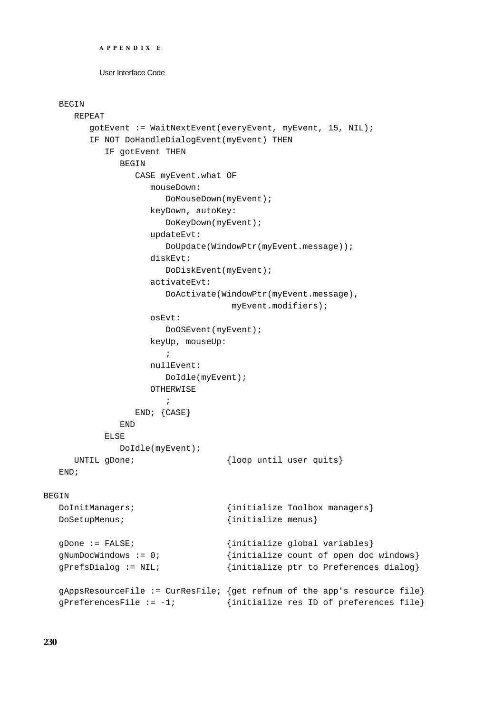```
APPENDIX E
```
### BEGIN

```
REPEAT
        gotEvent := WaitNextEvent(everyEvent, myEvent, 15, NIL);
        IF NOT DoHandleDialogEvent(myEvent) THEN
           IF gotEvent THEN
              BEGIN
                CASE myEvent.what OF
                   mouseDown: 
                      DoMouseDown(myEvent);
                   keyDown, autoKey: 
                      DoKeyDown(myEvent);
                   updateEvt: 
                      DoUpdate(WindowPtr(myEvent.message));
                   diskEvt: 
                      DoDiskEvent(myEvent);
                   activateEvt: 
                      DoActivate(WindowPtr(myEvent.message),
                                   myEvent.modifiers);
                   osEvt:
                      DoOSEvent(myEvent);
                   keyUp, mouseUp: 
                      ;
                   nullEvent: 
                      DoIdle(myEvent);
                   OTHERWISE
                      ;
                END; {CASE}
              END
           ELSE
              DoIdle(myEvent);
     UNTIL gDone; \{loop until user quite}\}END;
BEGIN
  DoInitManagers; \{initialize Toolbox managers\}DoSetupMenus; \{initialize menus\}gDone := FALSE; {initialize global variables}
  gNumDocWindows := 0; {initialize count of open doc windows}
  gPrefsDialog := NIL; {initialize ptr to Preferences dialog}
  gAppsResourceFile := CurResFile; {get refnum of the app's resource file}
  gPreferencesFile := -1; \{initialize res ID of preferences file\}
```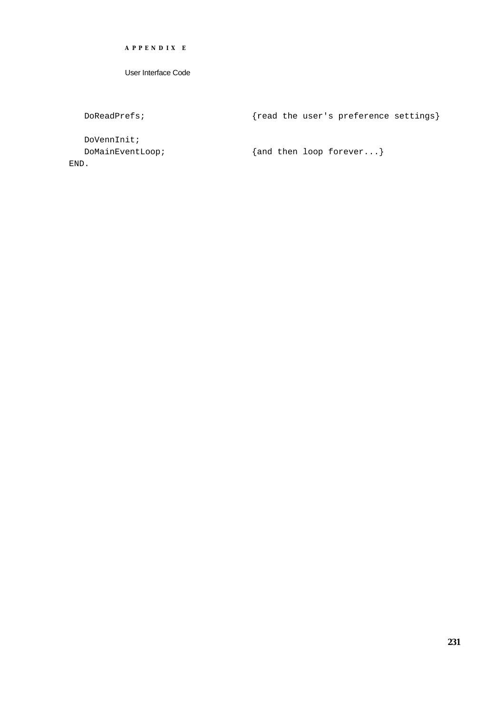**APPENDIX E**

User Interface Code

DoReadPrefs;  ${realP}$   ${real}$  the user's preference settings}

DoVennInit; END.

DoMainEventLoop;  ${and then loop forever...}$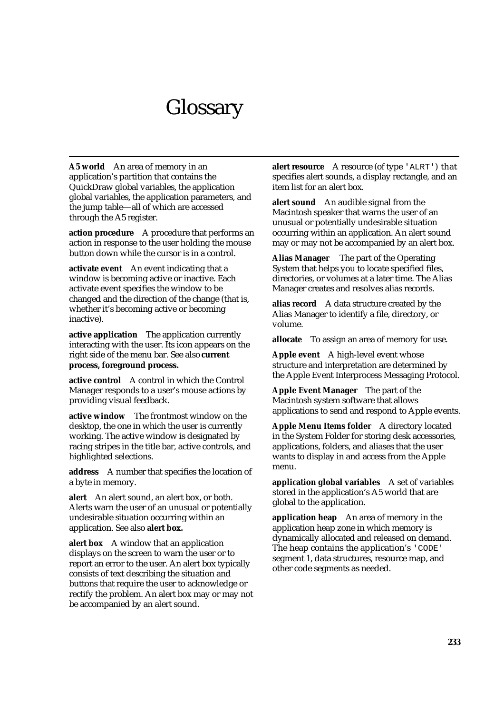# Glossary

**A5 world** An area of memory in an application's partition that contains the QuickDraw global variables, the application global variables, the application parameters, and the jump table—all of which are accessed through the A5 register.

**action procedure** A procedure that performs an action in response to the user holding the mouse button down while the cursor is in a control.

**activate event** An event indicating that a window is becoming active or inactive. Each activate event specifies the window to be changed and the direction of the change (that is, whether it's becoming active or becoming inactive).

**active application** The application currently interacting with the user. Its icon appears on the right side of the menu bar. See also **current process, foreground process.**

**active control** A control in which the Control Manager responds to a user's mouse actions by providing visual feedback.

**active window** The frontmost window on the desktop, the one in which the user is currently working. The active window is designated by racing stripes in the title bar, active controls, and highlighted selections.

**address** A number that specifies the location of a byte in memory.

**alert** An alert sound, an alert box, or both. Alerts warn the user of an unusual or potentially undesirable situation occurring within an application. See also **alert box.**

**alert box** A window that an application displays on the screen to warn the user or to report an error to the user. An alert box typically consists of text describing the situation and buttons that require the user to acknowledge or rectify the problem. An alert box may or may not be accompanied by an alert sound.

**alert resource** A resource (of type 'ALRT') that specifies alert sounds, a display rectangle, and an item list for an alert box.

**alert sound** An audible signal from the Macintosh speaker that warns the user of an unusual or potentially undesirable situation occurring within an application. An alert sound may or may not be accompanied by an alert box.

**Alias Manager** The part of the Operating System that helps you to locate specified files, directories, or volumes at a later time. The Alias Manager creates and resolves alias records.

**alias record** A data structure created by the Alias Manager to identify a file, directory, or volume.

**allocate** To assign an area of memory for use.

**Apple event** A high-level event whose structure and interpretation are determined by the Apple Event Interprocess Messaging Protocol.

**Apple Event Manager** The part of the Macintosh system software that allows applications to send and respond to Apple events.

**Apple Menu Items folder** A directory located in the System Folder for storing desk accessories, applications, folders, and aliases that the user wants to display in and access from the Apple menu.

**application global variables** A set of variables stored in the application's A5 world that are global to the application.

**application heap** An area of memory in the application heap zone in which memory is dynamically allocated and released on demand. The heap contains the application's 'CODE' segment 1, data structures, resource map, and other code segments as needed.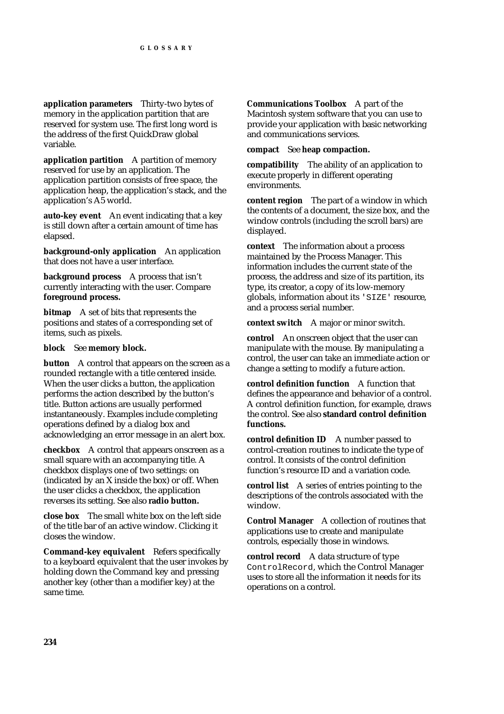**application parameters** Thirty-two bytes of memory in the application partition that are reserved for system use. The first long word is the address of the first QuickDraw global variable.

**application partition** A partition of memory reserved for use by an application. The application partition consists of free space, the application heap, the application's stack, and the application's A5 world.

**auto-key event** An event indicating that a key is still down after a certain amount of time has elapsed.

**background-only application** An application that does not have a user interface.

**background process** A process that isn't currently interacting with the user. Compare **foreground process.**

**bitmap** A set of bits that represents the positions and states of a corresponding set of items, such as pixels.

**block** See **memory block.**

**button** A control that appears on the screen as a rounded rectangle with a title centered inside. When the user clicks a button, the application performs the action described by the button's title. Button actions are usually performed instantaneously. Examples include completing operations defined by a dialog box and acknowledging an error message in an alert box.

**checkbox** A control that appears onscreen as a small square with an accompanying title. A checkbox displays one of two settings: on (indicated by an X inside the box) or off. When the user clicks a checkbox, the application reverses its setting. See also **radio button.**

**close box** The small white box on the left side of the title bar of an active window. Clicking it closes the window.

**Command-key equivalent** Refers specifically to a keyboard equivalent that the user invokes by holding down the Command key and pressing another key (other than a modifier key) at the same time.

**Communications Toolbox** A part of the Macintosh system software that you can use to provide your application with basic networking and communications services.

**compact** See **heap compaction.**

**compatibility** The ability of an application to execute properly in different operating environments.

**content region** The part of a window in which the contents of a document, the size box, and the window controls (including the scroll bars) are displayed.

**context** The information about a process maintained by the Process Manager. This information includes the current state of the process, the address and size of its partition, its type, its creator, a copy of its low-memory globals, information about its 'SIZE' resource, and a process serial number.

**context switch** A major or minor switch.

**control** An onscreen object that the user can manipulate with the mouse. By manipulating a control, the user can take an immediate action or change a setting to modify a future action.

**control definition function** A function that defines the appearance and behavior of a control. A control definition function, for example, draws the control. See also **standard control definition functions.**

**control definition ID** A number passed to control-creation routines to indicate the type of control. It consists of the control definition function's resource ID and a variation code.

**control list** A series of entries pointing to the descriptions of the controls associated with the window.

**Control Manager** A collection of routines that applications use to create and manipulate controls, especially those in windows.

**control record** A data structure of type ControlRecord, which the Control Manager uses to store all the information it needs for its operations on a control.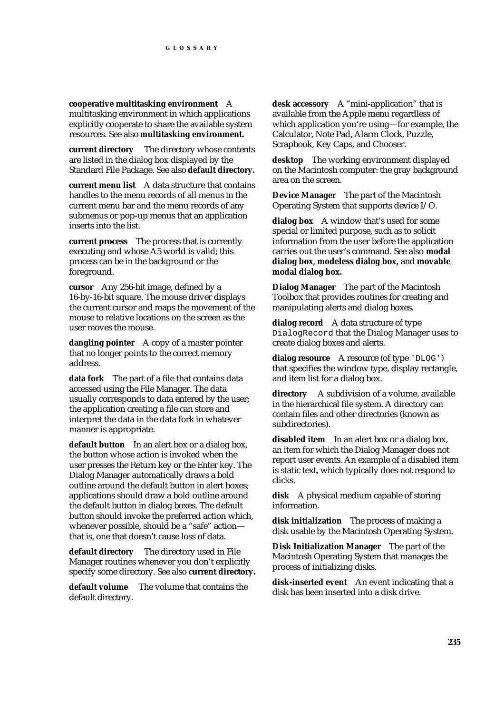**cooperative multitasking environment** A multitasking environment in which applications explicitly cooperate to share the available system resources. See also **multitasking environment.**

**current directory** The directory whose contents are listed in the dialog box displayed by the Standard File Package. See also **default directory.**

**current menu list** A data structure that contains handles to the menu records of all menus in the current menu bar and the menu records of any submenus or pop-up menus that an application inserts into the list.

**current process** The process that is currently executing and whose A5 world is valid; this process can be in the background or the foreground.

**cursor** Any 256-bit image, defined by a 16-by-16-bit square. The mouse driver displays the current cursor and maps the movement of the mouse to relative locations on the screen as the user moves the mouse.

**dangling pointer** A copy of a master pointer that no longer points to the correct memory address.

**data fork** The part of a file that contains data accessed using the File Manager. The data usually corresponds to data entered by the user; the application creating a file can store and interpret the data in the data fork in whatever manner is appropriate.

**default button** In an alert box or a dialog box, the button whose action is invoked when the user presses the Return key or the Enter key. The Dialog Manager automatically draws a bold outline around the default button in alert boxes; applications should draw a bold outline around the default button in dialog boxes. The default button should invoke the preferred action which, whenever possible, should be a "safe" action that is, one that doesn't cause loss of data.

**default directory** The directory used in File Manager routines whenever you don't explicitly specify some directory. See also **current directory.**

**default volume** The volume that contains the default directory.

**desk accessory** A "mini-application" that is available from the Apple menu regardless of which application you're using—for example, the Calculator, Note Pad, Alarm Clock, Puzzle, Scrapbook, Key Caps, and Chooser.

**desktop** The working environment displayed on the Macintosh computer: the gray background area on the screen.

**Device Manager** The part of the Macintosh Operating System that supports device I/O.

**dialog box** A window that's used for some special or limited purpose, such as to solicit information from the user before the application carries out the user's command. See also **modal dialog box, modeless dialog box,** and **movable modal dialog box.**

**Dialog Manager** The part of the Macintosh Toolbox that provides routines for creating and manipulating alerts and dialog boxes.

**dialog record** A data structure of type DialogRecord that the Dialog Manager uses to create dialog boxes and alerts.

**dialog resource** A resource (of type 'DLOG') that specifies the window type, display rectangle, and item list for a dialog box.

**directory** A subdivision of a volume, available in the hierarchical file system. A directory can contain files and other directories (known as subdirectories).

**disabled item** In an alert box or a dialog box, an item for which the Dialog Manager does not report user events. An example of a disabled item is static text, which typically does not respond to clicks.

**disk** A physical medium capable of storing information.

**disk initialization** The process of making a disk usable by the Macintosh Operating System.

**Disk Initialization Manager** The part of the Macintosh Operating System that manages the process of initializing disks.

**disk-inserted event** An event indicating that a disk has been inserted into a disk drive.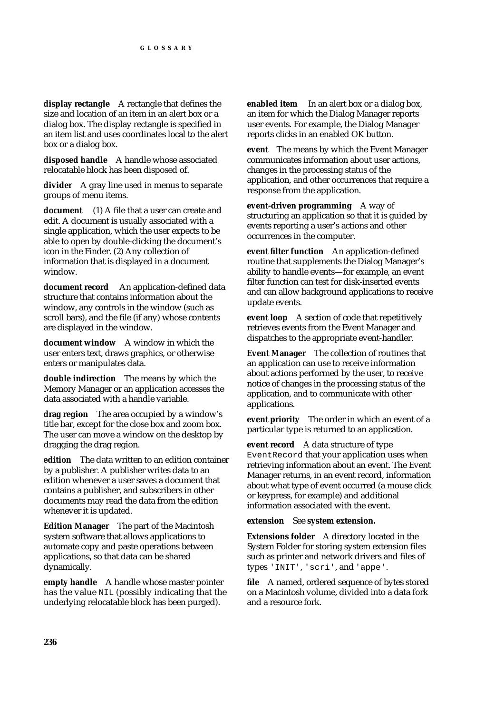**display rectangle** A rectangle that defines the size and location of an item in an alert box or a dialog box. The display rectangle is specified in an item list and uses coordinates local to the alert box or a dialog box.

**disposed handle** A handle whose associated relocatable block has been disposed of.

**divider** A gray line used in menus to separate groups of menu items.

**document** (1) A file that a user can create and edit. A document is usually associated with a single application, which the user expects to be able to open by double-clicking the document's icon in the Finder. (2) Any collection of information that is displayed in a document window.

**document record** An application-defined data structure that contains information about the window, any controls in the window (such as scroll bars), and the file (if any) whose contents are displayed in the window.

**document window** A window in which the user enters text, draws graphics, or otherwise enters or manipulates data.

**double indirection** The means by which the Memory Manager or an application accesses the data associated with a handle variable.

**drag region** The area occupied by a window's title bar, except for the close box and zoom box. The user can move a window on the desktop by dragging the drag region.

**edition** The data written to an edition container by a publisher. A publisher writes data to an edition whenever a user saves a document that contains a publisher, and subscribers in other documents may read the data from the edition whenever it is updated.

**Edition Manager** The part of the Macintosh system software that allows applications to automate copy and paste operations between applications, so that data can be shared dynamically.

**empty handle** A handle whose master pointer has the value NIL (possibly indicating that the underlying relocatable block has been purged).

**enabled item** In an alert box or a dialog box, an item for which the Dialog Manager reports user events. For example, the Dialog Manager reports clicks in an enabled OK button.

**event** The means by which the Event Manager communicates information about user actions, changes in the processing status of the application, and other occurrences that require a response from the application.

**event-driven programming** A way of structuring an application so that it is guided by events reporting a user's actions and other occurrences in the computer.

**event filter function** An application-defined routine that supplements the Dialog Manager's ability to handle events—for example, an event filter function can test for disk-inserted events and can allow background applications to receive update events.

**event loop** A section of code that repetitively retrieves events from the Event Manager and dispatches to the appropriate event-handler.

**Event Manager** The collection of routines that an application can use to receive information about actions performed by the user, to receive notice of changes in the processing status of the application, and to communicate with other applications.

**event priority** The order in which an event of a particular type is returned to an application.

**event record** A data structure of type EventRecord that your application uses when retrieving information about an event. The Event Manager returns, in an event record, information about what type of event occurred (a mouse click or keypress, for example) and additional information associated with the event.

**extension** See **system extension.**

**Extensions folder** A directory located in the System Folder for storing system extension files such as printer and network drivers and files of types 'INIT', 'scri', and 'appe'.

**file** A named, ordered sequence of bytes stored on a Macintosh volume, divided into a data fork and a resource fork.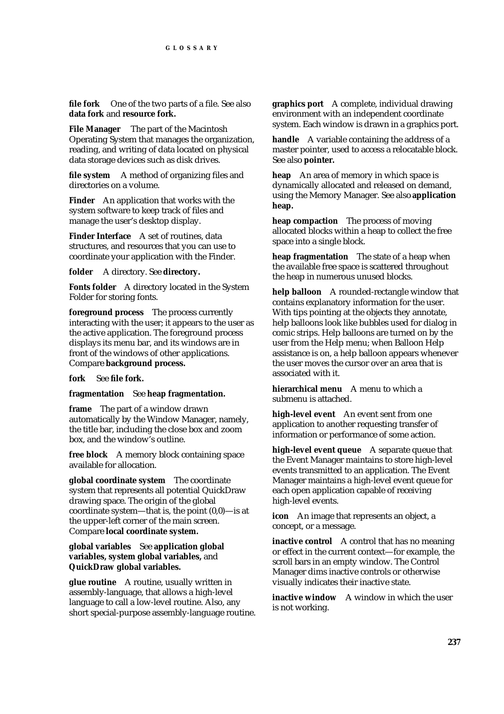**file fork** One of the two parts of a file. See also **data fork** and **resource fork.**

**File Manager** The part of the Macintosh Operating System that manages the organization, reading, and writing of data located on physical data storage devices such as disk drives.

**file system** A method of organizing files and directories on a volume.

**Finder** An application that works with the system software to keep track of files and manage the user's desktop display.

**Finder Interface** A set of routines, data structures, and resources that you can use to coordinate your application with the Finder.

**folder** A directory. See **directory.**

**Fonts folder** A directory located in the System Folder for storing fonts.

**foreground process** The process currently interacting with the user; it appears to the user as the active application. The foreground process displays its menu bar, and its windows are in front of the windows of other applications. Compare **background process.**

**fork** See **file fork.**

**fragmentation** See **heap fragmentation.**

**frame** The part of a window drawn automatically by the Window Manager, namely, the title bar, including the close box and zoom box, and the window's outline.

**free block** A memory block containing space available for allocation.

**global coordinate system** The coordinate system that represents all potential QuickDraw drawing space. The origin of the global coordinate system—that is, the point (0,0)—is at the upper-left corner of the main screen. Compare **local coordinate system.**

#### **global variables** See **application global variables, system global variables,** and **QuickDraw global variables.**

**glue routine** A routine, usually written in assembly-language, that allows a high-level language to call a low-level routine. Also, any short special-purpose assembly-language routine. **graphics port** A complete, individual drawing environment with an independent coordinate system. Each window is drawn in a graphics port.

**handle** A variable containing the address of a master pointer, used to access a relocatable block. See also **pointer.**

**heap** An area of memory in which space is dynamically allocated and released on demand, using the Memory Manager. See also **application heap.**

**heap compaction** The process of moving allocated blocks within a heap to collect the free space into a single block.

**heap fragmentation** The state of a heap when the available free space is scattered throughout the heap in numerous unused blocks.

**help balloon** A rounded-rectangle window that contains explanatory information for the user. With tips pointing at the objects they annotate, help balloons look like bubbles used for dialog in comic strips. Help balloons are turned on by the user from the Help menu; when Balloon Help assistance is on, a help balloon appears whenever the user moves the cursor over an area that is associated with it.

**hierarchical menu** A menu to which a submenu is attached.

**high-level event** An event sent from one application to another requesting transfer of information or performance of some action.

**high-level event queue** A separate queue that the Event Manager maintains to store high-level events transmitted to an application. The Event Manager maintains a high-level event queue for each open application capable of receiving high-level events.

**icon** An image that represents an object, a concept, or a message.

**inactive control** A control that has no meaning or effect in the current context—for example, the scroll bars in an empty window. The Control Manager dims inactive controls or otherwise visually indicates their inactive state.

**inactive window** A window in which the user is not working.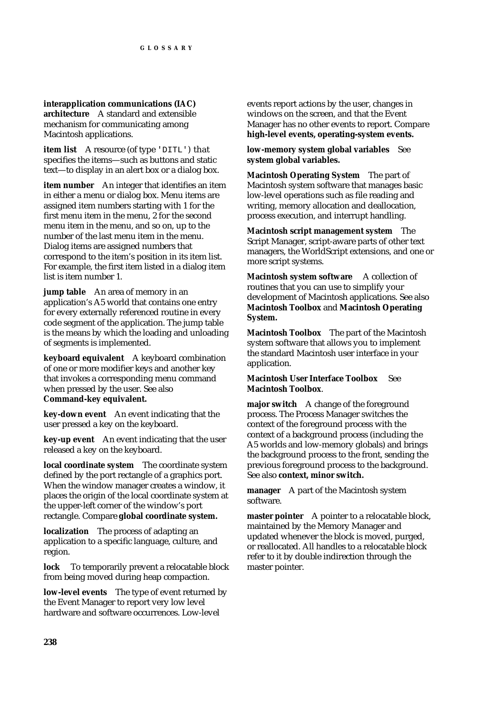**interapplication communications (IAC) architecture** A standard and extensible mechanism for communicating among Macintosh applications.

**item list** A resource (of type 'DITL') that specifies the items—such as buttons and static text—to display in an alert box or a dialog box.

**item number** An integer that identifies an item in either a menu or dialog box. Menu items are assigned item numbers starting with 1 for the first menu item in the menu, 2 for the second menu item in the menu, and so on, up to the number of the last menu item in the menu. Dialog items are assigned numbers that correspond to the item's position in its item list. For example, the first item listed in a dialog item list is item number 1.

**jump table** An area of memory in an application's A5 world that contains one entry for every externally referenced routine in every code segment of the application. The jump table is the means by which the loading and unloading of segments is implemented.

**keyboard equivalent** A keyboard combination of one or more modifier keys and another key that invokes a corresponding menu command when pressed by the user. See also **Command-key equivalent.**

**key-down event** An event indicating that the user pressed a key on the keyboard.

**key-up event** An event indicating that the user released a key on the keyboard.

**local coordinate system** The coordinate system defined by the port rectangle of a graphics port. When the window manager creates a window, it places the origin of the local coordinate system at the upper-left corner of the window's port rectangle. Compare **global coordinate system.**

**localization** The process of adapting an application to a specific language, culture, and region.

**lock** To temporarily prevent a relocatable block from being moved during heap compaction.

**low-level events** The type of event returned by the Event Manager to report very low level hardware and software occurrences. Low-level

events report actions by the user, changes in windows on the screen, and that the Event Manager has no other events to report. Compare **high-level events, operating-system events.** 

**low-memory system global variables** See **system global variables.**

**Macintosh Operating System** The part of Macintosh system software that manages basic low-level operations such as file reading and writing, memory allocation and deallocation, process execution, and interrupt handling.

**Macintosh script management system** The Script Manager, script-aware parts of other text managers, the WorldScript extensions, and one or more script systems.

**Macintosh system software** A collection of routines that you can use to simplify your development of Macintosh applications. See also **Macintosh Toolbox** and **Macintosh Operating System.**

**Macintosh Toolbox** The part of the Macintosh system software that allows you to implement the standard Macintosh user interface in your application.

#### **Macintosh User Interface Toolbox** See **Macintosh Toolbox**.

**major switch** A change of the foreground process. The Process Manager switches the context of the foreground process with the context of a background process (including the A5 worlds and low-memory globals) and brings the background process to the front, sending the previous foreground process to the background. See also **context, minor switch.**

**manager** A part of the Macintosh system software.

**master pointer** A pointer to a relocatable block, maintained by the Memory Manager and updated whenever the block is moved, purged, or reallocated. All handles to a relocatable block refer to it by double indirection through the master pointer.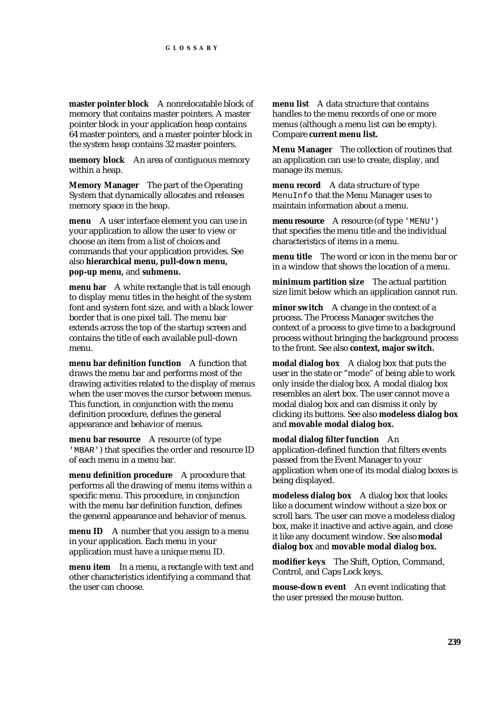**master pointer block** A nonrelocatable block of memory that contains master pointers. A master pointer block in your application heap contains 64 master pointers, and a master pointer block in the system heap contains 32 master pointers.

**memory block** An area of contiguous memory within a heap.

**Memory Manager** The part of the Operating System that dynamically allocates and releases memory space in the heap.

**menu** A user interface element you can use in your application to allow the user to view or choose an item from a list of choices and commands that your application provides. See also **hierarchical menu, pull-down menu, pop-up menu,** and **submenu.**

**menu bar** A white rectangle that is tall enough to display menu titles in the height of the system font and system font size, and with a black lower border that is one pixel tall. The menu bar extends across the top of the startup screen and contains the title of each available pull-down menu.

**menu bar definition function** A function that draws the menu bar and performs most of the drawing activities related to the display of menus when the user moves the cursor between menus. This function, in conjunction with the menu definition procedure, defines the general appearance and behavior of menus.

**menu bar resource** A resource (of type 'MBAR') that specifies the order and resource ID of each menu in a menu bar.

**menu definition procedure** A procedure that performs all the drawing of menu items within a specific menu. This procedure, in conjunction with the menu bar definition function, defines the general appearance and behavior of menus.

**menu ID** A number that you assign to a menu in your application. Each menu in your application must have a unique menu ID.

**menu item** In a menu, a rectangle with text and other characteristics identifying a command that the user can choose.

**menu list** A data structure that contains handles to the menu records of one or more menus (although a menu list can be empty). Compare **current menu list.**

**Menu Manager** The collection of routines that an application can use to create, display, and manage its menus.

**menu record** A data structure of type MenuInfo that the Menu Manager uses to maintain information about a menu.

**menu resource** A resource (of type 'MENU') that specifies the menu title and the individual characteristics of items in a menu.

**menu title** The word or icon in the menu bar or in a window that shows the location of a menu.

**minimum partition size** The actual partition size limit below which an application cannot run.

**minor switch** A change in the context of a process. The Process Manager switches the context of a process to give time to a background process without bringing the background process to the front. See also **context, major switch.**

**modal dialog box** A dialog box that puts the user in the state or "mode" of being able to work only inside the dialog box. A modal dialog box resembles an alert box. The user cannot move a modal dialog box and can dismiss it only by clicking its buttons. See also **modeless dialog box** and **movable modal dialog box.**

**modal dialog filter function** An application-defined function that filters events passed from the Event Manager to your application when one of its modal dialog boxes is being displayed.

**modeless dialog box** A dialog box that looks like a document window without a size box or scroll bars. The user can move a modeless dialog box, make it inactive and active again, and close it like any document window. See also **modal dialog box** and **movable modal dialog box.**

**modifier keys** The Shift, Option, Command, Control, and Caps Lock keys.

**mouse-down event** An event indicating that the user pressed the mouse button.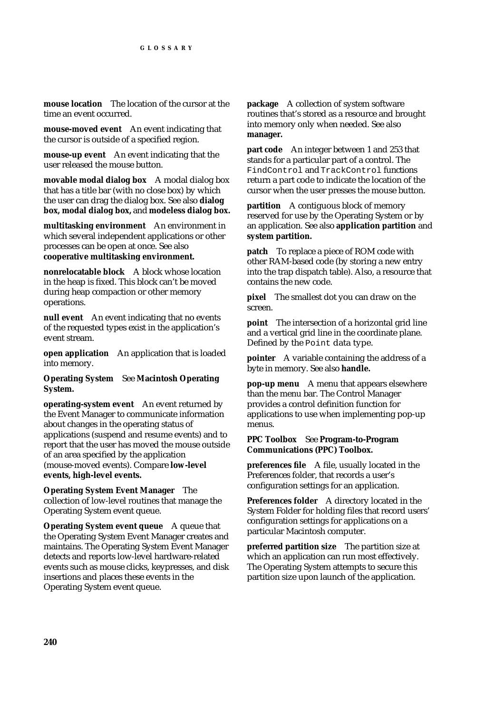**mouse location** The location of the cursor at the time an event occurred.

**mouse-moved event** An event indicating that the cursor is outside of a specified region.

**mouse-up event** An event indicating that the user released the mouse button.

**movable modal dialog box** A modal dialog box that has a title bar (with no close box) by which the user can drag the dialog box. See also **dialog box, modal dialog box,** and **modeless dialog box.** 

**multitasking environment** An environment in which several independent applications or other processes can be open at once. See also **cooperative multitasking environment.**

**nonrelocatable block** A block whose location in the heap is fixed. This block can't be moved during heap compaction or other memory operations.

**null event** An event indicating that no events of the requested types exist in the application's event stream.

**open application** An application that is loaded into memory.

**Operating System** See **Macintosh Operating System.**

**operating-system event** An event returned by the Event Manager to communicate information about changes in the operating status of applications (suspend and resume events) and to report that the user has moved the mouse outside of an area specified by the application (mouse-moved events). Compare **low-level events, high-level events.**

**Operating System Event Manager** The collection of low-level routines that manage the Operating System event queue.

**Operating System event queue** A queue that the Operating System Event Manager creates and maintains. The Operating System Event Manager detects and reports low-level hardware-related events such as mouse clicks, keypresses, and disk insertions and places these events in the Operating System event queue.

**package** A collection of system software routines that's stored as a resource and brought into memory only when needed. See also **manager.**

**part code** An integer between 1 and 253 that stands for a particular part of a control. The FindControl and TrackControl functions return a part code to indicate the location of the cursor when the user presses the mouse button.

**partition** A contiguous block of memory reserved for use by the Operating System or by an application. See also **application partition** and **system partition.**

**patch** To replace a piece of ROM code with other RAM-based code (by storing a new entry into the trap dispatch table). Also, a resource that contains the new code.

**pixel** The smallest dot you can draw on the screen.

**point** The intersection of a horizontal grid line and a vertical grid line in the coordinate plane. Defined by the Point data type.

**pointer** A variable containing the address of a byte in memory. See also **handle.**

**pop-up menu** A menu that appears elsewhere than the menu bar. The Control Manager provides a control definition function for applications to use when implementing pop-up menus.

#### **PPC Toolbox** See **Program-to-Program Communications (PPC) Toolbox.**

**preferences file** A file, usually located in the Preferences folder, that records a user's configuration settings for an application.

**Preferences folder** A directory located in the System Folder for holding files that record users' configuration settings for applications on a particular Macintosh computer.

**preferred partition size** The partition size at which an application can run most effectively. The Operating System attempts to secure this partition size upon launch of the application.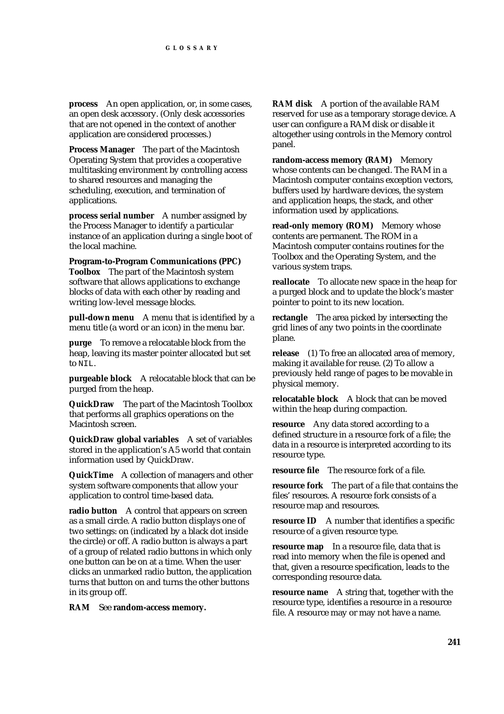**process** An open application, or, in some cases, an open desk accessory. (Only desk accessories that are not opened in the context of another application are considered processes.)

**Process Manager** The part of the Macintosh Operating System that provides a cooperative multitasking environment by controlling access to shared resources and managing the scheduling, execution, and termination of applications.

**process serial number** A number assigned by the Process Manager to identify a particular instance of an application during a single boot of the local machine.

**Program-to-Program Communications (PPC) Toolbox** The part of the Macintosh system software that allows applications to exchange blocks of data with each other by reading and writing low-level message blocks.

**pull-down menu** A menu that is identified by a menu title (a word or an icon) in the menu bar.

**purge** To remove a relocatable block from the heap, leaving its master pointer allocated but set to NIL.

**purgeable block** A relocatable block that can be purged from the heap.

**QuickDraw** The part of the Macintosh Toolbox that performs all graphics operations on the Macintosh screen.

**QuickDraw global variables** A set of variables stored in the application's A5 world that contain information used by QuickDraw.

**QuickTime** A collection of managers and other system software components that allow your application to control time-based data.

**radio button** A control that appears on screen as a small circle. A radio button displays one of two settings: on (indicated by a black dot inside the circle) or off. A radio button is always a part of a group of related radio buttons in which only one button can be on at a time. When the user clicks an unmarked radio button, the application turns that button on and turns the other buttons in its group off.

**RAM** See **random-access memory.**

**RAM disk** A portion of the available RAM reserved for use as a temporary storage device. A user can configure a RAM disk or disable it altogether using controls in the Memory control panel.

**random-access memory (RAM)** Memory whose contents can be changed. The RAM in a Macintosh computer contains exception vectors, buffers used by hardware devices, the system and application heaps, the stack, and other information used by applications.

**read-only memory (ROM)** Memory whose contents are permanent. The ROM in a Macintosh computer contains routines for the Toolbox and the Operating System, and the various system traps.

**reallocate** To allocate new space in the heap for a purged block and to update the block's master pointer to point to its new location.

**rectangle** The area picked by intersecting the grid lines of any two points in the coordinate plane.

**release** (1) To free an allocated area of memory, making it available for reuse. (2) To allow a previously held range of pages to be movable in physical memory.

**relocatable block** A block that can be moved within the heap during compaction.

**resource** Any data stored according to a defined structure in a resource fork of a file; the data in a resource is interpreted according to its resource type.

**resource file** The resource fork of a file.

**resource fork** The part of a file that contains the files' resources. A resource fork consists of a resource map and resources.

**resource ID** A number that identifies a specific resource of a given resource type.

**resource map** In a resource file, data that is read into memory when the file is opened and that, given a resource specification, leads to the corresponding resource data.

**resource name** A string that, together with the resource type, identifies a resource in a resource file. A resource may or may not have a name.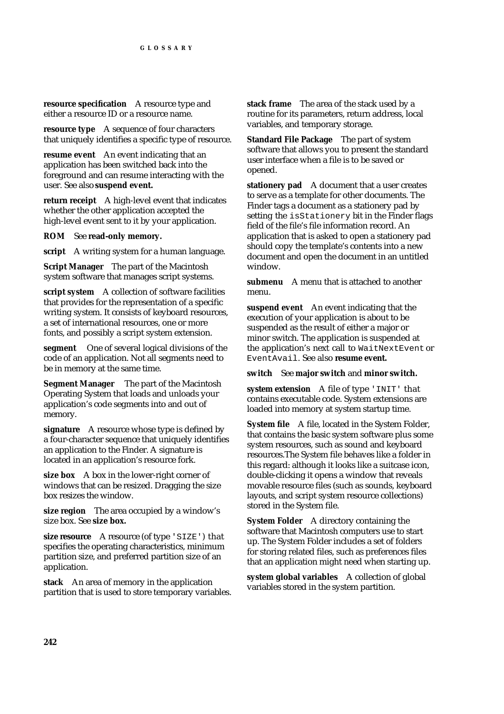**resource specification** A resource type and either a resource ID or a resource name.

**resource type** A sequence of four characters that uniquely identifies a specific type of resource.

**resume event** An event indicating that an application has been switched back into the foreground and can resume interacting with the user. See also **suspend event.**

**return receipt** A high-level event that indicates whether the other application accepted the high-level event sent to it by your application.

**ROM** See **read-only memory.**

**script** A writing system for a human language.

**Script Manager** The part of the Macintosh system software that manages script systems.

**script system** A collection of software facilities that provides for the representation of a specific writing system. It consists of keyboard resources, a set of international resources, one or more fonts, and possibly a script system extension.

**segment** One of several logical divisions of the code of an application. Not all segments need to be in memory at the same time.

**Segment Manager** The part of the Macintosh Operating System that loads and unloads your application's code segments into and out of memory.

**signature** A resource whose type is defined by a four-character sequence that uniquely identifies an application to the Finder. A signature is located in an application's resource fork.

**size box** A box in the lower-right corner of windows that can be resized. Dragging the size box resizes the window.

**size region** The area occupied by a window's size box. See **size box.**

**size resource** A resource (of type 'SIZE') that specifies the operating characteristics, minimum partition size, and preferred partition size of an application.

**stack** An area of memory in the application partition that is used to store temporary variables. **stack frame** The area of the stack used by a routine for its parameters, return address, local variables, and temporary storage.

**Standard File Package** The part of system software that allows you to present the standard user interface when a file is to be saved or opened.

**stationery pad** A document that a user creates to serve as a template for other documents. The Finder tags a document as a stationery pad by setting the isStationery bit in the Finder flags field of the file's file information record. An application that is asked to open a stationery pad should copy the template's contents into a new document and open the document in an untitled window.

**submenu** A menu that is attached to another menu.

**suspend event** An event indicating that the execution of your application is about to be suspended as the result of either a major or minor switch. The application is suspended at the application's next call to WaitNextEvent or EventAvail. See also **resume event.**

#### **switch** See **major switch** and **minor switch.**

**system extension** A file of type 'INIT' that contains executable code. System extensions are loaded into memory at system startup time.

**System file** A file, located in the System Folder, that contains the basic system software plus some system resources, such as sound and keyboard resources.The System file behaves like a folder in this regard: although it looks like a suitcase icon, double-clicking it opens a window that reveals movable resource files (such as sounds, keyboard layouts, and script system resource collections) stored in the System file.

**System Folder** A directory containing the software that Macintosh computers use to start up. The System Folder includes a set of folders for storing related files, such as preferences files that an application might need when starting up.

**system global variables** A collection of global variables stored in the system partition.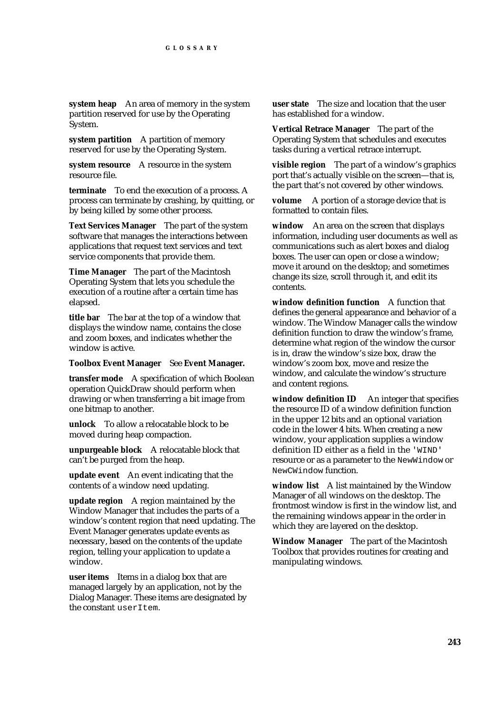**system heap** An area of memory in the system partition reserved for use by the Operating System.

**system partition** A partition of memory reserved for use by the Operating System.

**system resource** A resource in the system resource file.

**terminate** To end the execution of a process. A process can terminate by crashing, by quitting, or by being killed by some other process.

**Text Services Manager** The part of the system software that manages the interactions between applications that request text services and text service components that provide them.

**Time Manager** The part of the Macintosh Operating System that lets you schedule the execution of a routine after a certain time has elapsed.

**title bar** The bar at the top of a window that displays the window name, contains the close and zoom boxes, and indicates whether the window is active.

#### **Toolbox Event Manager** See **Event Manager.**

**transfer mode** A specification of which Boolean operation QuickDraw should perform when drawing or when transferring a bit image from one bitmap to another.

**unlock** To allow a relocatable block to be moved during heap compaction.

**unpurgeable block** A relocatable block that can't be purged from the heap.

**update event** An event indicating that the contents of a window need updating.

**update region** A region maintained by the Window Manager that includes the parts of a window's content region that need updating. The Event Manager generates update events as necessary, based on the contents of the update region, telling your application to update a window.

**user items** Items in a dialog box that are managed largely by an application, not by the Dialog Manager. These items are designated by the constant userItem.

**user state** The size and location that the user has established for a window.

**Vertical Retrace Manager** The part of the Operating System that schedules and executes tasks during a vertical retrace interrupt.

**visible region** The part of a window's graphics port that's actually visible on the screen—that is, the part that's not covered by other windows.

**volume** A portion of a storage device that is formatted to contain files.

**window** An area on the screen that displays information, including user documents as well as communications such as alert boxes and dialog boxes. The user can open or close a window; move it around on the desktop; and sometimes change its size, scroll through it, and edit its contents.

**window definition function** A function that defines the general appearance and behavior of a window. The Window Manager calls the window definition function to draw the window's frame, determine what region of the window the cursor is in, draw the window's size box, draw the window's zoom box, move and resize the window, and calculate the window's structure and content regions.

window definition **ID** An integer that specifies the resource ID of a window definition function in the upper 12 bits and an optional variation code in the lower 4 bits. When creating a new window, your application supplies a window definition ID either as a field in the 'WIND' resource or as a parameter to the NewWindow or NewCWindow function.

**window list** A list maintained by the Window Manager of all windows on the desktop. The frontmost window is first in the window list, and the remaining windows appear in the order in which they are layered on the desktop.

**Window Manager** The part of the Macintosh Toolbox that provides routines for creating and manipulating windows.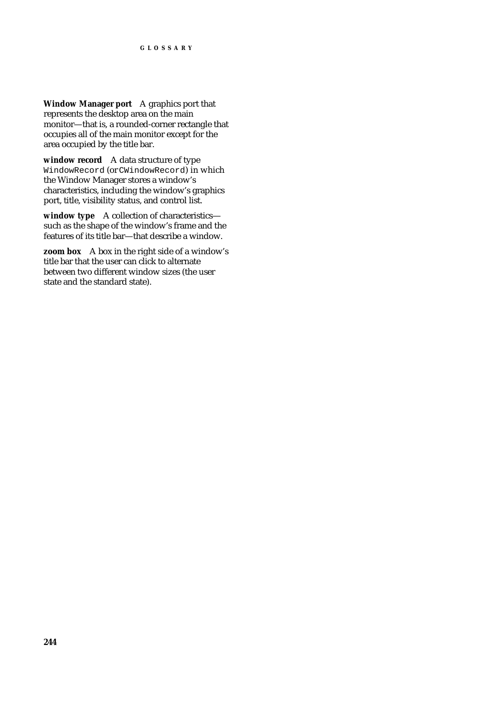**Window Manager port** A graphics port that represents the desktop area on the main monitor—that is, a rounded-corner rectangle that occupies all of the main monitor except for the area occupied by the title bar.

**window record** A data structure of type WindowRecord (or CWindowRecord) in which the Window Manager stores a window's characteristics, including the window's graphics port, title, visibility status, and control list.

**window type** A collection of characteristics such as the shape of the window's frame and the features of its title bar—that describe a window.

**zoom box** A box in the right side of a window's title bar that the user can click to alternate between two different window sizes (the user state and the standard state).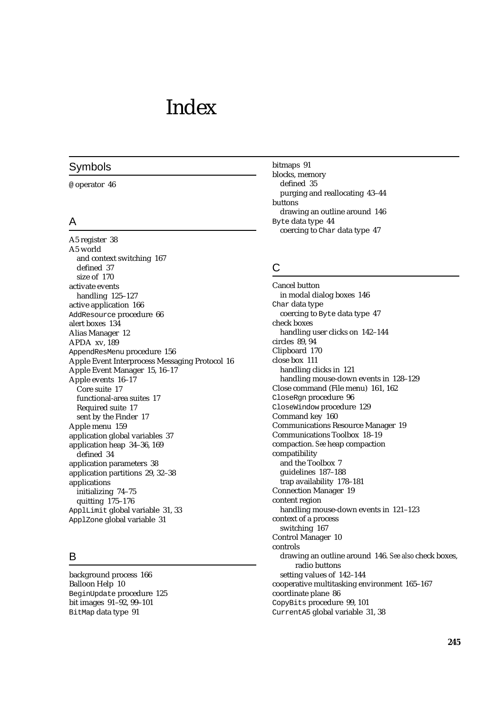# Index

#### Symbols

@ operator 46

#### A

A5 register 38 A5 world and context switching 167 defined 37 size of 170 activate events handling 125–127 active application 166 AddResource procedure 66 alert boxes 134 Alias Manager 12 APDA xv, 189 AppendResMenu procedure 156 Apple Event Interprocess Messaging Protocol 16 Apple Event Manager 15, 16–17 Apple events 16–17 Core suite 17 functional-area suites 17 Required suite 17 sent by the Finder 17 Apple menu 159 application global variables 37 application heap 34–36, 169 defined 34 application parameters 38 application partitions 29, 32–38 applications initializing 74–75 quitting 175–176 ApplLimit global variable 31, 33 ApplZone global variable 31

# B

background process 166 Balloon Help 10 BeginUpdate procedure 125 bit images 91–92, 99–101 BitMap data type 91

bitmaps 91 blocks, memory defined 35 purging and reallocating 43–44 buttons drawing an outline around 146 Byte data type 44 coercing to Char data type 47

## C

Cancel button in modal dialog boxes 146 Char data type coercing to Byte data type 47 check boxes handling user clicks on 142–144 circles 89, 94 Clipboard 170 close box 111 handling clicks in 121 handling mouse-down events in 128–129 Close command (File menu) 161, 162 CloseRgn procedure 96 CloseWindow procedure 129 Command key 160 Communications Resource Manager 19 Communications Toolbox 18–19 compaction. *See* heap compaction compatibility and the Toolbox 7 guidelines 187–188 trap availability 178–181 Connection Manager 19 content region handling mouse-down events in 121–123 context of a process switching 167 Control Manager 10 controls drawing an outline around 146. *See also* check boxes, radio buttons setting values of 142–144 cooperative multitasking environment 165–167 coordinate plane 86 CopyBits procedure 99, 101 CurrentA5 global variable 31, 38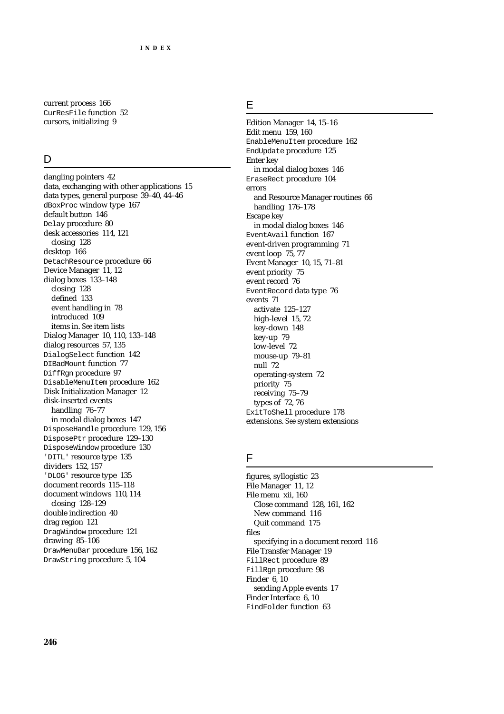current process 166 CurResFile function 52 cursors, initializing 9

## $\mathsf{D}$

dangling pointers 42 data, exchanging with other applications 15 data types, general purpose 39–40, 44–46 dBoxProc window type 167 default button 146 Delay procedure 80 desk accessories 114, 121 closing 128 desktop 166 DetachResource procedure 66 Device Manager 11, 12 dialog boxes 133–148 closing 128 defined 133 event handling in 78 introduced 109 items in. *See* item lists Dialog Manager 10, 110, 133–148 dialog resources 57, 135 DialogSelect function 142 DIBadMount function 77 DiffRgn procedure 97 DisableMenuItem procedure 162 Disk Initialization Manager 12 disk-inserted events handling 76–77 in modal dialog boxes 147 DisposeHandle procedure 129, 156 DisposePtr procedure 129–130 DisposeWindow procedure 130 'DITL' resource type 135 dividers 152, 157 'DLOG' resource type 135 document records 115–118 document windows 110, 114 closing 128–129 double indirection 40 drag region 121 DragWindow procedure 121 drawing 85–106 DrawMenuBar procedure 156, 162 DrawString procedure 5, 104

## E

Edition Manager 14, 15–16 Edit menu 159, 160 EnableMenuItem procedure 162 EndUpdate procedure 125 Enter key in modal dialog boxes 146 EraseRect procedure 104 errors and Resource Manager routines 66 handling 176–178 Escape key in modal dialog boxes 146 EventAvail function 167 event-driven programming 71 event loop 75, 77 Event Manager 10, 15, 71–81 event priority 75 event record 76 EventRecord data type 76 events 71 activate 125–127 high-level 15, 72 key-down 148 key-up 79 low-level 72 mouse-up 79–81 null 72 operating-system 72 priority 75 receiving 75–79 types of 72, 76 ExitToShell procedure 178 extensions. *See* system extensions

## F

figures, syllogistic 23 File Manager 11, 12 File menu xii, 160 Close command 128, 161, 162 New command 116 Quit command 175 files specifying in a document record 116 File Transfer Manager 19 FillRect procedure 89 FillRgn procedure 98 Finder 6, 10 sending Apple events 17 Finder Interface 6, 10 FindFolder function 63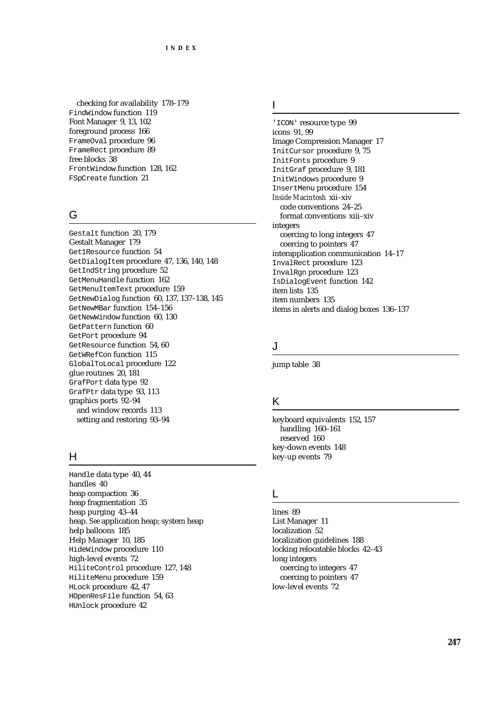checking for availability 178–179 FindWindow function 119 Font Manager 9, 13, 102 foreground process 166 FrameOval procedure 96 FrameRect procedure 89 free blocks 38 FrontWindow function 128, 162 FSpCreate function 21

# G

Gestalt function 20, 179 Gestalt Manager 179 Get1Resource function 54 GetDialogItem procedure 47, 136, 140, 148 GetIndString procedure 52 GetMenuHandle function 162 GetMenuItemText procedure 159 GetNewDialog function 60, 137, 137–138, 145 GetNewMBar function 154–156 GetNewWindow function 60, 130 GetPattern function 60 GetPort procedure 94 GetResource function 54, 60 GetWRefCon function 115 GlobalToLocal procedure 122 glue routines 20, 181 GrafPort data type 92 GrafPtr data type 93, 113 graphics ports 92–94 and window records 113 setting and restoring 93–94

## H

Handle data type 40, 44 handles 40 heap compaction 36 heap fragmentation 35 heap purging 43–44 heap. *See* application heap; system heap help balloons 185 Help Manager 10, 185 HideWindow procedure 110 high-level events 72 HiliteControl procedure 127, 148 HiliteMenu procedure 159 HLock procedure 42, 47 HOpenResFile function 54, 63 HUnlock procedure 42

I

'ICON' resource type 99 icons 91, 99 Image Compression Manager 17 InitCursor procedure 9, 75 InitFonts procedure 9 InitGraf procedure 9, 181 InitWindows procedure 9 InsertMenu procedure 154 *Inside Macintosh* xii–xiv code conventions 24–25 format conventions xiii–xiv integers coercing to long integers 47 coercing to pointers 47 interapplication communication 14–17 InvalRect procedure 123 InvalRgn procedure 123 IsDialogEvent function 142 item lists 135 item numbers 135 items in alerts and dialog boxes 136–137

#### J

jump table 38

## K

keyboard equivalents 152, 157 handling 160–161 reserved 160 key-down events 148 key-up events 79

#### L

lines 89 List Manager 11 localization 52 localization guidelines 188 locking relocatable blocks 42–43 long integers coercing to integers 47 coercing to pointers 47 low-level events 72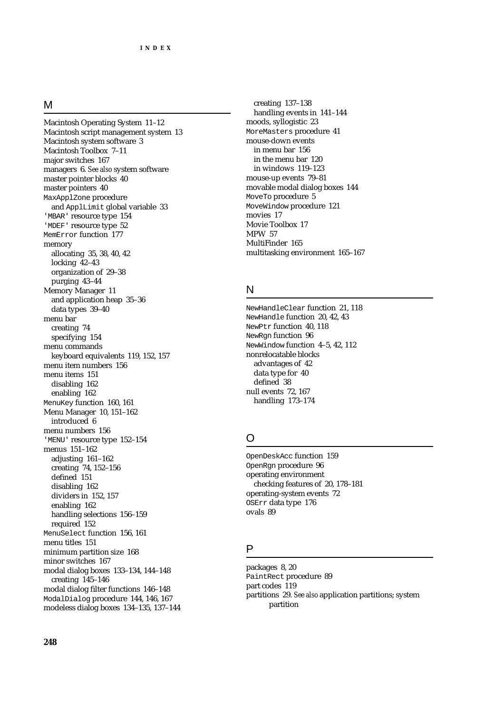#### M

Macintosh Operating System 11–12 Macintosh script management system 13 Macintosh system software 3 Macintosh Toolbox 7–11 major switches 167 managers 6. *See also* system software master pointer blocks 40 master pointers 40 MaxApplZone procedure and ApplLimit global variable 33 'MBAR' resource type 154 'MDEF' resource type 52 MemError function 177 memory allocating 35, 38, 40, 42 locking  $42-43$ organization of 29–38 purging 43–44 Memory Manager 11 and application heap 35–36 data types 39–40 menu bar creating 74 specifying 154 menu commands keyboard equivalents 119, 152, 157 menu item numbers 156 menu items 151 disabling 162 enabling 162 MenuKey function 160, 161 Menu Manager 10, 151–162 introduced 6 menu numbers 156 'MENU' resource type 152–154 menus 151–162 adjusting 161–162 creating 74, 152–156 defined 151 disabling 162 dividers in 152, 157 enabling 162 handling selections 156–159 required 152 MenuSelect function 156, 161 menu titles 151 minimum partition size 168 minor switches 167 modal dialog boxes 133–134, 144–148 creating 145–146 modal dialog filter functions 146–148 ModalDialog procedure 144, 146, 167 modeless dialog boxes 134–135, 137–144

creating 137–138 handling events in 141–144 moods, syllogistic 23 MoreMasters procedure 41 mouse-down events in menu bar 156 in the menu bar 120 in windows 119–123 mouse-up events 79–81 movable modal dialog boxes 144 MoveTo procedure 5 MoveWindow procedure 121 movies 17 Movie Toolbox 17 MPW 57 MultiFinder 165 multitasking environment 165–167

#### N

NewHandleClear function 21, 118 NewHandle function 20, 42, 43 NewPtr function 40, 118 NewRgn function 96 NewWindow function 4–5, 42, 112 nonrelocatable blocks advantages of 42 data type for 40 defined 38 null events 72, 167 handling 173–174

# $\Omega$

OpenDeskAcc function 159 OpenRgn procedure 96 operating environment checking features of 20, 178–181 operating-system events 72 OSErr data type 176 ovals 89

#### P

packages 8, 20 PaintRect procedure 89 part codes 119 partitions 29. *See also* application partitions; system partition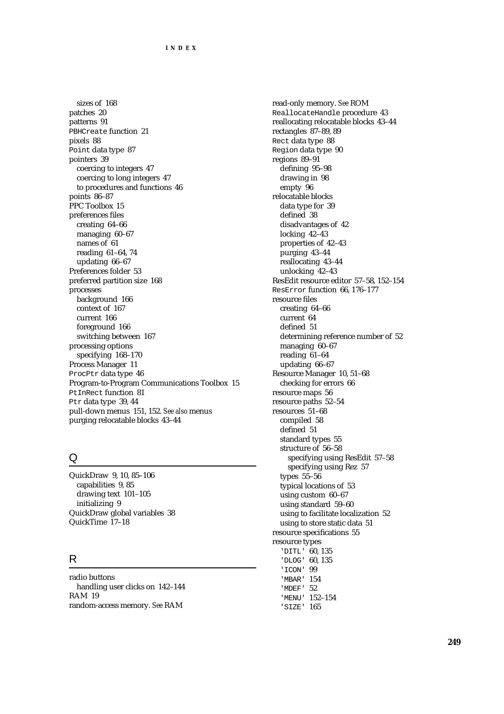sizes of 168 patches 20 patterns 91 PBHCreate function 21 pixels 88 Point data type 87 pointers 39 coercing to integers 47 coercing to long integers 47 to procedures and functions 46 points 86–87 PPC Toolbox 15 preferences files creating 64–66 managing 60–67 names of 61 reading 61–64, 74 updating 66–67 Preferences folder 53 preferred partition size 168 processes background 166 context of 167 current 166 foreground 166 switching between 167 processing options specifying 168–170 Process Manager 11 ProcPtr data type 46 Program-to-Program Communications Toolbox 15 PtInRect function 81 Ptr data type 39, 44 pull-down menus 151, 152. *See also* menus purging relocatable blocks 43–44

# Q

QuickDraw 9, 10, 85–106 capabilities 9, 85 drawing text 101–105 initializing 9 QuickDraw global variables 38 QuickTime 17–18

# R

radio buttons handling user clicks on 142–144 RAM 19 random-access memory. *See* RAM

read-only memory. *See* ROM ReallocateHandle procedure 43 reallocating relocatable blocks 43–44 rectangles 87–89, 89 Rect data type 88 Region data type 90 regions 89–91 defining 95–98 drawing in 98 empty 96 relocatable blocks data type for 39 defined 38 disadvantages of 42 locking 42–43 properties of 42–43 purging 43–44 reallocating 43–44 unlocking 42–43 ResEdit resource editor 57–58, 152–154 ResError function 66, 176–177 resource files creating 64–66 current 64 defined 51 determining reference number of 52 managing 60–67 reading 61–64 updating 66–67 Resource Manager 10, 51–68 checking for errors 66 resource maps 56 resource paths 52–54 resources 51–68 compiled 58 defined 51 standard types 55 structure of 56–58 specifying using ResEdit 57–58 specifying using Rez 57 types 55–56 typical locations of 53 using custom 60–67 using standard 59–60 using to facilitate localization 52 using to store static data 51 resource specifications 55 resource types 'DITL' 60, 135 'DLOG' 60, 135 'ICON' 99 'MBAR' 154 'MDEF' 52 'MENU' 152–154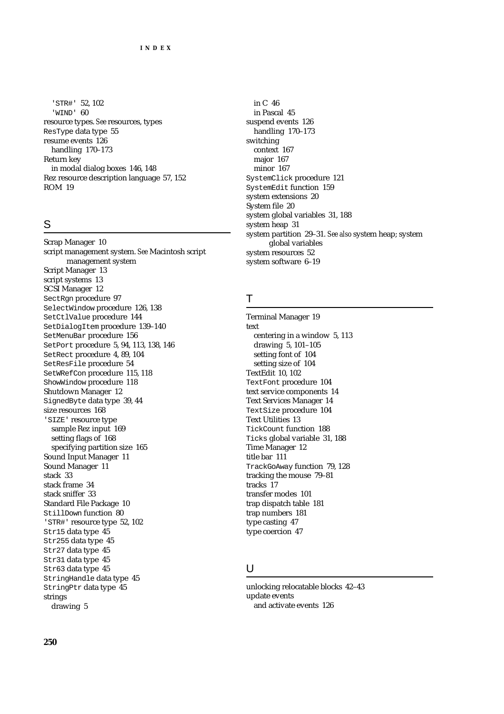'STR#' 52, 102 'WIND' 60 resource types. *See* resources, types ResType data type 55 resume events 126 handling 170–173 Return key in modal dialog boxes 146, 148 Rez resource description language 57, 152 ROM 19

# S

Scrap Manager 10 script management system. *See* Macintosh script management system Script Manager 13 script systems 13 SCSI Manager 12 SectRgn procedure 97 SelectWindow procedure 126, 138 SetCtlValue procedure 144 SetDialogItem procedure 139–140 SetMenuBar procedure 156 SetPort procedure 5, 94, 113, 138, 146 SetRect procedure 4, 89, 104 SetResFile procedure 54 SetWRefCon procedure 115, 118 ShowWindow procedure 118 Shutdown Manager 12 SignedByte data type 39, 44 size resources 168 'SIZE' resource type sample Rez input 169 setting flags of 168 specifying partition size 165 Sound Input Manager 11 Sound Manager 11 stack 33 stack frame 34 stack sniffer 33 Standard File Package 10 StillDown function 80 'STR#' resource type 52, 102 Str15 data type 45 Str255 data type 45 Str27 data type 45 Str31 data type 45 Str63 data type 45 StringHandle data type 45 StringPtr data type 45 strings drawing 5

in C 46 in Pascal 45 suspend events 126 handling 170–173 switching context 167 major 167 minor 167 SystemClick procedure 121 SystemEdit function 159 system extensions 20 System file 20 system global variables 31, 188 system heap 31 system partition 29–31. *See also* system heap; system global variables system resources 52 system software 6–19

#### T

Terminal Manager 19 text centering in a window 5, 113 drawing 5, 101–105 setting font of 104 setting size of 104 TextEdit 10, 102 TextFont procedure 104 text service components 14 Text Services Manager 14 TextSize procedure 104 Text Utilities 13 TickCount function 188 Ticks global variable 31, 188 Time Manager 12 title bar 111 TrackGoAway function 79, 128 tracking the mouse 79–81 tracks 17 transfer modes 101 trap dispatch table 181 trap numbers 181 type casting 47 type coercion 47

#### U

unlocking relocatable blocks 42–43 update events and activate events 126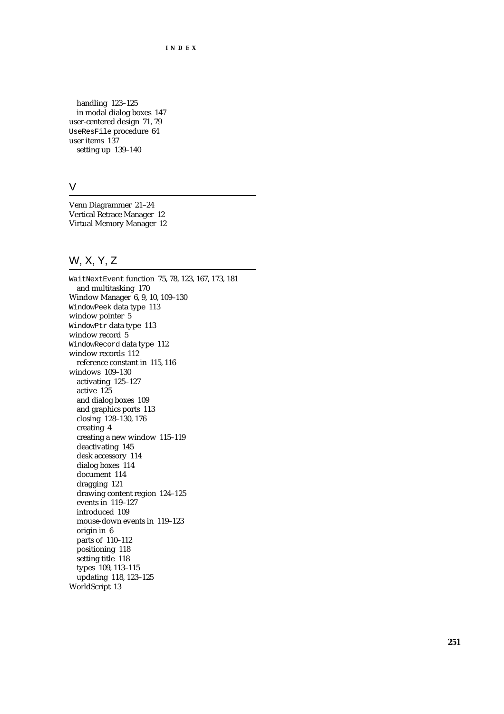**INDEX**

handling 123–125 in modal dialog boxes 147 user-centered design 71, 79 UseResFile procedure 64 user items 137 setting up 139–140

## V

Venn Diagrammer 21–24 Vertical Retrace Manager 12 Virtual Memory Manager 12

# W, X, Y, Z

WaitNextEvent function 75, 78, 123, 167, 173, 181 and multitasking 170 Window Manager 6, 9, 10, 109–130 WindowPeek data type 113 window pointer 5 WindowPtr data type 113 window record 5 WindowRecord data type 112 window records 112 reference constant in 115, 116 windows 109–130 activating 125–127 active 125 and dialog boxes 109 and graphics ports 113 closing 128–130, 176 creating 4 creating a new window 115–119 deactivating 145 desk accessory 114 dialog boxes 114 document 114 dragging 121 drawing content region 124–125 events in 119–127 introduced 109 mouse-down events in 119–123 origin in 6 parts of 110–112 positioning 118 setting title 118 types 109, 113–115 updating 118, 123–125 WorldScript 13